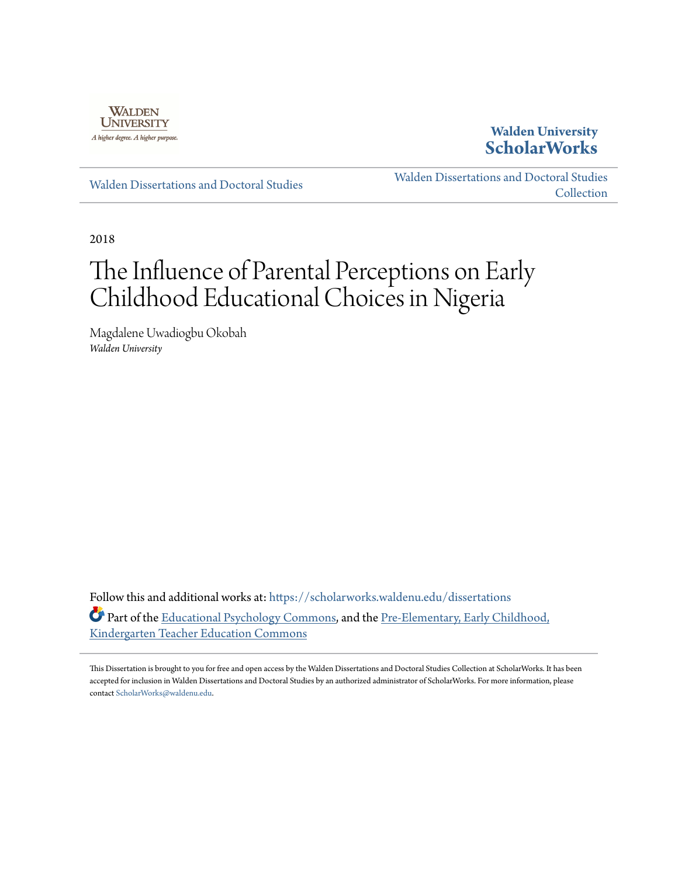

## **Walden University [ScholarWorks](https://scholarworks.waldenu.edu?utm_source=scholarworks.waldenu.edu%2Fdissertations%2F6256&utm_medium=PDF&utm_campaign=PDFCoverPages)**

[Walden Dissertations and Doctoral Studies](https://scholarworks.waldenu.edu/dissertations?utm_source=scholarworks.waldenu.edu%2Fdissertations%2F6256&utm_medium=PDF&utm_campaign=PDFCoverPages)

[Walden Dissertations and Doctoral Studies](https://scholarworks.waldenu.edu/dissanddoc?utm_source=scholarworks.waldenu.edu%2Fdissertations%2F6256&utm_medium=PDF&utm_campaign=PDFCoverPages) **[Collection](https://scholarworks.waldenu.edu/dissanddoc?utm_source=scholarworks.waldenu.edu%2Fdissertations%2F6256&utm_medium=PDF&utm_campaign=PDFCoverPages)** 

2018

# The Influence of Parental Perceptions on Early Childhood Educational Choices in Nigeria

Magdalene Uwadiogbu Okobah *Walden University*

Follow this and additional works at: [https://scholarworks.waldenu.edu/dissertations](https://scholarworks.waldenu.edu/dissertations?utm_source=scholarworks.waldenu.edu%2Fdissertations%2F6256&utm_medium=PDF&utm_campaign=PDFCoverPages) Part of the [Educational Psychology Commons,](http://network.bepress.com/hgg/discipline/798?utm_source=scholarworks.waldenu.edu%2Fdissertations%2F6256&utm_medium=PDF&utm_campaign=PDFCoverPages) and the [Pre-Elementary, Early Childhood,](http://network.bepress.com/hgg/discipline/808?utm_source=scholarworks.waldenu.edu%2Fdissertations%2F6256&utm_medium=PDF&utm_campaign=PDFCoverPages) [Kindergarten Teacher Education Commons](http://network.bepress.com/hgg/discipline/808?utm_source=scholarworks.waldenu.edu%2Fdissertations%2F6256&utm_medium=PDF&utm_campaign=PDFCoverPages)

This Dissertation is brought to you for free and open access by the Walden Dissertations and Doctoral Studies Collection at ScholarWorks. It has been accepted for inclusion in Walden Dissertations and Doctoral Studies by an authorized administrator of ScholarWorks. For more information, please contact [ScholarWorks@waldenu.edu](mailto:ScholarWorks@waldenu.edu).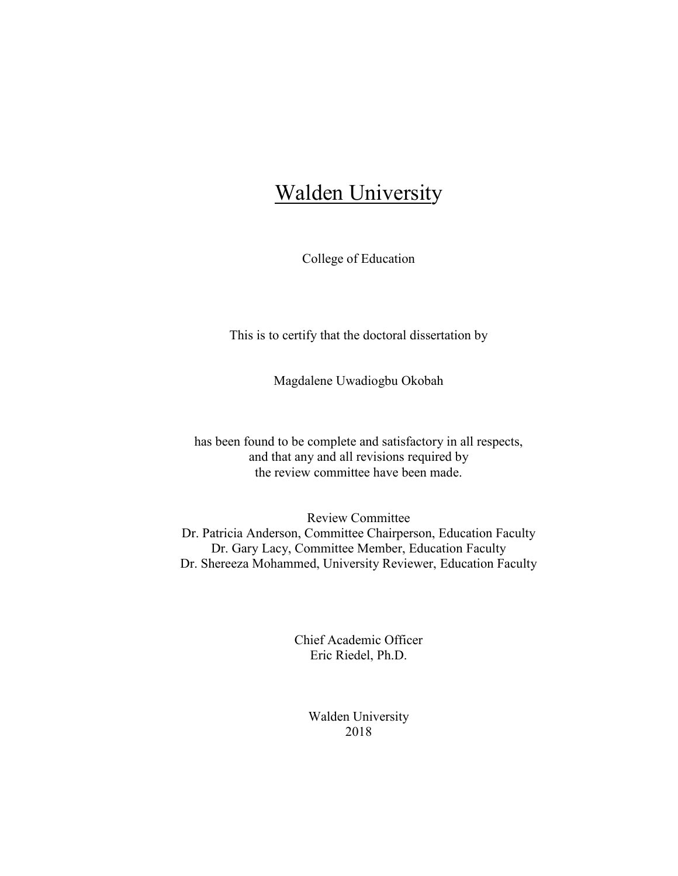## Walden University

College of Education

This is to certify that the doctoral dissertation by

Magdalene Uwadiogbu Okobah

has been found to be complete and satisfactory in all respects, and that any and all revisions required by the review committee have been made.

Review Committee Dr. Patricia Anderson, Committee Chairperson, Education Faculty Dr. Gary Lacy, Committee Member, Education Faculty Dr. Shereeza Mohammed, University Reviewer, Education Faculty

> Chief Academic Officer Eric Riedel, Ph.D.

> > Walden University 2018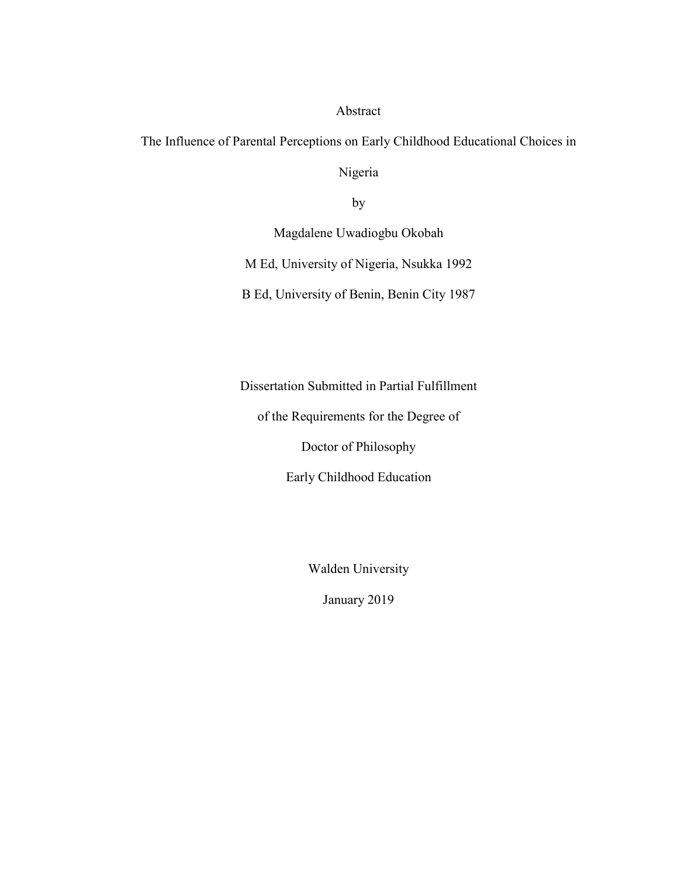### Abstract

The Influence of Parental Perceptions on Early Childhood Educational Choices in

Nigeria

by

Magdalene Uwadiogbu Okobah

M Ed, University of Nigeria, Nsukka 1992

B Ed, University of Benin, Benin City 1987

Dissertation Submitted in Partial Fulfillment

of the Requirements for the Degree of

Doctor of Philosophy

Early Childhood Education

Walden University

January 2019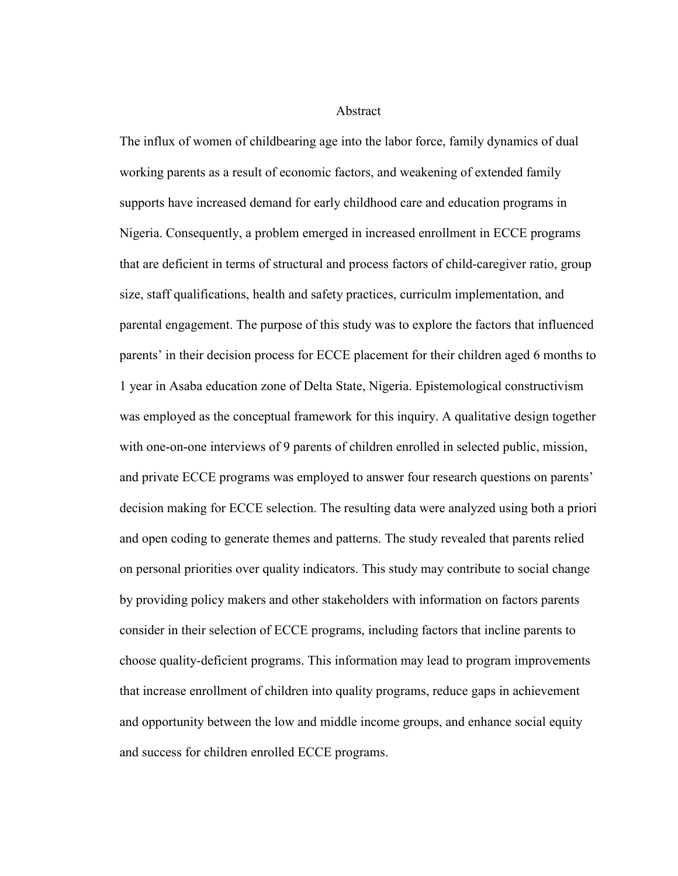Abstract

The influx of women of childbearing age into the labor force, family dynamics of dual working parents as a result of economic factors, and weakening of extended family supports have increased demand for early childhood care and education programs in Nigeria. Consequently, a problem emerged in increased enrollment in ECCE programs that are deficient in terms of structural and process factors of child-caregiver ratio, group size, staff qualifications, health and safety practices, curriculm implementation, and parental engagement. The purpose of this study was to explore the factors that influenced parents' in their decision process for ECCE placement for their children aged 6 months to 1 year in Asaba education zone of Delta State, Nigeria. Epistemological constructivism was employed as the conceptual framework for this inquiry. A qualitative design together with one-on-one interviews of 9 parents of children enrolled in selected public, mission, and private ECCE programs was employed to answer four research questions on parents' decision making for ECCE selection. The resulting data were analyzed using both a priori and open coding to generate themes and patterns. The study revealed that parents relied on personal priorities over quality indicators. This study may contribute to social change by providing policy makers and other stakeholders with information on factors parents consider in their selection of ECCE programs, including factors that incline parents to choose quality-deficient programs. This information may lead to program improvements that increase enrollment of children into quality programs, reduce gaps in achievement and opportunity between the low and middle income groups, and enhance social equity and success for children enrolled ECCE programs.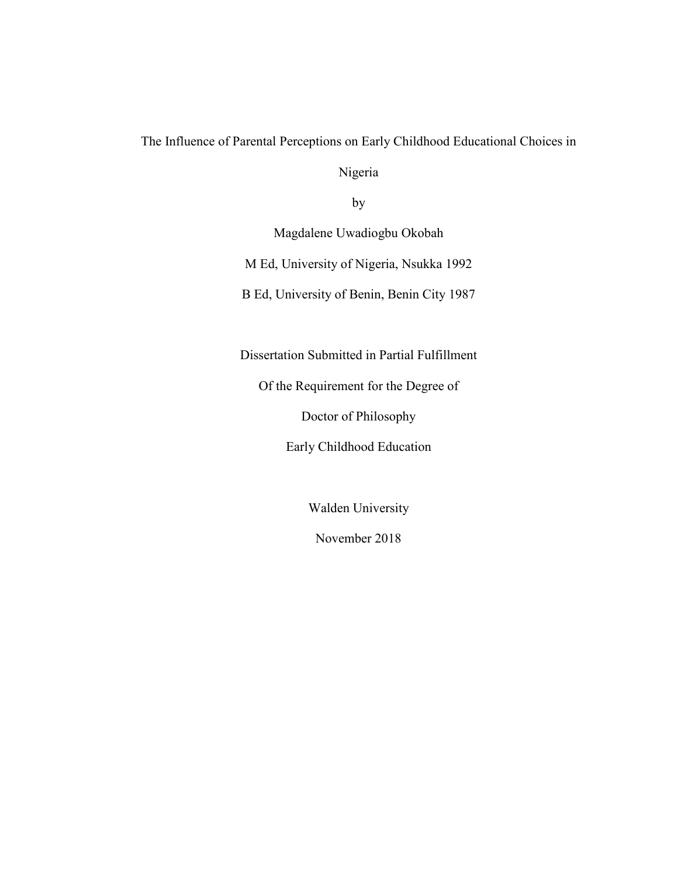The Influence of Parental Perceptions on Early Childhood Educational Choices in

Nigeria

by

Magdalene Uwadiogbu Okobah

M Ed, University of Nigeria, Nsukka 1992

B Ed, University of Benin, Benin City 1987

Dissertation Submitted in Partial Fulfillment

Of the Requirement for the Degree of

Doctor of Philosophy

Early Childhood Education

Walden University

November 2018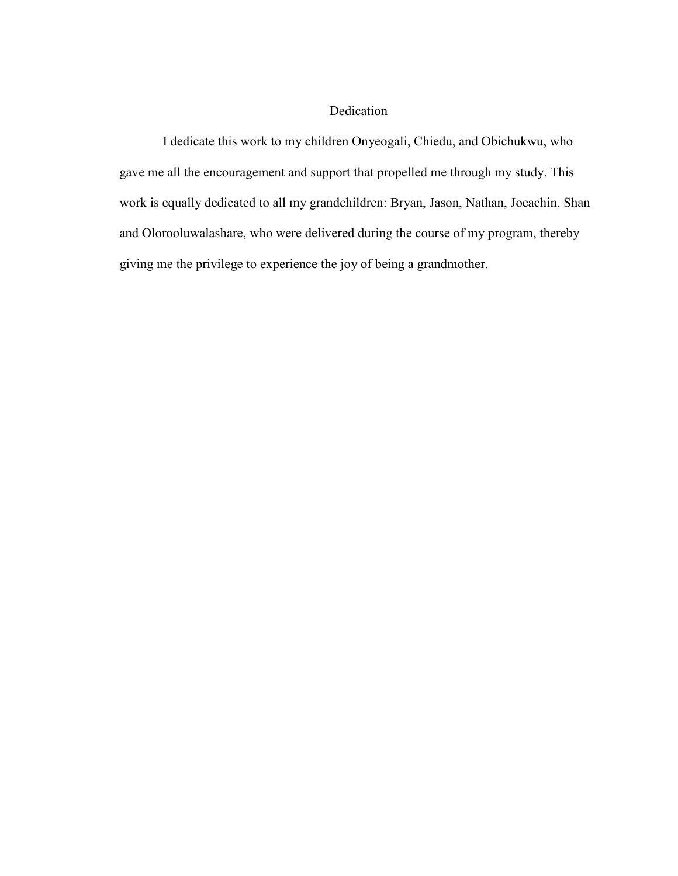### Dedication

 I dedicate this work to my children Onyeogali, Chiedu, and Obichukwu, who gave me all the encouragement and support that propelled me through my study. This work is equally dedicated to all my grandchildren: Bryan, Jason, Nathan, Joeachin, Shan and Olorooluwalashare, who were delivered during the course of my program, thereby giving me the privilege to experience the joy of being a grandmother.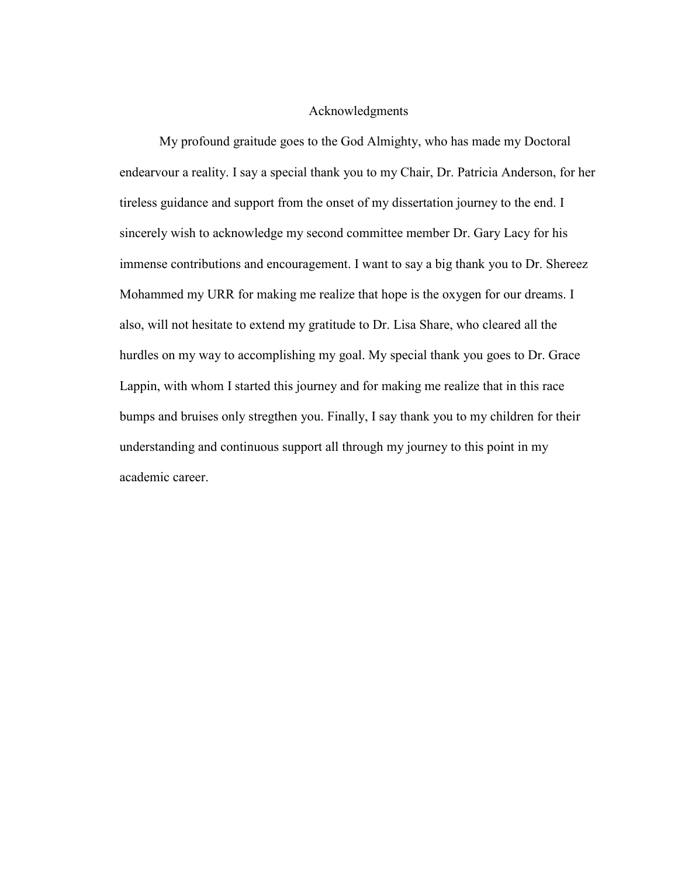#### Acknowledgments

My profound graitude goes to the God Almighty, who has made my Doctoral endearvour a reality. I say a special thank you to my Chair, Dr. Patricia Anderson, for her tireless guidance and support from the onset of my dissertation journey to the end. I sincerely wish to acknowledge my second committee member Dr. Gary Lacy for his immense contributions and encouragement. I want to say a big thank you to Dr. Shereez Mohammed my URR for making me realize that hope is the oxygen for our dreams. I also, will not hesitate to extend my gratitude to Dr. Lisa Share, who cleared all the hurdles on my way to accomplishing my goal. My special thank you goes to Dr. Grace Lappin, with whom I started this journey and for making me realize that in this race bumps and bruises only stregthen you. Finally, I say thank you to my children for their understanding and continuous support all through my journey to this point in my academic career.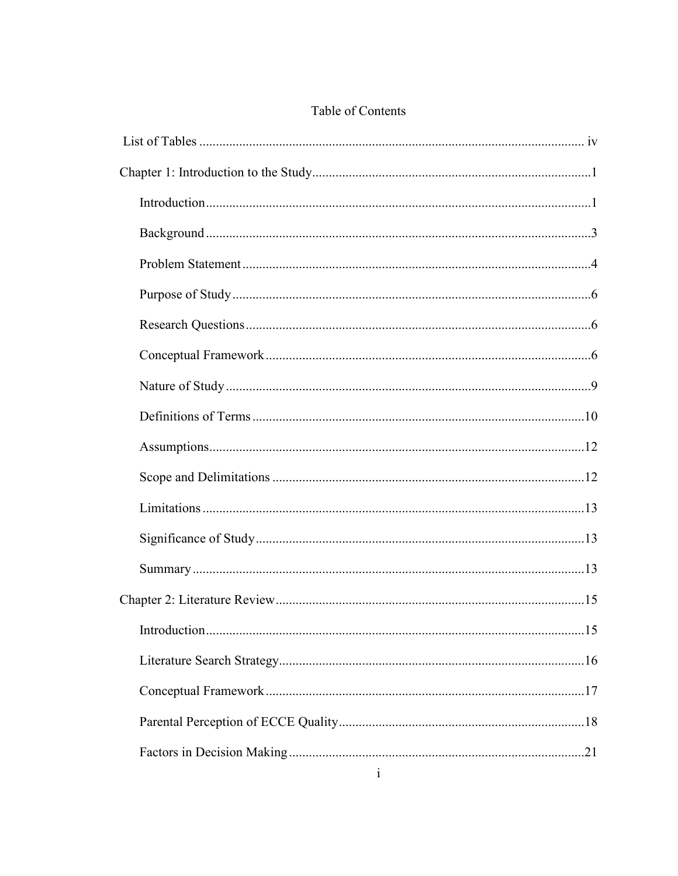## Table of Contents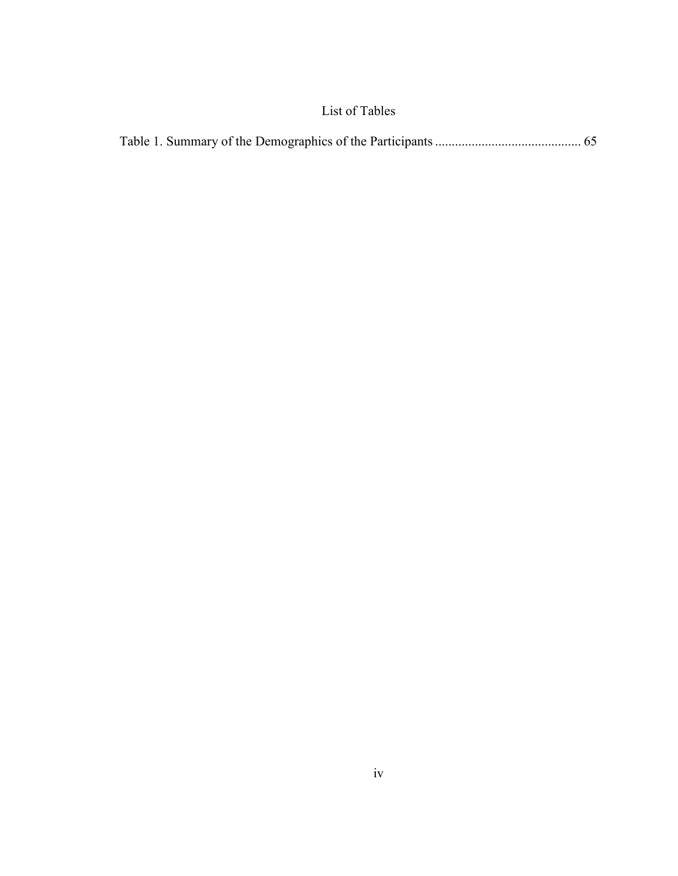## List of Tables

|--|--|--|--|--|--|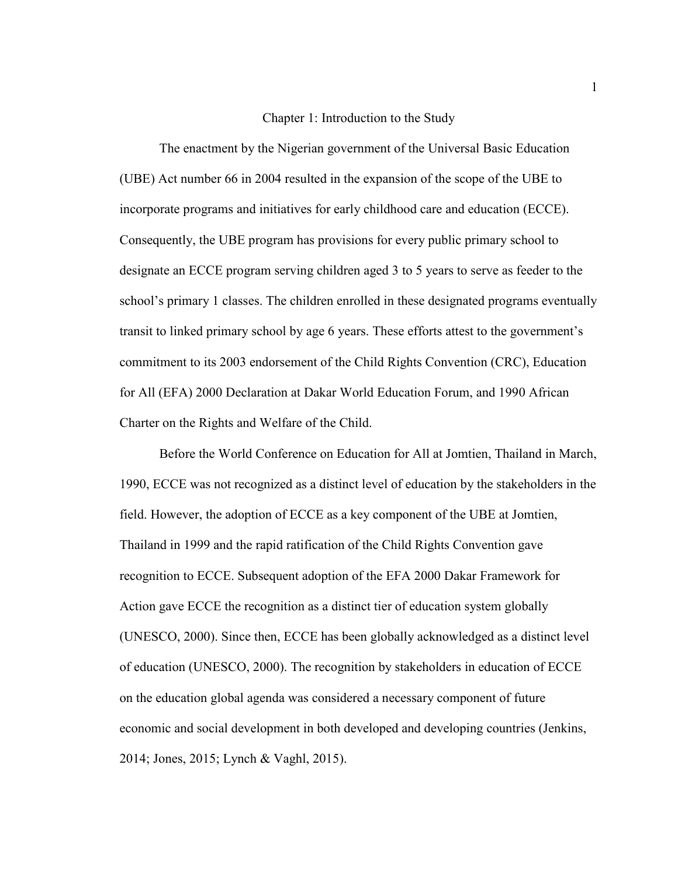#### Chapter 1: Introduction to the Study

 The enactment by the Nigerian government of the Universal Basic Education (UBE) Act number 66 in 2004 resulted in the expansion of the scope of the UBE to incorporate programs and initiatives for early childhood care and education (ECCE). Consequently, the UBE program has provisions for every public primary school to designate an ECCE program serving children aged 3 to 5 years to serve as feeder to the school's primary 1 classes. The children enrolled in these designated programs eventually transit to linked primary school by age 6 years. These efforts attest to the government's commitment to its 2003 endorsement of the Child Rights Convention (CRC), Education for All (EFA) 2000 Declaration at Dakar World Education Forum, and 1990 African Charter on the Rights and Welfare of the Child.

Before the World Conference on Education for All at Jomtien, Thailand in March, 1990, ECCE was not recognized as a distinct level of education by the stakeholders in the field. However, the adoption of ECCE as a key component of the UBE at Jomtien, Thailand in 1999 and the rapid ratification of the Child Rights Convention gave recognition to ECCE. Subsequent adoption of the EFA 2000 Dakar Framework for Action gave ECCE the recognition as a distinct tier of education system globally (UNESCO, 2000). Since then, ECCE has been globally acknowledged as a distinct level of education (UNESCO, 2000). The recognition by stakeholders in education of ECCE on the education global agenda was considered a necessary component of future economic and social development in both developed and developing countries (Jenkins, 2014; Jones, 2015; Lynch & Vaghl, 2015).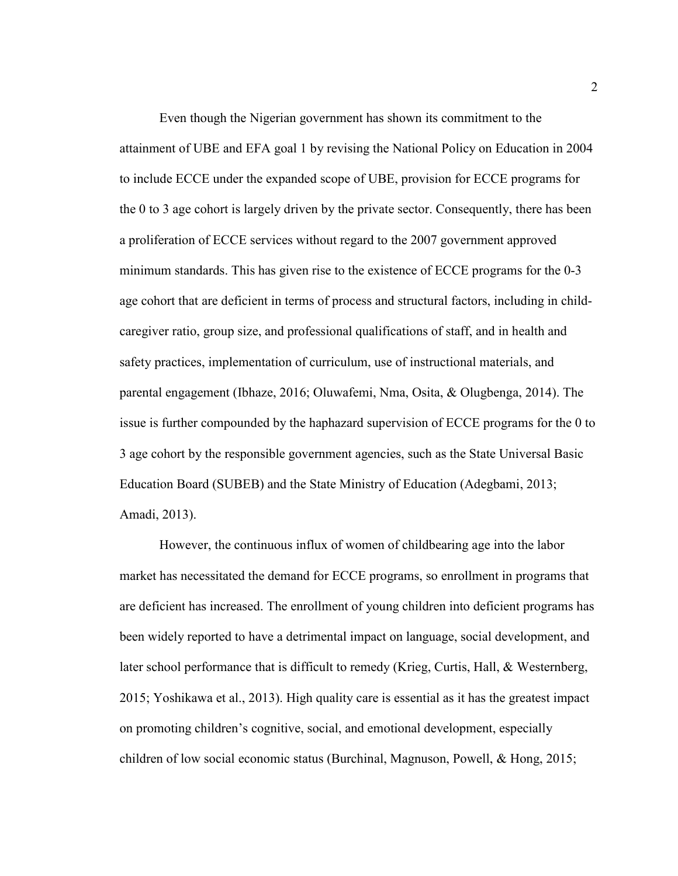Even though the Nigerian government has shown its commitment to the attainment of UBE and EFA goal 1 by revising the National Policy on Education in 2004 to include ECCE under the expanded scope of UBE, provision for ECCE programs for the 0 to 3 age cohort is largely driven by the private sector. Consequently, there has been a proliferation of ECCE services without regard to the 2007 government approved minimum standards. This has given rise to the existence of ECCE programs for the 0-3 age cohort that are deficient in terms of process and structural factors, including in childcaregiver ratio, group size, and professional qualifications of staff, and in health and safety practices, implementation of curriculum, use of instructional materials, and parental engagement (Ibhaze, 2016; Oluwafemi, Nma, Osita, & Olugbenga, 2014). The issue is further compounded by the haphazard supervision of ECCE programs for the 0 to 3 age cohort by the responsible government agencies, such as the State Universal Basic Education Board (SUBEB) and the State Ministry of Education (Adegbami, 2013; Amadi, 2013).

However, the continuous influx of women of childbearing age into the labor market has necessitated the demand for ECCE programs, so enrollment in programs that are deficient has increased. The enrollment of young children into deficient programs has been widely reported to have a detrimental impact on language, social development, and later school performance that is difficult to remedy (Krieg, Curtis, Hall, & Westernberg, 2015; Yoshikawa et al., 2013). High quality care is essential as it has the greatest impact on promoting children's cognitive, social, and emotional development, especially children of low social economic status (Burchinal, Magnuson, Powell, & Hong, 2015;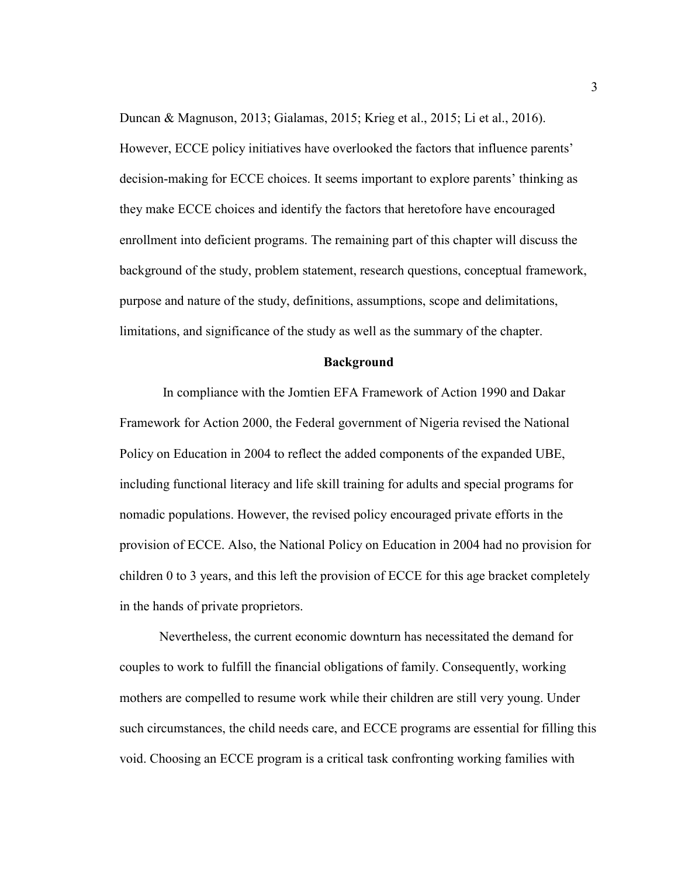Duncan & Magnuson, 2013; Gialamas, 2015; Krieg et al., 2015; Li et al., 2016). However, ECCE policy initiatives have overlooked the factors that influence parents' decision-making for ECCE choices. It seems important to explore parents' thinking as they make ECCE choices and identify the factors that heretofore have encouraged enrollment into deficient programs. The remaining part of this chapter will discuss the background of the study, problem statement, research questions, conceptual framework, purpose and nature of the study, definitions, assumptions, scope and delimitations, limitations, and significance of the study as well as the summary of the chapter.

#### **Background**

 In compliance with the Jomtien EFA Framework of Action 1990 and Dakar Framework for Action 2000, the Federal government of Nigeria revised the National Policy on Education in 2004 to reflect the added components of the expanded UBE, including functional literacy and life skill training for adults and special programs for nomadic populations. However, the revised policy encouraged private efforts in the provision of ECCE. Also, the National Policy on Education in 2004 had no provision for children 0 to 3 years, and this left the provision of ECCE for this age bracket completely in the hands of private proprietors.

 Nevertheless, the current economic downturn has necessitated the demand for couples to work to fulfill the financial obligations of family. Consequently, working mothers are compelled to resume work while their children are still very young. Under such circumstances, the child needs care, and ECCE programs are essential for filling this void. Choosing an ECCE program is a critical task confronting working families with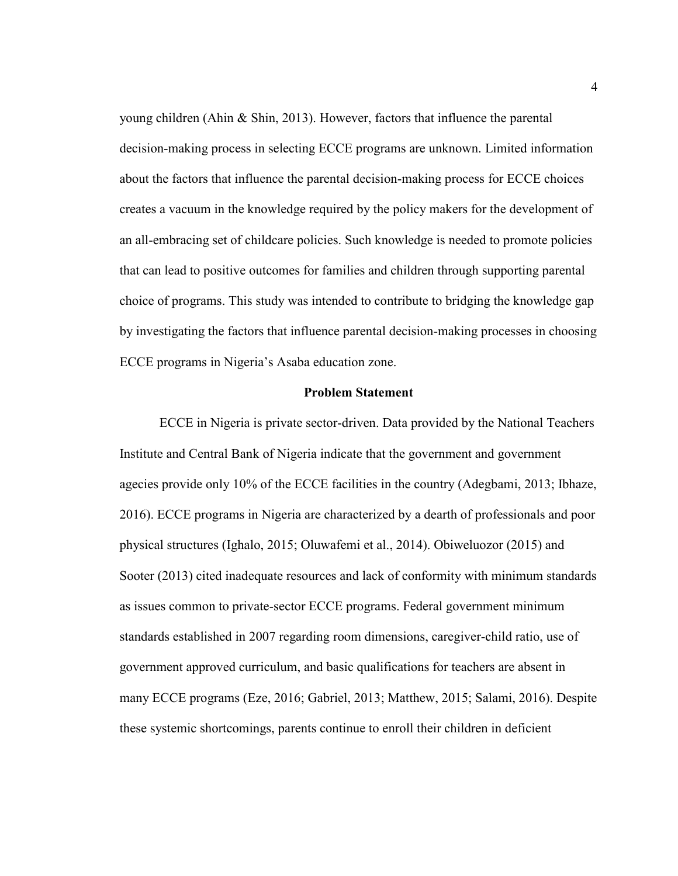young children (Ahin & Shin, 2013). However, factors that influence the parental decision-making process in selecting ECCE programs are unknown. Limited information about the factors that influence the parental decision-making process for ECCE choices creates a vacuum in the knowledge required by the policy makers for the development of an all-embracing set of childcare policies. Such knowledge is needed to promote policies that can lead to positive outcomes for families and children through supporting parental choice of programs. This study was intended to contribute to bridging the knowledge gap by investigating the factors that influence parental decision-making processes in choosing ECCE programs in Nigeria's Asaba education zone.

#### **Problem Statement**

ECCE in Nigeria is private sector-driven. Data provided by the National Teachers Institute and Central Bank of Nigeria indicate that the government and government agecies provide only 10% of the ECCE facilities in the country (Adegbami, 2013; Ibhaze, 2016). ECCE programs in Nigeria are characterized by a dearth of professionals and poor physical structures (Ighalo, 2015; Oluwafemi et al., 2014). Obiweluozor (2015) and Sooter (2013) cited inadequate resources and lack of conformity with minimum standards as issues common to private-sector ECCE programs. Federal government minimum standards established in 2007 regarding room dimensions, caregiver-child ratio, use of government approved curriculum, and basic qualifications for teachers are absent in many ECCE programs (Eze, 2016; Gabriel, 2013; Matthew, 2015; Salami, 2016). Despite these systemic shortcomings, parents continue to enroll their children in deficient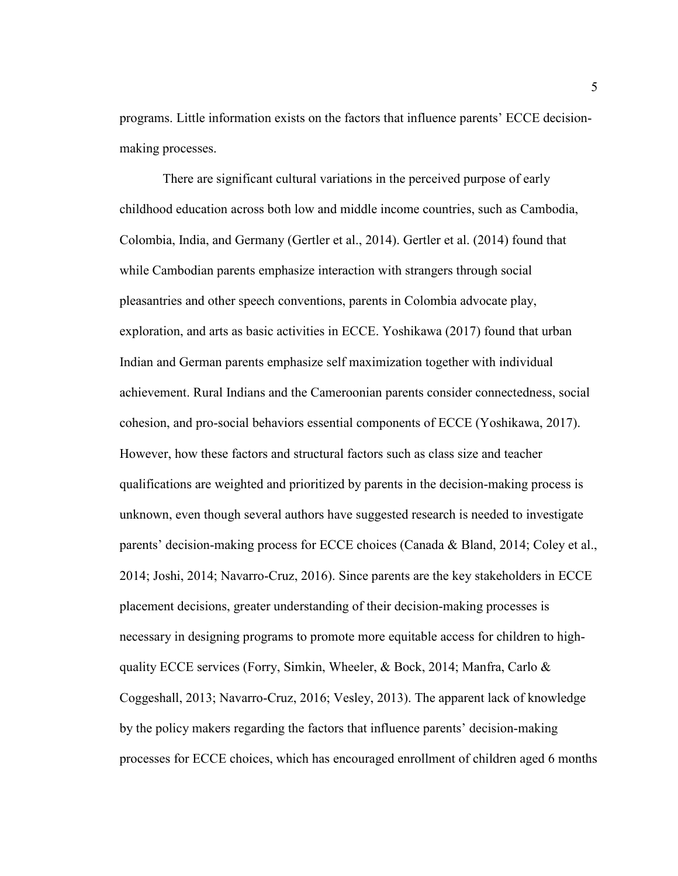programs. Little information exists on the factors that influence parents' ECCE decisionmaking processes.

 There are significant cultural variations in the perceived purpose of early childhood education across both low and middle income countries, such as Cambodia, Colombia, India, and Germany (Gertler et al., 2014). Gertler et al. (2014) found that while Cambodian parents emphasize interaction with strangers through social pleasantries and other speech conventions, parents in Colombia advocate play, exploration, and arts as basic activities in ECCE. Yoshikawa (2017) found that urban Indian and German parents emphasize self maximization together with individual achievement. Rural Indians and the Cameroonian parents consider connectedness, social cohesion, and pro-social behaviors essential components of ECCE (Yoshikawa, 2017). However, how these factors and structural factors such as class size and teacher qualifications are weighted and prioritized by parents in the decision-making process is unknown, even though several authors have suggested research is needed to investigate parents' decision-making process for ECCE choices (Canada & Bland, 2014; Coley et al., 2014; Joshi, 2014; Navarro-Cruz, 2016). Since parents are the key stakeholders in ECCE placement decisions, greater understanding of their decision-making processes is necessary in designing programs to promote more equitable access for children to highquality ECCE services (Forry, Simkin, Wheeler, & Bock, 2014; Manfra, Carlo & Coggeshall, 2013; Navarro-Cruz, 2016; Vesley, 2013). The apparent lack of knowledge by the policy makers regarding the factors that influence parents' decision-making processes for ECCE choices, which has encouraged enrollment of children aged 6 months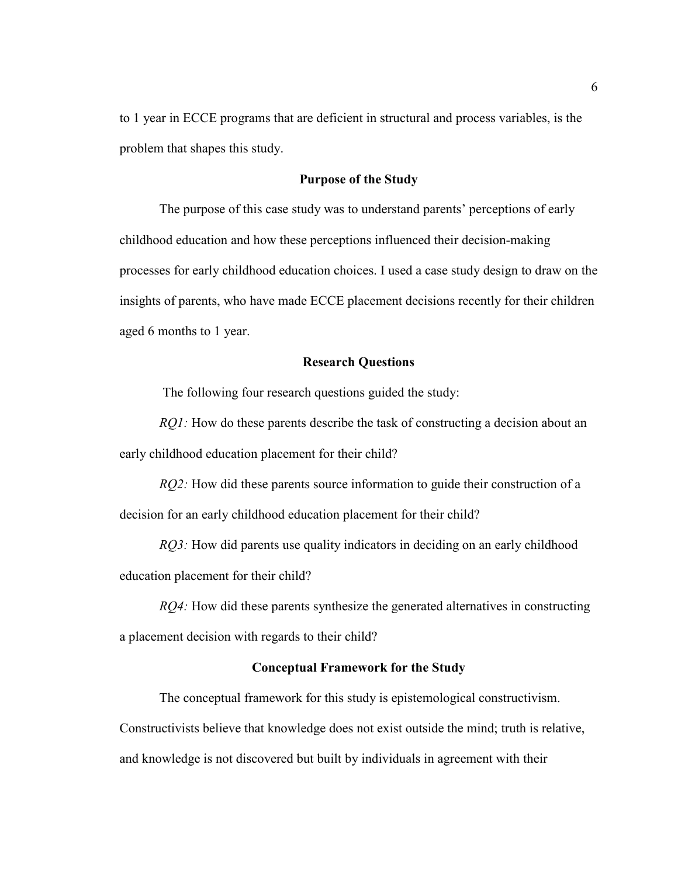to 1 year in ECCE programs that are deficient in structural and process variables, is the problem that shapes this study.

#### **Purpose of the Study**

 The purpose of this case study was to understand parents' perceptions of early childhood education and how these perceptions influenced their decision-making processes for early childhood education choices. I used a case study design to draw on the insights of parents, who have made ECCE placement decisions recently for their children aged 6 months to 1 year.

#### **Research Questions**

The following four research questions guided the study:

*RQ1*: How do these parents describe the task of constructing a decision about an early childhood education placement for their child?

*RQ2*: How did these parents source information to guide their construction of a decision for an early childhood education placement for their child?

*RQ3*: How did parents use quality indicators in deciding on an early childhood education placement for their child?

*RQ4:* How did these parents synthesize the generated alternatives in constructing a placement decision with regards to their child?

#### **Conceptual Framework for the Study**

The conceptual framework for this study is epistemological constructivism.

Constructivists believe that knowledge does not exist outside the mind; truth is relative, and knowledge is not discovered but built by individuals in agreement with their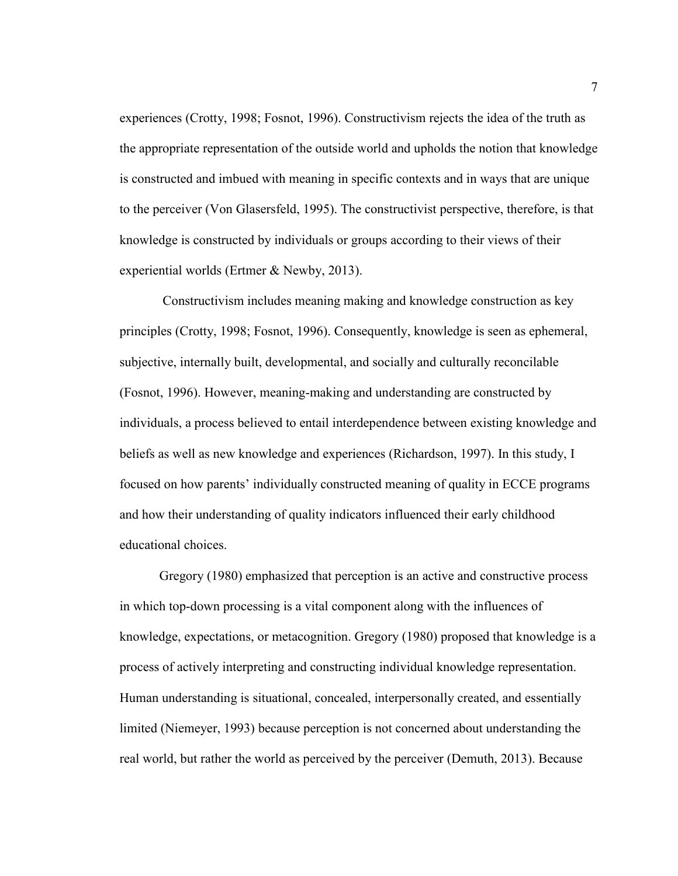experiences (Crotty, 1998; Fosnot, 1996). Constructivism rejects the idea of the truth as the appropriate representation of the outside world and upholds the notion that knowledge is constructed and imbued with meaning in specific contexts and in ways that are unique to the perceiver (Von Glasersfeld, 1995). The constructivist perspective, therefore, is that knowledge is constructed by individuals or groups according to their views of their experiential worlds (Ertmer & Newby, 2013).

 Constructivism includes meaning making and knowledge construction as key principles (Crotty, 1998; Fosnot, 1996). Consequently, knowledge is seen as ephemeral, subjective, internally built, developmental, and socially and culturally reconcilable (Fosnot, 1996). However, meaning-making and understanding are constructed by individuals, a process believed to entail interdependence between existing knowledge and beliefs as well as new knowledge and experiences (Richardson, 1997). In this study, I focused on how parents' individually constructed meaning of quality in ECCE programs and how their understanding of quality indicators influenced their early childhood educational choices.

 Gregory (1980) emphasized that perception is an active and constructive process in which top-down processing is a vital component along with the influences of knowledge, expectations, or metacognition. Gregory (1980) proposed that knowledge is a process of actively interpreting and constructing individual knowledge representation. Human understanding is situational, concealed, interpersonally created, and essentially limited (Niemeyer, 1993) because perception is not concerned about understanding the real world, but rather the world as perceived by the perceiver (Demuth, 2013). Because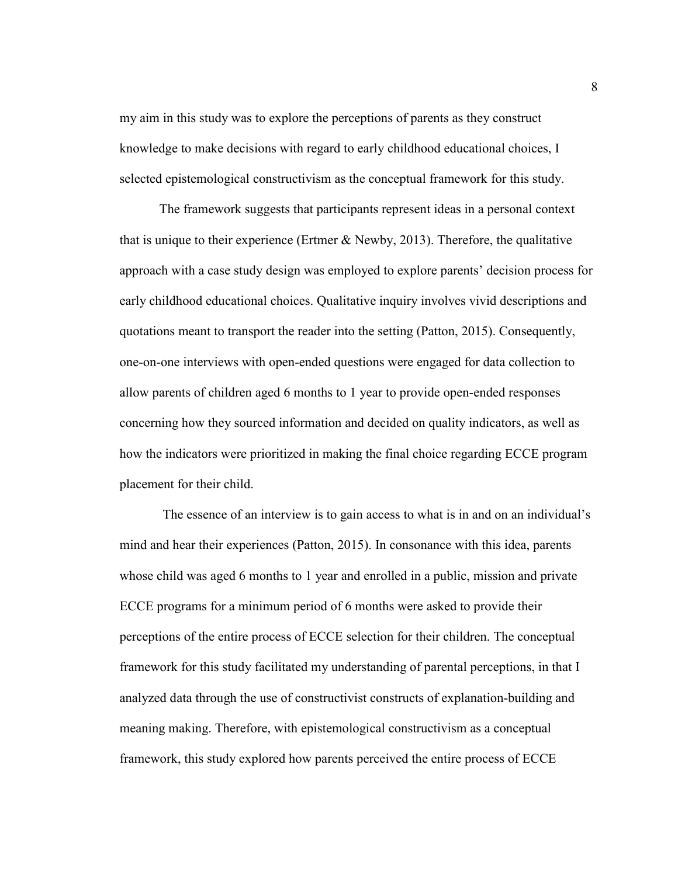my aim in this study was to explore the perceptions of parents as they construct knowledge to make decisions with regard to early childhood educational choices, I selected epistemological constructivism as the conceptual framework for this study.

The framework suggests that participants represent ideas in a personal context that is unique to their experience (Ertmer  $& Newby, 2013$ ). Therefore, the qualitative approach with a case study design was employed to explore parents' decision process for early childhood educational choices. Qualitative inquiry involves vivid descriptions and quotations meant to transport the reader into the setting (Patton, 2015). Consequently, one-on-one interviews with open-ended questions were engaged for data collection to allow parents of children aged 6 months to 1 year to provide open-ended responses concerning how they sourced information and decided on quality indicators, as well as how the indicators were prioritized in making the final choice regarding ECCE program placement for their child.

 The essence of an interview is to gain access to what is in and on an individual's mind and hear their experiences (Patton, 2015). In consonance with this idea, parents whose child was aged 6 months to 1 year and enrolled in a public, mission and private ECCE programs for a minimum period of 6 months were asked to provide their perceptions of the entire process of ECCE selection for their children. The conceptual framework for this study facilitated my understanding of parental perceptions, in that I analyzed data through the use of constructivist constructs of explanation-building and meaning making. Therefore, with epistemological constructivism as a conceptual framework, this study explored how parents perceived the entire process of ECCE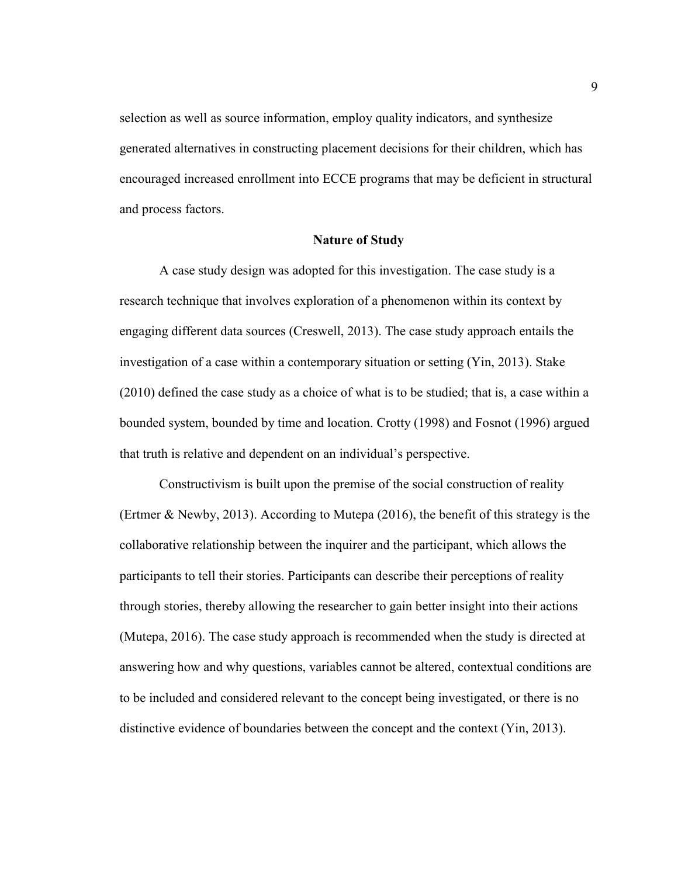selection as well as source information, employ quality indicators, and synthesize generated alternatives in constructing placement decisions for their children, which has encouraged increased enrollment into ECCE programs that may be deficient in structural and process factors.

#### **Nature of Study**

 A case study design was adopted for this investigation. The case study is a research technique that involves exploration of a phenomenon within its context by engaging different data sources (Creswell, 2013). The case study approach entails the investigation of a case within a contemporary situation or setting (Yin, 2013). Stake (2010) defined the case study as a choice of what is to be studied; that is, a case within a bounded system, bounded by time and location. Crotty (1998) and Fosnot (1996) argued that truth is relative and dependent on an individual's perspective.

Constructivism is built upon the premise of the social construction of reality (Ertmer & Newby, 2013). According to Mutepa (2016), the benefit of this strategy is the collaborative relationship between the inquirer and the participant, which allows the participants to tell their stories. Participants can describe their perceptions of reality through stories, thereby allowing the researcher to gain better insight into their actions (Mutepa, 2016). The case study approach is recommended when the study is directed at answering how and why questions, variables cannot be altered, contextual conditions are to be included and considered relevant to the concept being investigated, or there is no distinctive evidence of boundaries between the concept and the context (Yin, 2013).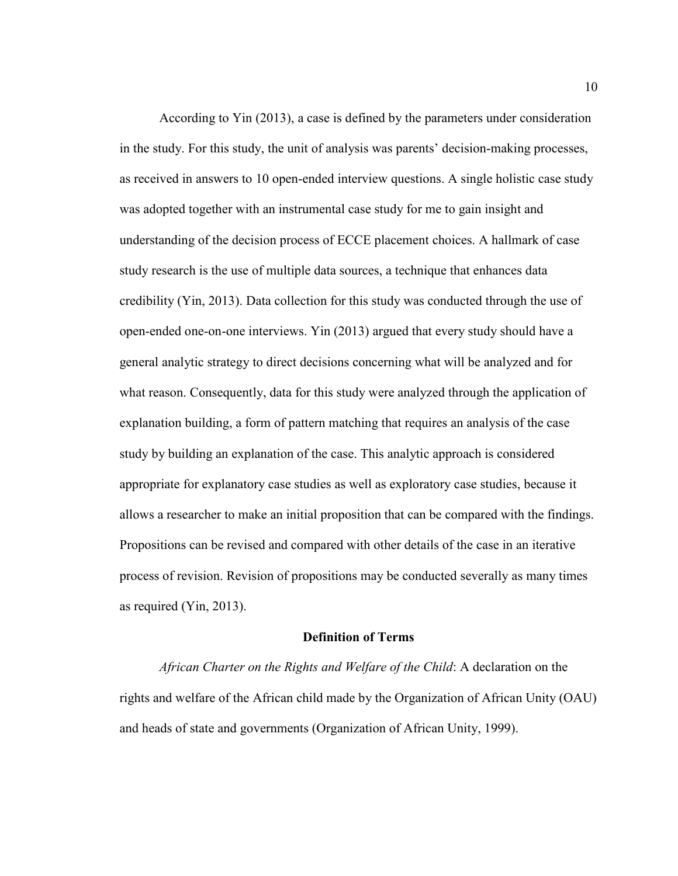According to Yin (2013), a case is defined by the parameters under consideration in the study. For this study, the unit of analysis was parents' decision-making processes, as received in answers to 10 open-ended interview questions. A single holistic case study was adopted together with an instrumental case study for me to gain insight and understanding of the decision process of ECCE placement choices. A hallmark of case study research is the use of multiple data sources, a technique that enhances data credibility (Yin, 2013). Data collection for this study was conducted through the use of open-ended one-on-one interviews. Yin (2013) argued that every study should have a general analytic strategy to direct decisions concerning what will be analyzed and for what reason. Consequently, data for this study were analyzed through the application of explanation building, a form of pattern matching that requires an analysis of the case study by building an explanation of the case. This analytic approach is considered appropriate for explanatory case studies as well as exploratory case studies, because it allows a researcher to make an initial proposition that can be compared with the findings. Propositions can be revised and compared with other details of the case in an iterative process of revision. Revision of propositions may be conducted severally as many times as required (Yin, 2013).

#### **Definition of Terms**

*African Charter on the Rights and Welfare of the Child*: A declaration on the rights and welfare of the African child made by the Organization of African Unity (OAU) and heads of state and governments (Organization of African Unity, 1999).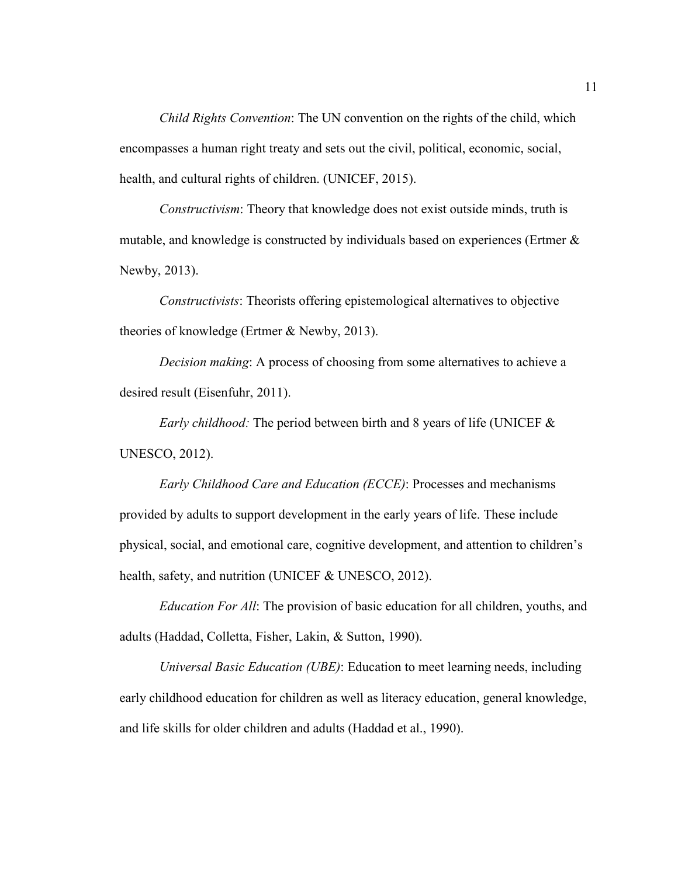*Child Rights Convention*: The UN convention on the rights of the child, which encompasses a human right treaty and sets out the civil, political, economic, social, health, and cultural rights of children. (UNICEF, 2015).

*Constructivism*: Theory that knowledge does not exist outside minds, truth is mutable, and knowledge is constructed by individuals based on experiences (Ertmer & Newby, 2013).

*Constructivists*: Theorists offering epistemological alternatives to objective theories of knowledge (Ertmer & Newby, 2013).

*Decision making*: A process of choosing from some alternatives to achieve a desired result (Eisenfuhr, 2011).

*Early childhood:* The period between birth and 8 years of life (UNICEF & UNESCO, 2012).

*Early Childhood Care and Education (ECCE)*: Processes and mechanisms provided by adults to support development in the early years of life. These include physical, social, and emotional care, cognitive development, and attention to children's health, safety, and nutrition (UNICEF & UNESCO, 2012).

*Education For All*: The provision of basic education for all children, youths, and adults (Haddad, Colletta, Fisher, Lakin, & Sutton, 1990).

 *Universal Basic Education (UBE)*: Education to meet learning needs, including early childhood education for children as well as literacy education, general knowledge, and life skills for older children and adults (Haddad et al., 1990).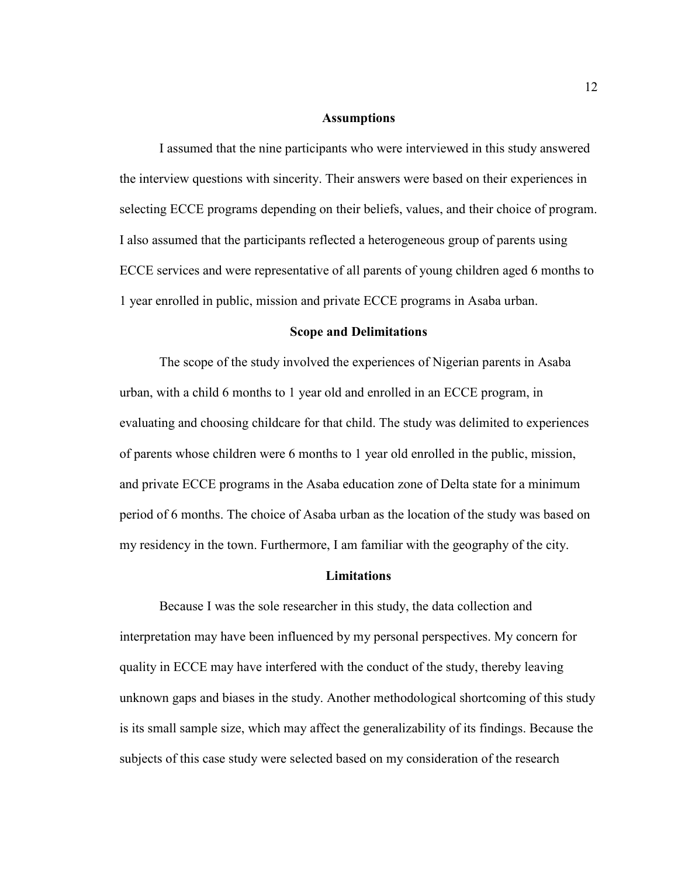#### **Assumptions**

I assumed that the nine participants who were interviewed in this study answered the interview questions with sincerity. Their answers were based on their experiences in selecting ECCE programs depending on their beliefs, values, and their choice of program. I also assumed that the participants reflected a heterogeneous group of parents using ECCE services and were representative of all parents of young children aged 6 months to 1 year enrolled in public, mission and private ECCE programs in Asaba urban.

#### **Scope and Delimitations**

The scope of the study involved the experiences of Nigerian parents in Asaba urban, with a child 6 months to 1 year old and enrolled in an ECCE program, in evaluating and choosing childcare for that child. The study was delimited to experiences of parents whose children were 6 months to 1 year old enrolled in the public, mission, and private ECCE programs in the Asaba education zone of Delta state for a minimum period of 6 months. The choice of Asaba urban as the location of the study was based on my residency in the town. Furthermore, I am familiar with the geography of the city.

#### **Limitations**

Because I was the sole researcher in this study, the data collection and interpretation may have been influenced by my personal perspectives. My concern for quality in ECCE may have interfered with the conduct of the study, thereby leaving unknown gaps and biases in the study. Another methodological shortcoming of this study is its small sample size, which may affect the generalizability of its findings. Because the subjects of this case study were selected based on my consideration of the research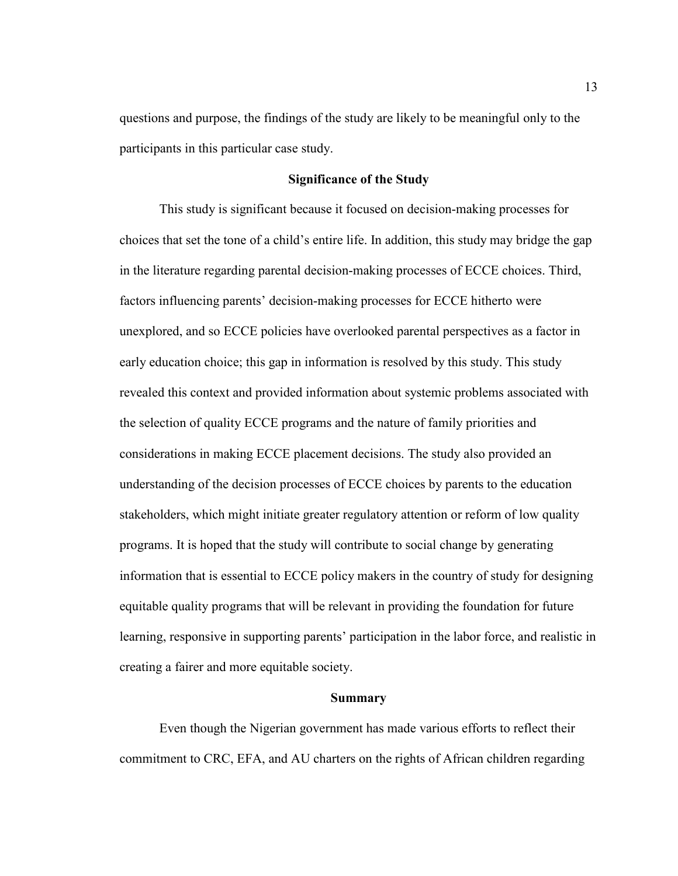questions and purpose, the findings of the study are likely to be meaningful only to the participants in this particular case study.

#### **Significance of the Study**

 This study is significant because it focused on decision-making processes for choices that set the tone of a child's entire life. In addition, this study may bridge the gap in the literature regarding parental decision-making processes of ECCE choices. Third, factors influencing parents' decision-making processes for ECCE hitherto were unexplored, and so ECCE policies have overlooked parental perspectives as a factor in early education choice; this gap in information is resolved by this study. This study revealed this context and provided information about systemic problems associated with the selection of quality ECCE programs and the nature of family priorities and considerations in making ECCE placement decisions. The study also provided an understanding of the decision processes of ECCE choices by parents to the education stakeholders, which might initiate greater regulatory attention or reform of low quality programs. It is hoped that the study will contribute to social change by generating information that is essential to ECCE policy makers in the country of study for designing equitable quality programs that will be relevant in providing the foundation for future learning, responsive in supporting parents' participation in the labor force, and realistic in creating a fairer and more equitable society.

#### **Summary**

 Even though the Nigerian government has made various efforts to reflect their commitment to CRC, EFA, and AU charters on the rights of African children regarding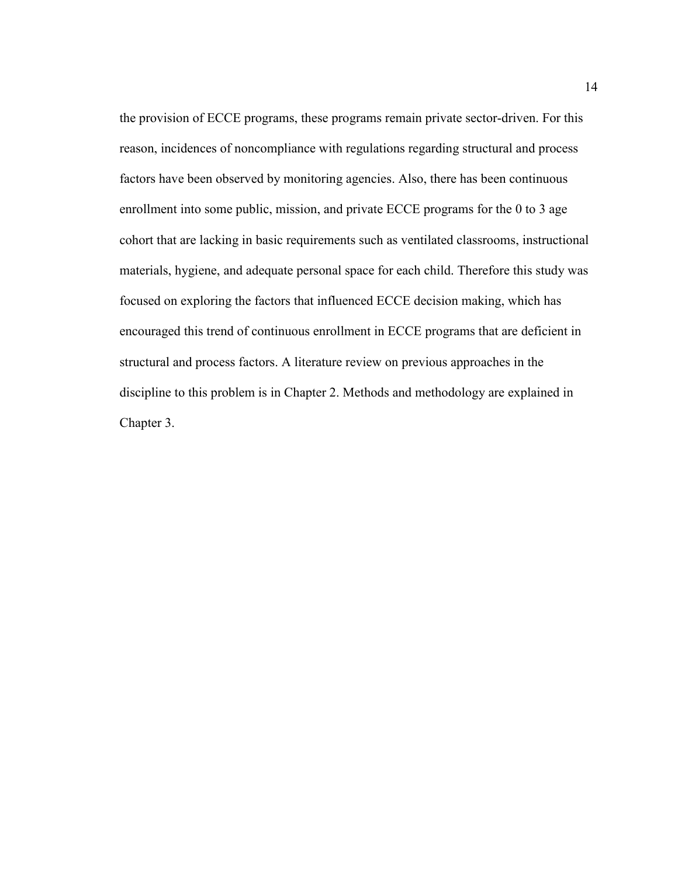the provision of ECCE programs, these programs remain private sector-driven. For this reason, incidences of noncompliance with regulations regarding structural and process factors have been observed by monitoring agencies. Also, there has been continuous enrollment into some public, mission, and private ECCE programs for the 0 to 3 age cohort that are lacking in basic requirements such as ventilated classrooms, instructional materials, hygiene, and adequate personal space for each child. Therefore this study was focused on exploring the factors that influenced ECCE decision making, which has encouraged this trend of continuous enrollment in ECCE programs that are deficient in structural and process factors. A literature review on previous approaches in the discipline to this problem is in Chapter 2. Methods and methodology are explained in Chapter 3.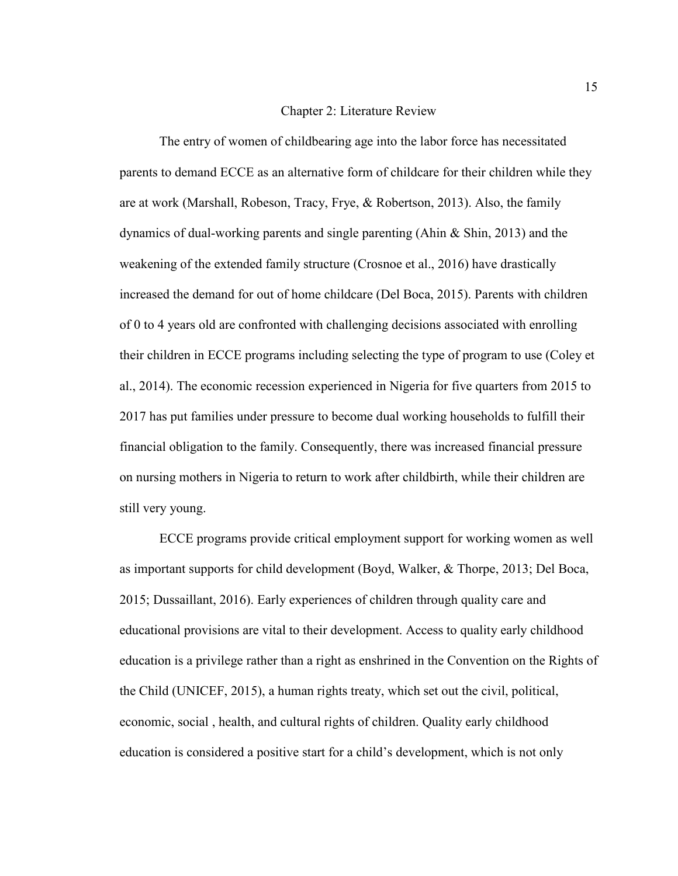#### Chapter 2: Literature Review

The entry of women of childbearing age into the labor force has necessitated parents to demand ECCE as an alternative form of childcare for their children while they are at work (Marshall, Robeson, Tracy, Frye, & Robertson, 2013). Also, the family dynamics of dual-working parents and single parenting (Ahin & Shin, 2013) and the weakening of the extended family structure (Crosnoe et al., 2016) have drastically increased the demand for out of home childcare (Del Boca, 2015). Parents with children of 0 to 4 years old are confronted with challenging decisions associated with enrolling their children in ECCE programs including selecting the type of program to use (Coley et al., 2014). The economic recession experienced in Nigeria for five quarters from 2015 to 2017 has put families under pressure to become dual working households to fulfill their financial obligation to the family. Consequently, there was increased financial pressure on nursing mothers in Nigeria to return to work after childbirth, while their children are still very young.

ECCE programs provide critical employment support for working women as well as important supports for child development (Boyd, Walker, & Thorpe, 2013; Del Boca, 2015; Dussaillant, 2016). Early experiences of children through quality care and educational provisions are vital to their development. Access to quality early childhood education is a privilege rather than a right as enshrined in the Convention on the Rights of the Child (UNICEF, 2015), a human rights treaty, which set out the civil, political, economic, social , health, and cultural rights of children. Quality early childhood education is considered a positive start for a child's development, which is not only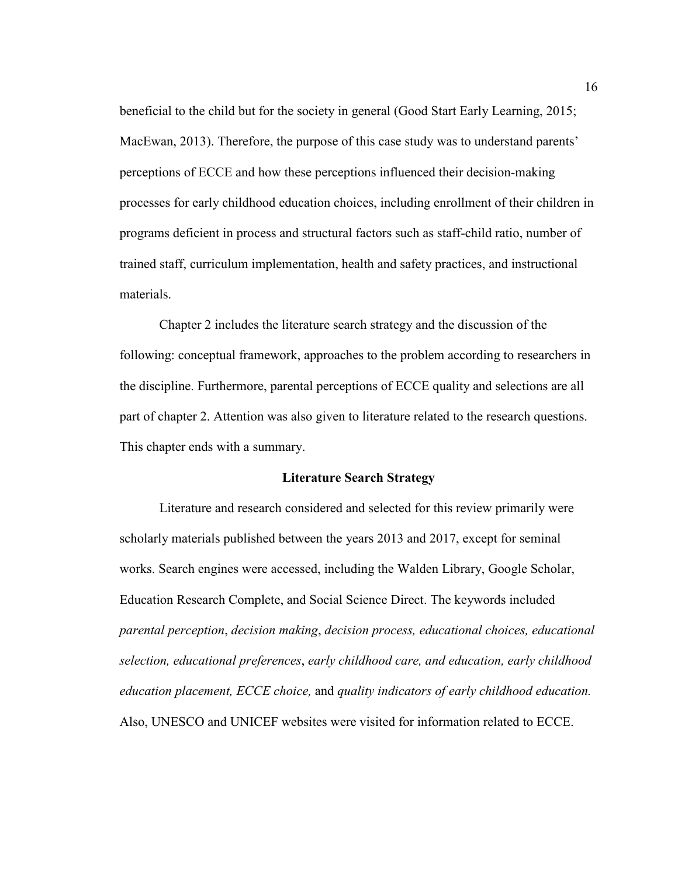beneficial to the child but for the society in general (Good Start Early Learning, 2015; MacEwan, 2013). Therefore, the purpose of this case study was to understand parents' perceptions of ECCE and how these perceptions influenced their decision-making processes for early childhood education choices, including enrollment of their children in programs deficient in process and structural factors such as staff-child ratio, number of trained staff, curriculum implementation, health and safety practices, and instructional materials.

Chapter 2 includes the literature search strategy and the discussion of the following: conceptual framework, approaches to the problem according to researchers in the discipline. Furthermore, parental perceptions of ECCE quality and selections are all part of chapter 2. Attention was also given to literature related to the research questions. This chapter ends with a summary.

#### **Literature Search Strategy**

 Literature and research considered and selected for this review primarily were scholarly materials published between the years 2013 and 2017, except for seminal works. Search engines were accessed, including the Walden Library, Google Scholar, Education Research Complete, and Social Science Direct. The keywords included *parental perception*, *decision making*, *decision process, educational choices, educational selection, educational preferences*, *early childhood care, and education, early childhood education placement, ECCE choice,* and *quality indicators of early childhood education.*  Also, UNESCO and UNICEF websites were visited for information related to ECCE.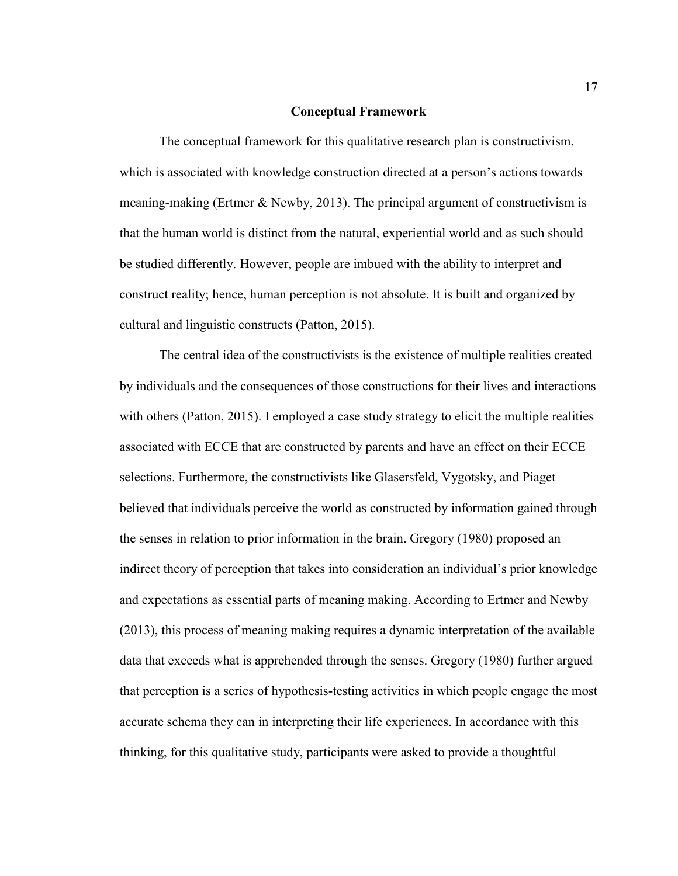#### **Conceptual Framework**

The conceptual framework for this qualitative research plan is constructivism, which is associated with knowledge construction directed at a person's actions towards meaning-making (Ertmer & Newby, 2013). The principal argument of constructivism is that the human world is distinct from the natural, experiential world and as such should be studied differently. However, people are imbued with the ability to interpret and construct reality; hence, human perception is not absolute. It is built and organized by cultural and linguistic constructs (Patton, 2015).

The central idea of the constructivists is the existence of multiple realities created by individuals and the consequences of those constructions for their lives and interactions with others (Patton, 2015). I employed a case study strategy to elicit the multiple realities associated with ECCE that are constructed by parents and have an effect on their ECCE selections. Furthermore, the constructivists like Glasersfeld, Vygotsky, and Piaget believed that individuals perceive the world as constructed by information gained through the senses in relation to prior information in the brain. Gregory (1980) proposed an indirect theory of perception that takes into consideration an individual's prior knowledge and expectations as essential parts of meaning making. According to Ertmer and Newby (2013), this process of meaning making requires a dynamic interpretation of the available data that exceeds what is apprehended through the senses. Gregory (1980) further argued that perception is a series of hypothesis-testing activities in which people engage the most accurate schema they can in interpreting their life experiences. In accordance with this thinking, for this qualitative study, participants were asked to provide a thoughtful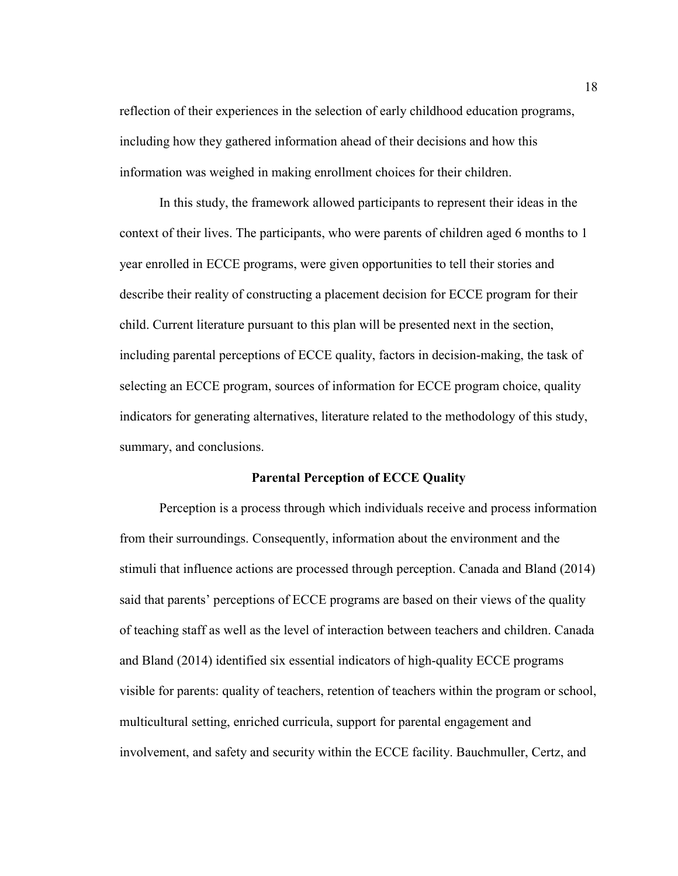reflection of their experiences in the selection of early childhood education programs, including how they gathered information ahead of their decisions and how this information was weighed in making enrollment choices for their children.

In this study, the framework allowed participants to represent their ideas in the context of their lives. The participants, who were parents of children aged 6 months to 1 year enrolled in ECCE programs, were given opportunities to tell their stories and describe their reality of constructing a placement decision for ECCE program for their child. Current literature pursuant to this plan will be presented next in the section, including parental perceptions of ECCE quality, factors in decision-making, the task of selecting an ECCE program, sources of information for ECCE program choice, quality indicators for generating alternatives, literature related to the methodology of this study, summary, and conclusions.

#### **Parental Perception of ECCE Quality**

Perception is a process through which individuals receive and process information from their surroundings. Consequently, information about the environment and the stimuli that influence actions are processed through perception. Canada and Bland (2014) said that parents' perceptions of ECCE programs are based on their views of the quality of teaching staff as well as the level of interaction between teachers and children. Canada and Bland (2014) identified six essential indicators of high-quality ECCE programs visible for parents: quality of teachers, retention of teachers within the program or school, multicultural setting, enriched curricula, support for parental engagement and involvement, and safety and security within the ECCE facility. Bauchmuller, Certz, and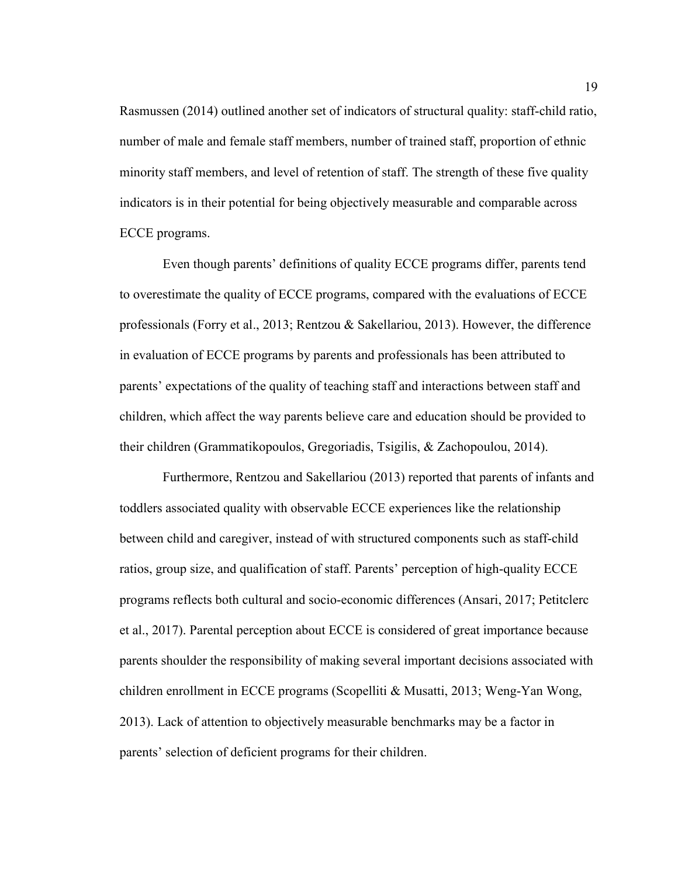Rasmussen (2014) outlined another set of indicators of structural quality: staff-child ratio, number of male and female staff members, number of trained staff, proportion of ethnic minority staff members, and level of retention of staff. The strength of these five quality indicators is in their potential for being objectively measurable and comparable across ECCE programs.

 Even though parents' definitions of quality ECCE programs differ, parents tend to overestimate the quality of ECCE programs, compared with the evaluations of ECCE professionals (Forry et al., 2013; Rentzou & Sakellariou, 2013). However, the difference in evaluation of ECCE programs by parents and professionals has been attributed to parents' expectations of the quality of teaching staff and interactions between staff and children, which affect the way parents believe care and education should be provided to their children (Grammatikopoulos, Gregoriadis, Tsigilis, & Zachopoulou, 2014).

 Furthermore, Rentzou and Sakellariou (2013) reported that parents of infants and toddlers associated quality with observable ECCE experiences like the relationship between child and caregiver, instead of with structured components such as staff-child ratios, group size, and qualification of staff. Parents' perception of high-quality ECCE programs reflects both cultural and socio-economic differences (Ansari, 2017; Petitclerc et al., 2017). Parental perception about ECCE is considered of great importance because parents shoulder the responsibility of making several important decisions associated with children enrollment in ECCE programs (Scopelliti & Musatti, 2013; Weng-Yan Wong, 2013). Lack of attention to objectively measurable benchmarks may be a factor in parents' selection of deficient programs for their children.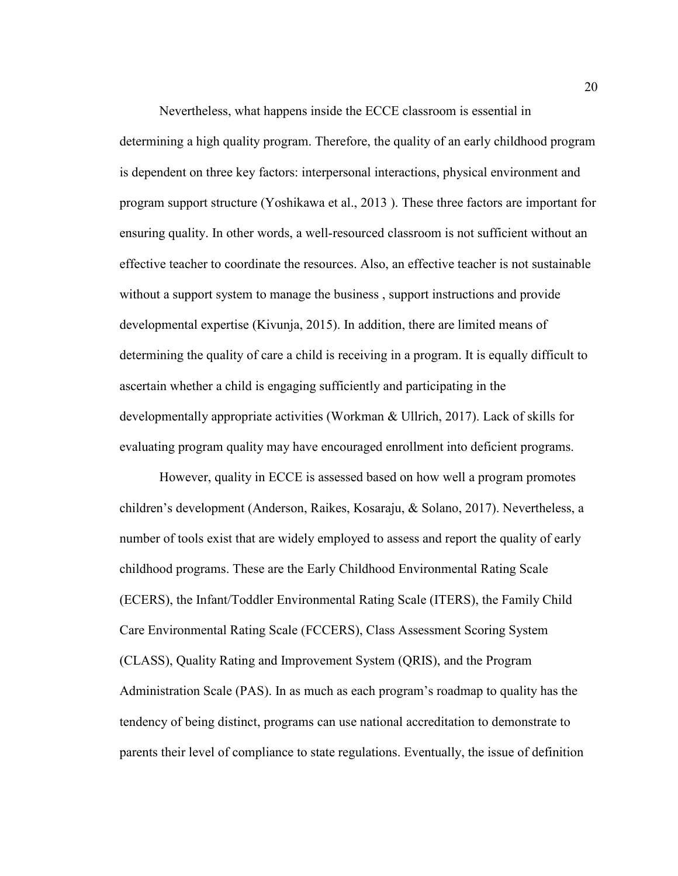Nevertheless, what happens inside the ECCE classroom is essential in determining a high quality program. Therefore, the quality of an early childhood program is dependent on three key factors: interpersonal interactions, physical environment and program support structure (Yoshikawa et al., 2013 ). These three factors are important for ensuring quality. In other words, a well-resourced classroom is not sufficient without an effective teacher to coordinate the resources. Also, an effective teacher is not sustainable without a support system to manage the business , support instructions and provide developmental expertise (Kivunja, 2015). In addition, there are limited means of determining the quality of care a child is receiving in a program. It is equally difficult to ascertain whether a child is engaging sufficiently and participating in the developmentally appropriate activities (Workman & Ullrich, 2017). Lack of skills for evaluating program quality may have encouraged enrollment into deficient programs.

However, quality in ECCE is assessed based on how well a program promotes children's development (Anderson, Raikes, Kosaraju, & Solano, 2017). Nevertheless, a number of tools exist that are widely employed to assess and report the quality of early childhood programs. These are the Early Childhood Environmental Rating Scale (ECERS), the Infant/Toddler Environmental Rating Scale (ITERS), the Family Child Care Environmental Rating Scale (FCCERS), Class Assessment Scoring System (CLASS), Quality Rating and Improvement System (QRIS), and the Program Administration Scale (PAS). In as much as each program's roadmap to quality has the tendency of being distinct, programs can use national accreditation to demonstrate to parents their level of compliance to state regulations. Eventually, the issue of definition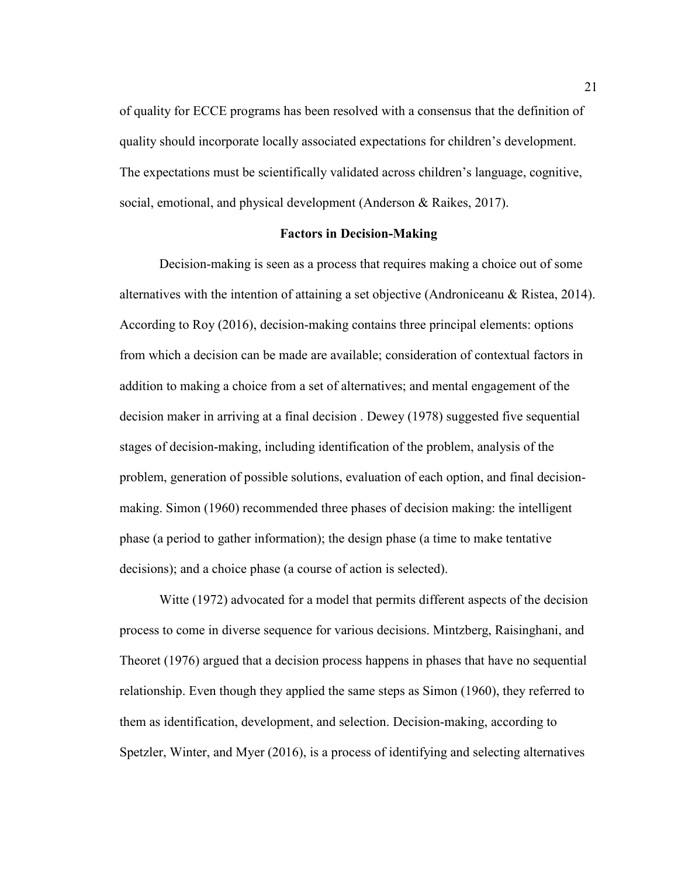of quality for ECCE programs has been resolved with a consensus that the definition of quality should incorporate locally associated expectations for children's development. The expectations must be scientifically validated across children's language, cognitive, social, emotional, and physical development (Anderson & Raikes, 2017).

#### **Factors in Decision-Making**

Decision-making is seen as a process that requires making a choice out of some alternatives with the intention of attaining a set objective (Androniceanu & Ristea, 2014). According to Roy (2016), decision-making contains three principal elements: options from which a decision can be made are available; consideration of contextual factors in addition to making a choice from a set of alternatives; and mental engagement of the decision maker in arriving at a final decision . Dewey (1978) suggested five sequential stages of decision-making, including identification of the problem, analysis of the problem, generation of possible solutions, evaluation of each option, and final decisionmaking. Simon (1960) recommended three phases of decision making: the intelligent phase (a period to gather information); the design phase (a time to make tentative decisions); and a choice phase (a course of action is selected).

 Witte (1972) advocated for a model that permits different aspects of the decision process to come in diverse sequence for various decisions. Mintzberg, Raisinghani, and Theoret (1976) argued that a decision process happens in phases that have no sequential relationship. Even though they applied the same steps as Simon (1960), they referred to them as identification, development, and selection. Decision-making, according to Spetzler, Winter, and Myer (2016), is a process of identifying and selecting alternatives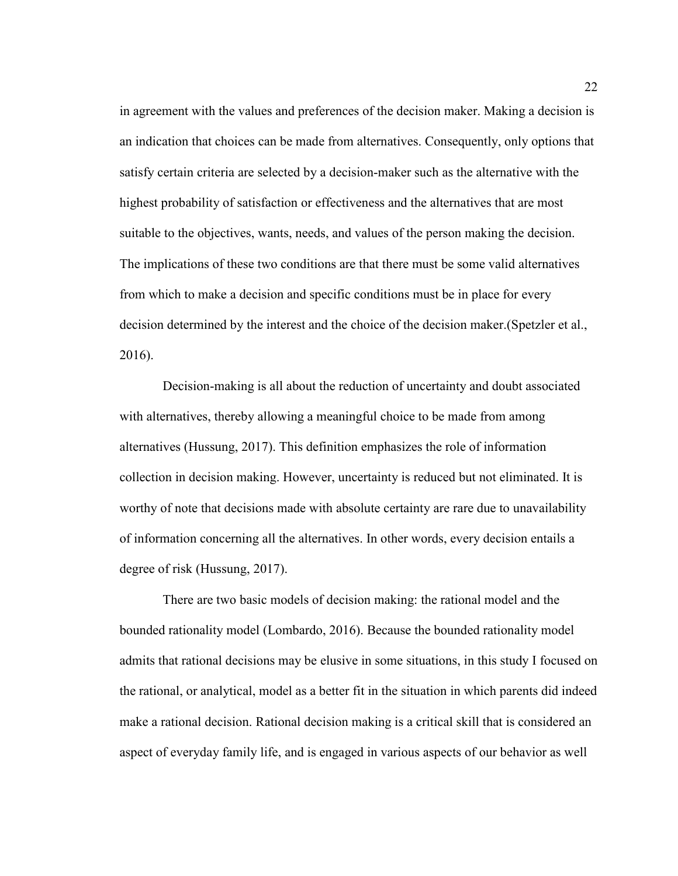in agreement with the values and preferences of the decision maker. Making a decision is an indication that choices can be made from alternatives. Consequently, only options that satisfy certain criteria are selected by a decision-maker such as the alternative with the highest probability of satisfaction or effectiveness and the alternatives that are most suitable to the objectives, wants, needs, and values of the person making the decision. The implications of these two conditions are that there must be some valid alternatives from which to make a decision and specific conditions must be in place for every decision determined by the interest and the choice of the decision maker.(Spetzler et al., 2016).

 Decision-making is all about the reduction of uncertainty and doubt associated with alternatives, thereby allowing a meaningful choice to be made from among alternatives (Hussung, 2017). This definition emphasizes the role of information collection in decision making. However, uncertainty is reduced but not eliminated. It is worthy of note that decisions made with absolute certainty are rare due to unavailability of information concerning all the alternatives. In other words, every decision entails a degree of risk (Hussung, 2017).

 There are two basic models of decision making: the rational model and the bounded rationality model (Lombardo, 2016). Because the bounded rationality model admits that rational decisions may be elusive in some situations, in this study I focused on the rational, or analytical, model as a better fit in the situation in which parents did indeed make a rational decision. Rational decision making is a critical skill that is considered an aspect of everyday family life, and is engaged in various aspects of our behavior as well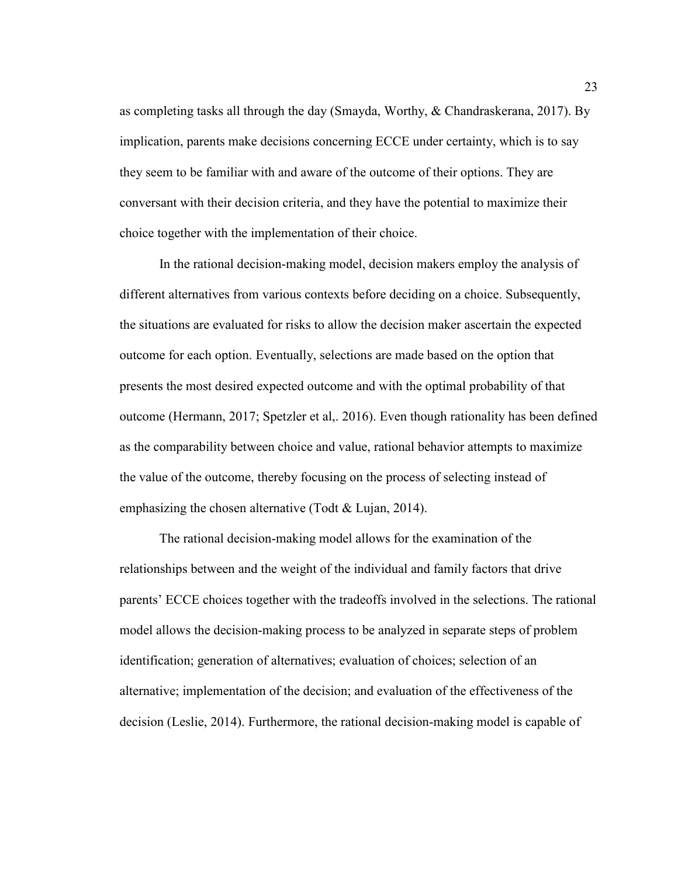as completing tasks all through the day (Smayda, Worthy, & Chandraskerana, 2017). By implication, parents make decisions concerning ECCE under certainty, which is to say they seem to be familiar with and aware of the outcome of their options. They are conversant with their decision criteria, and they have the potential to maximize their choice together with the implementation of their choice.

In the rational decision-making model, decision makers employ the analysis of different alternatives from various contexts before deciding on a choice. Subsequently, the situations are evaluated for risks to allow the decision maker ascertain the expected outcome for each option. Eventually, selections are made based on the option that presents the most desired expected outcome and with the optimal probability of that outcome (Hermann, 2017; Spetzler et al,. 2016). Even though rationality has been defined as the comparability between choice and value, rational behavior attempts to maximize the value of the outcome, thereby focusing on the process of selecting instead of emphasizing the chosen alternative (Todt & Lujan, 2014).

The rational decision-making model allows for the examination of the relationships between and the weight of the individual and family factors that drive parents' ECCE choices together with the tradeoffs involved in the selections. The rational model allows the decision-making process to be analyzed in separate steps of problem identification; generation of alternatives; evaluation of choices; selection of an alternative; implementation of the decision; and evaluation of the effectiveness of the decision (Leslie, 2014). Furthermore, the rational decision-making model is capable of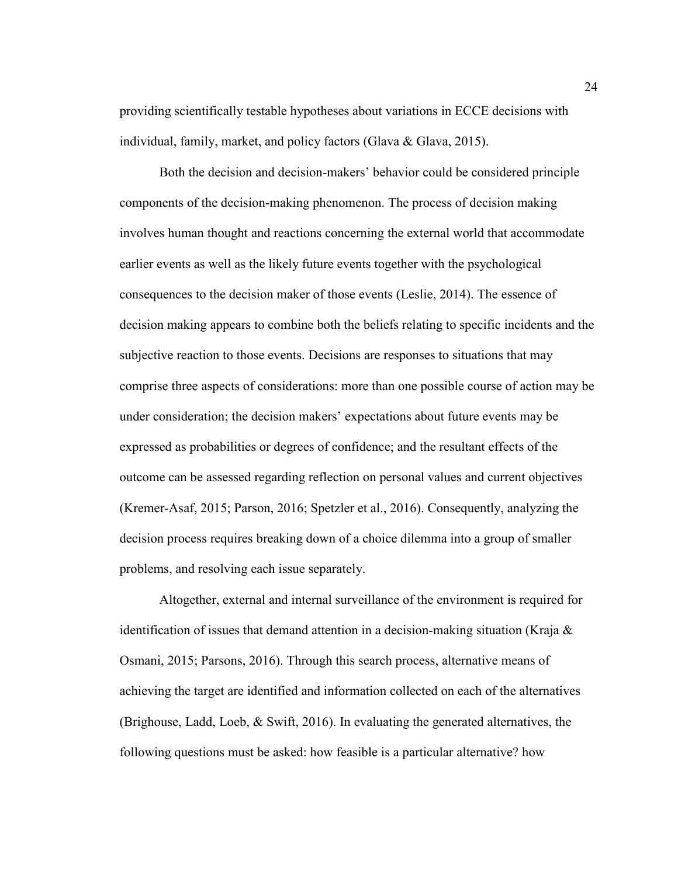providing scientifically testable hypotheses about variations in ECCE decisions with individual, family, market, and policy factors (Glava & Glava, 2015).

Both the decision and decision-makers' behavior could be considered principle components of the decision-making phenomenon. The process of decision making involves human thought and reactions concerning the external world that accommodate earlier events as well as the likely future events together with the psychological consequences to the decision maker of those events (Leslie, 2014). The essence of decision making appears to combine both the beliefs relating to specific incidents and the subjective reaction to those events. Decisions are responses to situations that may comprise three aspects of considerations: more than one possible course of action may be under consideration; the decision makers' expectations about future events may be expressed as probabilities or degrees of confidence; and the resultant effects of the outcome can be assessed regarding reflection on personal values and current objectives (Kremer-Asaf, 2015; Parson, 2016; Spetzler et al., 2016). Consequently, analyzing the decision process requires breaking down of a choice dilemma into a group of smaller problems, and resolving each issue separately.

 Altogether, external and internal surveillance of the environment is required for identification of issues that demand attention in a decision-making situation (Kraja  $\&$ Osmani, 2015; Parsons, 2016). Through this search process, alternative means of achieving the target are identified and information collected on each of the alternatives (Brighouse, Ladd, Loeb, & Swift, 2016). In evaluating the generated alternatives, the following questions must be asked: how feasible is a particular alternative? how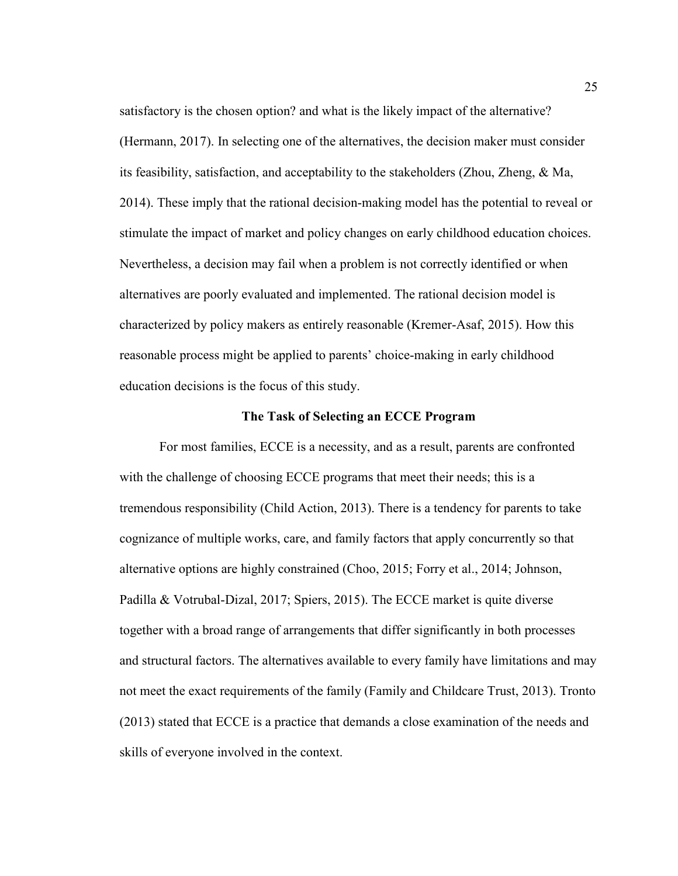satisfactory is the chosen option? and what is the likely impact of the alternative? (Hermann, 2017). In selecting one of the alternatives, the decision maker must consider its feasibility, satisfaction, and acceptability to the stakeholders (Zhou, Zheng, & Ma, 2014). These imply that the rational decision-making model has the potential to reveal or stimulate the impact of market and policy changes on early childhood education choices. Nevertheless, a decision may fail when a problem is not correctly identified or when alternatives are poorly evaluated and implemented. The rational decision model is characterized by policy makers as entirely reasonable (Kremer-Asaf, 2015). How this reasonable process might be applied to parents' choice-making in early childhood education decisions is the focus of this study.

#### **The Task of Selecting an ECCE Program**

For most families, ECCE is a necessity, and as a result, parents are confronted with the challenge of choosing ECCE programs that meet their needs; this is a tremendous responsibility (Child Action, 2013). There is a tendency for parents to take cognizance of multiple works, care, and family factors that apply concurrently so that alternative options are highly constrained (Choo, 2015; Forry et al., 2014; Johnson, Padilla & Votrubal-Dizal, 2017; Spiers, 2015). The ECCE market is quite diverse together with a broad range of arrangements that differ significantly in both processes and structural factors. The alternatives available to every family have limitations and may not meet the exact requirements of the family (Family and Childcare Trust, 2013). Tronto (2013) stated that ECCE is a practice that demands a close examination of the needs and skills of everyone involved in the context.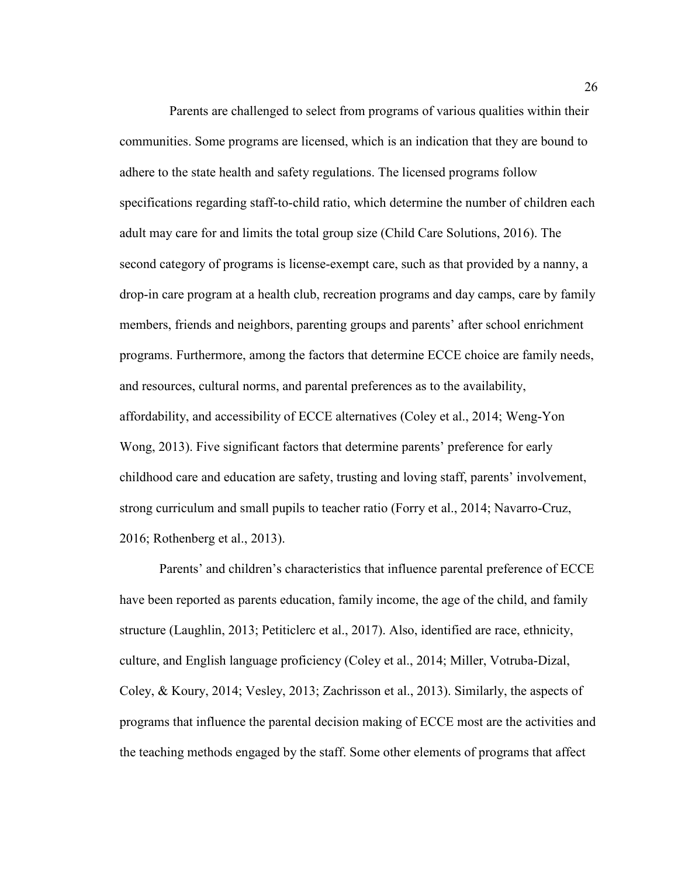Parents are challenged to select from programs of various qualities within their communities. Some programs are licensed, which is an indication that they are bound to adhere to the state health and safety regulations. The licensed programs follow specifications regarding staff-to-child ratio, which determine the number of children each adult may care for and limits the total group size (Child Care Solutions, 2016). The second category of programs is license-exempt care, such as that provided by a nanny, a drop-in care program at a health club, recreation programs and day camps, care by family members, friends and neighbors, parenting groups and parents' after school enrichment programs. Furthermore, among the factors that determine ECCE choice are family needs, and resources, cultural norms, and parental preferences as to the availability, affordability, and accessibility of ECCE alternatives (Coley et al., 2014; Weng-Yon Wong, 2013). Five significant factors that determine parents' preference for early childhood care and education are safety, trusting and loving staff, parents' involvement, strong curriculum and small pupils to teacher ratio (Forry et al., 2014; Navarro-Cruz, 2016; Rothenberg et al., 2013).

Parents' and children's characteristics that influence parental preference of ECCE have been reported as parents education, family income, the age of the child, and family structure (Laughlin, 2013; Petiticlerc et al., 2017). Also, identified are race, ethnicity, culture, and English language proficiency (Coley et al., 2014; Miller, Votruba-Dizal, Coley, & Koury, 2014; Vesley, 2013; Zachrisson et al., 2013). Similarly, the aspects of programs that influence the parental decision making of ECCE most are the activities and the teaching methods engaged by the staff. Some other elements of programs that affect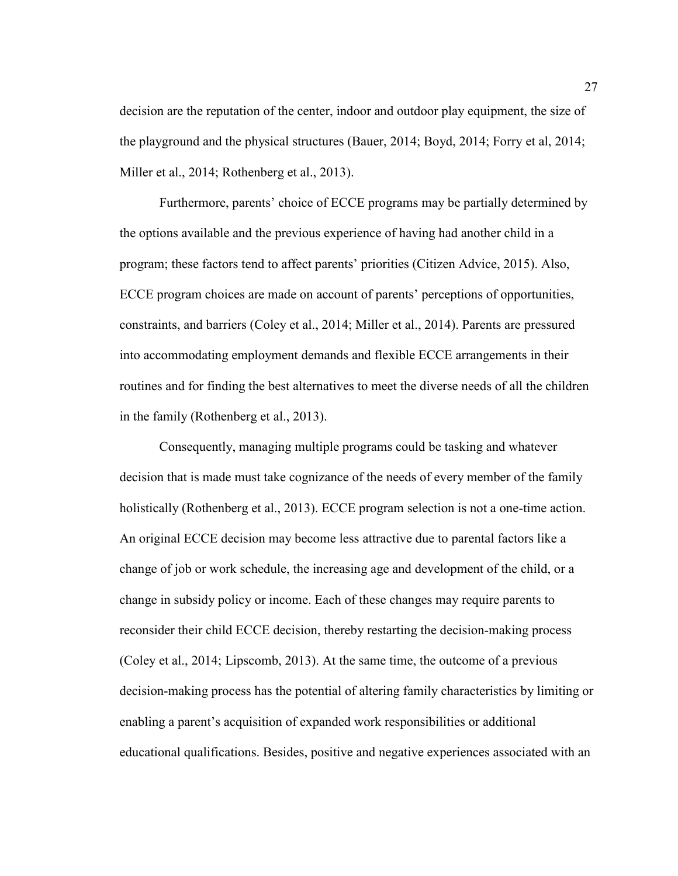decision are the reputation of the center, indoor and outdoor play equipment, the size of the playground and the physical structures (Bauer, 2014; Boyd, 2014; Forry et al, 2014; Miller et al., 2014; Rothenberg et al., 2013).

Furthermore, parents' choice of ECCE programs may be partially determined by the options available and the previous experience of having had another child in a program; these factors tend to affect parents' priorities (Citizen Advice, 2015). Also, ECCE program choices are made on account of parents' perceptions of opportunities, constraints, and barriers (Coley et al., 2014; Miller et al., 2014). Parents are pressured into accommodating employment demands and flexible ECCE arrangements in their routines and for finding the best alternatives to meet the diverse needs of all the children in the family (Rothenberg et al., 2013).

Consequently, managing multiple programs could be tasking and whatever decision that is made must take cognizance of the needs of every member of the family holistically (Rothenberg et al., 2013). ECCE program selection is not a one-time action. An original ECCE decision may become less attractive due to parental factors like a change of job or work schedule, the increasing age and development of the child, or a change in subsidy policy or income. Each of these changes may require parents to reconsider their child ECCE decision, thereby restarting the decision-making process (Coley et al., 2014; Lipscomb, 2013). At the same time, the outcome of a previous decision-making process has the potential of altering family characteristics by limiting or enabling a parent's acquisition of expanded work responsibilities or additional educational qualifications. Besides, positive and negative experiences associated with an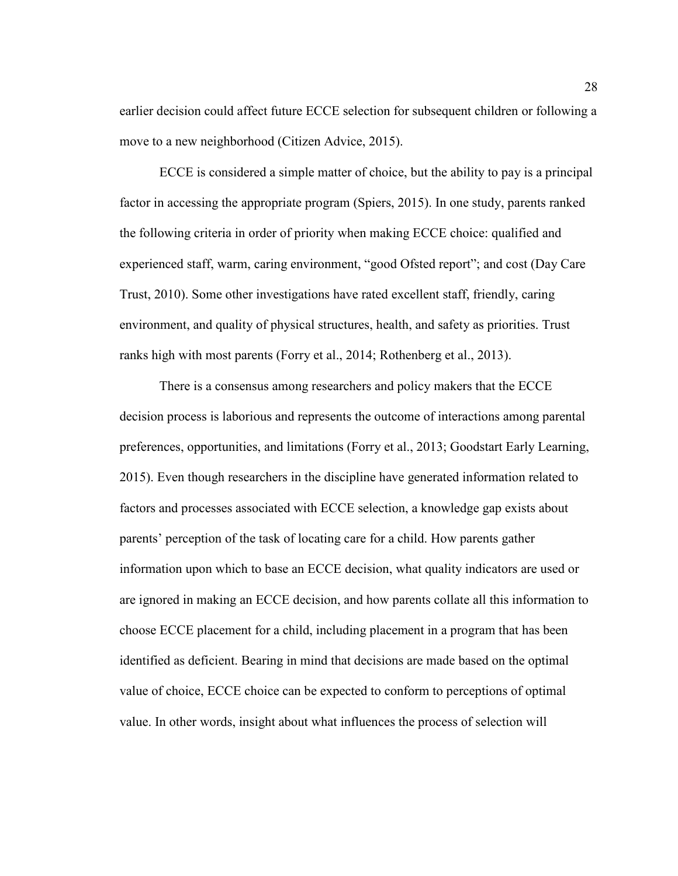earlier decision could affect future ECCE selection for subsequent children or following a move to a new neighborhood (Citizen Advice, 2015).

ECCE is considered a simple matter of choice, but the ability to pay is a principal factor in accessing the appropriate program (Spiers, 2015). In one study, parents ranked the following criteria in order of priority when making ECCE choice: qualified and experienced staff, warm, caring environment, "good Ofsted report"; and cost (Day Care Trust, 2010). Some other investigations have rated excellent staff, friendly, caring environment, and quality of physical structures, health, and safety as priorities. Trust ranks high with most parents (Forry et al., 2014; Rothenberg et al., 2013).

There is a consensus among researchers and policy makers that the ECCE decision process is laborious and represents the outcome of interactions among parental preferences, opportunities, and limitations (Forry et al., 2013; Goodstart Early Learning, 2015). Even though researchers in the discipline have generated information related to factors and processes associated with ECCE selection, a knowledge gap exists about parents' perception of the task of locating care for a child. How parents gather information upon which to base an ECCE decision, what quality indicators are used or are ignored in making an ECCE decision, and how parents collate all this information to choose ECCE placement for a child, including placement in a program that has been identified as deficient. Bearing in mind that decisions are made based on the optimal value of choice, ECCE choice can be expected to conform to perceptions of optimal value. In other words, insight about what influences the process of selection will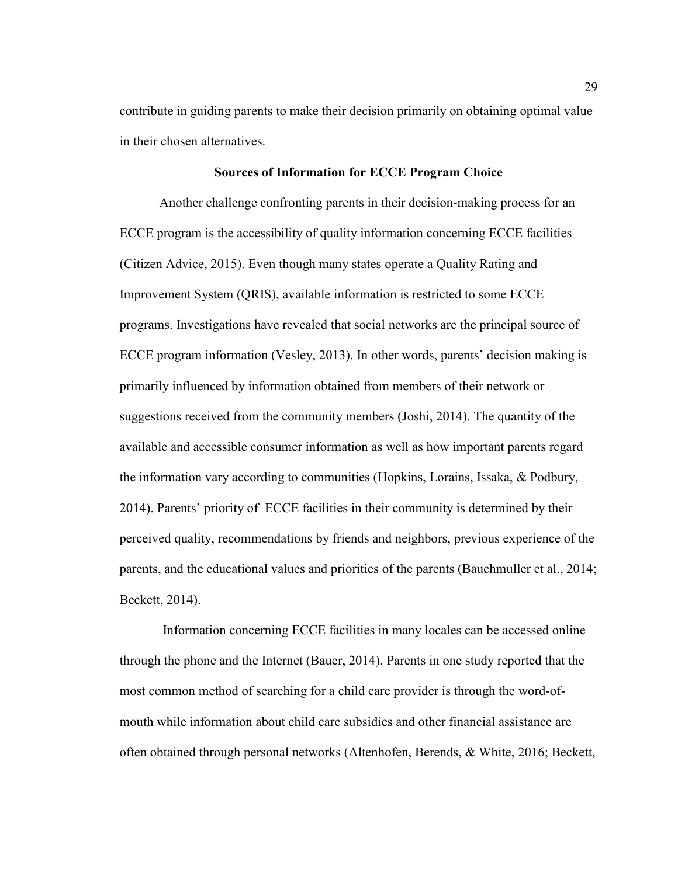contribute in guiding parents to make their decision primarily on obtaining optimal value in their chosen alternatives.

## **Sources of Information for ECCE Program Choice**

 Another challenge confronting parents in their decision-making process for an ECCE program is the accessibility of quality information concerning ECCE facilities (Citizen Advice, 2015). Even though many states operate a Quality Rating and Improvement System (QRIS), available information is restricted to some ECCE programs. Investigations have revealed that social networks are the principal source of ECCE program information (Vesley, 2013). In other words, parents' decision making is primarily influenced by information obtained from members of their network or suggestions received from the community members (Joshi, 2014). The quantity of the available and accessible consumer information as well as how important parents regard the information vary according to communities (Hopkins, Lorains, Issaka, & Podbury, 2014). Parents' priority of ECCE facilities in their community is determined by their perceived quality, recommendations by friends and neighbors, previous experience of the parents, and the educational values and priorities of the parents (Bauchmuller et al., 2014; Beckett, 2014).

 Information concerning ECCE facilities in many locales can be accessed online through the phone and the Internet (Bauer, 2014). Parents in one study reported that the most common method of searching for a child care provider is through the word-ofmouth while information about child care subsidies and other financial assistance are often obtained through personal networks (Altenhofen, Berends, & White, 2016; Beckett,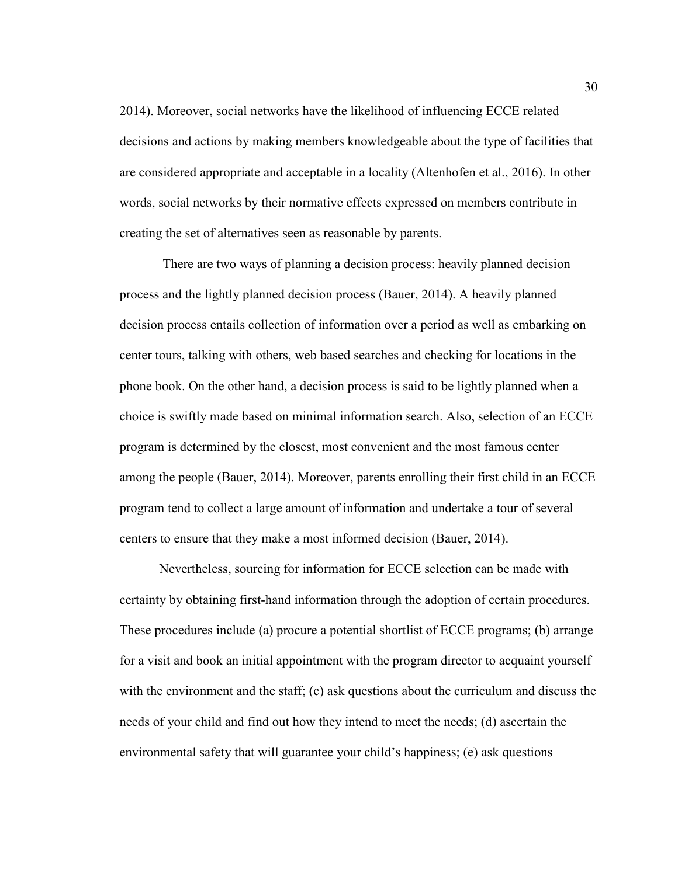2014). Moreover, social networks have the likelihood of influencing ECCE related decisions and actions by making members knowledgeable about the type of facilities that are considered appropriate and acceptable in a locality (Altenhofen et al., 2016). In other words, social networks by their normative effects expressed on members contribute in creating the set of alternatives seen as reasonable by parents.

 There are two ways of planning a decision process: heavily planned decision process and the lightly planned decision process (Bauer, 2014). A heavily planned decision process entails collection of information over a period as well as embarking on center tours, talking with others, web based searches and checking for locations in the phone book. On the other hand, a decision process is said to be lightly planned when a choice is swiftly made based on minimal information search. Also, selection of an ECCE program is determined by the closest, most convenient and the most famous center among the people (Bauer, 2014). Moreover, parents enrolling their first child in an ECCE program tend to collect a large amount of information and undertake a tour of several centers to ensure that they make a most informed decision (Bauer, 2014).

Nevertheless, sourcing for information for ECCE selection can be made with certainty by obtaining first-hand information through the adoption of certain procedures. These procedures include (a) procure a potential shortlist of ECCE programs; (b) arrange for a visit and book an initial appointment with the program director to acquaint yourself with the environment and the staff; (c) ask questions about the curriculum and discuss the needs of your child and find out how they intend to meet the needs; (d) ascertain the environmental safety that will guarantee your child's happiness; (e) ask questions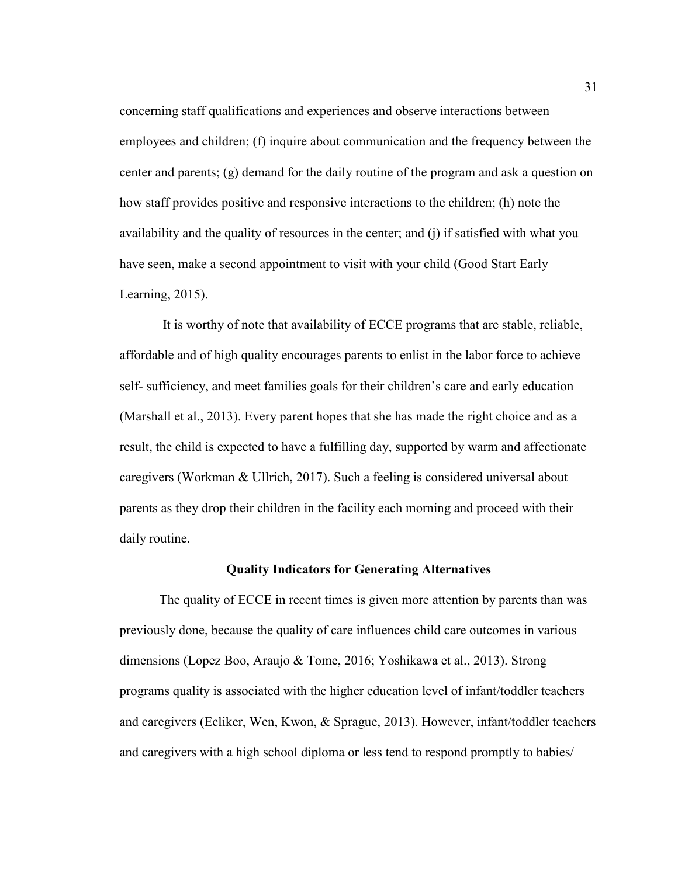concerning staff qualifications and experiences and observe interactions between employees and children; (f) inquire about communication and the frequency between the center and parents; (g) demand for the daily routine of the program and ask a question on how staff provides positive and responsive interactions to the children; (h) note the availability and the quality of resources in the center; and (j) if satisfied with what you have seen, make a second appointment to visit with your child (Good Start Early Learning, 2015).

 It is worthy of note that availability of ECCE programs that are stable, reliable, affordable and of high quality encourages parents to enlist in the labor force to achieve self- sufficiency, and meet families goals for their children's care and early education (Marshall et al., 2013). Every parent hopes that she has made the right choice and as a result, the child is expected to have a fulfilling day, supported by warm and affectionate caregivers (Workman & Ullrich, 2017). Such a feeling is considered universal about parents as they drop their children in the facility each morning and proceed with their daily routine.

## **Quality Indicators for Generating Alternatives**

The quality of ECCE in recent times is given more attention by parents than was previously done, because the quality of care influences child care outcomes in various dimensions (Lopez Boo, Araujo & Tome, 2016; Yoshikawa et al., 2013). Strong programs quality is associated with the higher education level of infant/toddler teachers and caregivers (Ecliker, Wen, Kwon, & Sprague, 2013). However, infant/toddler teachers and caregivers with a high school diploma or less tend to respond promptly to babies/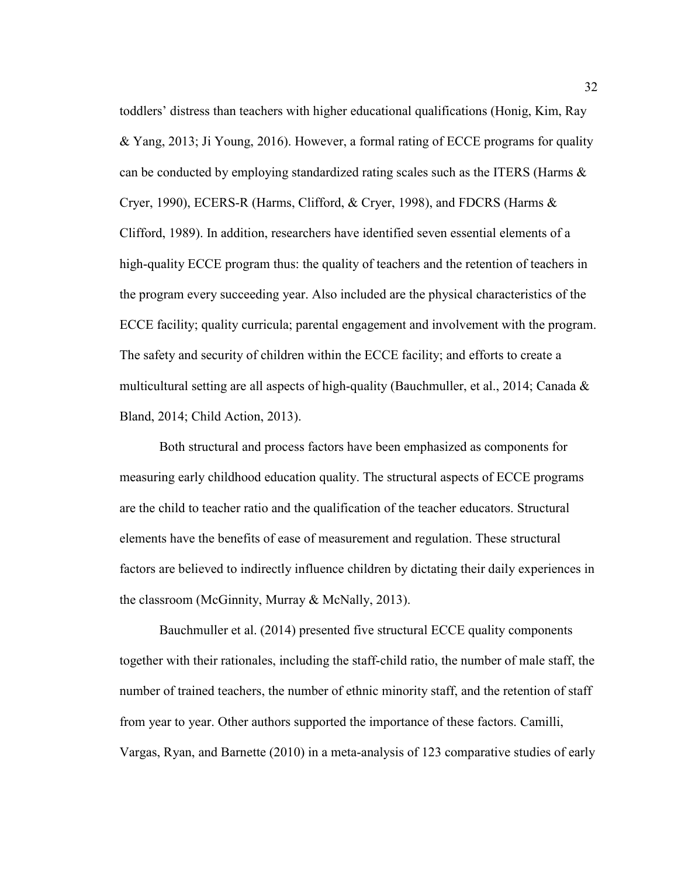toddlers' distress than teachers with higher educational qualifications (Honig, Kim, Ray & Yang, 2013; Ji Young, 2016). However, a formal rating of ECCE programs for quality can be conducted by employing standardized rating scales such as the ITERS (Harms & Cryer, 1990), ECERS-R (Harms, Clifford, & Cryer, 1998), and FDCRS (Harms & Clifford, 1989). In addition, researchers have identified seven essential elements of a high-quality ECCE program thus: the quality of teachers and the retention of teachers in the program every succeeding year. Also included are the physical characteristics of the ECCE facility; quality curricula; parental engagement and involvement with the program. The safety and security of children within the ECCE facility; and efforts to create a multicultural setting are all aspects of high-quality (Bauchmuller, et al., 2014; Canada & Bland, 2014; Child Action, 2013).

Both structural and process factors have been emphasized as components for measuring early childhood education quality. The structural aspects of ECCE programs are the child to teacher ratio and the qualification of the teacher educators. Structural elements have the benefits of ease of measurement and regulation. These structural factors are believed to indirectly influence children by dictating their daily experiences in the classroom (McGinnity, Murray & McNally, 2013).

Bauchmuller et al. (2014) presented five structural ECCE quality components together with their rationales, including the staff-child ratio, the number of male staff, the number of trained teachers, the number of ethnic minority staff, and the retention of staff from year to year. Other authors supported the importance of these factors. Camilli, Vargas, Ryan, and Barnette (2010) in a meta-analysis of 123 comparative studies of early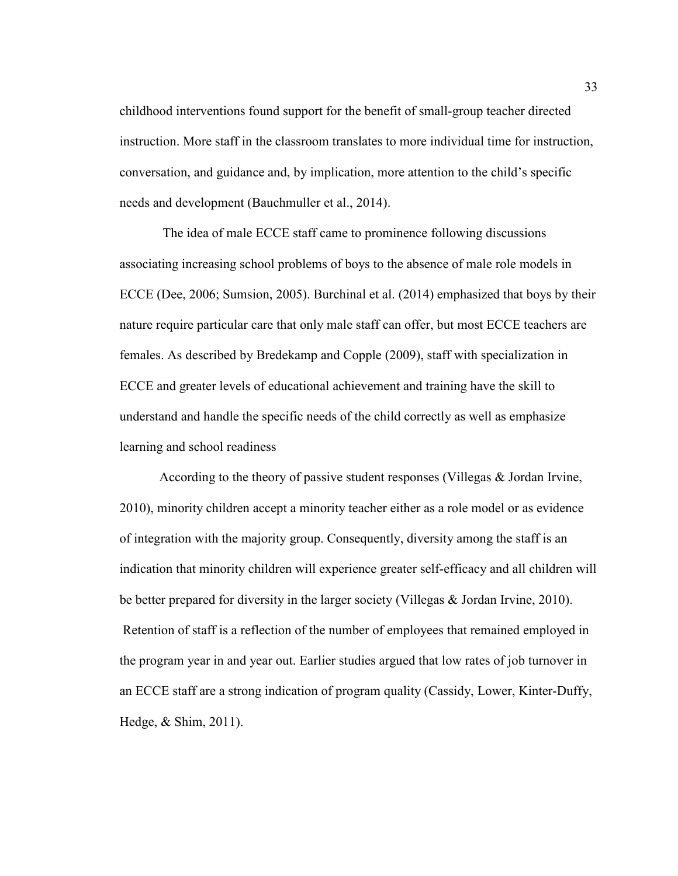childhood interventions found support for the benefit of small-group teacher directed instruction. More staff in the classroom translates to more individual time for instruction, conversation, and guidance and, by implication, more attention to the child's specific needs and development (Bauchmuller et al., 2014).

 The idea of male ECCE staff came to prominence following discussions associating increasing school problems of boys to the absence of male role models in ECCE (Dee, 2006; Sumsion, 2005). Burchinal et al. (2014) emphasized that boys by their nature require particular care that only male staff can offer, but most ECCE teachers are females. As described by Bredekamp and Copple (2009), staff with specialization in ECCE and greater levels of educational achievement and training have the skill to understand and handle the specific needs of the child correctly as well as emphasize learning and school readiness

According to the theory of passive student responses (Villegas & Jordan Irvine, 2010), minority children accept a minority teacher either as a role model or as evidence of integration with the majority group. Consequently, diversity among the staff is an indication that minority children will experience greater self-efficacy and all children will be better prepared for diversity in the larger society (Villegas & Jordan Irvine, 2010). Retention of staff is a reflection of the number of employees that remained employed in the program year in and year out. Earlier studies argued that low rates of job turnover in an ECCE staff are a strong indication of program quality (Cassidy, Lower, Kinter-Duffy, Hedge, & Shim, 2011).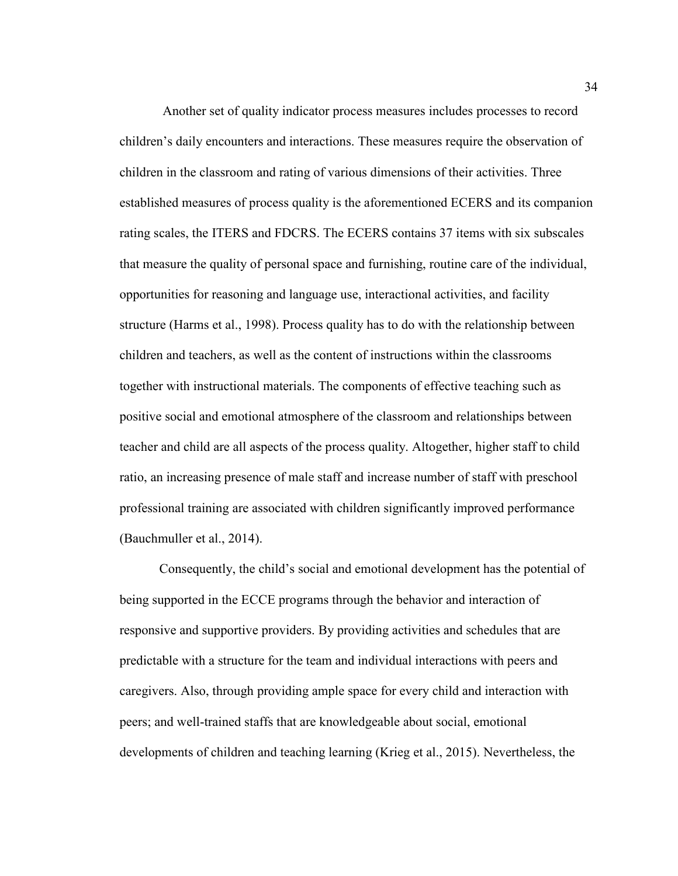Another set of quality indicator process measures includes processes to record children's daily encounters and interactions. These measures require the observation of children in the classroom and rating of various dimensions of their activities. Three established measures of process quality is the aforementioned ECERS and its companion rating scales, the ITERS and FDCRS. The ECERS contains 37 items with six subscales that measure the quality of personal space and furnishing, routine care of the individual, opportunities for reasoning and language use, interactional activities, and facility structure (Harms et al., 1998). Process quality has to do with the relationship between children and teachers, as well as the content of instructions within the classrooms together with instructional materials. The components of effective teaching such as positive social and emotional atmosphere of the classroom and relationships between teacher and child are all aspects of the process quality. Altogether, higher staff to child ratio, an increasing presence of male staff and increase number of staff with preschool professional training are associated with children significantly improved performance (Bauchmuller et al., 2014).

Consequently, the child's social and emotional development has the potential of being supported in the ECCE programs through the behavior and interaction of responsive and supportive providers. By providing activities and schedules that are predictable with a structure for the team and individual interactions with peers and caregivers. Also, through providing ample space for every child and interaction with peers; and well-trained staffs that are knowledgeable about social, emotional developments of children and teaching learning (Krieg et al., 2015). Nevertheless, the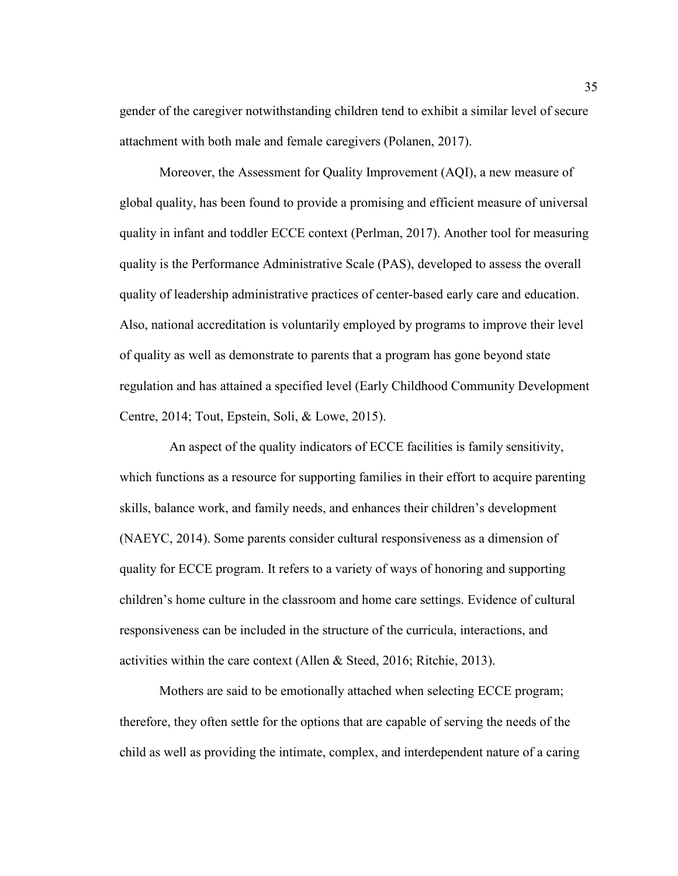gender of the caregiver notwithstanding children tend to exhibit a similar level of secure attachment with both male and female caregivers (Polanen, 2017).

Moreover, the Assessment for Quality Improvement (AQI), a new measure of global quality, has been found to provide a promising and efficient measure of universal quality in infant and toddler ECCE context (Perlman, 2017). Another tool for measuring quality is the Performance Administrative Scale (PAS), developed to assess the overall quality of leadership administrative practices of center-based early care and education. Also, national accreditation is voluntarily employed by programs to improve their level of quality as well as demonstrate to parents that a program has gone beyond state regulation and has attained a specified level (Early Childhood Community Development Centre, 2014; Tout, Epstein, Soli, & Lowe, 2015).

 An aspect of the quality indicators of ECCE facilities is family sensitivity, which functions as a resource for supporting families in their effort to acquire parenting skills, balance work, and family needs, and enhances their children's development (NAEYC, 2014). Some parents consider cultural responsiveness as a dimension of quality for ECCE program. It refers to a variety of ways of honoring and supporting children's home culture in the classroom and home care settings. Evidence of cultural responsiveness can be included in the structure of the curricula, interactions, and activities within the care context (Allen & Steed, 2016; Ritchie, 2013).

Mothers are said to be emotionally attached when selecting ECCE program; therefore, they often settle for the options that are capable of serving the needs of the child as well as providing the intimate, complex, and interdependent nature of a caring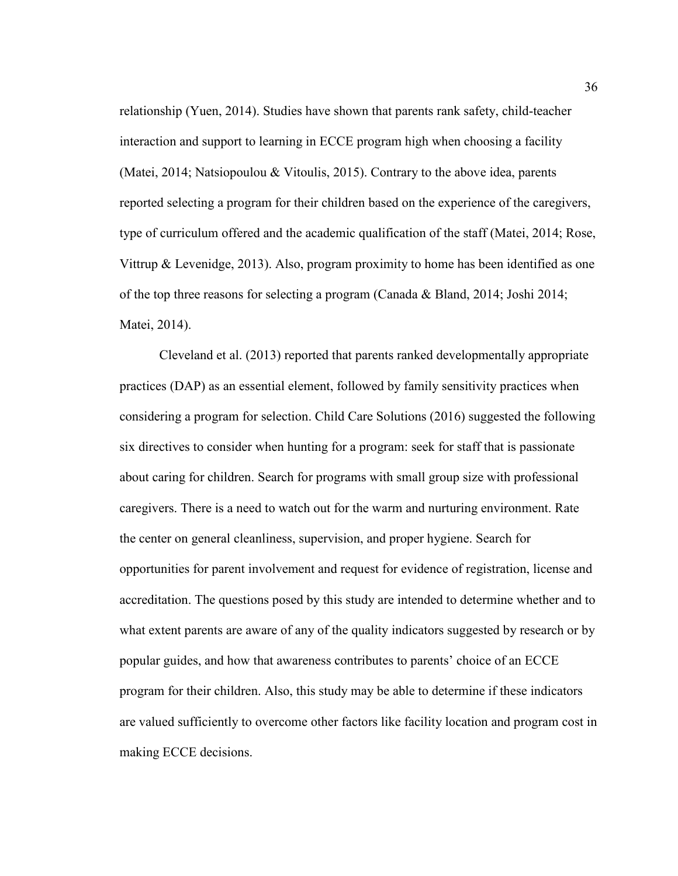relationship (Yuen, 2014). Studies have shown that parents rank safety, child-teacher interaction and support to learning in ECCE program high when choosing a facility (Matei, 2014; Natsiopoulou & Vitoulis, 2015). Contrary to the above idea, parents reported selecting a program for their children based on the experience of the caregivers, type of curriculum offered and the academic qualification of the staff (Matei, 2014; Rose, Vittrup & Levenidge, 2013). Also, program proximity to home has been identified as one of the top three reasons for selecting a program (Canada & Bland, 2014; Joshi 2014; Matei, 2014).

Cleveland et al. (2013) reported that parents ranked developmentally appropriate practices (DAP) as an essential element, followed by family sensitivity practices when considering a program for selection. Child Care Solutions (2016) suggested the following six directives to consider when hunting for a program: seek for staff that is passionate about caring for children. Search for programs with small group size with professional caregivers. There is a need to watch out for the warm and nurturing environment. Rate the center on general cleanliness, supervision, and proper hygiene. Search for opportunities for parent involvement and request for evidence of registration, license and accreditation. The questions posed by this study are intended to determine whether and to what extent parents are aware of any of the quality indicators suggested by research or by popular guides, and how that awareness contributes to parents' choice of an ECCE program for their children. Also, this study may be able to determine if these indicators are valued sufficiently to overcome other factors like facility location and program cost in making ECCE decisions.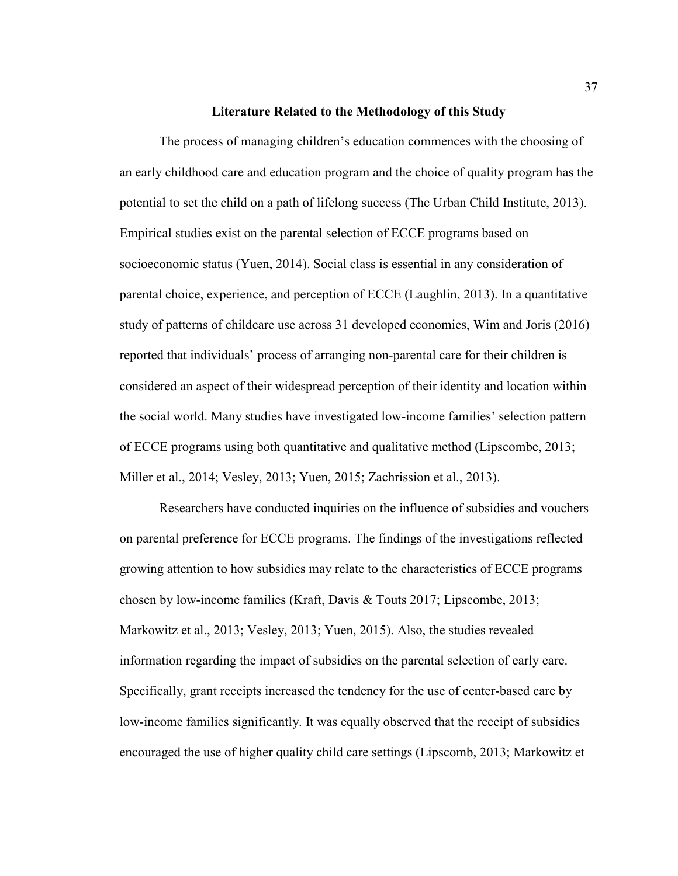### **Literature Related to the Methodology of this Study**

The process of managing children's education commences with the choosing of an early childhood care and education program and the choice of quality program has the potential to set the child on a path of lifelong success (The Urban Child Institute, 2013). Empirical studies exist on the parental selection of ECCE programs based on socioeconomic status (Yuen, 2014). Social class is essential in any consideration of parental choice, experience, and perception of ECCE (Laughlin, 2013). In a quantitative study of patterns of childcare use across 31 developed economies, Wim and Joris (2016) reported that individuals' process of arranging non-parental care for their children is considered an aspect of their widespread perception of their identity and location within the social world. Many studies have investigated low-income families' selection pattern of ECCE programs using both quantitative and qualitative method (Lipscombe, 2013; Miller et al., 2014; Vesley, 2013; Yuen, 2015; Zachrission et al., 2013).

Researchers have conducted inquiries on the influence of subsidies and vouchers on parental preference for ECCE programs. The findings of the investigations reflected growing attention to how subsidies may relate to the characteristics of ECCE programs chosen by low-income families (Kraft, Davis & Touts 2017; Lipscombe, 2013; Markowitz et al., 2013; Vesley, 2013; Yuen, 2015). Also, the studies revealed information regarding the impact of subsidies on the parental selection of early care. Specifically, grant receipts increased the tendency for the use of center-based care by low-income families significantly. It was equally observed that the receipt of subsidies encouraged the use of higher quality child care settings (Lipscomb, 2013; Markowitz et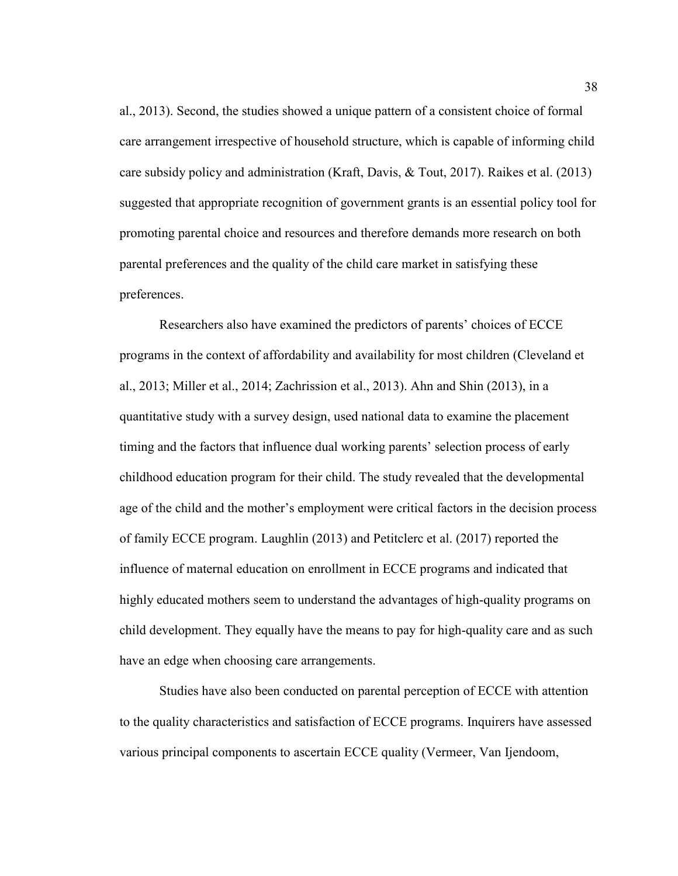al., 2013). Second, the studies showed a unique pattern of a consistent choice of formal care arrangement irrespective of household structure, which is capable of informing child care subsidy policy and administration (Kraft, Davis, & Tout, 2017). Raikes et al. (2013) suggested that appropriate recognition of government grants is an essential policy tool for promoting parental choice and resources and therefore demands more research on both parental preferences and the quality of the child care market in satisfying these preferences.

Researchers also have examined the predictors of parents' choices of ECCE programs in the context of affordability and availability for most children (Cleveland et al., 2013; Miller et al., 2014; Zachrission et al., 2013). Ahn and Shin (2013), in a quantitative study with a survey design, used national data to examine the placement timing and the factors that influence dual working parents' selection process of early childhood education program for their child. The study revealed that the developmental age of the child and the mother's employment were critical factors in the decision process of family ECCE program. Laughlin (2013) and Petitclerc et al. (2017) reported the influence of maternal education on enrollment in ECCE programs and indicated that highly educated mothers seem to understand the advantages of high-quality programs on child development. They equally have the means to pay for high-quality care and as such have an edge when choosing care arrangements.

Studies have also been conducted on parental perception of ECCE with attention to the quality characteristics and satisfaction of ECCE programs. Inquirers have assessed various principal components to ascertain ECCE quality (Vermeer, Van Ijendoom,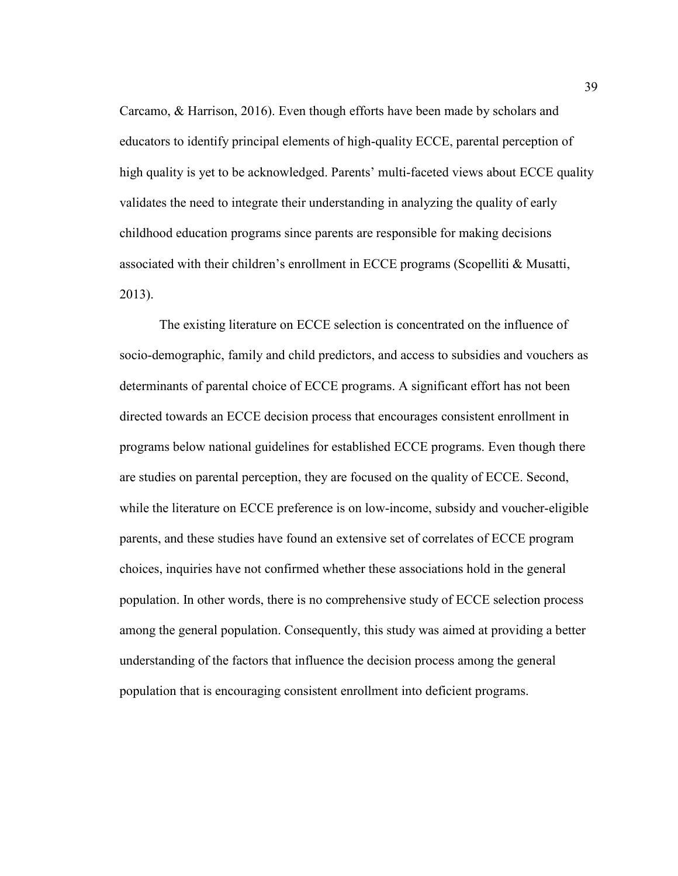Carcamo, & Harrison, 2016). Even though efforts have been made by scholars and educators to identify principal elements of high-quality ECCE, parental perception of high quality is yet to be acknowledged. Parents' multi-faceted views about ECCE quality validates the need to integrate their understanding in analyzing the quality of early childhood education programs since parents are responsible for making decisions associated with their children's enrollment in ECCE programs (Scopelliti & Musatti, 2013).

The existing literature on ECCE selection is concentrated on the influence of socio-demographic, family and child predictors, and access to subsidies and vouchers as determinants of parental choice of ECCE programs. A significant effort has not been directed towards an ECCE decision process that encourages consistent enrollment in programs below national guidelines for established ECCE programs. Even though there are studies on parental perception, they are focused on the quality of ECCE. Second, while the literature on ECCE preference is on low-income, subsidy and voucher-eligible parents, and these studies have found an extensive set of correlates of ECCE program choices, inquiries have not confirmed whether these associations hold in the general population. In other words, there is no comprehensive study of ECCE selection process among the general population. Consequently, this study was aimed at providing a better understanding of the factors that influence the decision process among the general population that is encouraging consistent enrollment into deficient programs.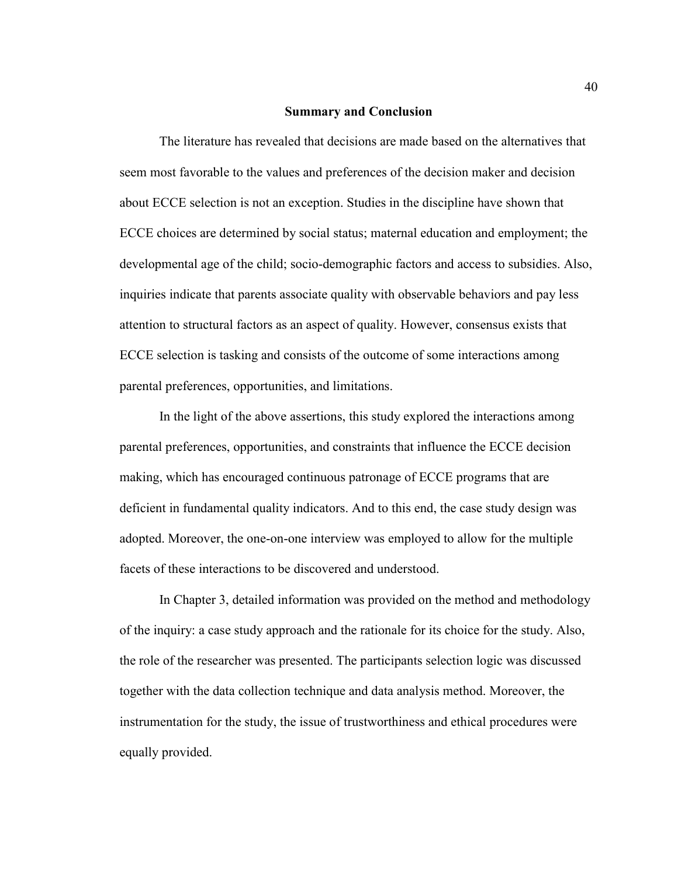### **Summary and Conclusion**

The literature has revealed that decisions are made based on the alternatives that seem most favorable to the values and preferences of the decision maker and decision about ECCE selection is not an exception. Studies in the discipline have shown that ECCE choices are determined by social status; maternal education and employment; the developmental age of the child; socio-demographic factors and access to subsidies. Also, inquiries indicate that parents associate quality with observable behaviors and pay less attention to structural factors as an aspect of quality. However, consensus exists that ECCE selection is tasking and consists of the outcome of some interactions among parental preferences, opportunities, and limitations.

 In the light of the above assertions, this study explored the interactions among parental preferences, opportunities, and constraints that influence the ECCE decision making, which has encouraged continuous patronage of ECCE programs that are deficient in fundamental quality indicators. And to this end, the case study design was adopted. Moreover, the one-on-one interview was employed to allow for the multiple facets of these interactions to be discovered and understood.

 In Chapter 3, detailed information was provided on the method and methodology of the inquiry: a case study approach and the rationale for its choice for the study. Also, the role of the researcher was presented. The participants selection logic was discussed together with the data collection technique and data analysis method. Moreover, the instrumentation for the study, the issue of trustworthiness and ethical procedures were equally provided.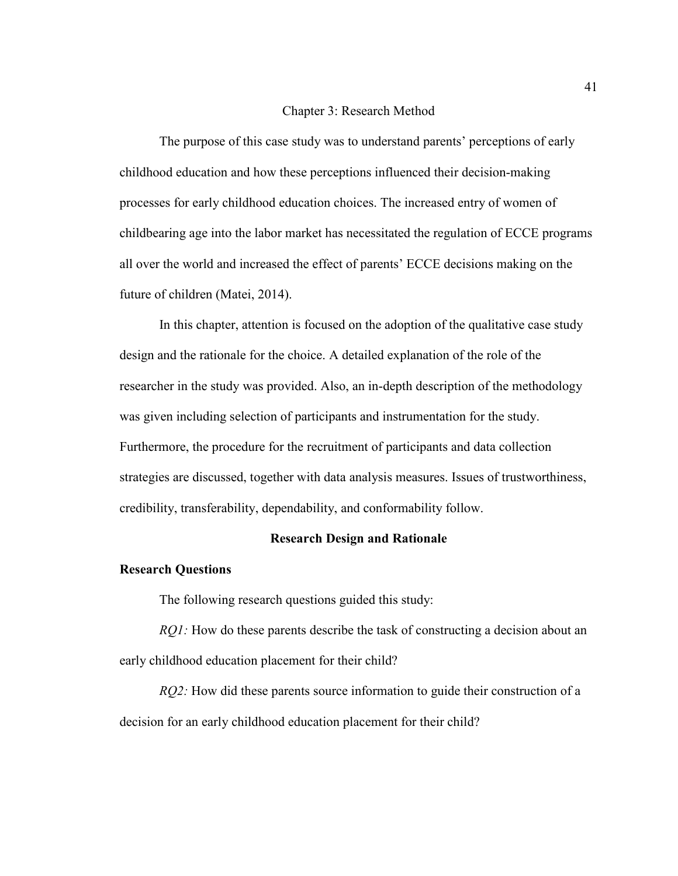#### Chapter 3: Research Method

The purpose of this case study was to understand parents' perceptions of early childhood education and how these perceptions influenced their decision-making processes for early childhood education choices. The increased entry of women of childbearing age into the labor market has necessitated the regulation of ECCE programs all over the world and increased the effect of parents' ECCE decisions making on the future of children (Matei, 2014).

In this chapter, attention is focused on the adoption of the qualitative case study design and the rationale for the choice. A detailed explanation of the role of the researcher in the study was provided. Also, an in-depth description of the methodology was given including selection of participants and instrumentation for the study. Furthermore, the procedure for the recruitment of participants and data collection strategies are discussed, together with data analysis measures. Issues of trustworthiness, credibility, transferability, dependability, and conformability follow.

# **Research Design and Rationale**

### **Research Questions**

The following research questions guided this study:

*RQ1*: How do these parents describe the task of constructing a decision about an early childhood education placement for their child?

*RQ2*: How did these parents source information to guide their construction of a decision for an early childhood education placement for their child?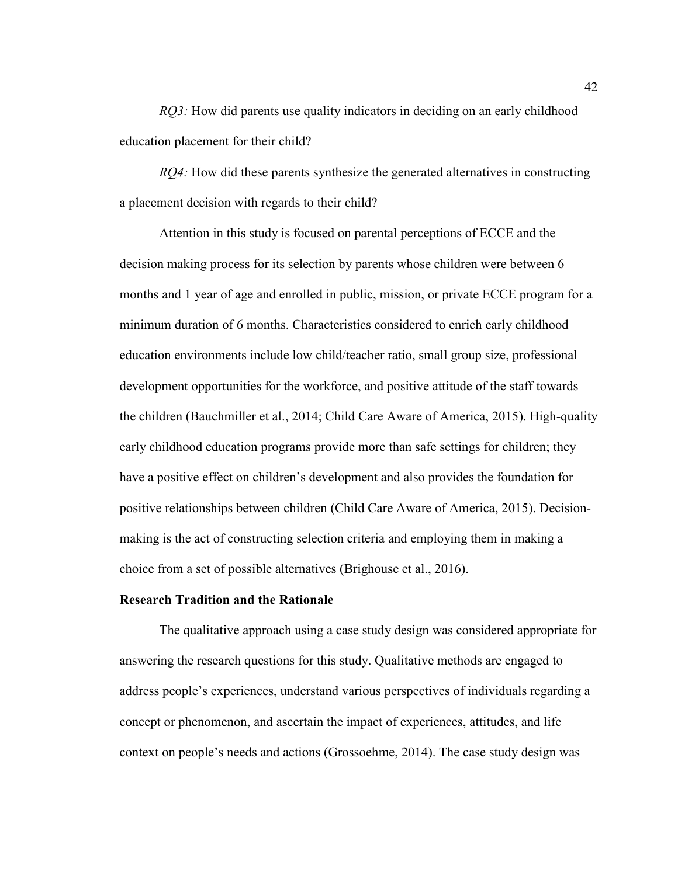*RO3:* How did parents use quality indicators in deciding on an early childhood education placement for their child?

*RQ4:* How did these parents synthesize the generated alternatives in constructing a placement decision with regards to their child?

Attention in this study is focused on parental perceptions of ECCE and the decision making process for its selection by parents whose children were between 6 months and 1 year of age and enrolled in public, mission, or private ECCE program for a minimum duration of 6 months. Characteristics considered to enrich early childhood education environments include low child/teacher ratio, small group size, professional development opportunities for the workforce, and positive attitude of the staff towards the children (Bauchmiller et al., 2014; Child Care Aware of America, 2015). High-quality early childhood education programs provide more than safe settings for children; they have a positive effect on children's development and also provides the foundation for positive relationships between children (Child Care Aware of America, 2015). Decisionmaking is the act of constructing selection criteria and employing them in making a choice from a set of possible alternatives (Brighouse et al., 2016).

## **Research Tradition and the Rationale**

The qualitative approach using a case study design was considered appropriate for answering the research questions for this study. Qualitative methods are engaged to address people's experiences, understand various perspectives of individuals regarding a concept or phenomenon, and ascertain the impact of experiences, attitudes, and life context on people's needs and actions (Grossoehme, 2014). The case study design was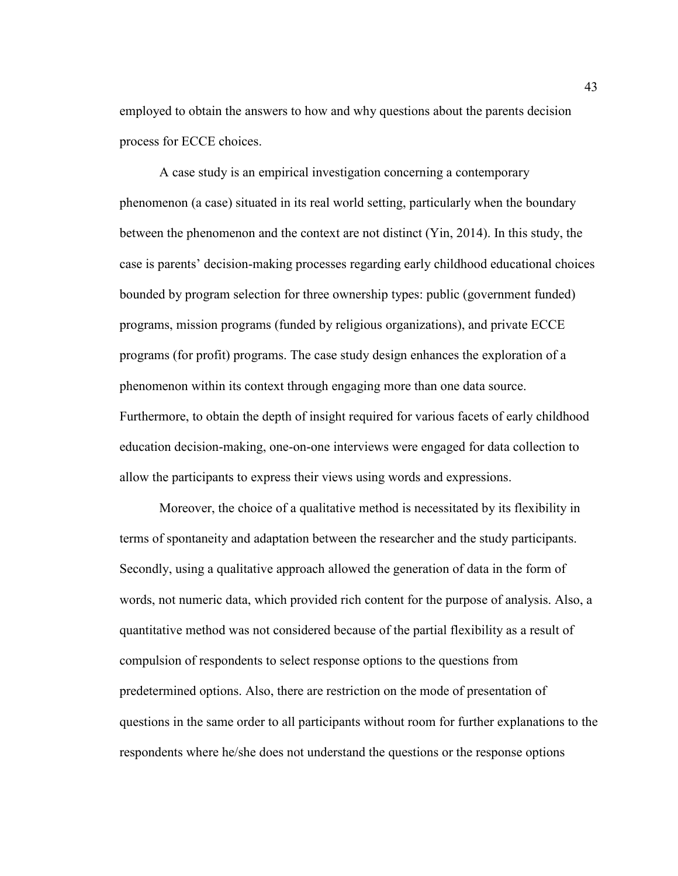employed to obtain the answers to how and why questions about the parents decision process for ECCE choices.

A case study is an empirical investigation concerning a contemporary phenomenon (a case) situated in its real world setting, particularly when the boundary between the phenomenon and the context are not distinct (Yin, 2014). In this study, the case is parents' decision-making processes regarding early childhood educational choices bounded by program selection for three ownership types: public (government funded) programs, mission programs (funded by religious organizations), and private ECCE programs (for profit) programs. The case study design enhances the exploration of a phenomenon within its context through engaging more than one data source. Furthermore, to obtain the depth of insight required for various facets of early childhood education decision-making, one-on-one interviews were engaged for data collection to allow the participants to express their views using words and expressions.

Moreover, the choice of a qualitative method is necessitated by its flexibility in terms of spontaneity and adaptation between the researcher and the study participants. Secondly, using a qualitative approach allowed the generation of data in the form of words, not numeric data, which provided rich content for the purpose of analysis. Also, a quantitative method was not considered because of the partial flexibility as a result of compulsion of respondents to select response options to the questions from predetermined options. Also, there are restriction on the mode of presentation of questions in the same order to all participants without room for further explanations to the respondents where he/she does not understand the questions or the response options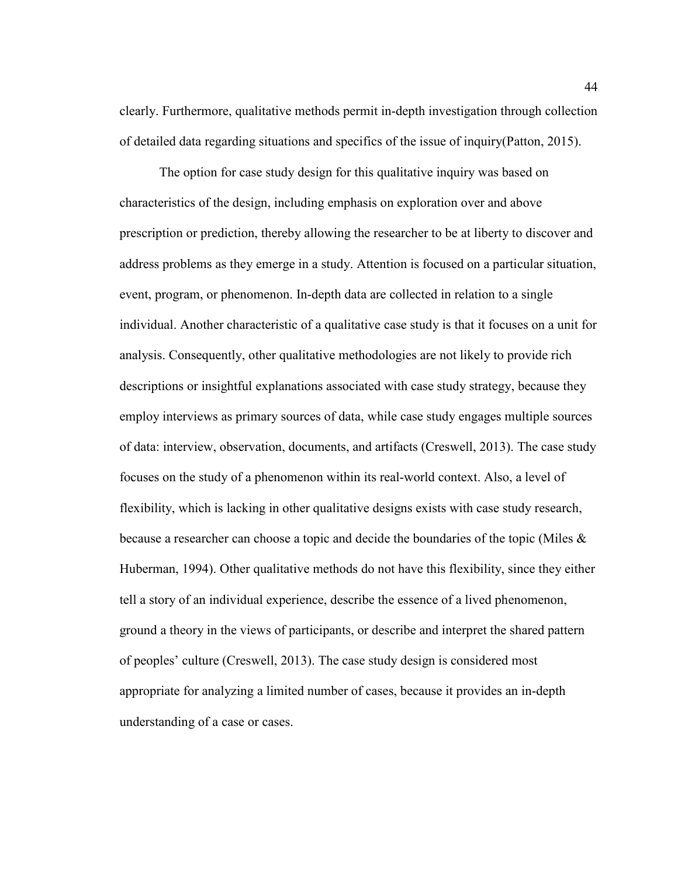clearly. Furthermore, qualitative methods permit in-depth investigation through collection of detailed data regarding situations and specifics of the issue of inquiry(Patton, 2015).

The option for case study design for this qualitative inquiry was based on characteristics of the design, including emphasis on exploration over and above prescription or prediction, thereby allowing the researcher to be at liberty to discover and address problems as they emerge in a study. Attention is focused on a particular situation, event, program, or phenomenon. In-depth data are collected in relation to a single individual. Another characteristic of a qualitative case study is that it focuses on a unit for analysis. Consequently, other qualitative methodologies are not likely to provide rich descriptions or insightful explanations associated with case study strategy, because they employ interviews as primary sources of data, while case study engages multiple sources of data: interview, observation, documents, and artifacts (Creswell, 2013). The case study focuses on the study of a phenomenon within its real-world context. Also, a level of flexibility, which is lacking in other qualitative designs exists with case study research, because a researcher can choose a topic and decide the boundaries of the topic (Miles & Huberman, 1994). Other qualitative methods do not have this flexibility, since they either tell a story of an individual experience, describe the essence of a lived phenomenon, ground a theory in the views of participants, or describe and interpret the shared pattern of peoples' culture (Creswell, 2013). The case study design is considered most appropriate for analyzing a limited number of cases, because it provides an in-depth understanding of a case or cases.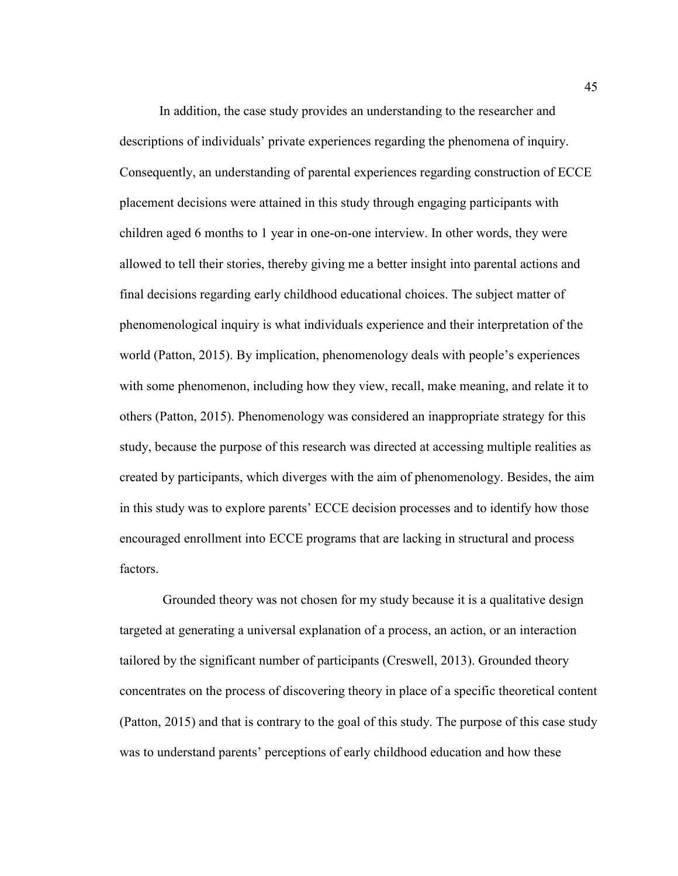In addition, the case study provides an understanding to the researcher and descriptions of individuals' private experiences regarding the phenomena of inquiry. Consequently, an understanding of parental experiences regarding construction of ECCE placement decisions were attained in this study through engaging participants with children aged 6 months to 1 year in one-on-one interview. In other words, they were allowed to tell their stories, thereby giving me a better insight into parental actions and final decisions regarding early childhood educational choices. The subject matter of phenomenological inquiry is what individuals experience and their interpretation of the world (Patton, 2015). By implication, phenomenology deals with people's experiences with some phenomenon, including how they view, recall, make meaning, and relate it to others (Patton, 2015). Phenomenology was considered an inappropriate strategy for this study, because the purpose of this research was directed at accessing multiple realities as created by participants, which diverges with the aim of phenomenology. Besides, the aim in this study was to explore parents' ECCE decision processes and to identify how those encouraged enrollment into ECCE programs that are lacking in structural and process factors.

 Grounded theory was not chosen for my study because it is a qualitative design targeted at generating a universal explanation of a process, an action, or an interaction tailored by the significant number of participants (Creswell, 2013). Grounded theory concentrates on the process of discovering theory in place of a specific theoretical content (Patton, 2015) and that is contrary to the goal of this study. The purpose of this case study was to understand parents' perceptions of early childhood education and how these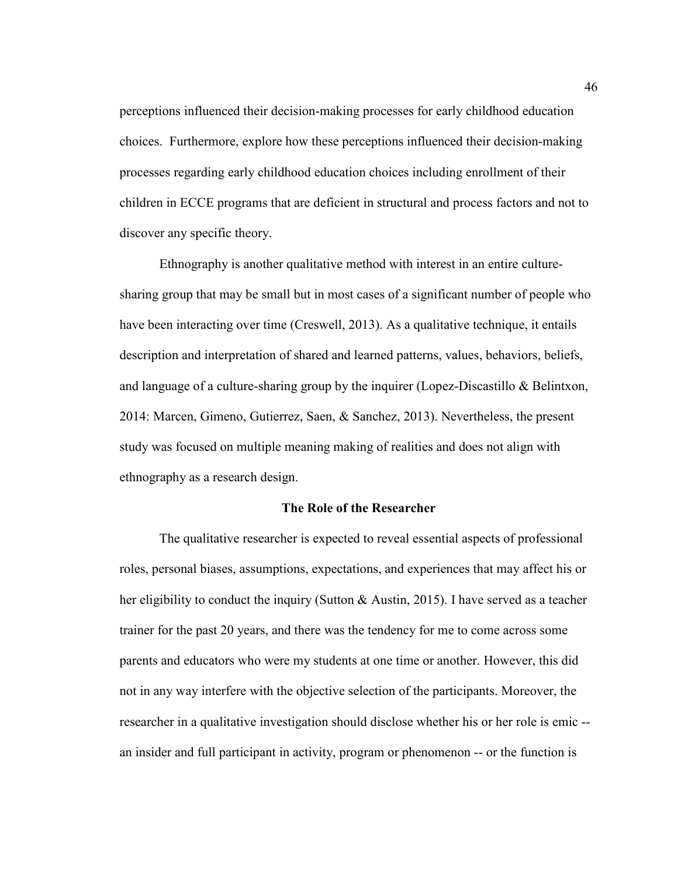perceptions influenced their decision-making processes for early childhood education choices. Furthermore, explore how these perceptions influenced their decision-making processes regarding early childhood education choices including enrollment of their children in ECCE programs that are deficient in structural and process factors and not to discover any specific theory.

 Ethnography is another qualitative method with interest in an entire culturesharing group that may be small but in most cases of a significant number of people who have been interacting over time (Creswell, 2013). As a qualitative technique, it entails description and interpretation of shared and learned patterns, values, behaviors, beliefs, and language of a culture-sharing group by the inquirer (Lopez-Discastillo & Belintxon, 2014: Marcen, Gimeno, Gutierrez, Saen, & Sanchez, 2013). Nevertheless, the present study was focused on multiple meaning making of realities and does not align with ethnography as a research design.

#### **The Role of the Researcher**

 The qualitative researcher is expected to reveal essential aspects of professional roles, personal biases, assumptions, expectations, and experiences that may affect his or her eligibility to conduct the inquiry (Sutton & Austin, 2015). I have served as a teacher trainer for the past 20 years, and there was the tendency for me to come across some parents and educators who were my students at one time or another. However, this did not in any way interfere with the objective selection of the participants. Moreover, the researcher in a qualitative investigation should disclose whether his or her role is emic - an insider and full participant in activity, program or phenomenon -- or the function is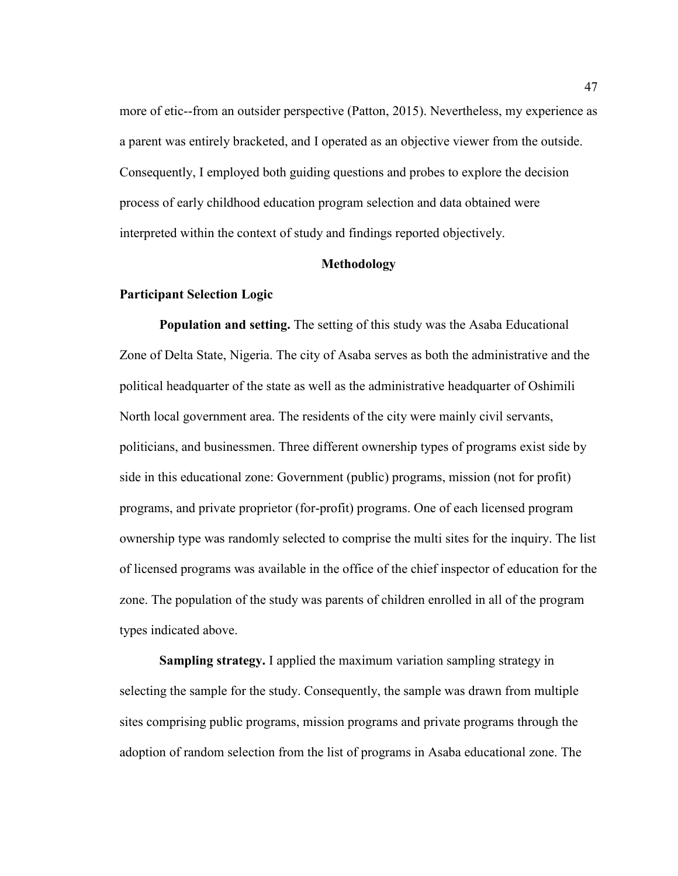more of etic--from an outsider perspective (Patton, 2015). Nevertheless, my experience as a parent was entirely bracketed, and I operated as an objective viewer from the outside. Consequently, I employed both guiding questions and probes to explore the decision process of early childhood education program selection and data obtained were interpreted within the context of study and findings reported objectively.

## **Methodology**

## **Participant Selection Logic**

**Population and setting.** The setting of this study was the Asaba Educational Zone of Delta State, Nigeria. The city of Asaba serves as both the administrative and the political headquarter of the state as well as the administrative headquarter of Oshimili North local government area. The residents of the city were mainly civil servants, politicians, and businessmen. Three different ownership types of programs exist side by side in this educational zone: Government (public) programs, mission (not for profit) programs, and private proprietor (for-profit) programs. One of each licensed program ownership type was randomly selected to comprise the multi sites for the inquiry. The list of licensed programs was available in the office of the chief inspector of education for the zone. The population of the study was parents of children enrolled in all of the program types indicated above.

**Sampling strategy.** I applied the maximum variation sampling strategy in selecting the sample for the study. Consequently, the sample was drawn from multiple sites comprising public programs, mission programs and private programs through the adoption of random selection from the list of programs in Asaba educational zone. The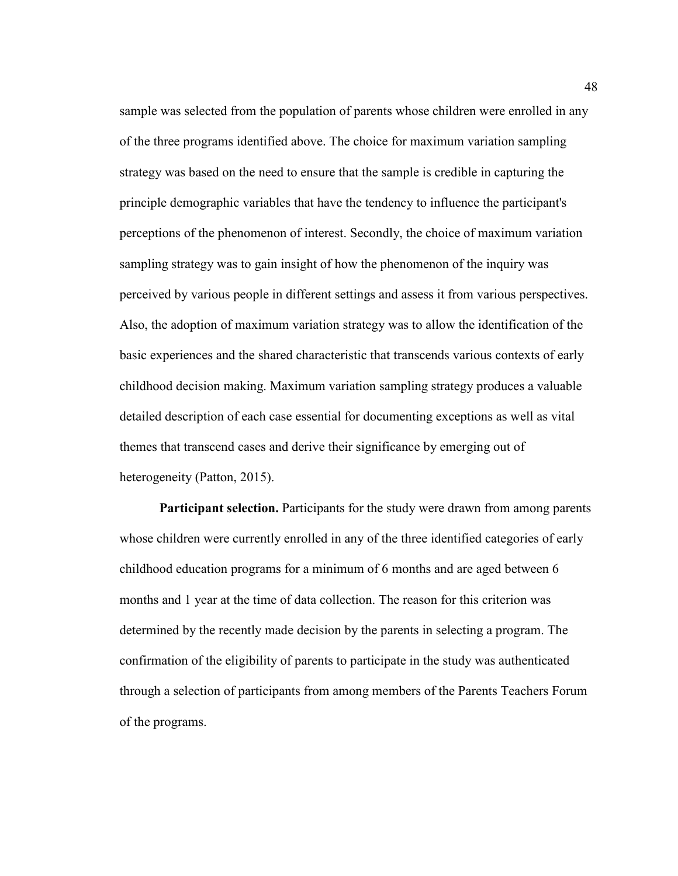sample was selected from the population of parents whose children were enrolled in any of the three programs identified above. The choice for maximum variation sampling strategy was based on the need to ensure that the sample is credible in capturing the principle demographic variables that have the tendency to influence the participant's perceptions of the phenomenon of interest. Secondly, the choice of maximum variation sampling strategy was to gain insight of how the phenomenon of the inquiry was perceived by various people in different settings and assess it from various perspectives. Also, the adoption of maximum variation strategy was to allow the identification of the basic experiences and the shared characteristic that transcends various contexts of early childhood decision making. Maximum variation sampling strategy produces a valuable detailed description of each case essential for documenting exceptions as well as vital themes that transcend cases and derive their significance by emerging out of heterogeneity (Patton, 2015).

**Participant selection.** Participants for the study were drawn from among parents whose children were currently enrolled in any of the three identified categories of early childhood education programs for a minimum of 6 months and are aged between 6 months and 1 year at the time of data collection. The reason for this criterion was determined by the recently made decision by the parents in selecting a program. The confirmation of the eligibility of parents to participate in the study was authenticated through a selection of participants from among members of the Parents Teachers Forum of the programs.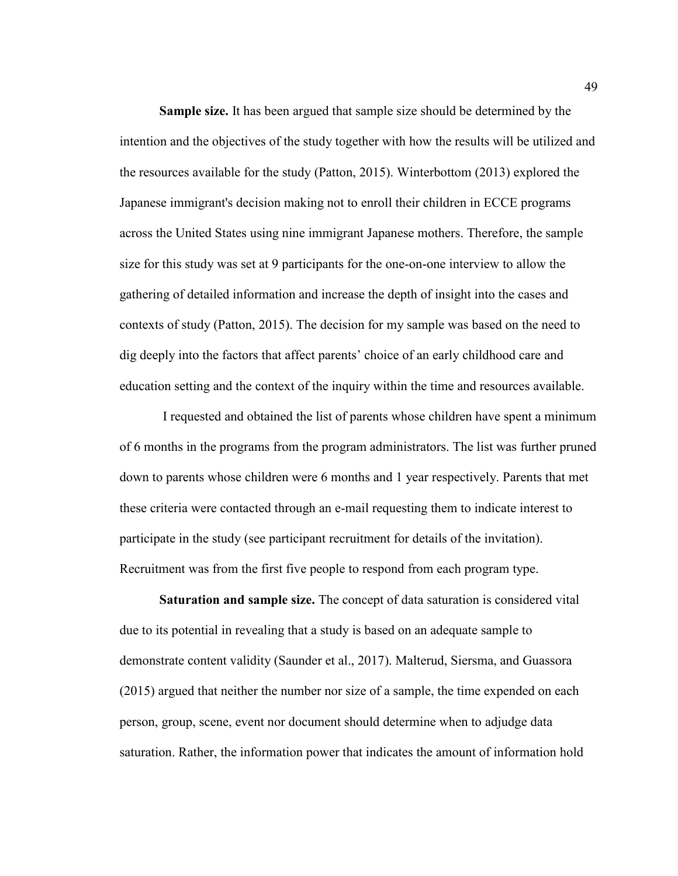**Sample size.** It has been argued that sample size should be determined by the intention and the objectives of the study together with how the results will be utilized and the resources available for the study (Patton, 2015). Winterbottom (2013) explored the Japanese immigrant's decision making not to enroll their children in ECCE programs across the United States using nine immigrant Japanese mothers. Therefore, the sample size for this study was set at 9 participants for the one-on-one interview to allow the gathering of detailed information and increase the depth of insight into the cases and contexts of study (Patton, 2015). The decision for my sample was based on the need to dig deeply into the factors that affect parents' choice of an early childhood care and education setting and the context of the inquiry within the time and resources available.

 I requested and obtained the list of parents whose children have spent a minimum of 6 months in the programs from the program administrators. The list was further pruned down to parents whose children were 6 months and 1 year respectively. Parents that met these criteria were contacted through an e-mail requesting them to indicate interest to participate in the study (see participant recruitment for details of the invitation). Recruitment was from the first five people to respond from each program type.

**Saturation and sample size.** The concept of data saturation is considered vital due to its potential in revealing that a study is based on an adequate sample to demonstrate content validity (Saunder et al., 2017). Malterud, Siersma, and Guassora (2015) argued that neither the number nor size of a sample, the time expended on each person, group, scene, event nor document should determine when to adjudge data saturation. Rather, the information power that indicates the amount of information hold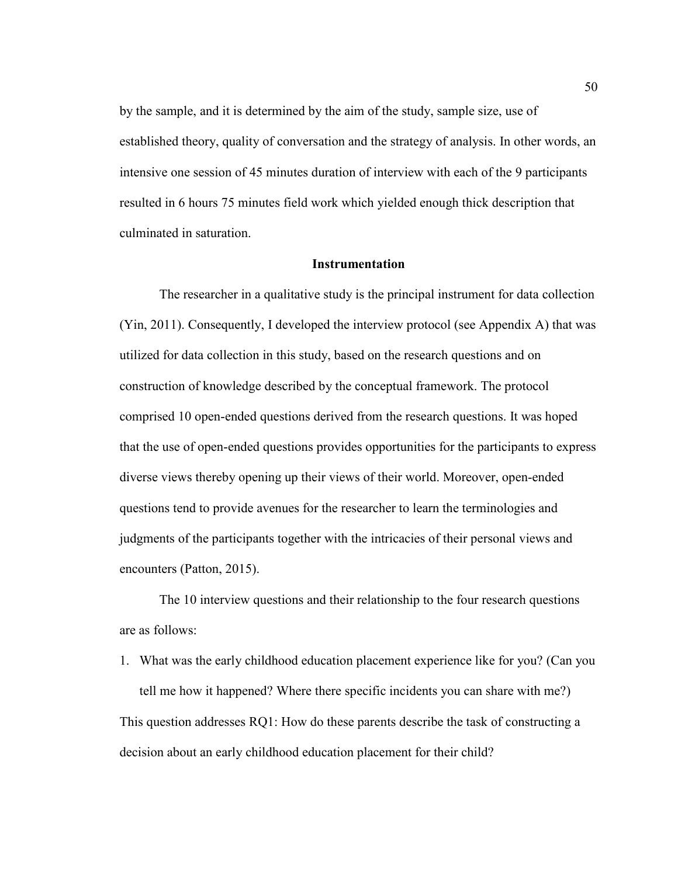by the sample, and it is determined by the aim of the study, sample size, use of established theory, quality of conversation and the strategy of analysis. In other words, an intensive one session of 45 minutes duration of interview with each of the 9 participants resulted in 6 hours 75 minutes field work which yielded enough thick description that culminated in saturation.

## **Instrumentation**

The researcher in a qualitative study is the principal instrument for data collection (Yin, 2011). Consequently, I developed the interview protocol (see Appendix A) that was utilized for data collection in this study, based on the research questions and on construction of knowledge described by the conceptual framework. The protocol comprised 10 open-ended questions derived from the research questions. It was hoped that the use of open-ended questions provides opportunities for the participants to express diverse views thereby opening up their views of their world. Moreover, open-ended questions tend to provide avenues for the researcher to learn the terminologies and judgments of the participants together with the intricacies of their personal views and encounters (Patton, 2015).

The 10 interview questions and their relationship to the four research questions are as follows:

1. What was the early childhood education placement experience like for you? (Can you tell me how it happened? Where there specific incidents you can share with me?) This question addresses RQ1: How do these parents describe the task of constructing a decision about an early childhood education placement for their child?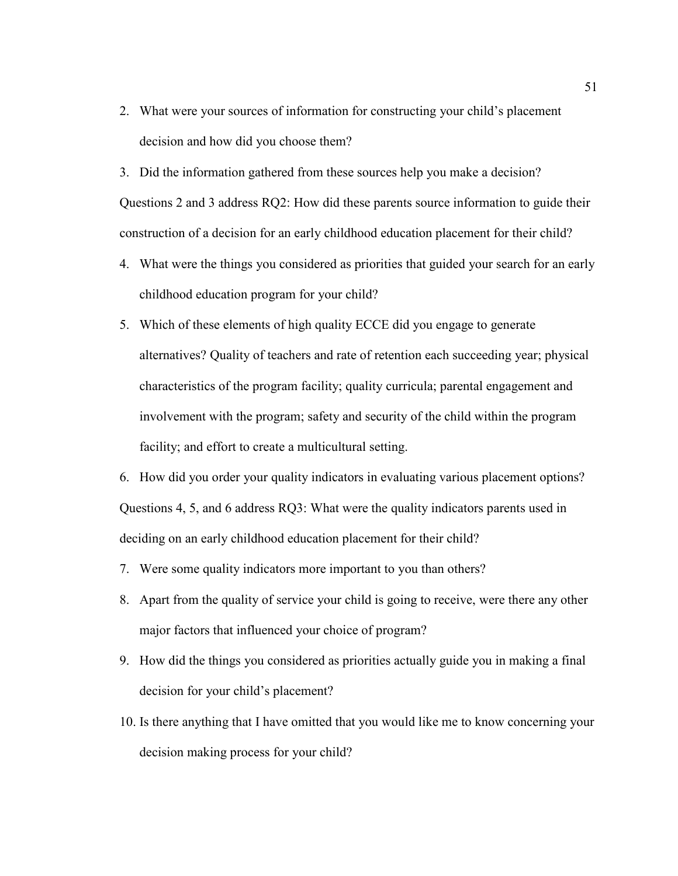2. What were your sources of information for constructing your child's placement decision and how did you choose them?

3. Did the information gathered from these sources help you make a decision? Questions 2 and 3 address RQ2: How did these parents source information to guide their construction of a decision for an early childhood education placement for their child?

- 4. What were the things you considered as priorities that guided your search for an early childhood education program for your child?
- 5. Which of these elements of high quality ECCE did you engage to generate alternatives? Quality of teachers and rate of retention each succeeding year; physical characteristics of the program facility; quality curricula; parental engagement and involvement with the program; safety and security of the child within the program facility; and effort to create a multicultural setting.

6. How did you order your quality indicators in evaluating various placement options? Questions 4, 5, and 6 address RQ3: What were the quality indicators parents used in deciding on an early childhood education placement for their child?

- 7. Were some quality indicators more important to you than others?
- 8. Apart from the quality of service your child is going to receive, were there any other major factors that influenced your choice of program?
- 9. How did the things you considered as priorities actually guide you in making a final decision for your child's placement?
- 10. Is there anything that I have omitted that you would like me to know concerning your decision making process for your child?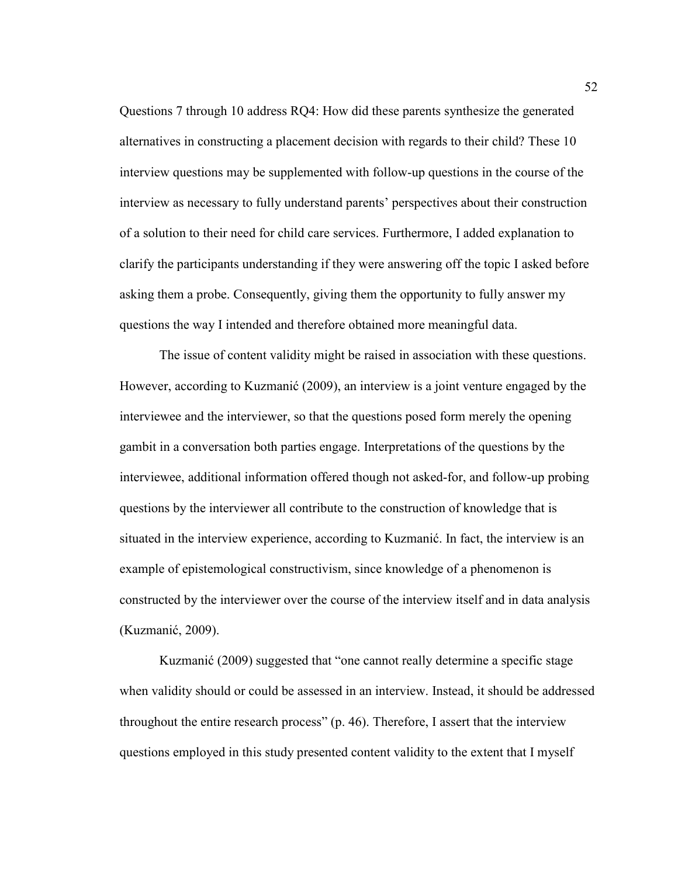Questions 7 through 10 address RQ4: How did these parents synthesize the generated alternatives in constructing a placement decision with regards to their child? These 10 interview questions may be supplemented with follow-up questions in the course of the interview as necessary to fully understand parents' perspectives about their construction of a solution to their need for child care services. Furthermore, I added explanation to clarify the participants understanding if they were answering off the topic I asked before asking them a probe. Consequently, giving them the opportunity to fully answer my questions the way I intended and therefore obtained more meaningful data.

The issue of content validity might be raised in association with these questions. However, according to Kuzmanić (2009), an interview is a joint venture engaged by the interviewee and the interviewer, so that the questions posed form merely the opening gambit in a conversation both parties engage. Interpretations of the questions by the interviewee, additional information offered though not asked-for, and follow-up probing questions by the interviewer all contribute to the construction of knowledge that is situated in the interview experience, according to Kuzmanić. In fact, the interview is an example of epistemological constructivism, since knowledge of a phenomenon is constructed by the interviewer over the course of the interview itself and in data analysis (Kuzmanić, 2009).

Kuzmanić (2009) suggested that "one cannot really determine a specific stage when validity should or could be assessed in an interview. Instead, it should be addressed throughout the entire research process" (p. 46). Therefore, I assert that the interview questions employed in this study presented content validity to the extent that I myself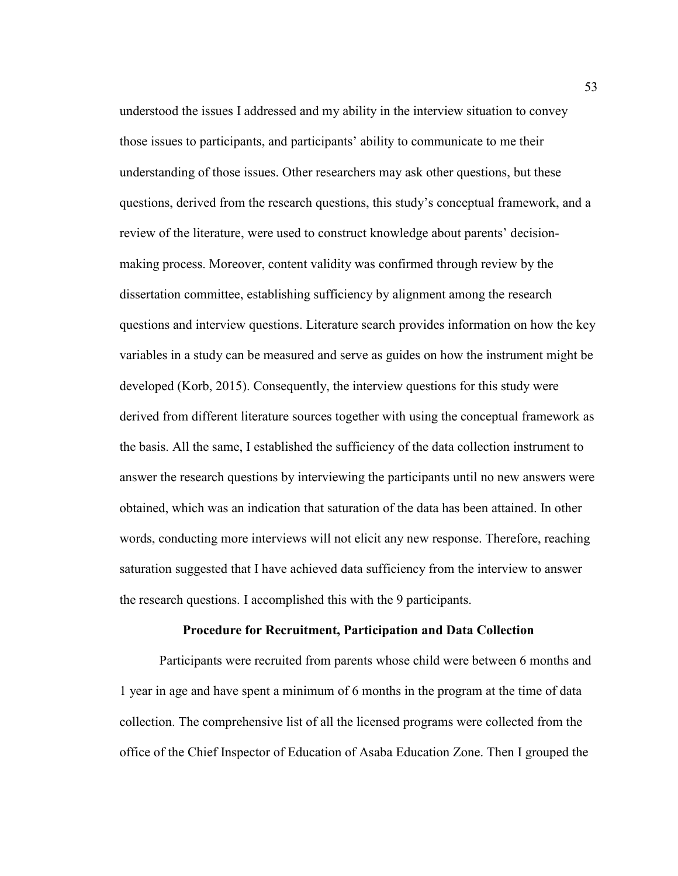understood the issues I addressed and my ability in the interview situation to convey those issues to participants, and participants' ability to communicate to me their understanding of those issues. Other researchers may ask other questions, but these questions, derived from the research questions, this study's conceptual framework, and a review of the literature, were used to construct knowledge about parents' decisionmaking process. Moreover, content validity was confirmed through review by the dissertation committee, establishing sufficiency by alignment among the research questions and interview questions. Literature search provides information on how the key variables in a study can be measured and serve as guides on how the instrument might be developed (Korb, 2015). Consequently, the interview questions for this study were derived from different literature sources together with using the conceptual framework as the basis. All the same, I established the sufficiency of the data collection instrument to answer the research questions by interviewing the participants until no new answers were obtained, which was an indication that saturation of the data has been attained. In other words, conducting more interviews will not elicit any new response. Therefore, reaching saturation suggested that I have achieved data sufficiency from the interview to answer the research questions. I accomplished this with the 9 participants.

### **Procedure for Recruitment, Participation and Data Collection**

Participants were recruited from parents whose child were between 6 months and 1 year in age and have spent a minimum of 6 months in the program at the time of data collection. The comprehensive list of all the licensed programs were collected from the office of the Chief Inspector of Education of Asaba Education Zone. Then I grouped the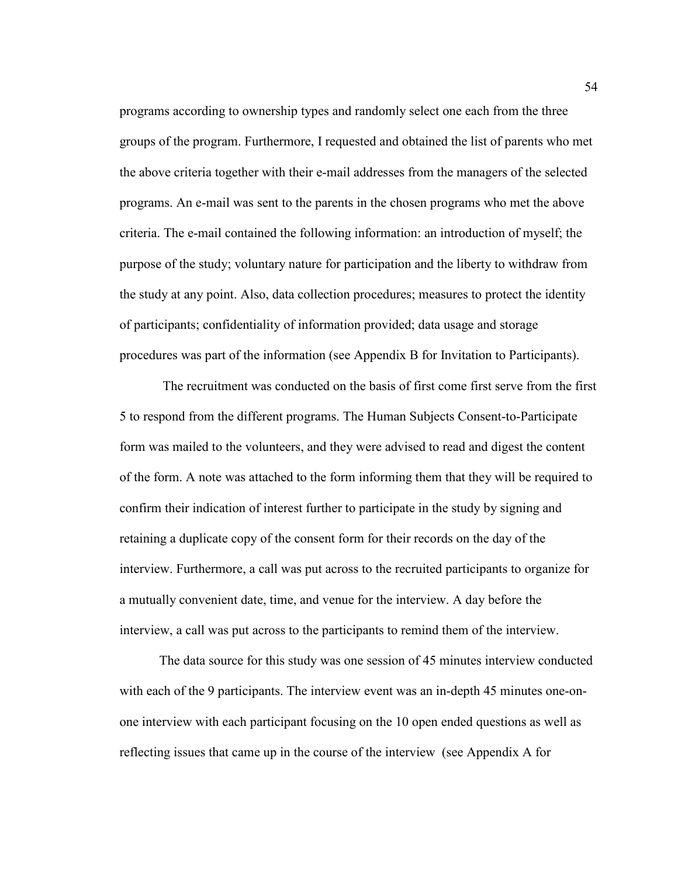programs according to ownership types and randomly select one each from the three groups of the program. Furthermore, I requested and obtained the list of parents who met the above criteria together with their e-mail addresses from the managers of the selected programs. An e-mail was sent to the parents in the chosen programs who met the above criteria. The e-mail contained the following information: an introduction of myself; the purpose of the study; voluntary nature for participation and the liberty to withdraw from the study at any point. Also, data collection procedures; measures to protect the identity of participants; confidentiality of information provided; data usage and storage procedures was part of the information (see Appendix B for Invitation to Participants).

 The recruitment was conducted on the basis of first come first serve from the first 5 to respond from the different programs. The Human Subjects Consent-to-Participate form was mailed to the volunteers, and they were advised to read and digest the content of the form. A note was attached to the form informing them that they will be required to confirm their indication of interest further to participate in the study by signing and retaining a duplicate copy of the consent form for their records on the day of the interview. Furthermore, a call was put across to the recruited participants to organize for a mutually convenient date, time, and venue for the interview. A day before the interview, a call was put across to the participants to remind them of the interview.

The data source for this study was one session of 45 minutes interview conducted with each of the 9 participants. The interview event was an in-depth 45 minutes one-onone interview with each participant focusing on the 10 open ended questions as well as reflecting issues that came up in the course of the interview (see Appendix A for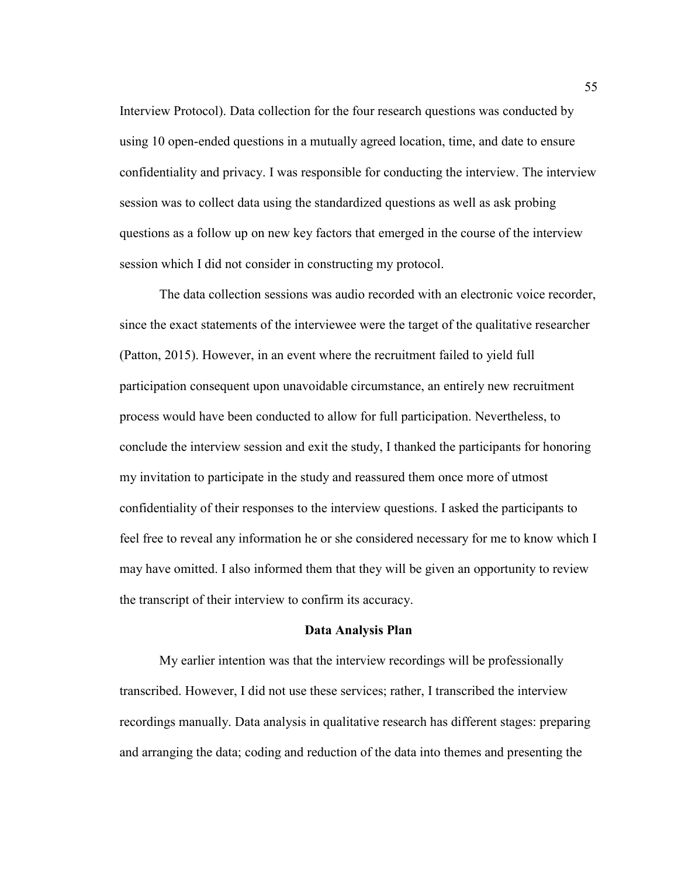Interview Protocol). Data collection for the four research questions was conducted by using 10 open-ended questions in a mutually agreed location, time, and date to ensure confidentiality and privacy. I was responsible for conducting the interview. The interview session was to collect data using the standardized questions as well as ask probing questions as a follow up on new key factors that emerged in the course of the interview session which I did not consider in constructing my protocol.

 The data collection sessions was audio recorded with an electronic voice recorder, since the exact statements of the interviewee were the target of the qualitative researcher (Patton, 2015). However, in an event where the recruitment failed to yield full participation consequent upon unavoidable circumstance, an entirely new recruitment process would have been conducted to allow for full participation. Nevertheless, to conclude the interview session and exit the study, I thanked the participants for honoring my invitation to participate in the study and reassured them once more of utmost confidentiality of their responses to the interview questions. I asked the participants to feel free to reveal any information he or she considered necessary for me to know which I may have omitted. I also informed them that they will be given an opportunity to review the transcript of their interview to confirm its accuracy.

# **Data Analysis Plan**

My earlier intention was that the interview recordings will be professionally transcribed. However, I did not use these services; rather, I transcribed the interview recordings manually. Data analysis in qualitative research has different stages: preparing and arranging the data; coding and reduction of the data into themes and presenting the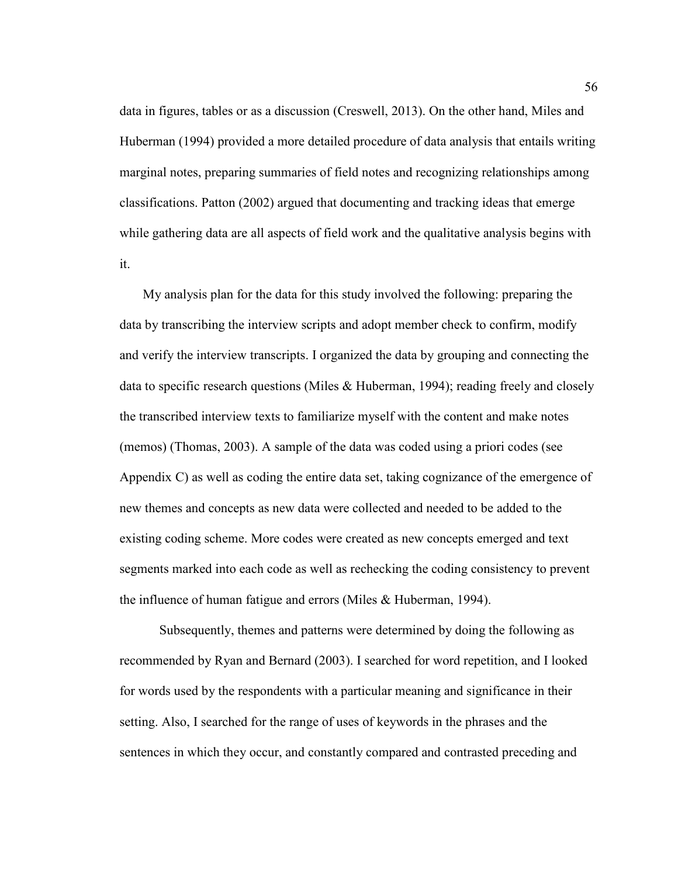data in figures, tables or as a discussion (Creswell, 2013). On the other hand, Miles and Huberman (1994) provided a more detailed procedure of data analysis that entails writing marginal notes, preparing summaries of field notes and recognizing relationships among classifications. Patton (2002) argued that documenting and tracking ideas that emerge while gathering data are all aspects of field work and the qualitative analysis begins with it.

My analysis plan for the data for this study involved the following: preparing the data by transcribing the interview scripts and adopt member check to confirm, modify and verify the interview transcripts. I organized the data by grouping and connecting the data to specific research questions (Miles & Huberman, 1994); reading freely and closely the transcribed interview texts to familiarize myself with the content and make notes (memos) (Thomas, 2003). A sample of the data was coded using a priori codes (see Appendix C) as well as coding the entire data set, taking cognizance of the emergence of new themes and concepts as new data were collected and needed to be added to the existing coding scheme. More codes were created as new concepts emerged and text segments marked into each code as well as rechecking the coding consistency to prevent the influence of human fatigue and errors (Miles & Huberman, 1994).

 Subsequently, themes and patterns were determined by doing the following as recommended by Ryan and Bernard (2003). I searched for word repetition, and I looked for words used by the respondents with a particular meaning and significance in their setting. Also, I searched for the range of uses of keywords in the phrases and the sentences in which they occur, and constantly compared and contrasted preceding and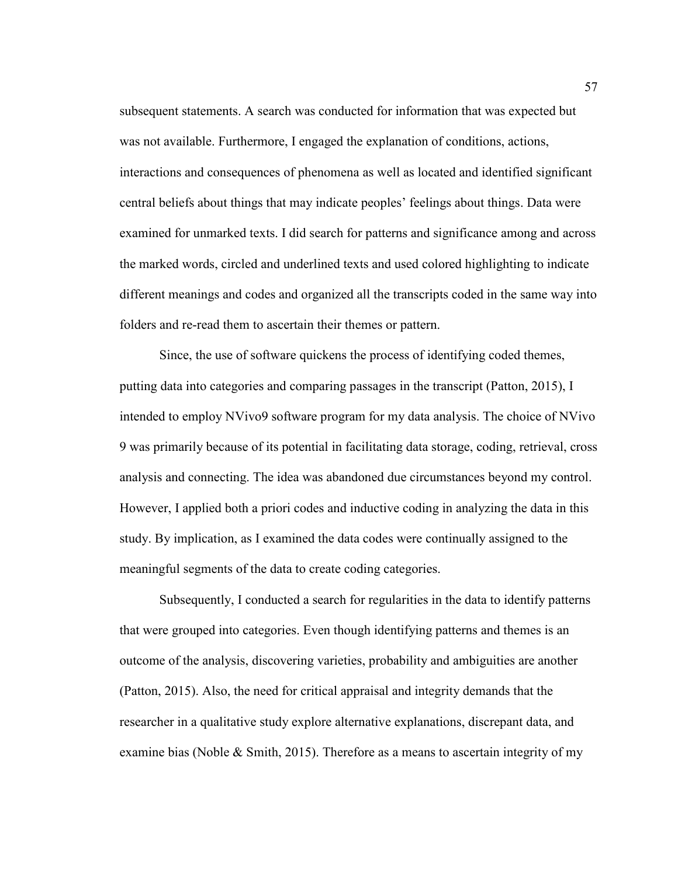subsequent statements. A search was conducted for information that was expected but was not available. Furthermore, I engaged the explanation of conditions, actions, interactions and consequences of phenomena as well as located and identified significant central beliefs about things that may indicate peoples' feelings about things. Data were examined for unmarked texts. I did search for patterns and significance among and across the marked words, circled and underlined texts and used colored highlighting to indicate different meanings and codes and organized all the transcripts coded in the same way into folders and re-read them to ascertain their themes or pattern.

Since, the use of software quickens the process of identifying coded themes, putting data into categories and comparing passages in the transcript (Patton, 2015), I intended to employ NVivo9 software program for my data analysis. The choice of NVivo 9 was primarily because of its potential in facilitating data storage, coding, retrieval, cross analysis and connecting. The idea was abandoned due circumstances beyond my control. However, I applied both a priori codes and inductive coding in analyzing the data in this study. By implication, as I examined the data codes were continually assigned to the meaningful segments of the data to create coding categories.

Subsequently, I conducted a search for regularities in the data to identify patterns that were grouped into categories. Even though identifying patterns and themes is an outcome of the analysis, discovering varieties, probability and ambiguities are another (Patton, 2015). Also, the need for critical appraisal and integrity demands that the researcher in a qualitative study explore alternative explanations, discrepant data, and examine bias (Noble & Smith, 2015). Therefore as a means to ascertain integrity of my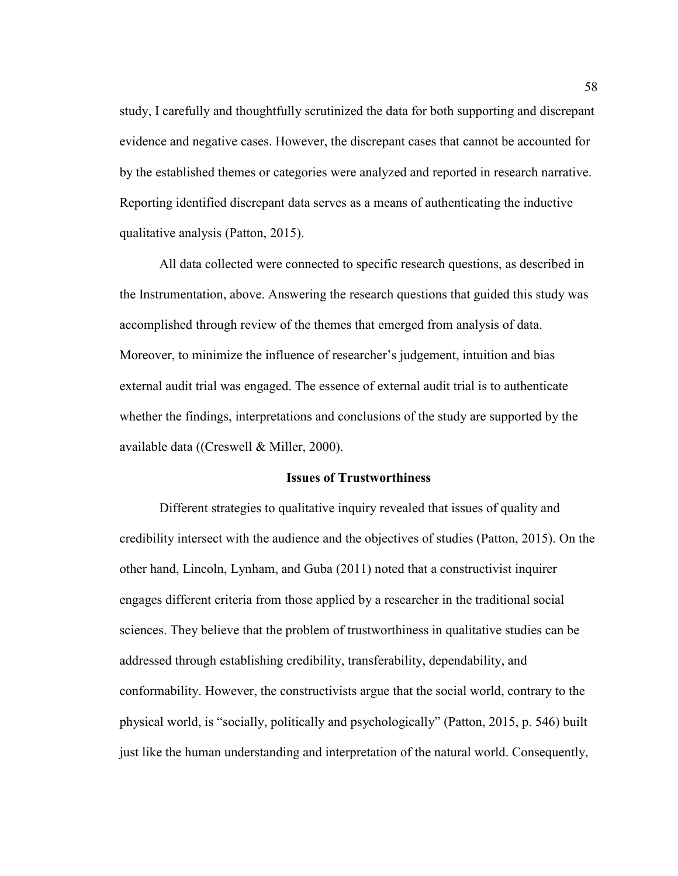study, I carefully and thoughtfully scrutinized the data for both supporting and discrepant evidence and negative cases. However, the discrepant cases that cannot be accounted for by the established themes or categories were analyzed and reported in research narrative. Reporting identified discrepant data serves as a means of authenticating the inductive qualitative analysis (Patton, 2015).

All data collected were connected to specific research questions, as described in the Instrumentation, above. Answering the research questions that guided this study was accomplished through review of the themes that emerged from analysis of data. Moreover, to minimize the influence of researcher's judgement, intuition and bias external audit trial was engaged. The essence of external audit trial is to authenticate whether the findings, interpretations and conclusions of the study are supported by the available data ((Creswell & Miller, 2000).

### **Issues of Trustworthiness**

Different strategies to qualitative inquiry revealed that issues of quality and credibility intersect with the audience and the objectives of studies (Patton, 2015). On the other hand, Lincoln, Lynham, and Guba (2011) noted that a constructivist inquirer engages different criteria from those applied by a researcher in the traditional social sciences. They believe that the problem of trustworthiness in qualitative studies can be addressed through establishing credibility, transferability, dependability, and conformability. However, the constructivists argue that the social world, contrary to the physical world, is "socially, politically and psychologically" (Patton, 2015, p. 546) built just like the human understanding and interpretation of the natural world. Consequently,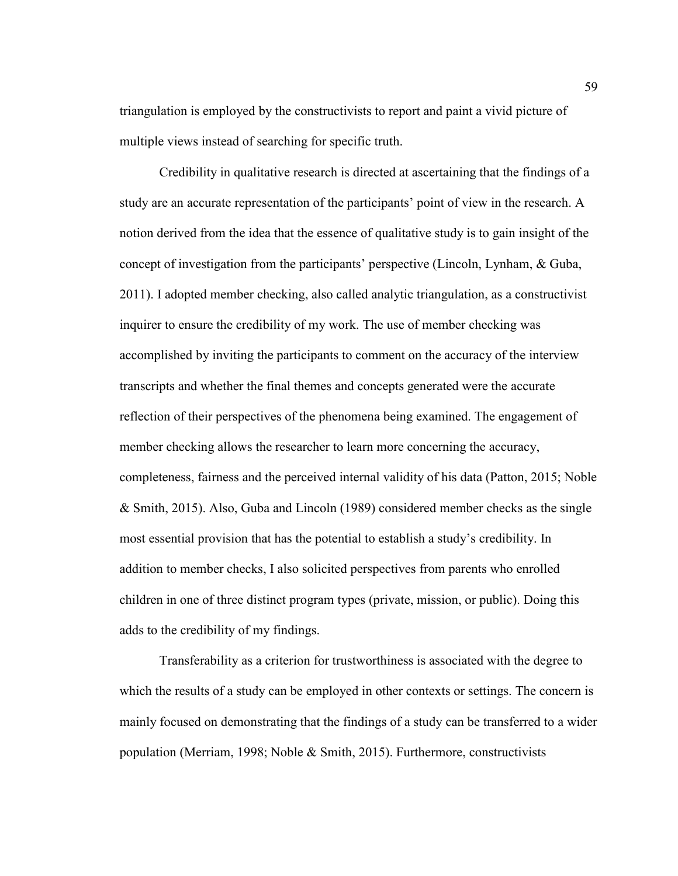triangulation is employed by the constructivists to report and paint a vivid picture of multiple views instead of searching for specific truth.

Credibility in qualitative research is directed at ascertaining that the findings of a study are an accurate representation of the participants' point of view in the research. A notion derived from the idea that the essence of qualitative study is to gain insight of the concept of investigation from the participants' perspective (Lincoln, Lynham, & Guba, 2011). I adopted member checking, also called analytic triangulation, as a constructivist inquirer to ensure the credibility of my work. The use of member checking was accomplished by inviting the participants to comment on the accuracy of the interview transcripts and whether the final themes and concepts generated were the accurate reflection of their perspectives of the phenomena being examined. The engagement of member checking allows the researcher to learn more concerning the accuracy, completeness, fairness and the perceived internal validity of his data (Patton, 2015; Noble & Smith, 2015). Also, Guba and Lincoln (1989) considered member checks as the single most essential provision that has the potential to establish a study's credibility. In addition to member checks, I also solicited perspectives from parents who enrolled children in one of three distinct program types (private, mission, or public). Doing this adds to the credibility of my findings.

Transferability as a criterion for trustworthiness is associated with the degree to which the results of a study can be employed in other contexts or settings. The concern is mainly focused on demonstrating that the findings of a study can be transferred to a wider population (Merriam, 1998; Noble & Smith, 2015). Furthermore, constructivists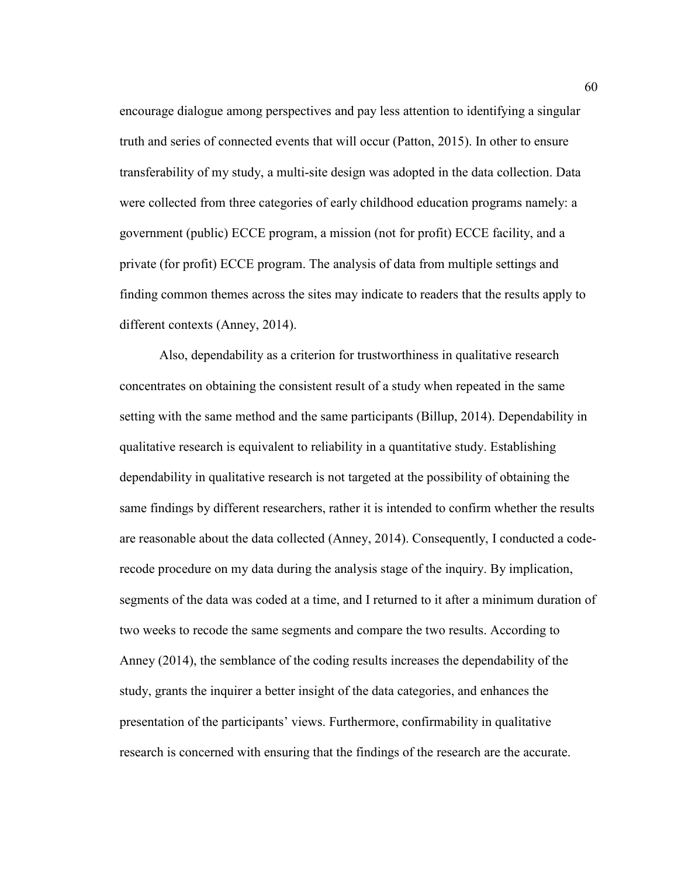encourage dialogue among perspectives and pay less attention to identifying a singular truth and series of connected events that will occur (Patton, 2015). In other to ensure transferability of my study, a multi-site design was adopted in the data collection. Data were collected from three categories of early childhood education programs namely: a government (public) ECCE program, a mission (not for profit) ECCE facility, and a private (for profit) ECCE program. The analysis of data from multiple settings and finding common themes across the sites may indicate to readers that the results apply to different contexts (Anney, 2014).

Also, dependability as a criterion for trustworthiness in qualitative research concentrates on obtaining the consistent result of a study when repeated in the same setting with the same method and the same participants (Billup, 2014). Dependability in qualitative research is equivalent to reliability in a quantitative study. Establishing dependability in qualitative research is not targeted at the possibility of obtaining the same findings by different researchers, rather it is intended to confirm whether the results are reasonable about the data collected (Anney, 2014). Consequently, I conducted a coderecode procedure on my data during the analysis stage of the inquiry. By implication, segments of the data was coded at a time, and I returned to it after a minimum duration of two weeks to recode the same segments and compare the two results. According to Anney (2014), the semblance of the coding results increases the dependability of the study, grants the inquirer a better insight of the data categories, and enhances the presentation of the participants' views. Furthermore, confirmability in qualitative research is concerned with ensuring that the findings of the research are the accurate.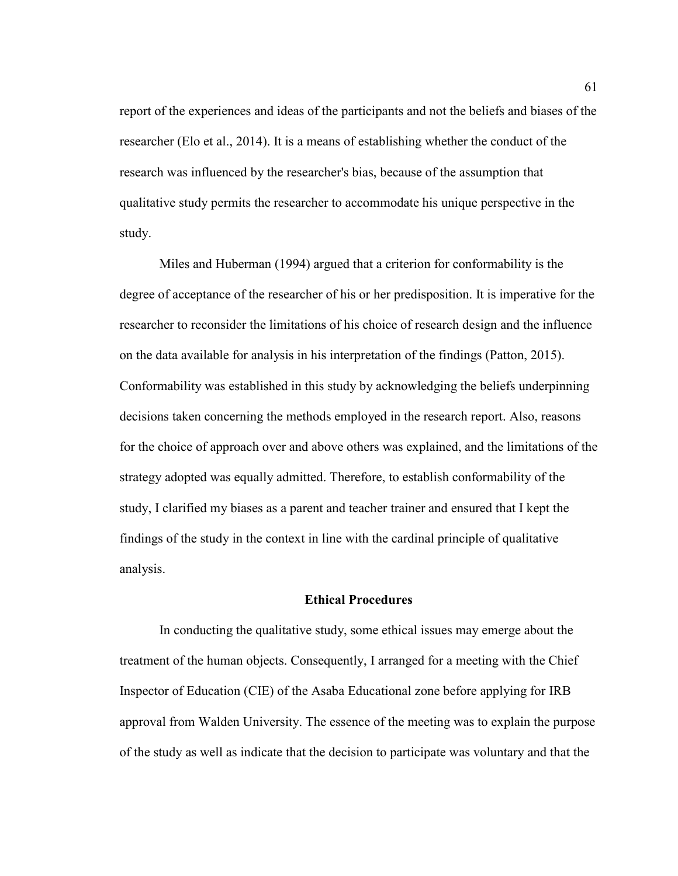report of the experiences and ideas of the participants and not the beliefs and biases of the researcher (Elo et al., 2014). It is a means of establishing whether the conduct of the research was influenced by the researcher's bias, because of the assumption that qualitative study permits the researcher to accommodate his unique perspective in the study.

Miles and Huberman (1994) argued that a criterion for conformability is the degree of acceptance of the researcher of his or her predisposition. It is imperative for the researcher to reconsider the limitations of his choice of research design and the influence on the data available for analysis in his interpretation of the findings (Patton, 2015). Conformability was established in this study by acknowledging the beliefs underpinning decisions taken concerning the methods employed in the research report. Also, reasons for the choice of approach over and above others was explained, and the limitations of the strategy adopted was equally admitted. Therefore, to establish conformability of the study, I clarified my biases as a parent and teacher trainer and ensured that I kept the findings of the study in the context in line with the cardinal principle of qualitative analysis.

## **Ethical Procedures**

 In conducting the qualitative study, some ethical issues may emerge about the treatment of the human objects. Consequently, I arranged for a meeting with the Chief Inspector of Education (CIE) of the Asaba Educational zone before applying for IRB approval from Walden University. The essence of the meeting was to explain the purpose of the study as well as indicate that the decision to participate was voluntary and that the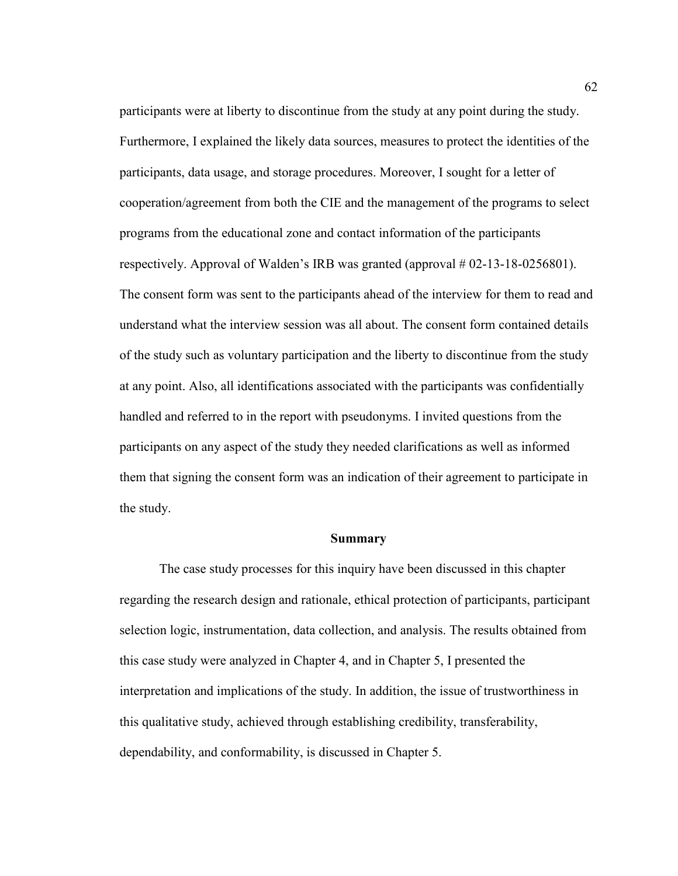participants were at liberty to discontinue from the study at any point during the study. Furthermore, I explained the likely data sources, measures to protect the identities of the participants, data usage, and storage procedures. Moreover, I sought for a letter of cooperation/agreement from both the CIE and the management of the programs to select programs from the educational zone and contact information of the participants respectively. Approval of Walden's IRB was granted (approval # 02-13-18-0256801). The consent form was sent to the participants ahead of the interview for them to read and understand what the interview session was all about. The consent form contained details of the study such as voluntary participation and the liberty to discontinue from the study at any point. Also, all identifications associated with the participants was confidentially handled and referred to in the report with pseudonyms. I invited questions from the participants on any aspect of the study they needed clarifications as well as informed them that signing the consent form was an indication of their agreement to participate in the study.

#### **Summary**

 The case study processes for this inquiry have been discussed in this chapter regarding the research design and rationale, ethical protection of participants, participant selection logic, instrumentation, data collection, and analysis. The results obtained from this case study were analyzed in Chapter 4, and in Chapter 5, I presented the interpretation and implications of the study. In addition, the issue of trustworthiness in this qualitative study, achieved through establishing credibility, transferability, dependability, and conformability, is discussed in Chapter 5.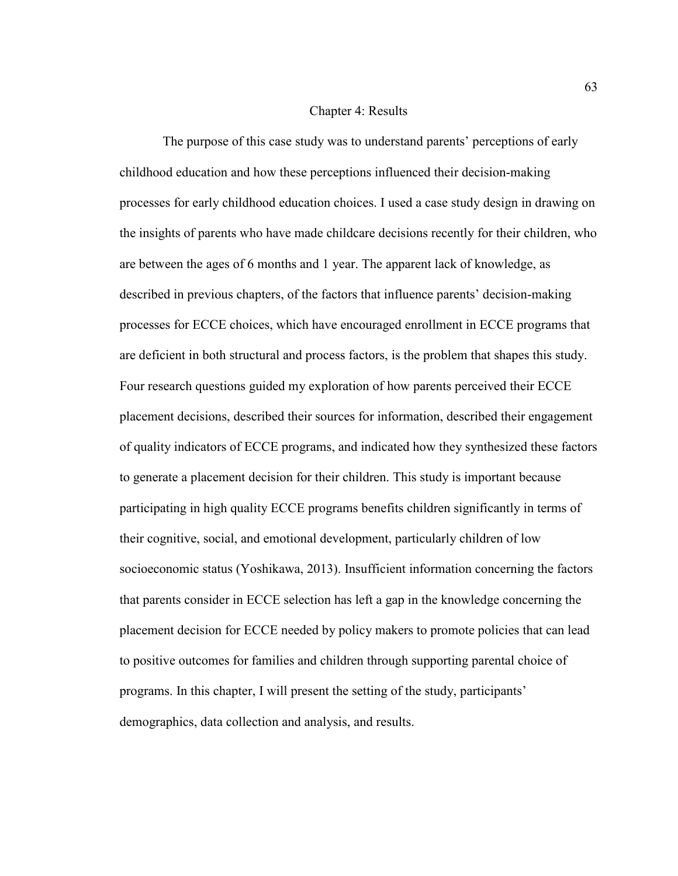#### Chapter 4: Results

 The purpose of this case study was to understand parents' perceptions of early childhood education and how these perceptions influenced their decision-making processes for early childhood education choices. I used a case study design in drawing on the insights of parents who have made childcare decisions recently for their children, who are between the ages of 6 months and 1 year. The apparent lack of knowledge, as described in previous chapters, of the factors that influence parents' decision-making processes for ECCE choices, which have encouraged enrollment in ECCE programs that are deficient in both structural and process factors, is the problem that shapes this study. Four research questions guided my exploration of how parents perceived their ECCE placement decisions, described their sources for information, described their engagement of quality indicators of ECCE programs, and indicated how they synthesized these factors to generate a placement decision for their children. This study is important because participating in high quality ECCE programs benefits children significantly in terms of their cognitive, social, and emotional development, particularly children of low socioeconomic status (Yoshikawa, 2013). Insufficient information concerning the factors that parents consider in ECCE selection has left a gap in the knowledge concerning the placement decision for ECCE needed by policy makers to promote policies that can lead to positive outcomes for families and children through supporting parental choice of programs. In this chapter, I will present the setting of the study, participants' demographics, data collection and analysis, and results.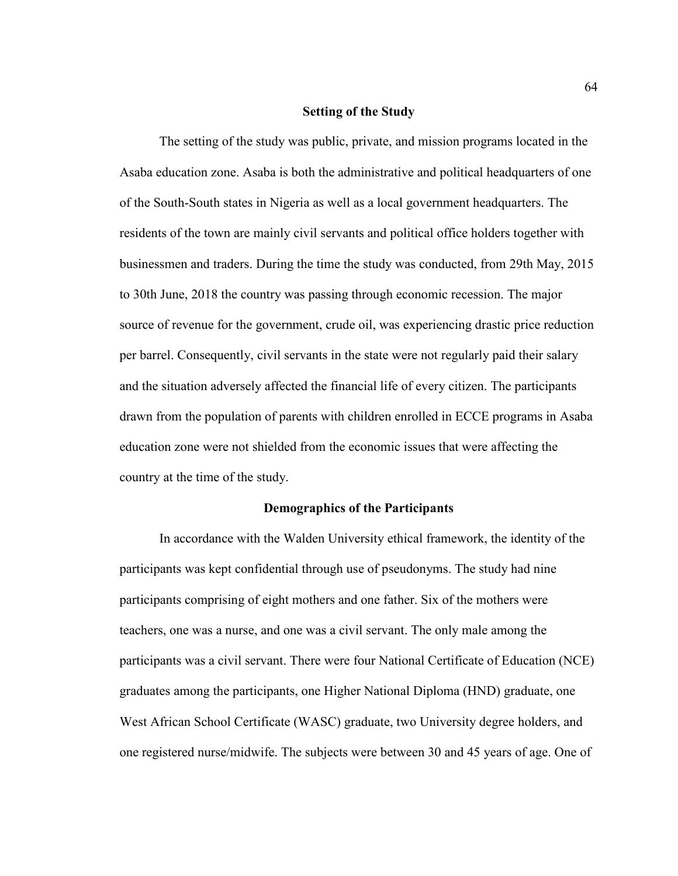### **Setting of the Study**

 The setting of the study was public, private, and mission programs located in the Asaba education zone. Asaba is both the administrative and political headquarters of one of the South-South states in Nigeria as well as a local government headquarters. The residents of the town are mainly civil servants and political office holders together with businessmen and traders. During the time the study was conducted, from 29th May, 2015 to 30th June, 2018 the country was passing through economic recession. The major source of revenue for the government, crude oil, was experiencing drastic price reduction per barrel. Consequently, civil servants in the state were not regularly paid their salary and the situation adversely affected the financial life of every citizen. The participants drawn from the population of parents with children enrolled in ECCE programs in Asaba education zone were not shielded from the economic issues that were affecting the country at the time of the study.

## **Demographics of the Participants**

 In accordance with the Walden University ethical framework, the identity of the participants was kept confidential through use of pseudonyms. The study had nine participants comprising of eight mothers and one father. Six of the mothers were teachers, one was a nurse, and one was a civil servant. The only male among the participants was a civil servant. There were four National Certificate of Education (NCE) graduates among the participants, one Higher National Diploma (HND) graduate, one West African School Certificate (WASC) graduate, two University degree holders, and one registered nurse/midwife. The subjects were between 30 and 45 years of age. One of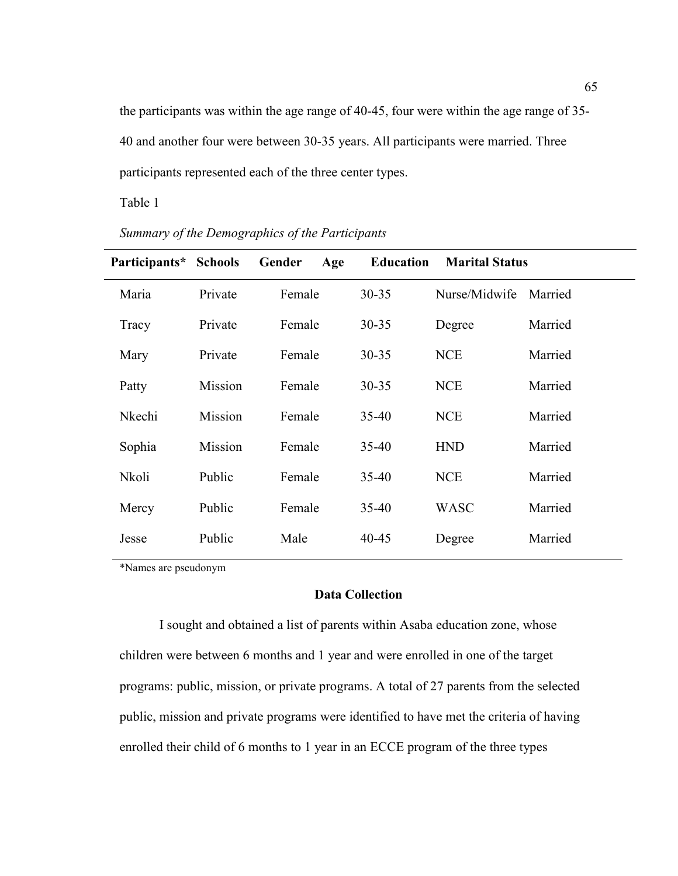the participants was within the age range of 40-45, four were within the age range of 35- 40 and another four were between 30-35 years. All participants were married. Three participants represented each of the three center types.

Table 1

| Participants* | <b>Schools</b> | Gender<br>Age | <b>Education</b> | <b>Marital Status</b> |         |
|---------------|----------------|---------------|------------------|-----------------------|---------|
| Maria         | Private        | Female        | $30 - 35$        | Nurse/Midwife         | Married |
| Tracy         | Private        | Female        | $30 - 35$        | Degree                | Married |
| Mary          | Private        | Female        | 30-35            | <b>NCE</b>            | Married |
| Patty         | Mission        | Female        | $30 - 35$        | <b>NCE</b>            | Married |
| Nkechi        | Mission        | Female        | $35 - 40$        | <b>NCE</b>            | Married |
| Sophia        | Mission        | Female        | $35 - 40$        | <b>HND</b>            | Married |
| Nkoli         | Public         | Female        | $35 - 40$        | <b>NCE</b>            | Married |
| Mercy         | Public         | Female        | $35 - 40$        | <b>WASC</b>           | Married |
| Jesse         | Public         | Male          | 40-45            | Degree                | Married |

*Summary of the Demographics of the Participants*

\*Names are pseudonym

# **Data Collection**

 I sought and obtained a list of parents within Asaba education zone, whose children were between 6 months and 1 year and were enrolled in one of the target programs: public, mission, or private programs. A total of 27 parents from the selected public, mission and private programs were identified to have met the criteria of having enrolled their child of 6 months to 1 year in an ECCE program of the three types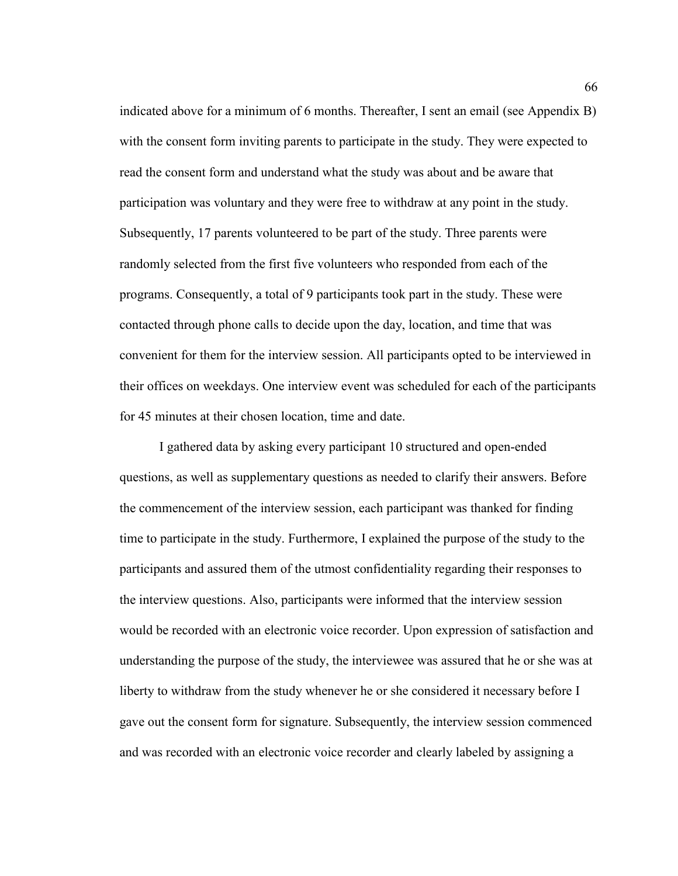indicated above for a minimum of 6 months. Thereafter, I sent an email (see Appendix B) with the consent form inviting parents to participate in the study. They were expected to read the consent form and understand what the study was about and be aware that participation was voluntary and they were free to withdraw at any point in the study. Subsequently, 17 parents volunteered to be part of the study. Three parents were randomly selected from the first five volunteers who responded from each of the programs. Consequently, a total of 9 participants took part in the study. These were contacted through phone calls to decide upon the day, location, and time that was convenient for them for the interview session. All participants opted to be interviewed in their offices on weekdays. One interview event was scheduled for each of the participants for 45 minutes at their chosen location, time and date.

 I gathered data by asking every participant 10 structured and open-ended questions, as well as supplementary questions as needed to clarify their answers. Before the commencement of the interview session, each participant was thanked for finding time to participate in the study. Furthermore, I explained the purpose of the study to the participants and assured them of the utmost confidentiality regarding their responses to the interview questions. Also, participants were informed that the interview session would be recorded with an electronic voice recorder. Upon expression of satisfaction and understanding the purpose of the study, the interviewee was assured that he or she was at liberty to withdraw from the study whenever he or she considered it necessary before I gave out the consent form for signature. Subsequently, the interview session commenced and was recorded with an electronic voice recorder and clearly labeled by assigning a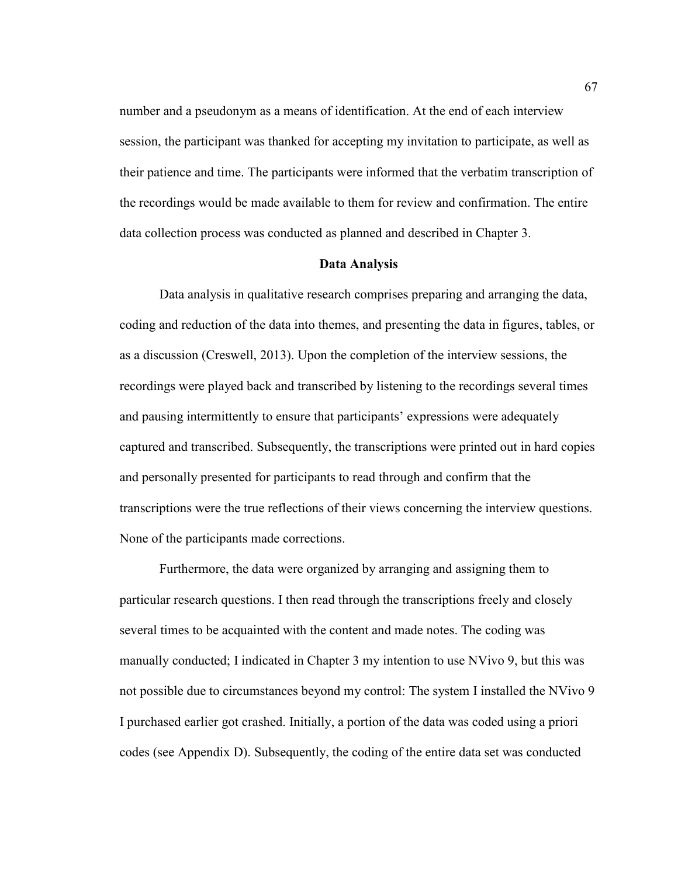number and a pseudonym as a means of identification. At the end of each interview session, the participant was thanked for accepting my invitation to participate, as well as their patience and time. The participants were informed that the verbatim transcription of the recordings would be made available to them for review and confirmation. The entire data collection process was conducted as planned and described in Chapter 3.

## **Data Analysis**

Data analysis in qualitative research comprises preparing and arranging the data, coding and reduction of the data into themes, and presenting the data in figures, tables, or as a discussion (Creswell, 2013). Upon the completion of the interview sessions, the recordings were played back and transcribed by listening to the recordings several times and pausing intermittently to ensure that participants' expressions were adequately captured and transcribed. Subsequently, the transcriptions were printed out in hard copies and personally presented for participants to read through and confirm that the transcriptions were the true reflections of their views concerning the interview questions. None of the participants made corrections.

Furthermore, the data were organized by arranging and assigning them to particular research questions. I then read through the transcriptions freely and closely several times to be acquainted with the content and made notes. The coding was manually conducted; I indicated in Chapter 3 my intention to use NVivo 9, but this was not possible due to circumstances beyond my control: The system I installed the NVivo 9 I purchased earlier got crashed. Initially, a portion of the data was coded using a priori codes (see Appendix D). Subsequently, the coding of the entire data set was conducted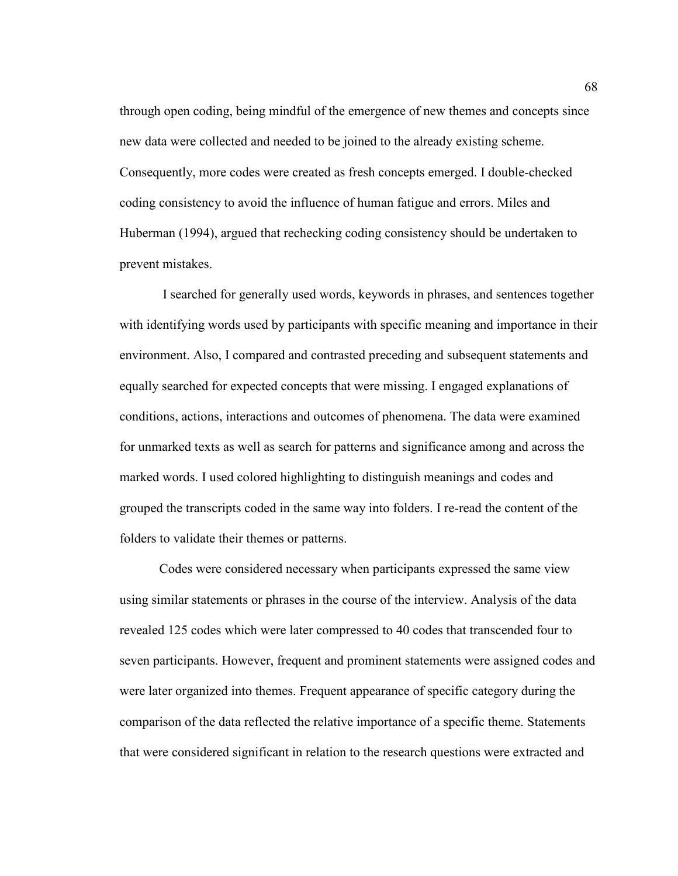through open coding, being mindful of the emergence of new themes and concepts since new data were collected and needed to be joined to the already existing scheme. Consequently, more codes were created as fresh concepts emerged. I double-checked coding consistency to avoid the influence of human fatigue and errors. Miles and Huberman (1994), argued that rechecking coding consistency should be undertaken to prevent mistakes.

 I searched for generally used words, keywords in phrases, and sentences together with identifying words used by participants with specific meaning and importance in their environment. Also, I compared and contrasted preceding and subsequent statements and equally searched for expected concepts that were missing. I engaged explanations of conditions, actions, interactions and outcomes of phenomena. The data were examined for unmarked texts as well as search for patterns and significance among and across the marked words. I used colored highlighting to distinguish meanings and codes and grouped the transcripts coded in the same way into folders. I re-read the content of the folders to validate their themes or patterns.

 Codes were considered necessary when participants expressed the same view using similar statements or phrases in the course of the interview. Analysis of the data revealed 125 codes which were later compressed to 40 codes that transcended four to seven participants. However, frequent and prominent statements were assigned codes and were later organized into themes. Frequent appearance of specific category during the comparison of the data reflected the relative importance of a specific theme. Statements that were considered significant in relation to the research questions were extracted and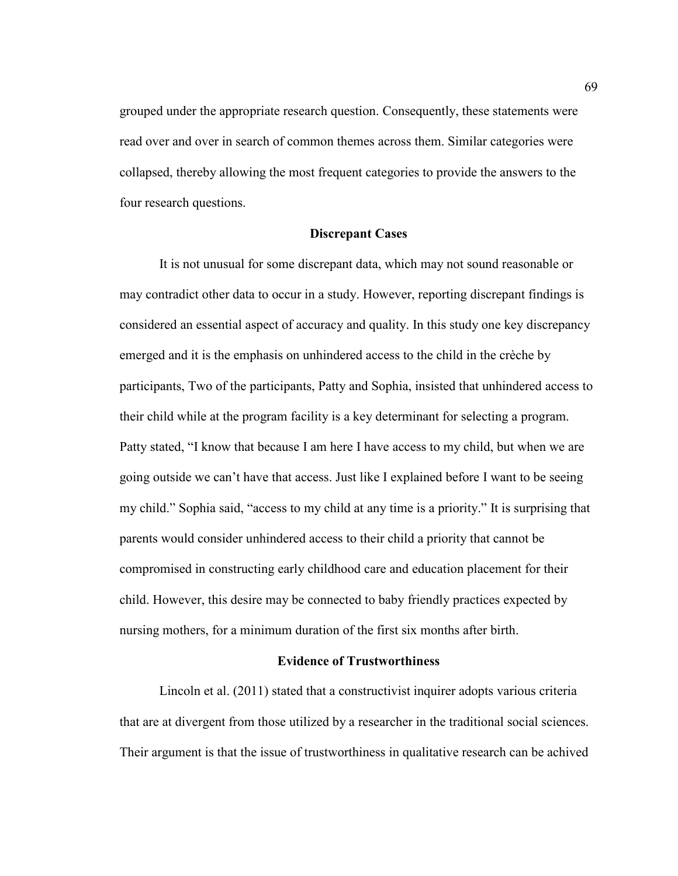grouped under the appropriate research question. Consequently, these statements were read over and over in search of common themes across them. Similar categories were collapsed, thereby allowing the most frequent categories to provide the answers to the four research questions.

### **Discrepant Cases**

It is not unusual for some discrepant data, which may not sound reasonable or may contradict other data to occur in a study. However, reporting discrepant findings is considered an essential aspect of accuracy and quality. In this study one key discrepancy emerged and it is the emphasis on unhindered access to the child in the crèche by participants, Two of the participants, Patty and Sophia, insisted that unhindered access to their child while at the program facility is a key determinant for selecting a program. Patty stated, "I know that because I am here I have access to my child, but when we are going outside we can't have that access. Just like I explained before I want to be seeing my child." Sophia said, "access to my child at any time is a priority." It is surprising that parents would consider unhindered access to their child a priority that cannot be compromised in constructing early childhood care and education placement for their child. However, this desire may be connected to baby friendly practices expected by nursing mothers, for a minimum duration of the first six months after birth.

#### **Evidence of Trustworthiness**

Lincoln et al. (2011) stated that a constructivist inquirer adopts various criteria that are at divergent from those utilized by a researcher in the traditional social sciences. Their argument is that the issue of trustworthiness in qualitative research can be achived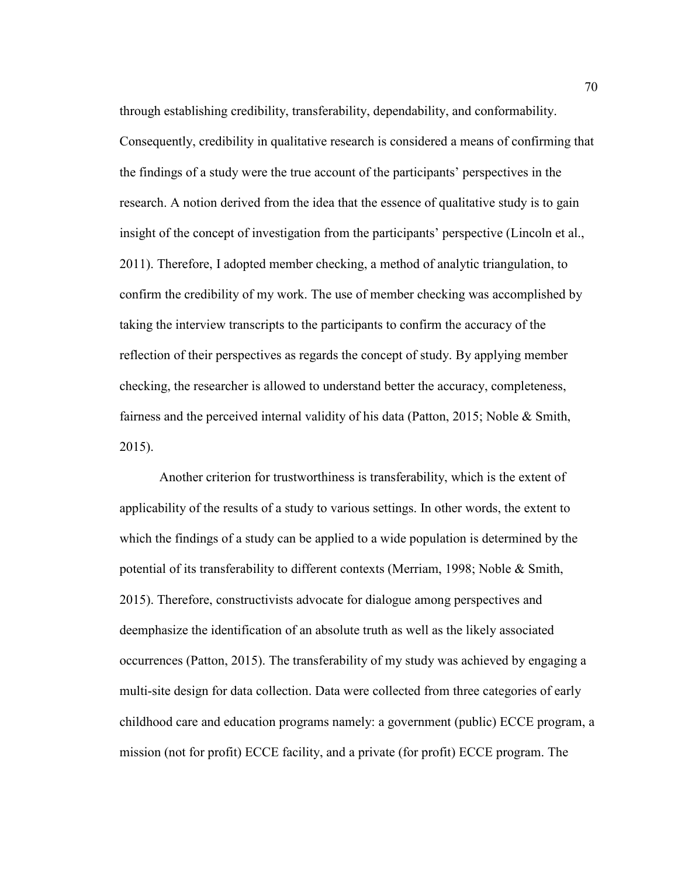through establishing credibility, transferability, dependability, and conformability. Consequently, credibility in qualitative research is considered a means of confirming that the findings of a study were the true account of the participants' perspectives in the research. A notion derived from the idea that the essence of qualitative study is to gain insight of the concept of investigation from the participants' perspective (Lincoln et al., 2011). Therefore, I adopted member checking, a method of analytic triangulation, to confirm the credibility of my work. The use of member checking was accomplished by taking the interview transcripts to the participants to confirm the accuracy of the reflection of their perspectives as regards the concept of study. By applying member checking, the researcher is allowed to understand better the accuracy, completeness, fairness and the perceived internal validity of his data (Patton, 2015; Noble & Smith, 2015).

Another criterion for trustworthiness is transferability, which is the extent of applicability of the results of a study to various settings. In other words, the extent to which the findings of a study can be applied to a wide population is determined by the potential of its transferability to different contexts (Merriam, 1998; Noble & Smith, 2015). Therefore, constructivists advocate for dialogue among perspectives and deemphasize the identification of an absolute truth as well as the likely associated occurrences (Patton, 2015). The transferability of my study was achieved by engaging a multi-site design for data collection. Data were collected from three categories of early childhood care and education programs namely: a government (public) ECCE program, a mission (not for profit) ECCE facility, and a private (for profit) ECCE program. The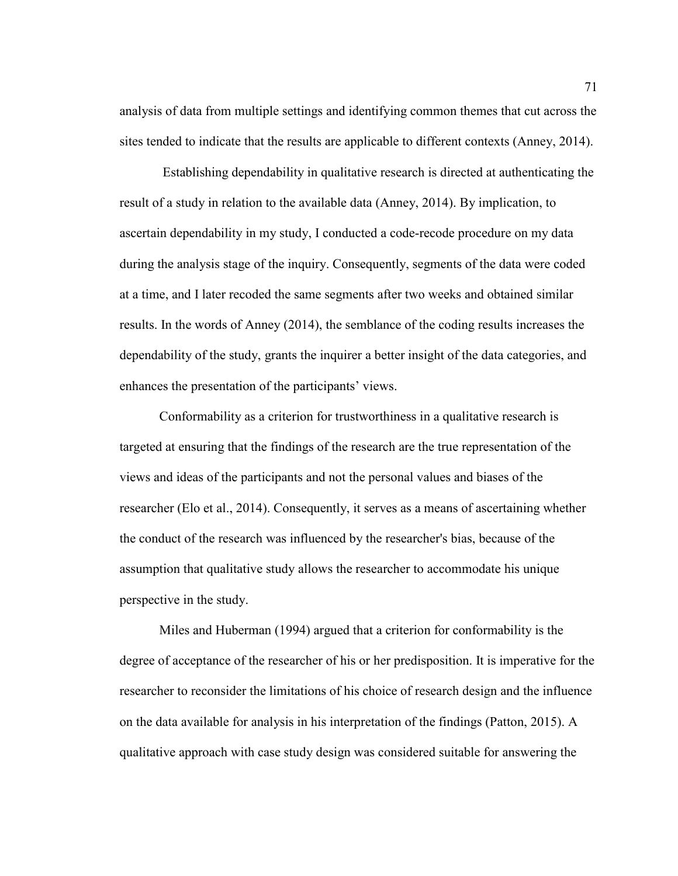analysis of data from multiple settings and identifying common themes that cut across the sites tended to indicate that the results are applicable to different contexts (Anney, 2014).

 Establishing dependability in qualitative research is directed at authenticating the result of a study in relation to the available data (Anney, 2014). By implication, to ascertain dependability in my study, I conducted a code-recode procedure on my data during the analysis stage of the inquiry. Consequently, segments of the data were coded at a time, and I later recoded the same segments after two weeks and obtained similar results. In the words of Anney (2014), the semblance of the coding results increases the dependability of the study, grants the inquirer a better insight of the data categories, and enhances the presentation of the participants' views.

Conformability as a criterion for trustworthiness in a qualitative research is targeted at ensuring that the findings of the research are the true representation of the views and ideas of the participants and not the personal values and biases of the researcher (Elo et al., 2014). Consequently, it serves as a means of ascertaining whether the conduct of the research was influenced by the researcher's bias, because of the assumption that qualitative study allows the researcher to accommodate his unique perspective in the study.

Miles and Huberman (1994) argued that a criterion for conformability is the degree of acceptance of the researcher of his or her predisposition. It is imperative for the researcher to reconsider the limitations of his choice of research design and the influence on the data available for analysis in his interpretation of the findings (Patton, 2015). A qualitative approach with case study design was considered suitable for answering the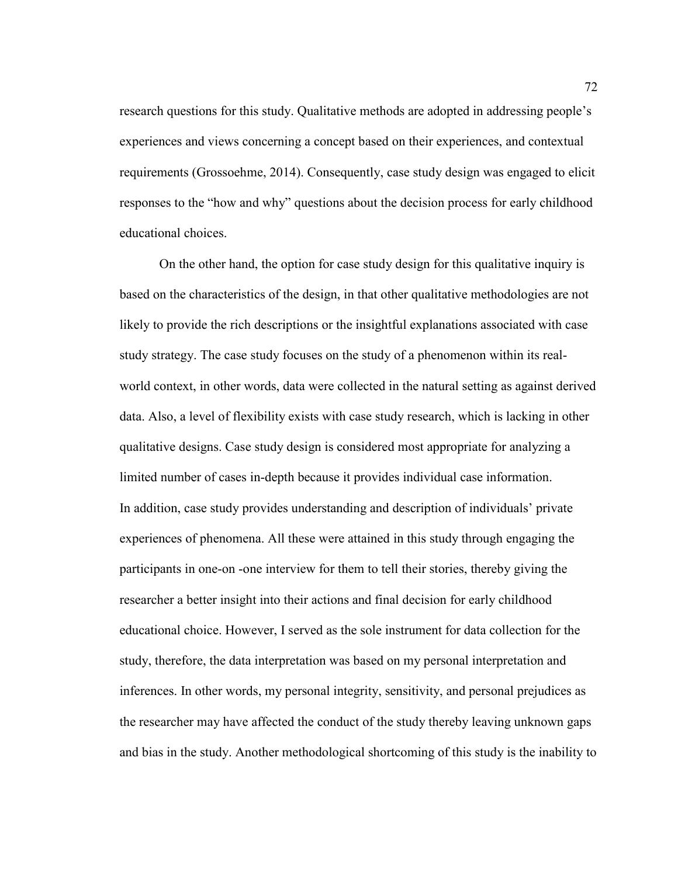research questions for this study. Qualitative methods are adopted in addressing people's experiences and views concerning a concept based on their experiences, and contextual requirements (Grossoehme, 2014). Consequently, case study design was engaged to elicit responses to the "how and why" questions about the decision process for early childhood educational choices.

On the other hand, the option for case study design for this qualitative inquiry is based on the characteristics of the design, in that other qualitative methodologies are not likely to provide the rich descriptions or the insightful explanations associated with case study strategy. The case study focuses on the study of a phenomenon within its realworld context, in other words, data were collected in the natural setting as against derived data. Also, a level of flexibility exists with case study research, which is lacking in other qualitative designs. Case study design is considered most appropriate for analyzing a limited number of cases in-depth because it provides individual case information. In addition, case study provides understanding and description of individuals' private experiences of phenomena. All these were attained in this study through engaging the participants in one-on -one interview for them to tell their stories, thereby giving the researcher a better insight into their actions and final decision for early childhood educational choice. However, I served as the sole instrument for data collection for the study, therefore, the data interpretation was based on my personal interpretation and inferences. In other words, my personal integrity, sensitivity, and personal prejudices as the researcher may have affected the conduct of the study thereby leaving unknown gaps and bias in the study. Another methodological shortcoming of this study is the inability to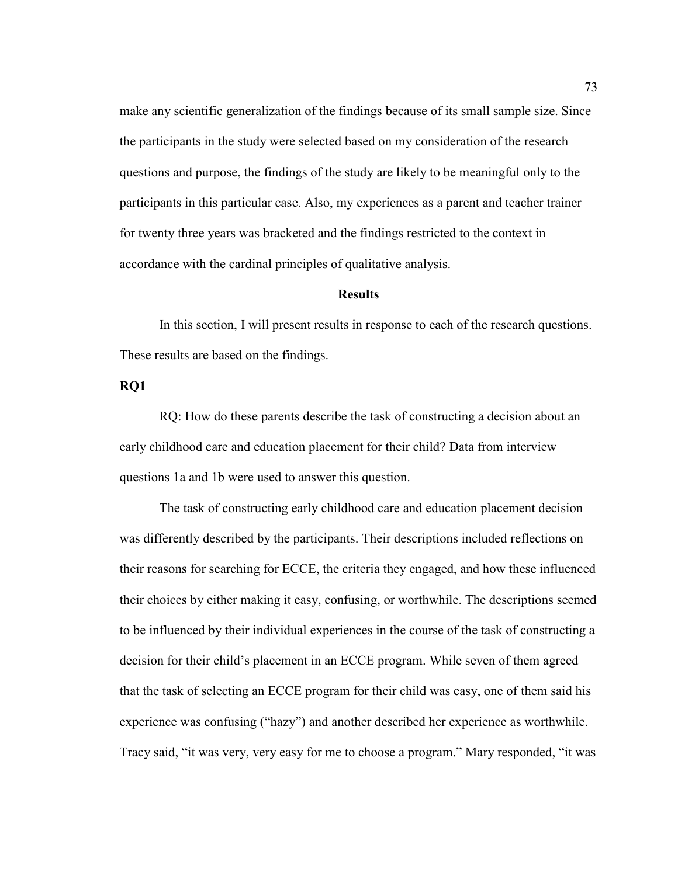make any scientific generalization of the findings because of its small sample size. Since the participants in the study were selected based on my consideration of the research questions and purpose, the findings of the study are likely to be meaningful only to the participants in this particular case. Also, my experiences as a parent and teacher trainer for twenty three years was bracketed and the findings restricted to the context in accordance with the cardinal principles of qualitative analysis.

# **Results**

 In this section, I will present results in response to each of the research questions. These results are based on the findings.

# **RQ1**

RQ: How do these parents describe the task of constructing a decision about an early childhood care and education placement for their child? Data from interview questions 1a and 1b were used to answer this question.

The task of constructing early childhood care and education placement decision was differently described by the participants. Their descriptions included reflections on their reasons for searching for ECCE, the criteria they engaged, and how these influenced their choices by either making it easy, confusing, or worthwhile. The descriptions seemed to be influenced by their individual experiences in the course of the task of constructing a decision for their child's placement in an ECCE program. While seven of them agreed that the task of selecting an ECCE program for their child was easy, one of them said his experience was confusing ("hazy") and another described her experience as worthwhile. Tracy said, "it was very, very easy for me to choose a program." Mary responded, "it was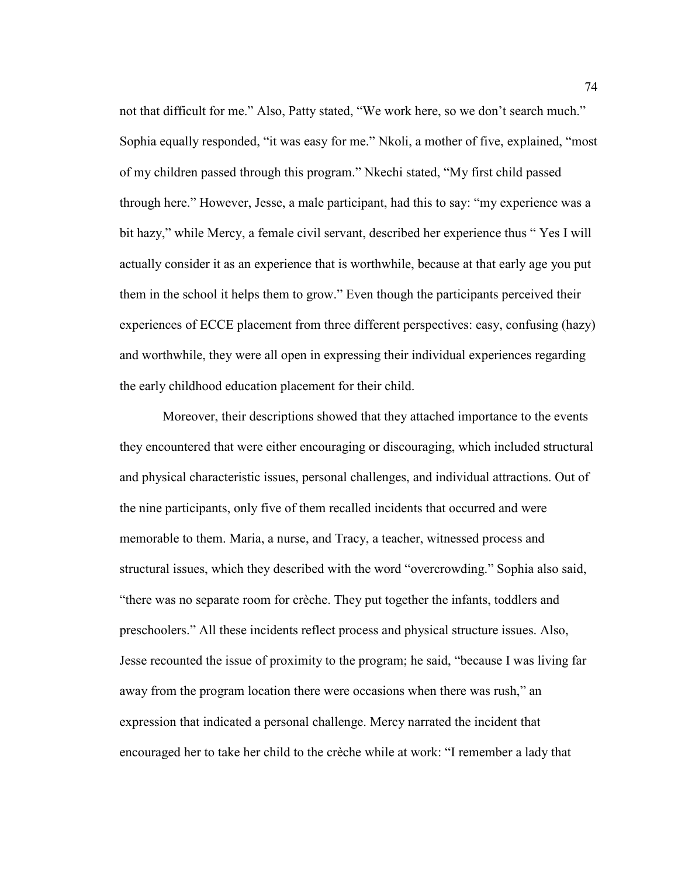not that difficult for me." Also, Patty stated, "We work here, so we don't search much." Sophia equally responded, "it was easy for me." Nkoli, a mother of five, explained, "most of my children passed through this program." Nkechi stated, "My first child passed through here." However, Jesse, a male participant, had this to say: "my experience was a bit hazy," while Mercy, a female civil servant, described her experience thus " Yes I will actually consider it as an experience that is worthwhile, because at that early age you put them in the school it helps them to grow." Even though the participants perceived their experiences of ECCE placement from three different perspectives: easy, confusing (hazy) and worthwhile, they were all open in expressing their individual experiences regarding the early childhood education placement for their child.

 Moreover, their descriptions showed that they attached importance to the events they encountered that were either encouraging or discouraging, which included structural and physical characteristic issues, personal challenges, and individual attractions. Out of the nine participants, only five of them recalled incidents that occurred and were memorable to them. Maria, a nurse, and Tracy, a teacher, witnessed process and structural issues, which they described with the word "overcrowding." Sophia also said, "there was no separate room for crèche. They put together the infants, toddlers and preschoolers." All these incidents reflect process and physical structure issues. Also, Jesse recounted the issue of proximity to the program; he said, "because I was living far away from the program location there were occasions when there was rush," an expression that indicated a personal challenge. Mercy narrated the incident that encouraged her to take her child to the crèche while at work: "I remember a lady that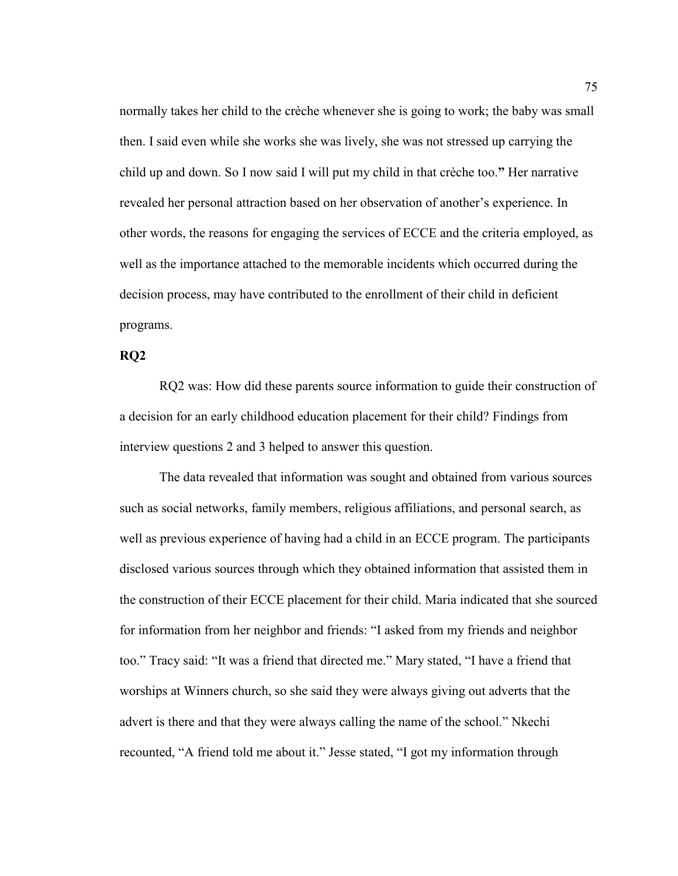normally takes her child to the crèche whenever she is going to work; the baby was small then. I said even while she works she was lively, she was not stressed up carrying the child up and down. So I now said I will put my child in that crèche too.**"** Her narrative revealed her personal attraction based on her observation of another's experience. In other words, the reasons for engaging the services of ECCE and the criteria employed, as well as the importance attached to the memorable incidents which occurred during the decision process, may have contributed to the enrollment of their child in deficient programs.

## **RQ2**

RQ2 was: How did these parents source information to guide their construction of a decision for an early childhood education placement for their child? Findings from interview questions 2 and 3 helped to answer this question.

The data revealed that information was sought and obtained from various sources such as social networks, family members, religious affiliations, and personal search, as well as previous experience of having had a child in an ECCE program. The participants disclosed various sources through which they obtained information that assisted them in the construction of their ECCE placement for their child. Maria indicated that she sourced for information from her neighbor and friends: "I asked from my friends and neighbor too." Tracy said: "It was a friend that directed me." Mary stated, "I have a friend that worships at Winners church, so she said they were always giving out adverts that the advert is there and that they were always calling the name of the school." Nkechi recounted, "A friend told me about it." Jesse stated, "I got my information through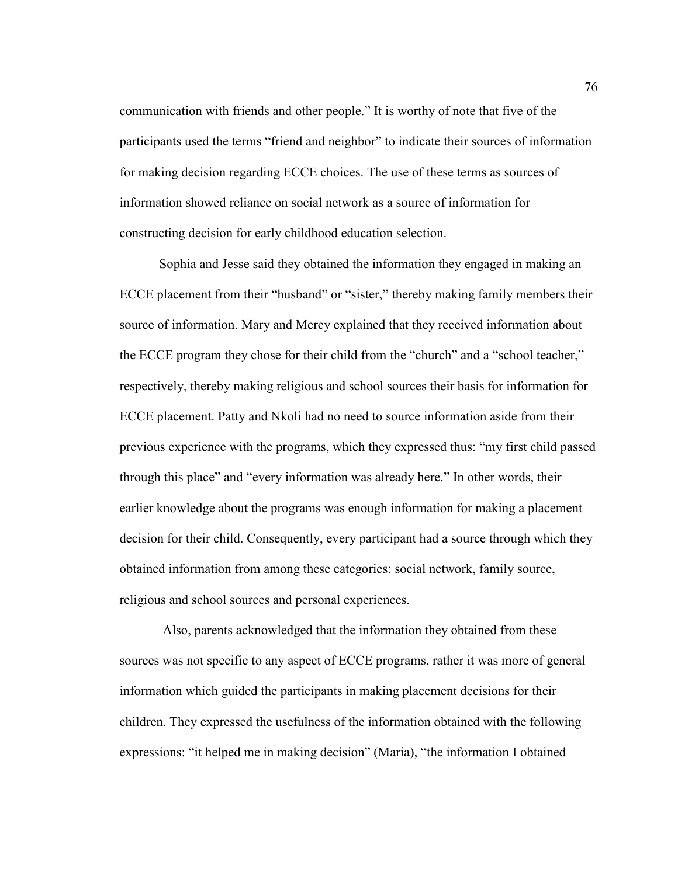communication with friends and other people." It is worthy of note that five of the participants used the terms "friend and neighbor" to indicate their sources of information for making decision regarding ECCE choices. The use of these terms as sources of information showed reliance on social network as a source of information for constructing decision for early childhood education selection.

Sophia and Jesse said they obtained the information they engaged in making an ECCE placement from their "husband" or "sister," thereby making family members their source of information. Mary and Mercy explained that they received information about the ECCE program they chose for their child from the "church" and a "school teacher," respectively, thereby making religious and school sources their basis for information for ECCE placement. Patty and Nkoli had no need to source information aside from their previous experience with the programs, which they expressed thus: "my first child passed through this place" and "every information was already here." In other words, their earlier knowledge about the programs was enough information for making a placement decision for their child. Consequently, every participant had a source through which they obtained information from among these categories: social network, family source, religious and school sources and personal experiences.

 Also, parents acknowledged that the information they obtained from these sources was not specific to any aspect of ECCE programs, rather it was more of general information which guided the participants in making placement decisions for their children. They expressed the usefulness of the information obtained with the following expressions: "it helped me in making decision" (Maria), "the information I obtained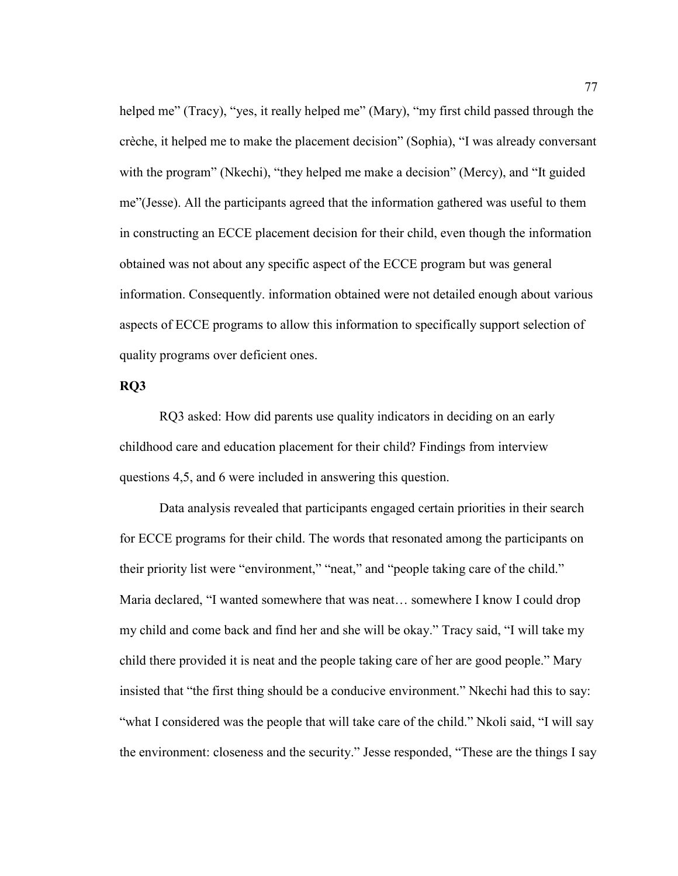helped me" (Tracy), "yes, it really helped me" (Mary), "my first child passed through the crèche, it helped me to make the placement decision" (Sophia), "I was already conversant with the program" (Nkechi), "they helped me make a decision" (Mercy), and "It guided me"(Jesse). All the participants agreed that the information gathered was useful to them in constructing an ECCE placement decision for their child, even though the information obtained was not about any specific aspect of the ECCE program but was general information. Consequently. information obtained were not detailed enough about various aspects of ECCE programs to allow this information to specifically support selection of quality programs over deficient ones.

## **RQ3**

RQ3 asked: How did parents use quality indicators in deciding on an early childhood care and education placement for their child? Findings from interview questions 4,5, and 6 were included in answering this question.

Data analysis revealed that participants engaged certain priorities in their search for ECCE programs for their child. The words that resonated among the participants on their priority list were "environment," "neat," and "people taking care of the child." Maria declared, "I wanted somewhere that was neat… somewhere I know I could drop my child and come back and find her and she will be okay." Tracy said, "I will take my child there provided it is neat and the people taking care of her are good people." Mary insisted that "the first thing should be a conducive environment." Nkechi had this to say: "what I considered was the people that will take care of the child." Nkoli said, "I will say the environment: closeness and the security." Jesse responded, "These are the things I say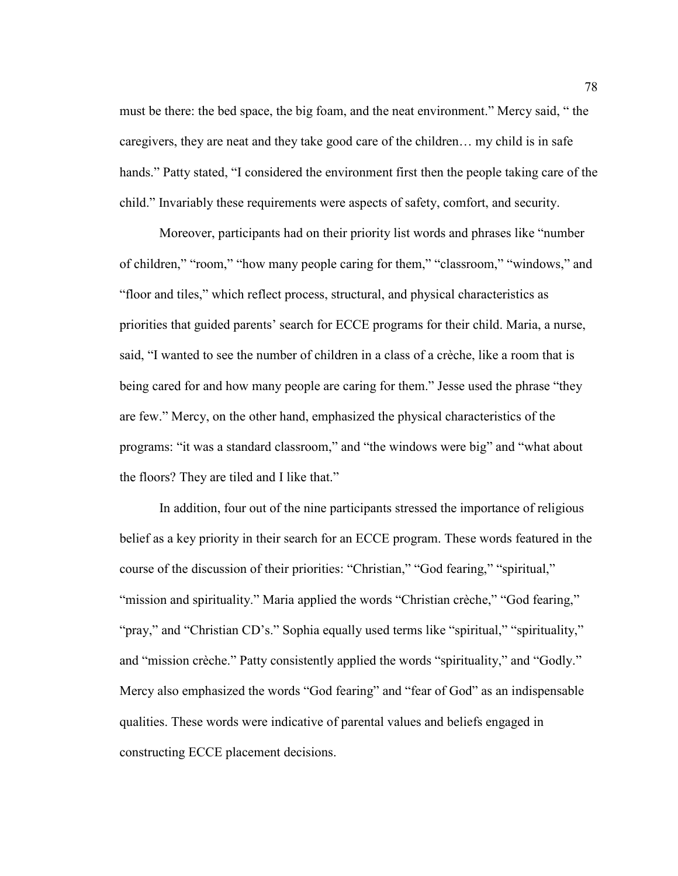must be there: the bed space, the big foam, and the neat environment." Mercy said, " the caregivers, they are neat and they take good care of the children… my child is in safe hands." Patty stated, "I considered the environment first then the people taking care of the child." Invariably these requirements were aspects of safety, comfort, and security.

 Moreover, participants had on their priority list words and phrases like "number of children," "room," "how many people caring for them," "classroom," "windows," and "floor and tiles," which reflect process, structural, and physical characteristics as priorities that guided parents' search for ECCE programs for their child. Maria, a nurse, said, "I wanted to see the number of children in a class of a crèche, like a room that is being cared for and how many people are caring for them." Jesse used the phrase "they are few." Mercy, on the other hand, emphasized the physical characteristics of the programs: "it was a standard classroom," and "the windows were big" and "what about the floors? They are tiled and I like that."

 In addition, four out of the nine participants stressed the importance of religious belief as a key priority in their search for an ECCE program. These words featured in the course of the discussion of their priorities: "Christian," "God fearing," "spiritual," "mission and spirituality." Maria applied the words "Christian crèche," "God fearing," "pray," and "Christian CD's." Sophia equally used terms like "spiritual," "spirituality," and "mission crèche." Patty consistently applied the words "spirituality," and "Godly." Mercy also emphasized the words "God fearing" and "fear of God" as an indispensable qualities. These words were indicative of parental values and beliefs engaged in constructing ECCE placement decisions.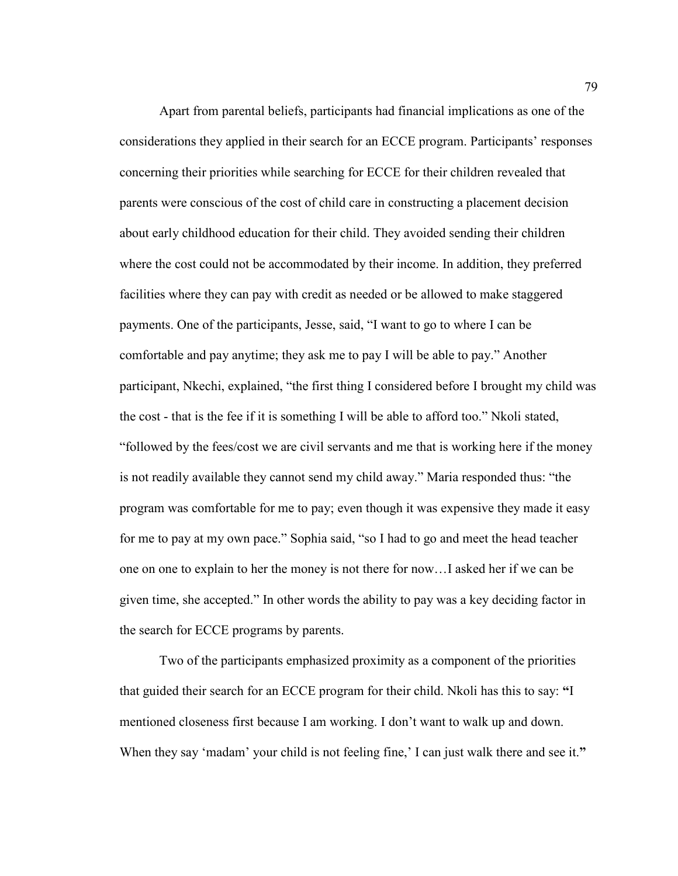Apart from parental beliefs, participants had financial implications as one of the considerations they applied in their search for an ECCE program. Participants' responses concerning their priorities while searching for ECCE for their children revealed that parents were conscious of the cost of child care in constructing a placement decision about early childhood education for their child. They avoided sending their children where the cost could not be accommodated by their income. In addition, they preferred facilities where they can pay with credit as needed or be allowed to make staggered payments. One of the participants, Jesse, said, "I want to go to where I can be comfortable and pay anytime; they ask me to pay I will be able to pay." Another participant, Nkechi, explained, "the first thing I considered before I brought my child was the cost - that is the fee if it is something I will be able to afford too." Nkoli stated, "followed by the fees/cost we are civil servants and me that is working here if the money is not readily available they cannot send my child away." Maria responded thus: "the program was comfortable for me to pay; even though it was expensive they made it easy for me to pay at my own pace." Sophia said, "so I had to go and meet the head teacher one on one to explain to her the money is not there for now…I asked her if we can be given time, she accepted." In other words the ability to pay was a key deciding factor in the search for ECCE programs by parents.

 Two of the participants emphasized proximity as a component of the priorities that guided their search for an ECCE program for their child. Nkoli has this to say: **"**I mentioned closeness first because I am working. I don't want to walk up and down. When they say 'madam' your child is not feeling fine,' I can just walk there and see it."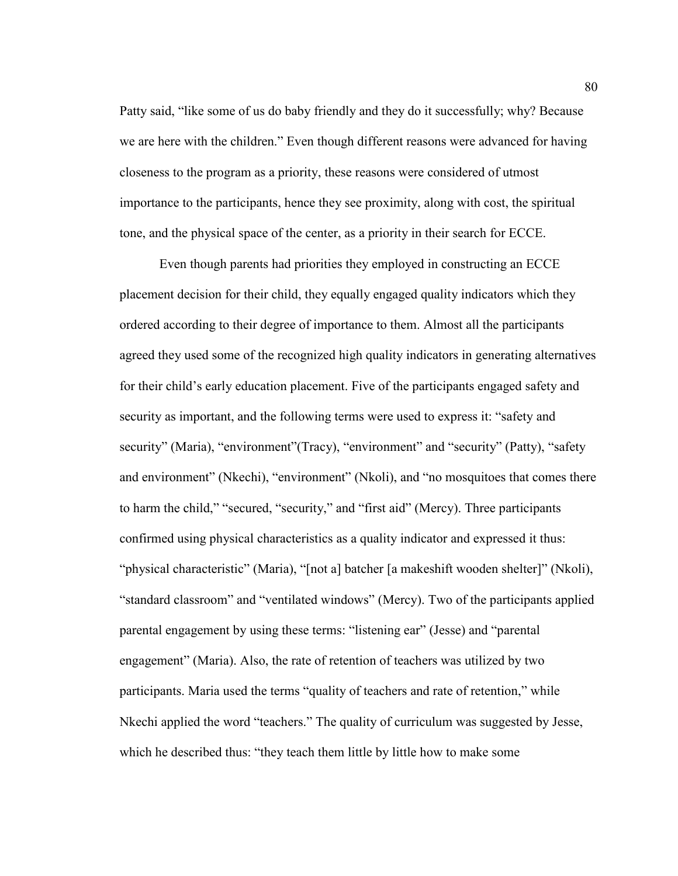Patty said, "like some of us do baby friendly and they do it successfully; why? Because we are here with the children." Even though different reasons were advanced for having closeness to the program as a priority, these reasons were considered of utmost importance to the participants, hence they see proximity, along with cost, the spiritual tone, and the physical space of the center, as a priority in their search for ECCE.

Even though parents had priorities they employed in constructing an ECCE placement decision for their child, they equally engaged quality indicators which they ordered according to their degree of importance to them. Almost all the participants agreed they used some of the recognized high quality indicators in generating alternatives for their child's early education placement. Five of the participants engaged safety and security as important, and the following terms were used to express it: "safety and security" (Maria), "environment" (Tracy), "environment" and "security" (Patty), "safety and environment" (Nkechi), "environment" (Nkoli), and "no mosquitoes that comes there to harm the child," "secured, "security," and "first aid" (Mercy). Three participants confirmed using physical characteristics as a quality indicator and expressed it thus: "physical characteristic" (Maria), "[not a] batcher [a makeshift wooden shelter]" (Nkoli), "standard classroom" and "ventilated windows" (Mercy). Two of the participants applied parental engagement by using these terms: "listening ear" (Jesse) and "parental engagement" (Maria). Also, the rate of retention of teachers was utilized by two participants. Maria used the terms "quality of teachers and rate of retention," while Nkechi applied the word "teachers." The quality of curriculum was suggested by Jesse, which he described thus: "they teach them little by little how to make some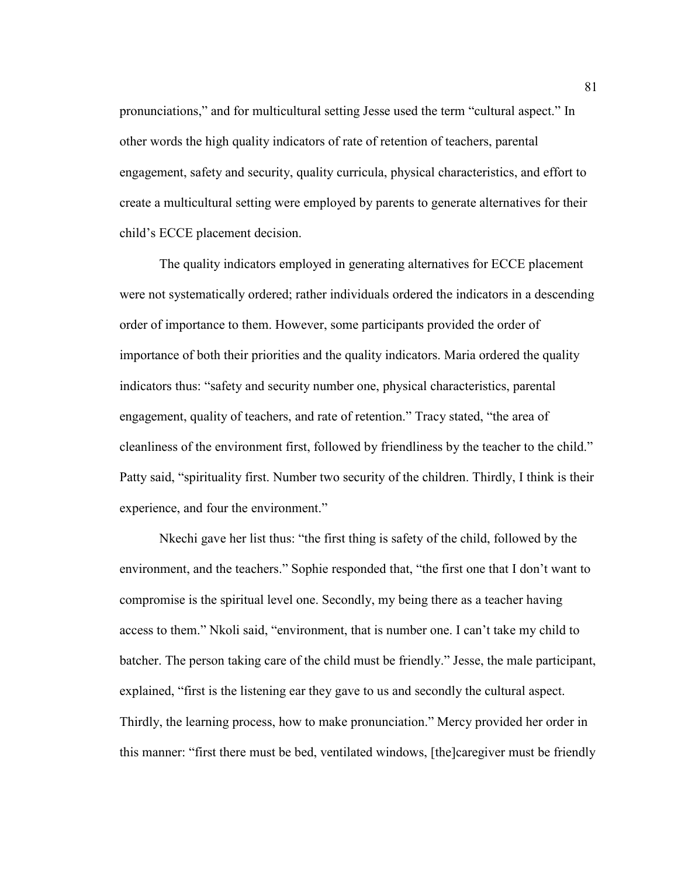pronunciations," and for multicultural setting Jesse used the term "cultural aspect." In other words the high quality indicators of rate of retention of teachers, parental engagement, safety and security, quality curricula, physical characteristics, and effort to create a multicultural setting were employed by parents to generate alternatives for their child's ECCE placement decision.

The quality indicators employed in generating alternatives for ECCE placement were not systematically ordered; rather individuals ordered the indicators in a descending order of importance to them. However, some participants provided the order of importance of both their priorities and the quality indicators. Maria ordered the quality indicators thus: "safety and security number one, physical characteristics, parental engagement, quality of teachers, and rate of retention." Tracy stated, "the area of cleanliness of the environment first, followed by friendliness by the teacher to the child." Patty said, "spirituality first. Number two security of the children. Thirdly, I think is their experience, and four the environment."

Nkechi gave her list thus: "the first thing is safety of the child, followed by the environment, and the teachers." Sophie responded that, "the first one that I don't want to compromise is the spiritual level one. Secondly, my being there as a teacher having access to them." Nkoli said, "environment, that is number one. I can't take my child to batcher. The person taking care of the child must be friendly." Jesse, the male participant, explained, "first is the listening ear they gave to us and secondly the cultural aspect. Thirdly, the learning process, how to make pronunciation." Mercy provided her order in this manner: "first there must be bed, ventilated windows, [the]caregiver must be friendly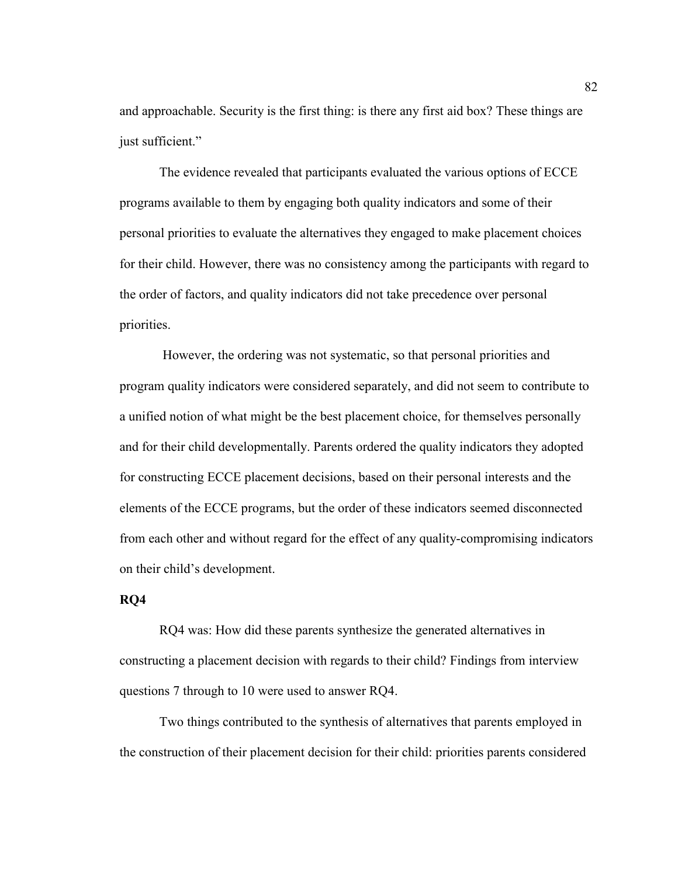and approachable. Security is the first thing: is there any first aid box? These things are just sufficient."

The evidence revealed that participants evaluated the various options of ECCE programs available to them by engaging both quality indicators and some of their personal priorities to evaluate the alternatives they engaged to make placement choices for their child. However, there was no consistency among the participants with regard to the order of factors, and quality indicators did not take precedence over personal priorities.

 However, the ordering was not systematic, so that personal priorities and program quality indicators were considered separately, and did not seem to contribute to a unified notion of what might be the best placement choice, for themselves personally and for their child developmentally. Parents ordered the quality indicators they adopted for constructing ECCE placement decisions, based on their personal interests and the elements of the ECCE programs, but the order of these indicators seemed disconnected from each other and without regard for the effect of any quality-compromising indicators on their child's development.

# **RQ4**

RQ4 was: How did these parents synthesize the generated alternatives in constructing a placement decision with regards to their child? Findings from interview questions 7 through to 10 were used to answer RQ4.

 Two things contributed to the synthesis of alternatives that parents employed in the construction of their placement decision for their child: priorities parents considered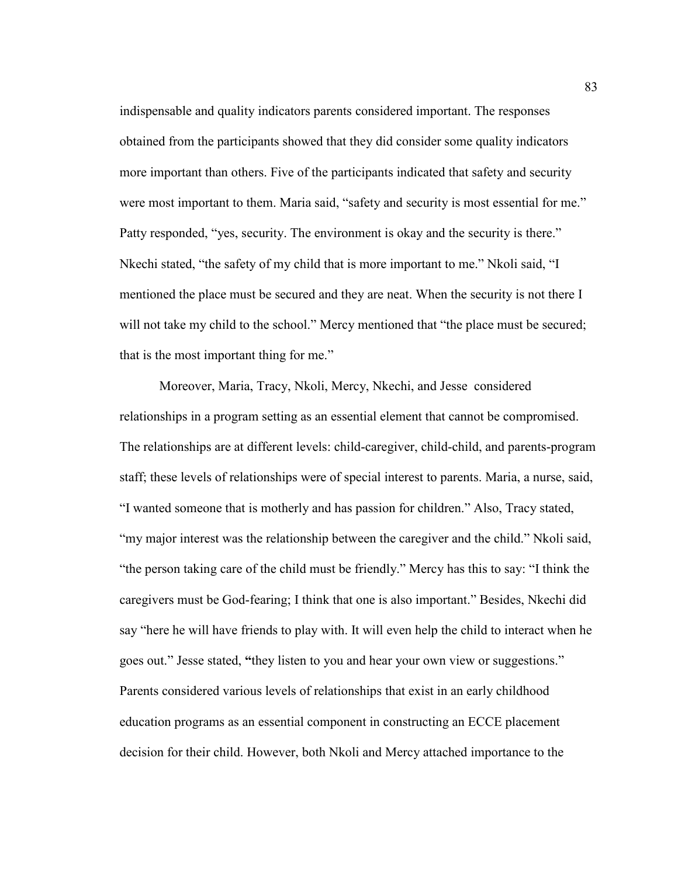indispensable and quality indicators parents considered important. The responses obtained from the participants showed that they did consider some quality indicators more important than others. Five of the participants indicated that safety and security were most important to them. Maria said, "safety and security is most essential for me." Patty responded, "yes, security. The environment is okay and the security is there." Nkechi stated, "the safety of my child that is more important to me." Nkoli said, "I mentioned the place must be secured and they are neat. When the security is not there I will not take my child to the school." Mercy mentioned that "the place must be secured; that is the most important thing for me."

 Moreover, Maria, Tracy, Nkoli, Mercy, Nkechi, and Jesse considered relationships in a program setting as an essential element that cannot be compromised. The relationships are at different levels: child-caregiver, child-child, and parents-program staff; these levels of relationships were of special interest to parents. Maria, a nurse, said, "I wanted someone that is motherly and has passion for children." Also, Tracy stated, "my major interest was the relationship between the caregiver and the child." Nkoli said, "the person taking care of the child must be friendly." Mercy has this to say: "I think the caregivers must be God-fearing; I think that one is also important." Besides, Nkechi did say "here he will have friends to play with. It will even help the child to interact when he goes out." Jesse stated, **"**they listen to you and hear your own view or suggestions." Parents considered various levels of relationships that exist in an early childhood education programs as an essential component in constructing an ECCE placement decision for their child. However, both Nkoli and Mercy attached importance to the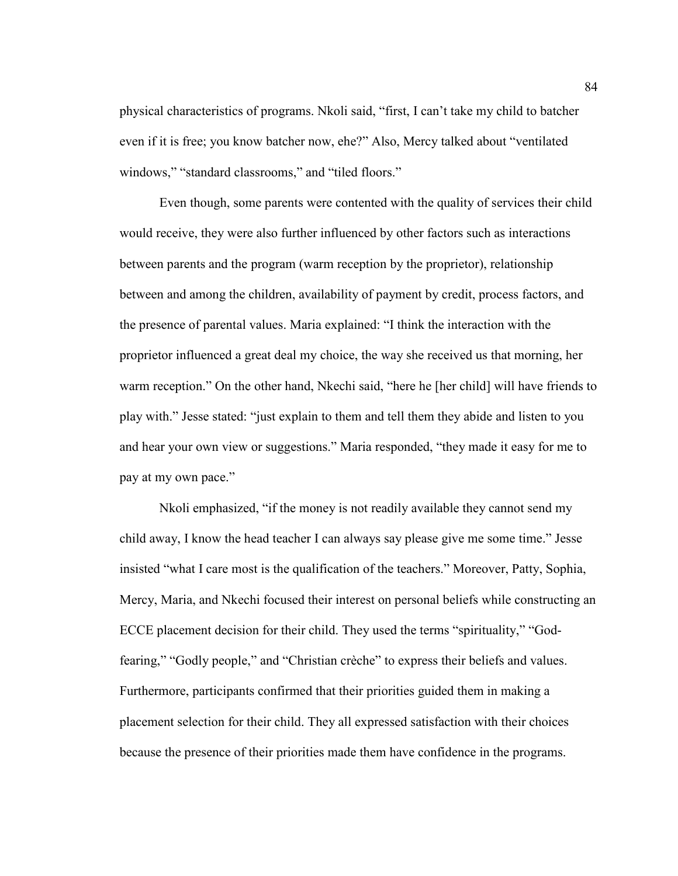physical characteristics of programs. Nkoli said, "first, I can't take my child to batcher even if it is free; you know batcher now, ehe?" Also, Mercy talked about "ventilated windows," "standard classrooms," and "tiled floors."

Even though, some parents were contented with the quality of services their child would receive, they were also further influenced by other factors such as interactions between parents and the program (warm reception by the proprietor), relationship between and among the children, availability of payment by credit, process factors, and the presence of parental values. Maria explained: "I think the interaction with the proprietor influenced a great deal my choice, the way she received us that morning, her warm reception." On the other hand, Nkechi said, "here he [her child] will have friends to play with." Jesse stated: "just explain to them and tell them they abide and listen to you and hear your own view or suggestions." Maria responded, "they made it easy for me to pay at my own pace."

Nkoli emphasized, "if the money is not readily available they cannot send my child away, I know the head teacher I can always say please give me some time." Jesse insisted "what I care most is the qualification of the teachers." Moreover, Patty, Sophia, Mercy, Maria, and Nkechi focused their interest on personal beliefs while constructing an ECCE placement decision for their child. They used the terms "spirituality," "Godfearing," "Godly people," and "Christian crèche" to express their beliefs and values. Furthermore, participants confirmed that their priorities guided them in making a placement selection for their child. They all expressed satisfaction with their choices because the presence of their priorities made them have confidence in the programs.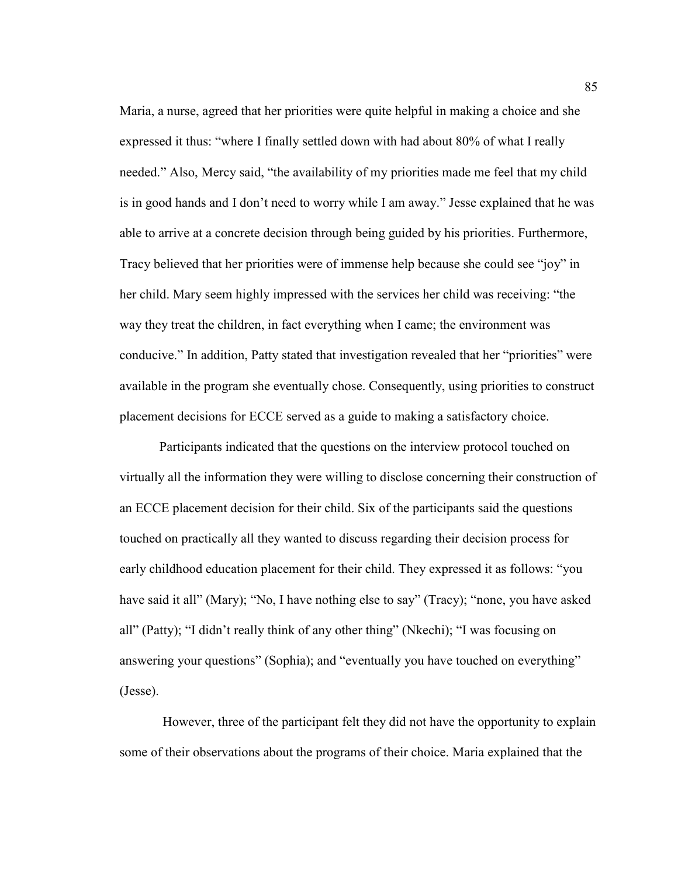Maria, a nurse, agreed that her priorities were quite helpful in making a choice and she expressed it thus: "where I finally settled down with had about 80% of what I really needed." Also, Mercy said, "the availability of my priorities made me feel that my child is in good hands and I don't need to worry while I am away." Jesse explained that he was able to arrive at a concrete decision through being guided by his priorities. Furthermore, Tracy believed that her priorities were of immense help because she could see "joy" in her child. Mary seem highly impressed with the services her child was receiving: "the way they treat the children, in fact everything when I came; the environment was conducive." In addition, Patty stated that investigation revealed that her "priorities" were available in the program she eventually chose. Consequently, using priorities to construct placement decisions for ECCE served as a guide to making a satisfactory choice.

Participants indicated that the questions on the interview protocol touched on virtually all the information they were willing to disclose concerning their construction of an ECCE placement decision for their child. Six of the participants said the questions touched on practically all they wanted to discuss regarding their decision process for early childhood education placement for their child. They expressed it as follows: "you have said it all" (Mary); "No, I have nothing else to say" (Tracy); "none, you have asked all" (Patty); "I didn't really think of any other thing" (Nkechi); "I was focusing on answering your questions" (Sophia); and "eventually you have touched on everything" (Jesse).

 However, three of the participant felt they did not have the opportunity to explain some of their observations about the programs of their choice. Maria explained that the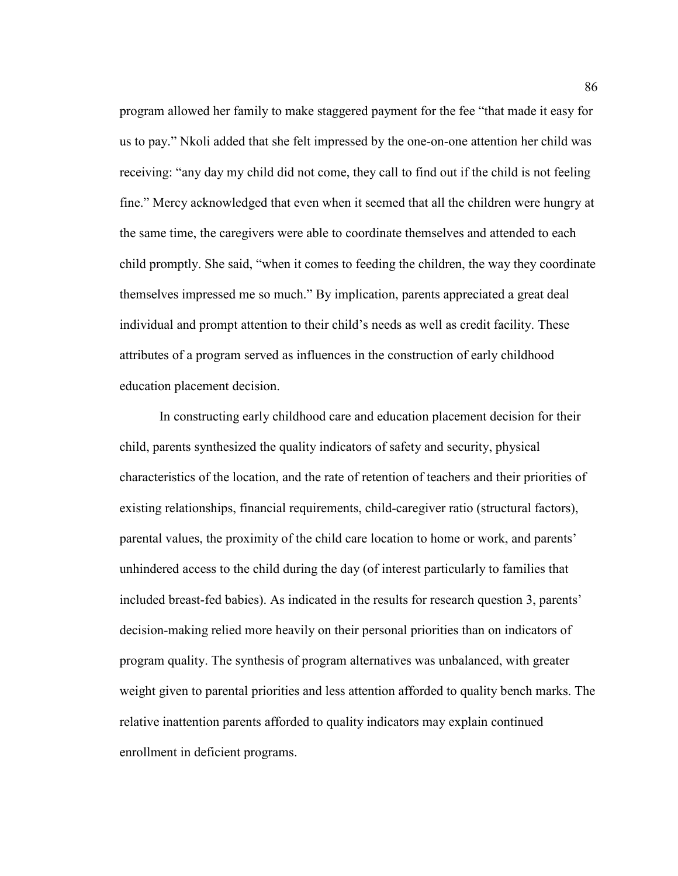program allowed her family to make staggered payment for the fee "that made it easy for us to pay." Nkoli added that she felt impressed by the one-on-one attention her child was receiving: "any day my child did not come, they call to find out if the child is not feeling fine." Mercy acknowledged that even when it seemed that all the children were hungry at the same time, the caregivers were able to coordinate themselves and attended to each child promptly. She said, "when it comes to feeding the children, the way they coordinate themselves impressed me so much." By implication, parents appreciated a great deal individual and prompt attention to their child's needs as well as credit facility. These attributes of a program served as influences in the construction of early childhood education placement decision.

In constructing early childhood care and education placement decision for their child, parents synthesized the quality indicators of safety and security, physical characteristics of the location, and the rate of retention of teachers and their priorities of existing relationships, financial requirements, child-caregiver ratio (structural factors), parental values, the proximity of the child care location to home or work, and parents' unhindered access to the child during the day (of interest particularly to families that included breast-fed babies). As indicated in the results for research question 3, parents' decision-making relied more heavily on their personal priorities than on indicators of program quality. The synthesis of program alternatives was unbalanced, with greater weight given to parental priorities and less attention afforded to quality bench marks. The relative inattention parents afforded to quality indicators may explain continued enrollment in deficient programs.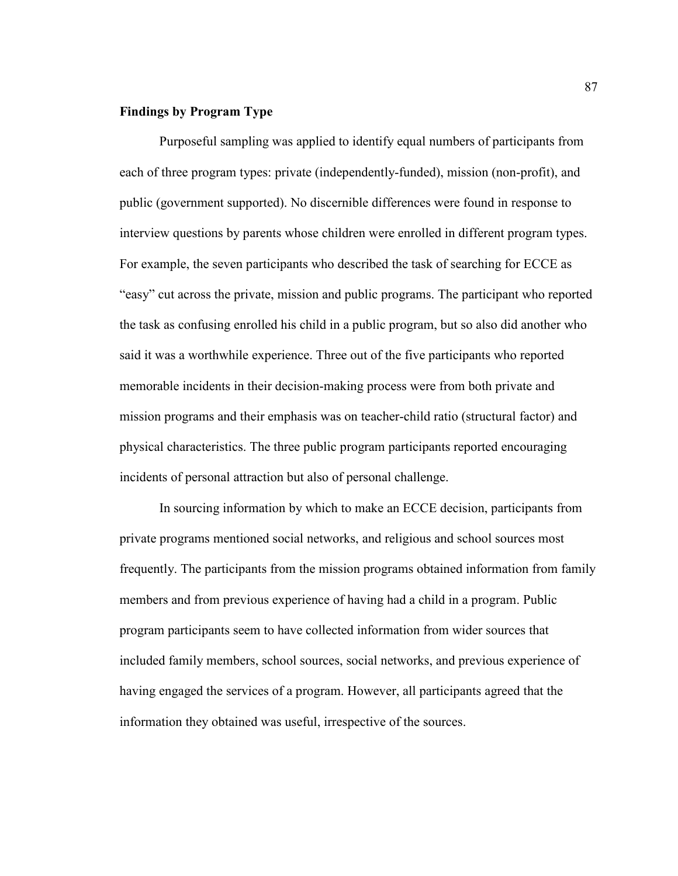# **Findings by Program Type**

 Purposeful sampling was applied to identify equal numbers of participants from each of three program types: private (independently-funded), mission (non-profit), and public (government supported). No discernible differences were found in response to interview questions by parents whose children were enrolled in different program types. For example, the seven participants who described the task of searching for ECCE as "easy" cut across the private, mission and public programs. The participant who reported the task as confusing enrolled his child in a public program, but so also did another who said it was a worthwhile experience. Three out of the five participants who reported memorable incidents in their decision-making process were from both private and mission programs and their emphasis was on teacher-child ratio (structural factor) and physical characteristics. The three public program participants reported encouraging incidents of personal attraction but also of personal challenge.

 In sourcing information by which to make an ECCE decision, participants from private programs mentioned social networks, and religious and school sources most frequently. The participants from the mission programs obtained information from family members and from previous experience of having had a child in a program. Public program participants seem to have collected information from wider sources that included family members, school sources, social networks, and previous experience of having engaged the services of a program. However, all participants agreed that the information they obtained was useful, irrespective of the sources.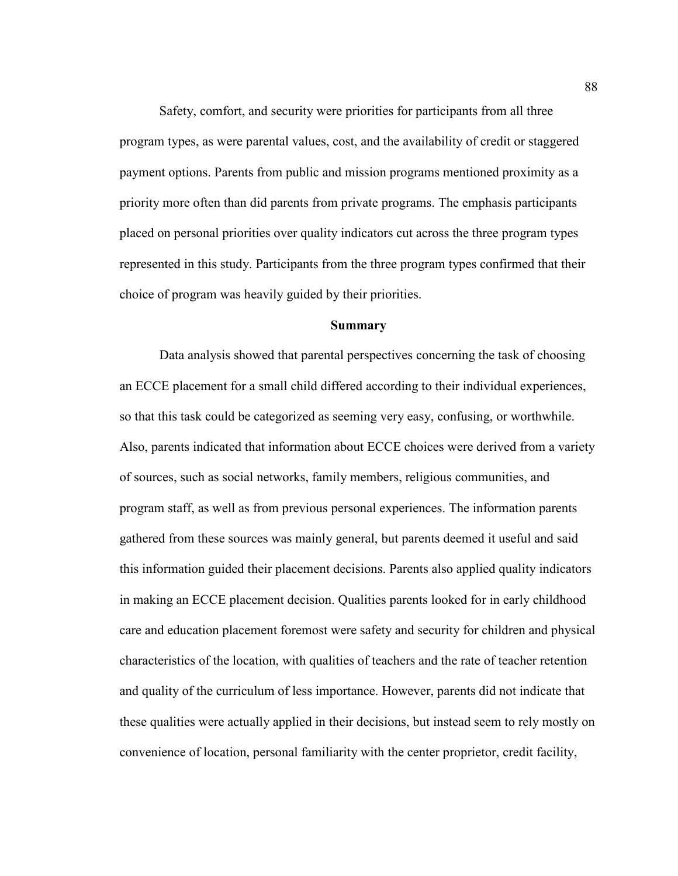Safety, comfort, and security were priorities for participants from all three program types, as were parental values, cost, and the availability of credit or staggered payment options. Parents from public and mission programs mentioned proximity as a priority more often than did parents from private programs. The emphasis participants placed on personal priorities over quality indicators cut across the three program types represented in this study. Participants from the three program types confirmed that their choice of program was heavily guided by their priorities.

### **Summary**

Data analysis showed that parental perspectives concerning the task of choosing an ECCE placement for a small child differed according to their individual experiences, so that this task could be categorized as seeming very easy, confusing, or worthwhile. Also, parents indicated that information about ECCE choices were derived from a variety of sources, such as social networks, family members, religious communities, and program staff, as well as from previous personal experiences. The information parents gathered from these sources was mainly general, but parents deemed it useful and said this information guided their placement decisions. Parents also applied quality indicators in making an ECCE placement decision. Qualities parents looked for in early childhood care and education placement foremost were safety and security for children and physical characteristics of the location, with qualities of teachers and the rate of teacher retention and quality of the curriculum of less importance. However, parents did not indicate that these qualities were actually applied in their decisions, but instead seem to rely mostly on convenience of location, personal familiarity with the center proprietor, credit facility,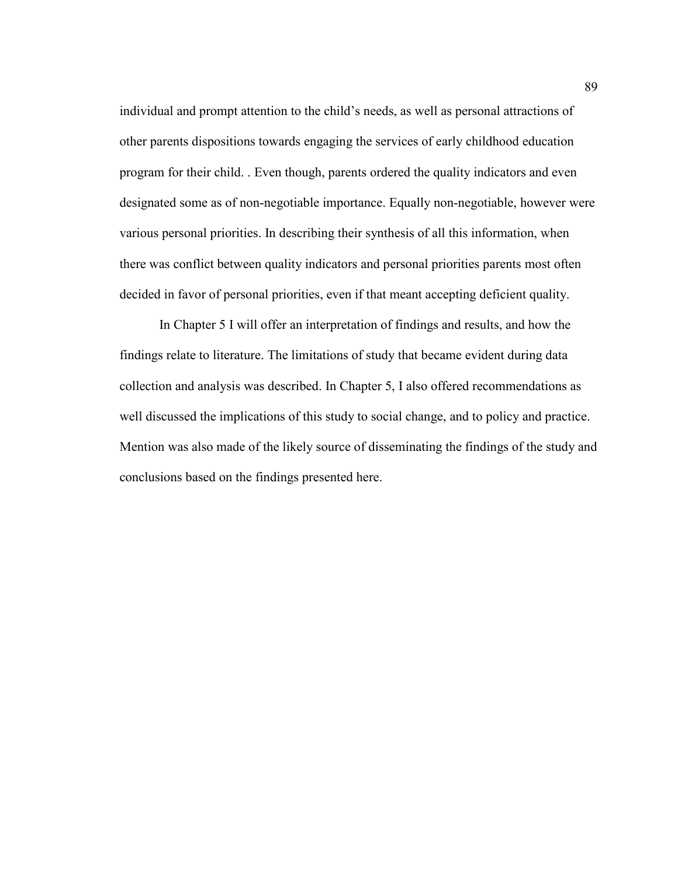individual and prompt attention to the child's needs, as well as personal attractions of other parents dispositions towards engaging the services of early childhood education program for their child. . Even though, parents ordered the quality indicators and even designated some as of non-negotiable importance. Equally non-negotiable, however were various personal priorities. In describing their synthesis of all this information, when there was conflict between quality indicators and personal priorities parents most often decided in favor of personal priorities, even if that meant accepting deficient quality.

 In Chapter 5 I will offer an interpretation of findings and results, and how the findings relate to literature. The limitations of study that became evident during data collection and analysis was described. In Chapter 5, I also offered recommendations as well discussed the implications of this study to social change, and to policy and practice. Mention was also made of the likely source of disseminating the findings of the study and conclusions based on the findings presented here.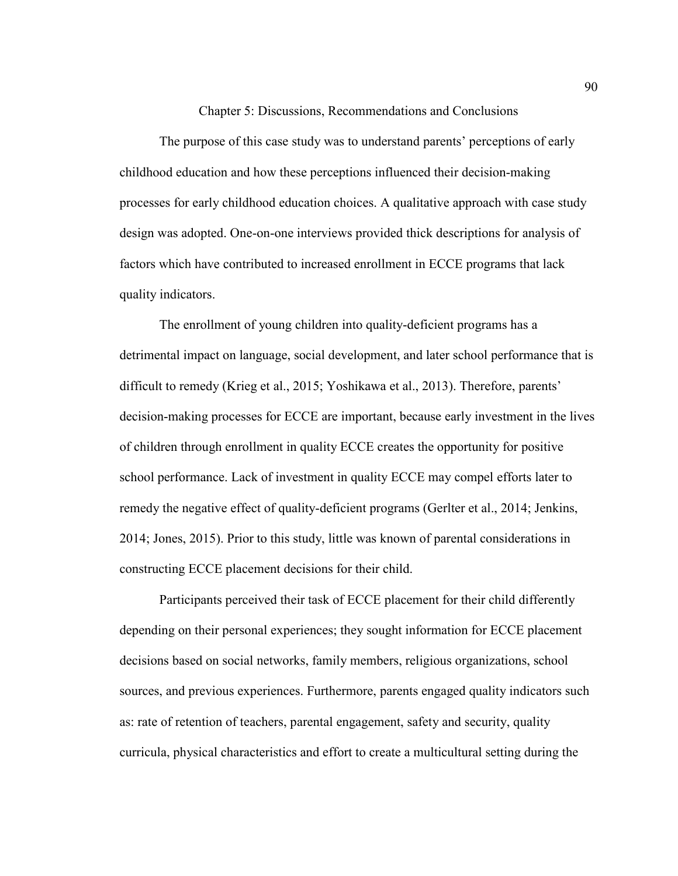Chapter 5: Discussions, Recommendations and Conclusions

The purpose of this case study was to understand parents' perceptions of early childhood education and how these perceptions influenced their decision-making processes for early childhood education choices. A qualitative approach with case study design was adopted. One-on-one interviews provided thick descriptions for analysis of factors which have contributed to increased enrollment in ECCE programs that lack quality indicators.

The enrollment of young children into quality-deficient programs has a detrimental impact on language, social development, and later school performance that is difficult to remedy (Krieg et al., 2015; Yoshikawa et al., 2013). Therefore, parents' decision-making processes for ECCE are important, because early investment in the lives of children through enrollment in quality ECCE creates the opportunity for positive school performance. Lack of investment in quality ECCE may compel efforts later to remedy the negative effect of quality-deficient programs (Gerlter et al., 2014; Jenkins, 2014; Jones, 2015). Prior to this study, little was known of parental considerations in constructing ECCE placement decisions for their child.

Participants perceived their task of ECCE placement for their child differently depending on their personal experiences; they sought information for ECCE placement decisions based on social networks, family members, religious organizations, school sources, and previous experiences. Furthermore, parents engaged quality indicators such as: rate of retention of teachers, parental engagement, safety and security, quality curricula, physical characteristics and effort to create a multicultural setting during the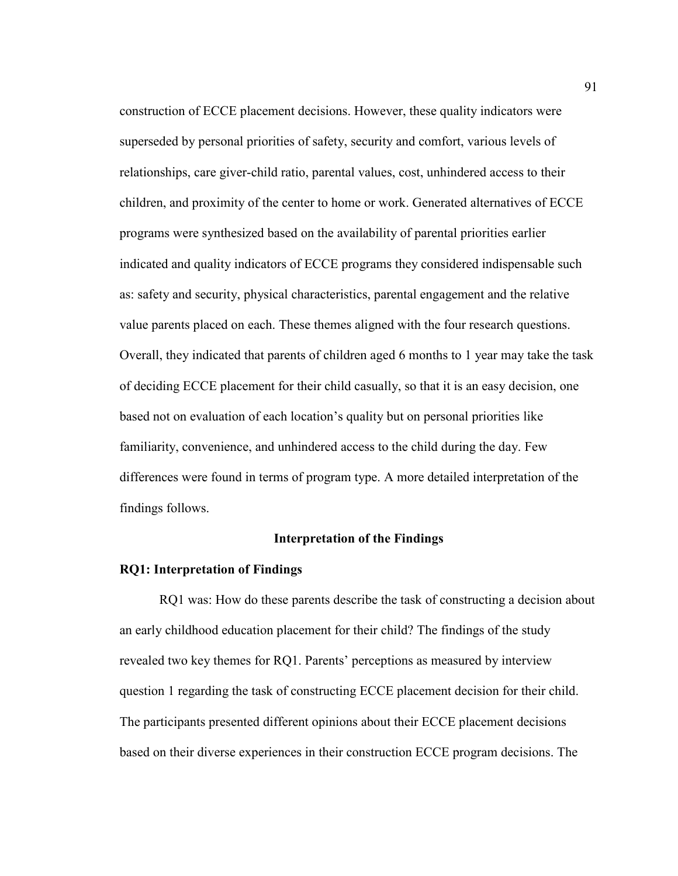construction of ECCE placement decisions. However, these quality indicators were superseded by personal priorities of safety, security and comfort, various levels of relationships, care giver-child ratio, parental values, cost, unhindered access to their children, and proximity of the center to home or work. Generated alternatives of ECCE programs were synthesized based on the availability of parental priorities earlier indicated and quality indicators of ECCE programs they considered indispensable such as: safety and security, physical characteristics, parental engagement and the relative value parents placed on each. These themes aligned with the four research questions. Overall, they indicated that parents of children aged 6 months to 1 year may take the task of deciding ECCE placement for their child casually, so that it is an easy decision, one based not on evaluation of each location's quality but on personal priorities like familiarity, convenience, and unhindered access to the child during the day. Few differences were found in terms of program type. A more detailed interpretation of the findings follows.

#### **Interpretation of the Findings**

#### **RQ1: Interpretation of Findings**

RQ1 was: How do these parents describe the task of constructing a decision about an early childhood education placement for their child? The findings of the study revealed two key themes for RQ1. Parents' perceptions as measured by interview question 1 regarding the task of constructing ECCE placement decision for their child. The participants presented different opinions about their ECCE placement decisions based on their diverse experiences in their construction ECCE program decisions. The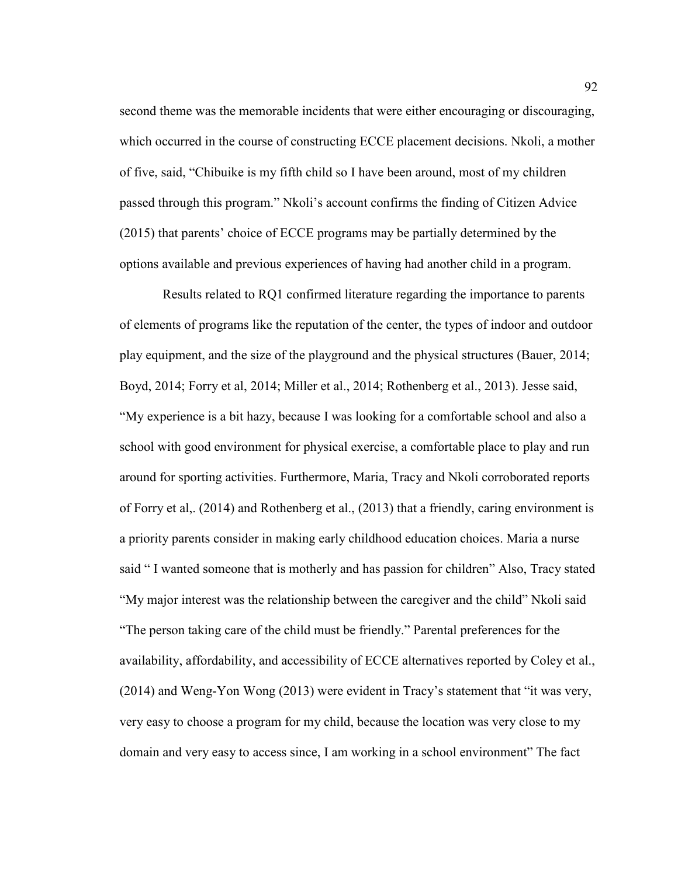second theme was the memorable incidents that were either encouraging or discouraging, which occurred in the course of constructing ECCE placement decisions. Nkoli, a mother of five, said, "Chibuike is my fifth child so I have been around, most of my children passed through this program." Nkoli's account confirms the finding of Citizen Advice (2015) that parents' choice of ECCE programs may be partially determined by the options available and previous experiences of having had another child in a program.

 Results related to RQ1 confirmed literature regarding the importance to parents of elements of programs like the reputation of the center, the types of indoor and outdoor play equipment, and the size of the playground and the physical structures (Bauer, 2014; Boyd, 2014; Forry et al, 2014; Miller et al., 2014; Rothenberg et al., 2013). Jesse said, "My experience is a bit hazy, because I was looking for a comfortable school and also a school with good environment for physical exercise, a comfortable place to play and run around for sporting activities. Furthermore, Maria, Tracy and Nkoli corroborated reports of Forry et al,. (2014) and Rothenberg et al., (2013) that a friendly, caring environment is a priority parents consider in making early childhood education choices. Maria a nurse said " I wanted someone that is motherly and has passion for children" Also, Tracy stated "My major interest was the relationship between the caregiver and the child" Nkoli said "The person taking care of the child must be friendly." Parental preferences for the availability, affordability, and accessibility of ECCE alternatives reported by Coley et al., (2014) and Weng-Yon Wong (2013) were evident in Tracy's statement that "it was very, very easy to choose a program for my child, because the location was very close to my domain and very easy to access since, I am working in a school environment" The fact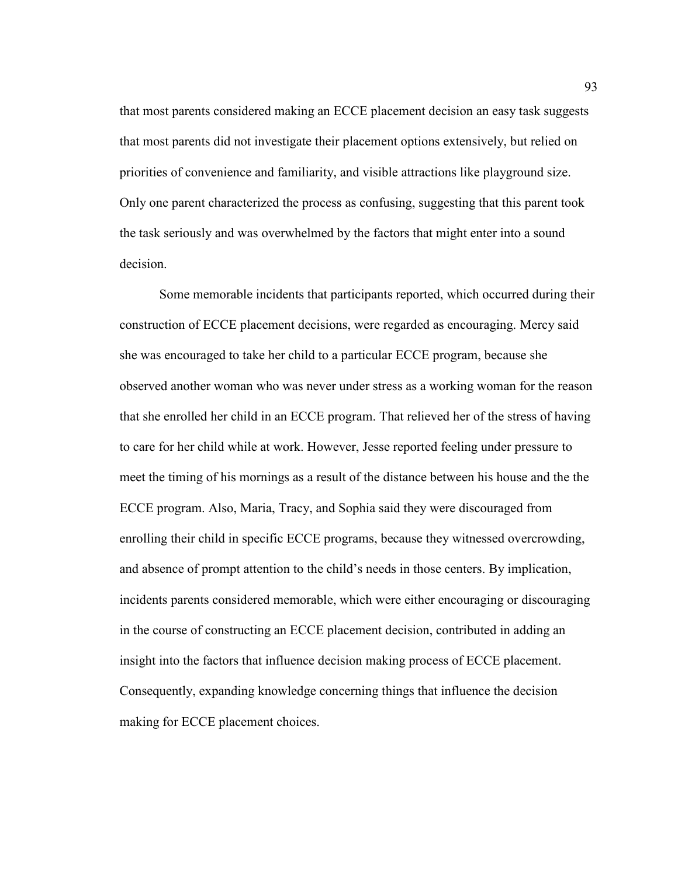that most parents considered making an ECCE placement decision an easy task suggests that most parents did not investigate their placement options extensively, but relied on priorities of convenience and familiarity, and visible attractions like playground size. Only one parent characterized the process as confusing, suggesting that this parent took the task seriously and was overwhelmed by the factors that might enter into a sound decision.

Some memorable incidents that participants reported, which occurred during their construction of ECCE placement decisions, were regarded as encouraging. Mercy said she was encouraged to take her child to a particular ECCE program, because she observed another woman who was never under stress as a working woman for the reason that she enrolled her child in an ECCE program. That relieved her of the stress of having to care for her child while at work. However, Jesse reported feeling under pressure to meet the timing of his mornings as a result of the distance between his house and the the ECCE program. Also, Maria, Tracy, and Sophia said they were discouraged from enrolling their child in specific ECCE programs, because they witnessed overcrowding, and absence of prompt attention to the child's needs in those centers. By implication, incidents parents considered memorable, which were either encouraging or discouraging in the course of constructing an ECCE placement decision, contributed in adding an insight into the factors that influence decision making process of ECCE placement. Consequently, expanding knowledge concerning things that influence the decision making for ECCE placement choices.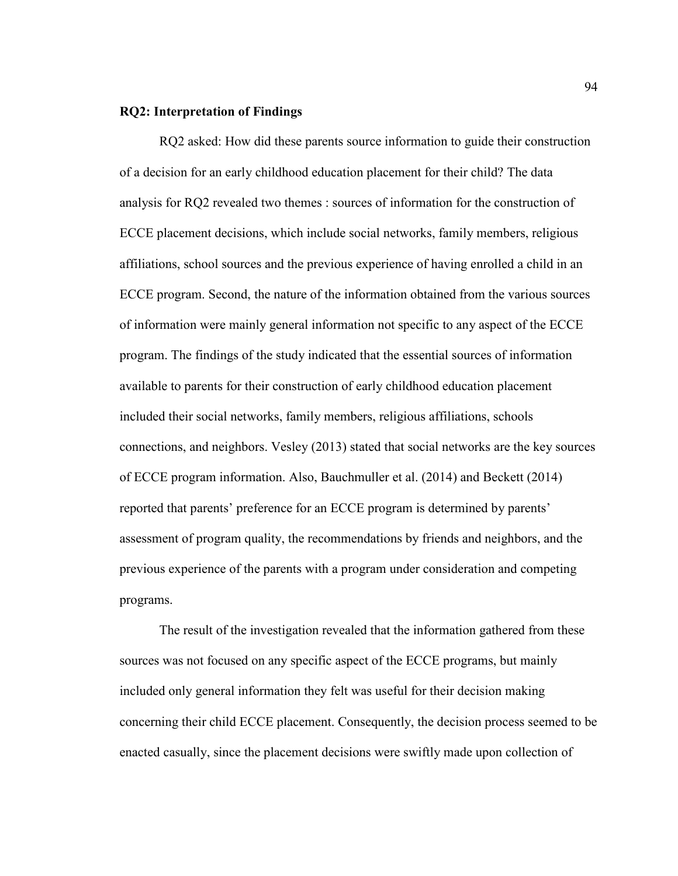## **RQ2: Interpretation of Findings**

 RQ2 asked: How did these parents source information to guide their construction of a decision for an early childhood education placement for their child? The data analysis for RQ2 revealed two themes : sources of information for the construction of ECCE placement decisions, which include social networks, family members, religious affiliations, school sources and the previous experience of having enrolled a child in an ECCE program. Second, the nature of the information obtained from the various sources of information were mainly general information not specific to any aspect of the ECCE program. The findings of the study indicated that the essential sources of information available to parents for their construction of early childhood education placement included their social networks, family members, religious affiliations, schools connections, and neighbors. Vesley (2013) stated that social networks are the key sources of ECCE program information. Also, Bauchmuller et al. (2014) and Beckett (2014) reported that parents' preference for an ECCE program is determined by parents' assessment of program quality, the recommendations by friends and neighbors, and the previous experience of the parents with a program under consideration and competing programs.

The result of the investigation revealed that the information gathered from these sources was not focused on any specific aspect of the ECCE programs, but mainly included only general information they felt was useful for their decision making concerning their child ECCE placement. Consequently, the decision process seemed to be enacted casually, since the placement decisions were swiftly made upon collection of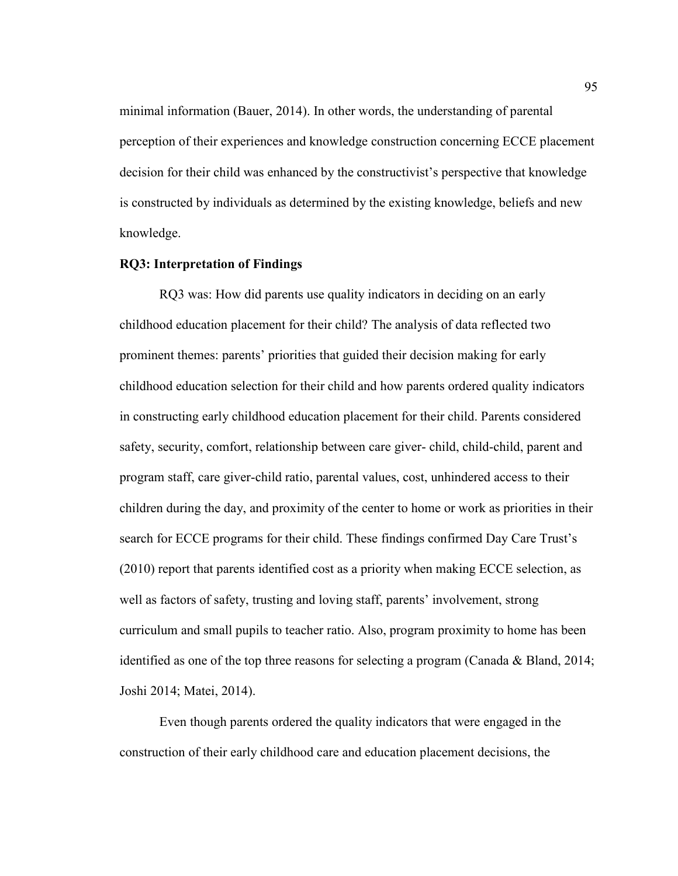minimal information (Bauer, 2014). In other words, the understanding of parental perception of their experiences and knowledge construction concerning ECCE placement decision for their child was enhanced by the constructivist's perspective that knowledge is constructed by individuals as determined by the existing knowledge, beliefs and new knowledge.

# **RQ3: Interpretation of Findings**

RQ3 was: How did parents use quality indicators in deciding on an early childhood education placement for their child? The analysis of data reflected two prominent themes: parents' priorities that guided their decision making for early childhood education selection for their child and how parents ordered quality indicators in constructing early childhood education placement for their child. Parents considered safety, security, comfort, relationship between care giver- child, child-child, parent and program staff, care giver-child ratio, parental values, cost, unhindered access to their children during the day, and proximity of the center to home or work as priorities in their search for ECCE programs for their child. These findings confirmed Day Care Trust's (2010) report that parents identified cost as a priority when making ECCE selection, as well as factors of safety, trusting and loving staff, parents' involvement, strong curriculum and small pupils to teacher ratio. Also, program proximity to home has been identified as one of the top three reasons for selecting a program (Canada & Bland, 2014; Joshi 2014; Matei, 2014).

Even though parents ordered the quality indicators that were engaged in the construction of their early childhood care and education placement decisions, the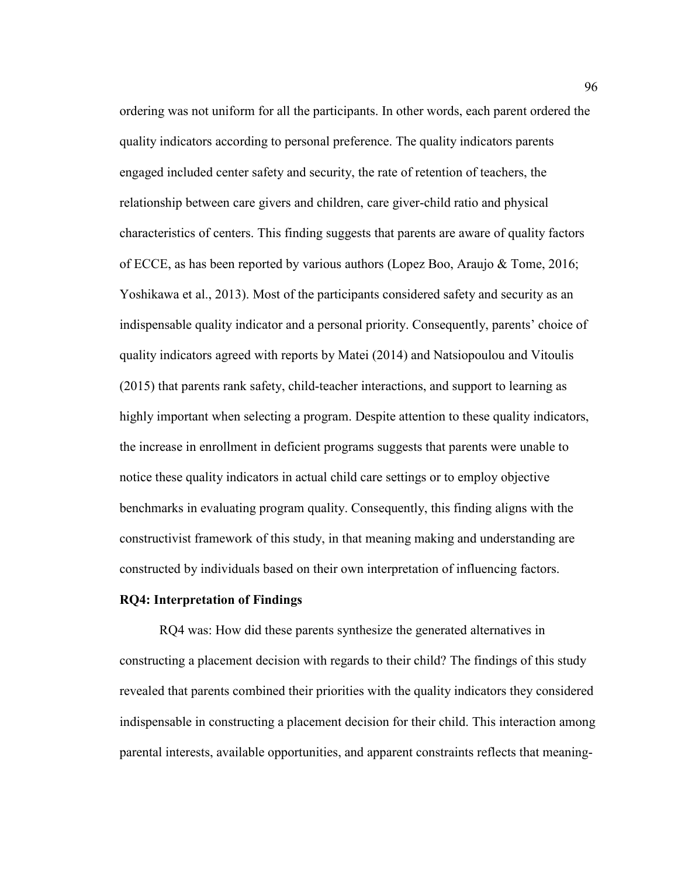ordering was not uniform for all the participants. In other words, each parent ordered the quality indicators according to personal preference. The quality indicators parents engaged included center safety and security, the rate of retention of teachers, the relationship between care givers and children, care giver-child ratio and physical characteristics of centers. This finding suggests that parents are aware of quality factors of ECCE, as has been reported by various authors (Lopez Boo, Araujo & Tome, 2016; Yoshikawa et al., 2013). Most of the participants considered safety and security as an indispensable quality indicator and a personal priority. Consequently, parents' choice of quality indicators agreed with reports by Matei (2014) and Natsiopoulou and Vitoulis (2015) that parents rank safety, child-teacher interactions, and support to learning as highly important when selecting a program. Despite attention to these quality indicators, the increase in enrollment in deficient programs suggests that parents were unable to notice these quality indicators in actual child care settings or to employ objective benchmarks in evaluating program quality. Consequently, this finding aligns with the constructivist framework of this study, in that meaning making and understanding are constructed by individuals based on their own interpretation of influencing factors.

### **RQ4: Interpretation of Findings**

RQ4 was: How did these parents synthesize the generated alternatives in constructing a placement decision with regards to their child? The findings of this study revealed that parents combined their priorities with the quality indicators they considered indispensable in constructing a placement decision for their child. This interaction among parental interests, available opportunities, and apparent constraints reflects that meaning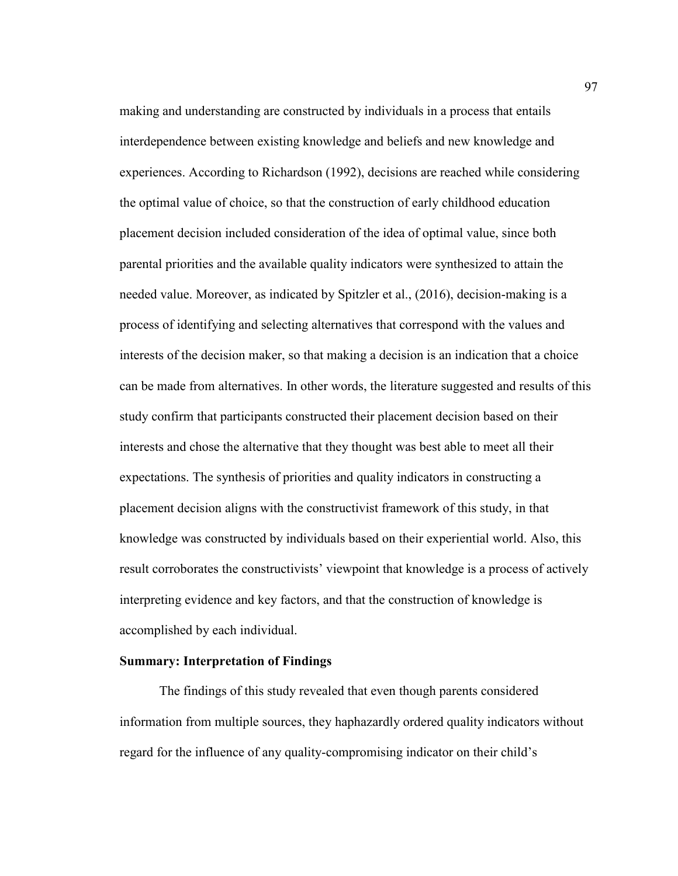making and understanding are constructed by individuals in a process that entails interdependence between existing knowledge and beliefs and new knowledge and experiences. According to Richardson (1992), decisions are reached while considering the optimal value of choice, so that the construction of early childhood education placement decision included consideration of the idea of optimal value, since both parental priorities and the available quality indicators were synthesized to attain the needed value. Moreover, as indicated by Spitzler et al., (2016), decision-making is a process of identifying and selecting alternatives that correspond with the values and interests of the decision maker, so that making a decision is an indication that a choice can be made from alternatives. In other words, the literature suggested and results of this study confirm that participants constructed their placement decision based on their interests and chose the alternative that they thought was best able to meet all their expectations. The synthesis of priorities and quality indicators in constructing a placement decision aligns with the constructivist framework of this study, in that knowledge was constructed by individuals based on their experiential world. Also, this result corroborates the constructivists' viewpoint that knowledge is a process of actively interpreting evidence and key factors, and that the construction of knowledge is accomplished by each individual.

## **Summary: Interpretation of Findings**

The findings of this study revealed that even though parents considered information from multiple sources, they haphazardly ordered quality indicators without regard for the influence of any quality-compromising indicator on their child's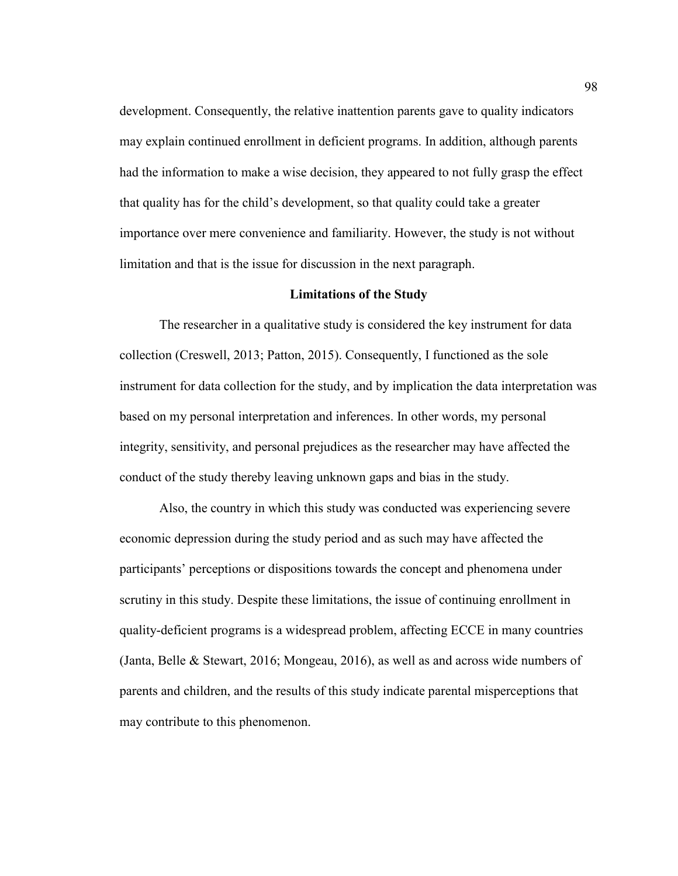development. Consequently, the relative inattention parents gave to quality indicators may explain continued enrollment in deficient programs. In addition, although parents had the information to make a wise decision, they appeared to not fully grasp the effect that quality has for the child's development, so that quality could take a greater importance over mere convenience and familiarity. However, the study is not without limitation and that is the issue for discussion in the next paragraph.

### **Limitations of the Study**

The researcher in a qualitative study is considered the key instrument for data collection (Creswell, 2013; Patton, 2015). Consequently, I functioned as the sole instrument for data collection for the study, and by implication the data interpretation was based on my personal interpretation and inferences. In other words, my personal integrity, sensitivity, and personal prejudices as the researcher may have affected the conduct of the study thereby leaving unknown gaps and bias in the study.

Also, the country in which this study was conducted was experiencing severe economic depression during the study period and as such may have affected the participants' perceptions or dispositions towards the concept and phenomena under scrutiny in this study. Despite these limitations, the issue of continuing enrollment in quality-deficient programs is a widespread problem, affecting ECCE in many countries (Janta, Belle & Stewart, 2016; Mongeau, 2016), as well as and across wide numbers of parents and children, and the results of this study indicate parental misperceptions that may contribute to this phenomenon.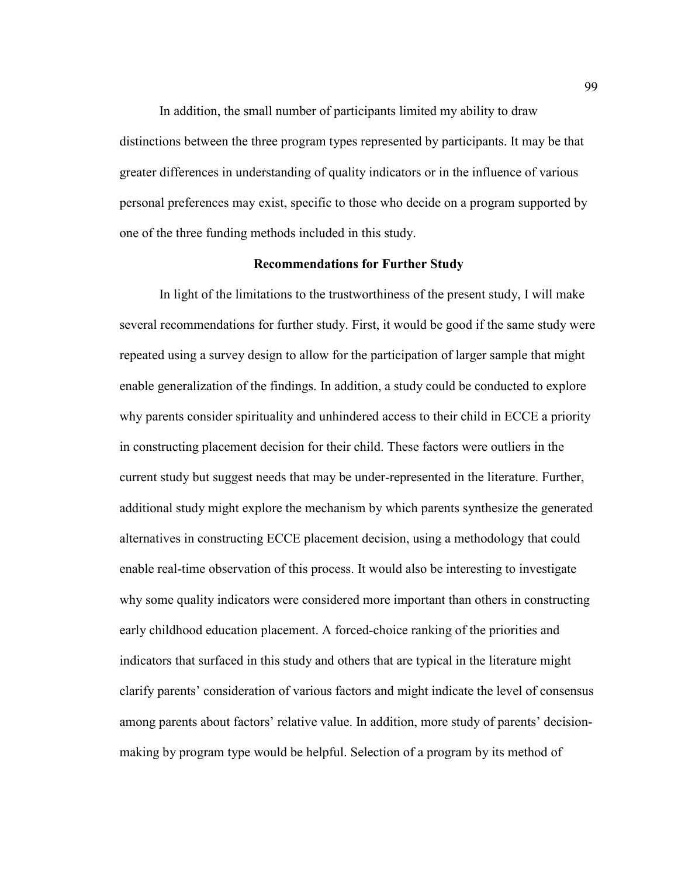In addition, the small number of participants limited my ability to draw distinctions between the three program types represented by participants. It may be that greater differences in understanding of quality indicators or in the influence of various personal preferences may exist, specific to those who decide on a program supported by one of the three funding methods included in this study.

## **Recommendations for Further Study**

 In light of the limitations to the trustworthiness of the present study, I will make several recommendations for further study. First, it would be good if the same study were repeated using a survey design to allow for the participation of larger sample that might enable generalization of the findings. In addition, a study could be conducted to explore why parents consider spirituality and unhindered access to their child in ECCE a priority in constructing placement decision for their child. These factors were outliers in the current study but suggest needs that may be under-represented in the literature. Further, additional study might explore the mechanism by which parents synthesize the generated alternatives in constructing ECCE placement decision, using a methodology that could enable real-time observation of this process. It would also be interesting to investigate why some quality indicators were considered more important than others in constructing early childhood education placement. A forced-choice ranking of the priorities and indicators that surfaced in this study and others that are typical in the literature might clarify parents' consideration of various factors and might indicate the level of consensus among parents about factors' relative value. In addition, more study of parents' decisionmaking by program type would be helpful. Selection of a program by its method of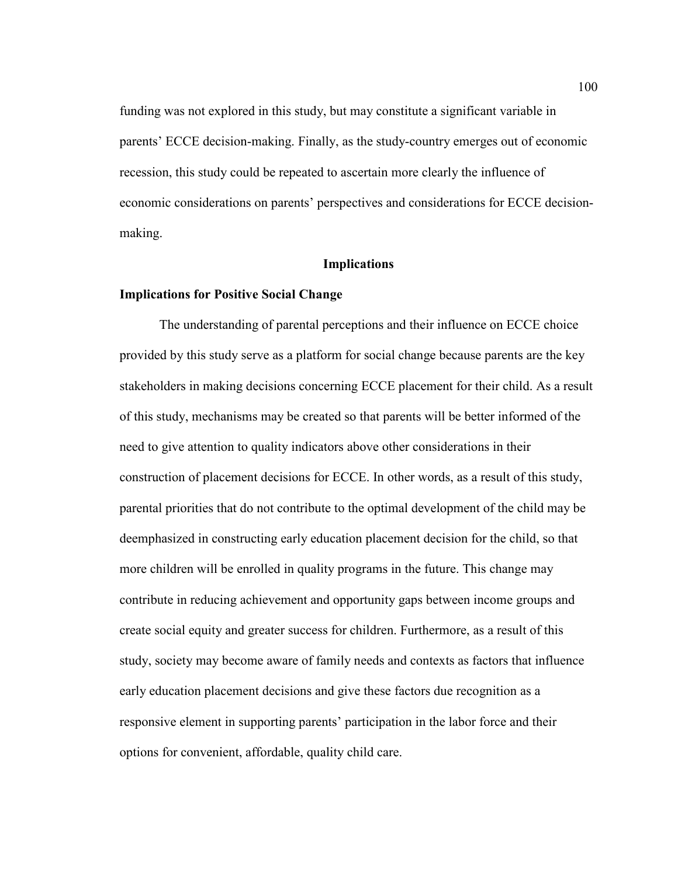funding was not explored in this study, but may constitute a significant variable in parents' ECCE decision-making. Finally, as the study-country emerges out of economic recession, this study could be repeated to ascertain more clearly the influence of economic considerations on parents' perspectives and considerations for ECCE decisionmaking.

### **Implications**

### **Implications for Positive Social Change**

The understanding of parental perceptions and their influence on ECCE choice provided by this study serve as a platform for social change because parents are the key stakeholders in making decisions concerning ECCE placement for their child. As a result of this study, mechanisms may be created so that parents will be better informed of the need to give attention to quality indicators above other considerations in their construction of placement decisions for ECCE. In other words, as a result of this study, parental priorities that do not contribute to the optimal development of the child may be deemphasized in constructing early education placement decision for the child, so that more children will be enrolled in quality programs in the future. This change may contribute in reducing achievement and opportunity gaps between income groups and create social equity and greater success for children. Furthermore, as a result of this study, society may become aware of family needs and contexts as factors that influence early education placement decisions and give these factors due recognition as a responsive element in supporting parents' participation in the labor force and their options for convenient, affordable, quality child care.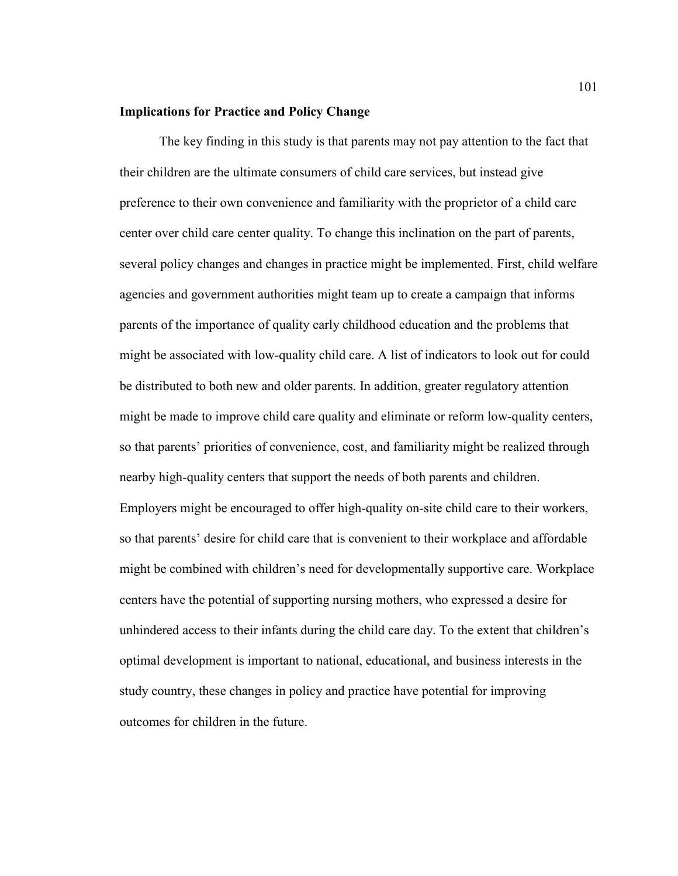### **Implications for Practice and Policy Change**

The key finding in this study is that parents may not pay attention to the fact that their children are the ultimate consumers of child care services, but instead give preference to their own convenience and familiarity with the proprietor of a child care center over child care center quality. To change this inclination on the part of parents, several policy changes and changes in practice might be implemented. First, child welfare agencies and government authorities might team up to create a campaign that informs parents of the importance of quality early childhood education and the problems that might be associated with low-quality child care. A list of indicators to look out for could be distributed to both new and older parents. In addition, greater regulatory attention might be made to improve child care quality and eliminate or reform low-quality centers, so that parents' priorities of convenience, cost, and familiarity might be realized through nearby high-quality centers that support the needs of both parents and children. Employers might be encouraged to offer high-quality on-site child care to their workers, so that parents' desire for child care that is convenient to their workplace and affordable might be combined with children's need for developmentally supportive care. Workplace centers have the potential of supporting nursing mothers, who expressed a desire for unhindered access to their infants during the child care day. To the extent that children's optimal development is important to national, educational, and business interests in the study country, these changes in policy and practice have potential for improving outcomes for children in the future.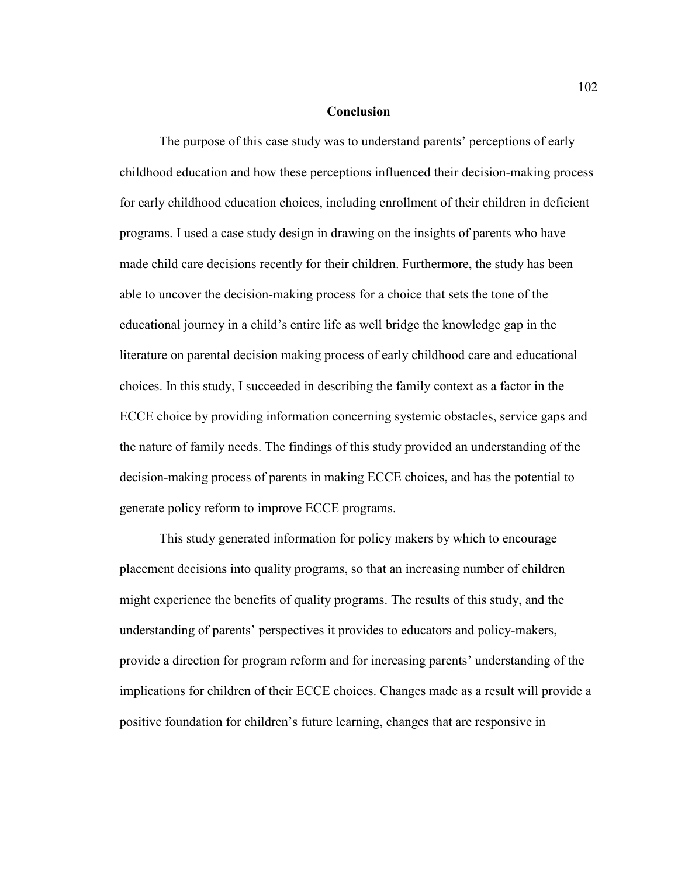### **Conclusion**

The purpose of this case study was to understand parents' perceptions of early childhood education and how these perceptions influenced their decision-making process for early childhood education choices, including enrollment of their children in deficient programs. I used a case study design in drawing on the insights of parents who have made child care decisions recently for their children. Furthermore, the study has been able to uncover the decision-making process for a choice that sets the tone of the educational journey in a child's entire life as well bridge the knowledge gap in the literature on parental decision making process of early childhood care and educational choices. In this study, I succeeded in describing the family context as a factor in the ECCE choice by providing information concerning systemic obstacles, service gaps and the nature of family needs. The findings of this study provided an understanding of the decision-making process of parents in making ECCE choices, and has the potential to generate policy reform to improve ECCE programs.

 This study generated information for policy makers by which to encourage placement decisions into quality programs, so that an increasing number of children might experience the benefits of quality programs. The results of this study, and the understanding of parents' perspectives it provides to educators and policy-makers, provide a direction for program reform and for increasing parents' understanding of the implications for children of their ECCE choices. Changes made as a result will provide a positive foundation for children's future learning, changes that are responsive in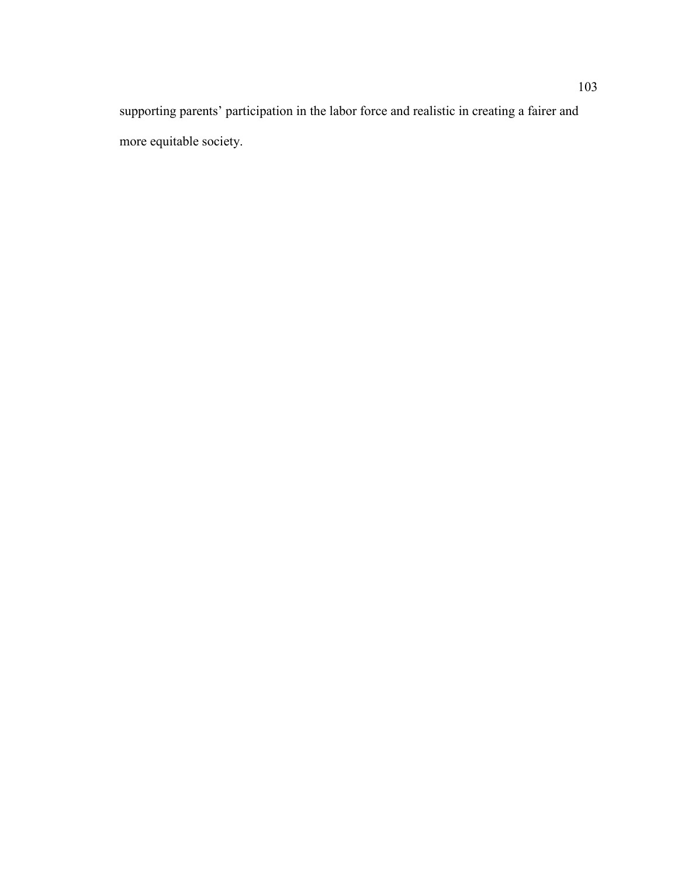supporting parents' participation in the labor force and realistic in creating a fairer and more equitable society.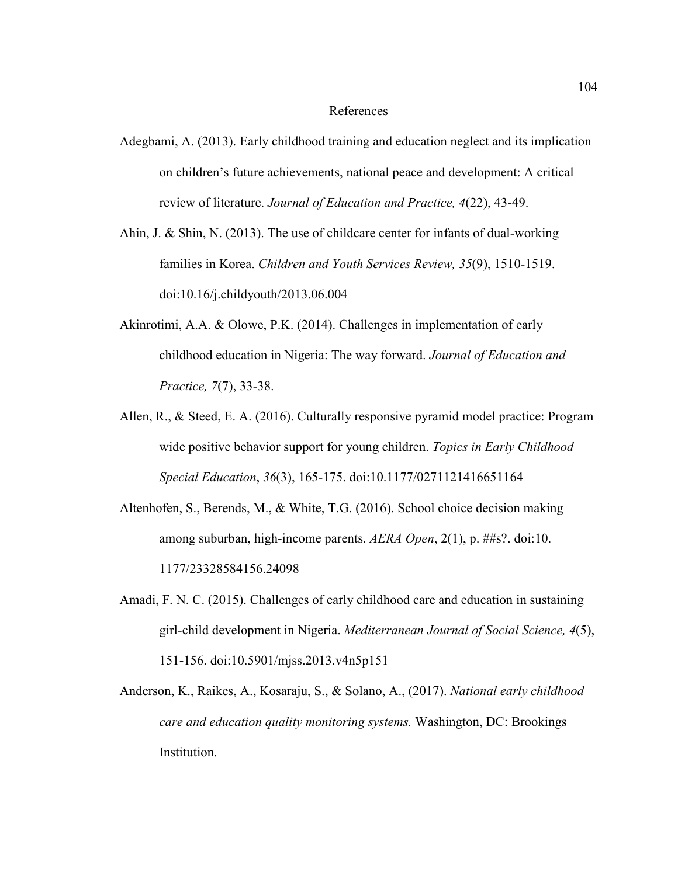#### References

- Adegbami, A. (2013). Early childhood training and education neglect and its implication on children's future achievements, national peace and development: A critical review of literature. *Journal of Education and Practice, 4*(22), 43-49.
- Ahin, J. & Shin, N. (2013). The use of childcare center for infants of dual-working families in Korea. *Children and Youth Services Review, 35*(9), 1510-1519. doi:10.16/j.childyouth/2013.06.004
- Akinrotimi, A.A. & Olowe, P.K. (2014). Challenges in implementation of early childhood education in Nigeria: The way forward. *Journal of Education and Practice, 7*(7), 33-38.
- Allen, R., & Steed, E. A. (2016). Culturally responsive pyramid model practice: Program wide positive behavior support for young children. *Topics in Early Childhood Special Education*, *36*(3), 165-175. doi:10.1177/0271121416651164
- Altenhofen, S., Berends, M., & White, T.G. (2016). School choice decision making among suburban, high-income parents. *AERA Open*, 2(1), p. ##s?. doi:10. 1177/23328584156.24098
- Amadi, F. N. C. (2015). Challenges of early childhood care and education in sustaining girl-child development in Nigeria. *Mediterranean Journal of Social Science, 4*(5), 151-156. doi:10.5901/mjss.2013.v4n5p151
- Anderson, K., Raikes, A., Kosaraju, S., & Solano, A., (2017). *National early childhood care and education quality monitoring systems.* Washington, DC: Brookings Institution.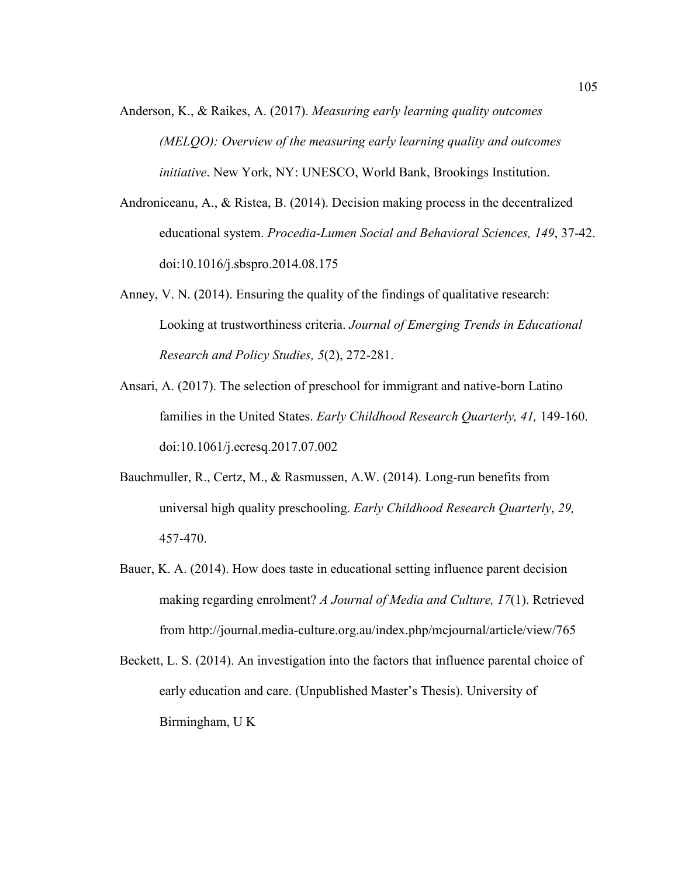- Anderson, K., & Raikes, A. (2017). *Measuring early learning quality outcomes (MELQO): Overview of the measuring early learning quality and outcomes initiative*. New York, NY: UNESCO, World Bank, Brookings Institution.
- Androniceanu, A., & Ristea, B. (2014). Decision making process in the decentralized educational system. *Procedia-Lumen Social and Behavioral Sciences, 149*, 37-42. doi:10.1016/j.sbspro.2014.08.175
- Anney, V. N. (2014). Ensuring the quality of the findings of qualitative research: Looking at trustworthiness criteria. *Journal of Emerging Trends in Educational Research and Policy Studies, 5*(2), 272-281.
- Ansari, A. (2017). The selection of preschool for immigrant and native-born Latino families in the United States. *Early Childhood Research Quarterly, 41,* 149-160. doi:10.1061/j.ecresq.2017.07.002
- Bauchmuller, R., Certz, M., & Rasmussen, A.W. (2014). Long-run benefits from universal high quality preschooling. *Early Childhood Research Quarterly*, *29,* 457-470.
- Bauer, K. A. (2014). How does taste in educational setting influence parent decision making regarding enrolment? *A Journal of Media and Culture, 17*(1). Retrieved from http://journal.media-culture.org.au/index.php/mcjournal/article/view/765
- Beckett, L. S. (2014). An investigation into the factors that influence parental choice of early education and care. (Unpublished Master's Thesis). University of Birmingham, U K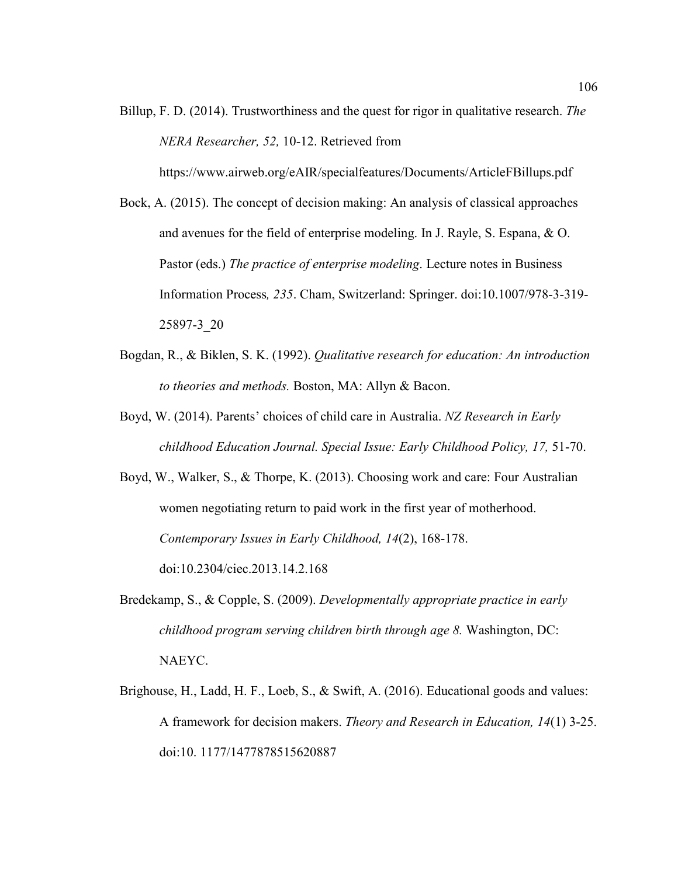Billup, F. D. (2014). Trustworthiness and the quest for rigor in qualitative research. *The NERA Researcher, 52,* 10-12. Retrieved from

https://www.airweb.org/eAIR/specialfeatures/Documents/ArticleFBillups.pdf

- Bock, A. (2015). The concept of decision making: An analysis of classical approaches and avenues for the field of enterprise modeling. In J. Rayle, S. Espana, & O. Pastor (eds.) *The practice of enterprise modeling*. Lecture notes in Business Information Process*, 235*. Cham, Switzerland: Springer. doi:10.1007/978-3-319- 25897-3\_20
- Bogdan, R., & Biklen, S. K. (1992). *Qualitative research for education: An introduction to theories and methods.* Boston, MA: Allyn & Bacon.
- Boyd, W. (2014). Parents' choices of child care in Australia. *NZ Research in Early childhood Education Journal. Special Issue: Early Childhood Policy, 17,* 51-70.
- Boyd, W., Walker, S., & Thorpe, K. (2013). Choosing work and care: Four Australian women negotiating return to paid work in the first year of motherhood. *Contemporary Issues in Early Childhood, 14*(2), 168-178. doi:10.2304/ciec.2013.14.2.168
- Bredekamp, S., & Copple, S. (2009). *Developmentally appropriate practice in early childhood program serving children birth through age 8.* Washington, DC: NAEYC.
- Brighouse, H., Ladd, H. F., Loeb, S., & Swift, A. (2016). Educational goods and values: A framework for decision makers. *Theory and Research in Education, 14*(1) 3-25. doi:10. 1177/1477878515620887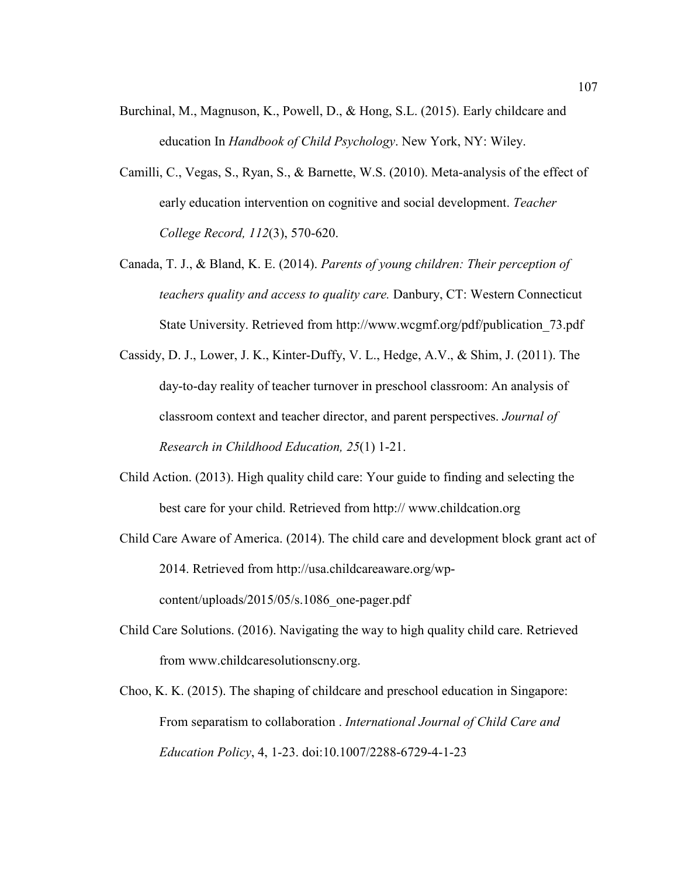- Burchinal, M., Magnuson, K., Powell, D., & Hong, S.L. (2015). Early childcare and education In *Handbook of Child Psychology*. New York, NY: Wiley.
- Camilli, C., Vegas, S., Ryan, S., & Barnette, W.S. (2010). Meta-analysis of the effect of early education intervention on cognitive and social development. *Teacher College Record, 112*(3), 570-620.
- Canada, T. J., & Bland, K. E. (2014). *Parents of young children: Their perception of teachers quality and access to quality care.* Danbury, CT: Western Connecticut State University. Retrieved from http://www.wcgmf.org/pdf/publication\_73.pdf
- Cassidy, D. J., Lower, J. K., Kinter-Duffy, V. L., Hedge, A.V., & Shim, J. (2011). The day-to-day reality of teacher turnover in preschool classroom: An analysis of classroom context and teacher director, and parent perspectives. *Journal of Research in Childhood Education, 25*(1) 1-21.
- Child Action. (2013). High quality child care: Your guide to finding and selecting the best care for your child. Retrieved from http:// www.childcation.org
- Child Care Aware of America. (2014). The child care and development block grant act of 2014. Retrieved from http://usa.childcareaware.org/wpcontent/uploads/2015/05/s.1086\_one-pager.pdf
- Child Care Solutions. (2016). Navigating the way to high quality child care. Retrieved from www.childcaresolutionscny.org.
- Choo, K. K. (2015). The shaping of childcare and preschool education in Singapore: From separatism to collaboration . *International Journal of Child Care and Education Policy*, 4, 1-23. doi:10.1007/2288-6729-4-1-23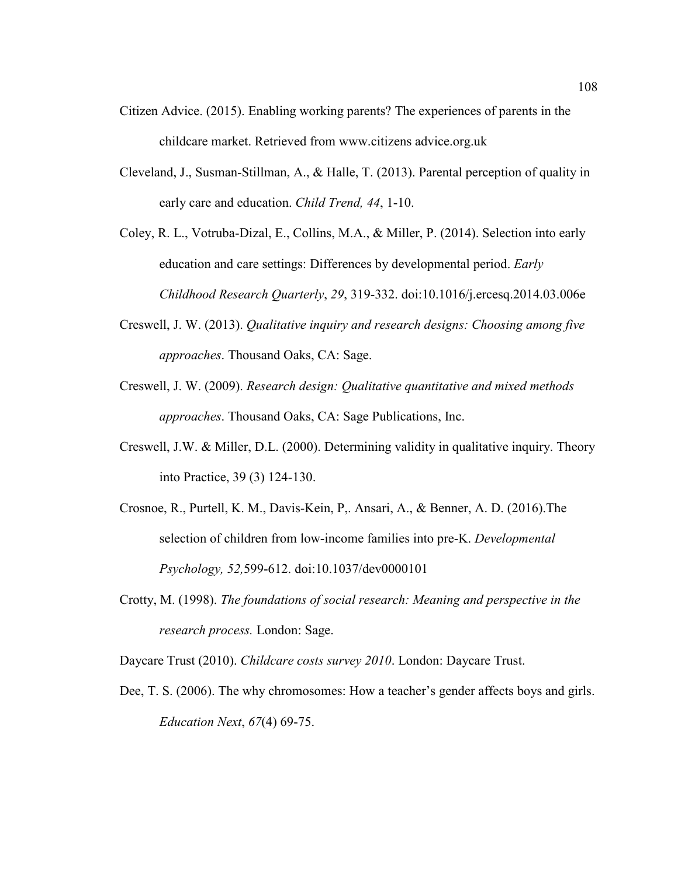- Citizen Advice. (2015). Enabling working parents? The experiences of parents in the childcare market. Retrieved from www.citizens advice.org.uk
- Cleveland, J., Susman-Stillman, A., & Halle, T. (2013). Parental perception of quality in early care and education. *Child Trend, 44*, 1-10.

Coley, R. L., Votruba-Dizal, E., Collins, M.A., & Miller, P. (2014). Selection into early education and care settings: Differences by developmental period. *Early Childhood Research Quarterly*, *29*, 319-332. doi:10.1016/j.ercesq.2014.03.006e

- Creswell, J. W. (2013). *Qualitative inquiry and research designs: Choosing among five approaches*. Thousand Oaks, CA: Sage.
- Creswell, J. W. (2009). *Research design: Qualitative quantitative and mixed methods approaches*. Thousand Oaks, CA: Sage Publications, Inc.
- Creswell, J.W. & Miller, D.L. (2000). Determining validity in qualitative inquiry. Theory into Practice, 39 (3) 124-130.
- Crosnoe, R., Purtell, K. M., Davis-Kein, P,. Ansari, A., & Benner, A. D. (2016).The selection of children from low-income families into pre-K. *Developmental Psychology, 52,*599-612. doi:10.1037/dev0000101
- Crotty, M. (1998). *The foundations of social research: Meaning and perspective in the research process.* London: Sage.
- Daycare Trust (2010). *Childcare costs survey 2010*. London: Daycare Trust.
- Dee, T. S. (2006). The why chromosomes: How a teacher's gender affects boys and girls. *Education Next*, *67*(4) 69-75.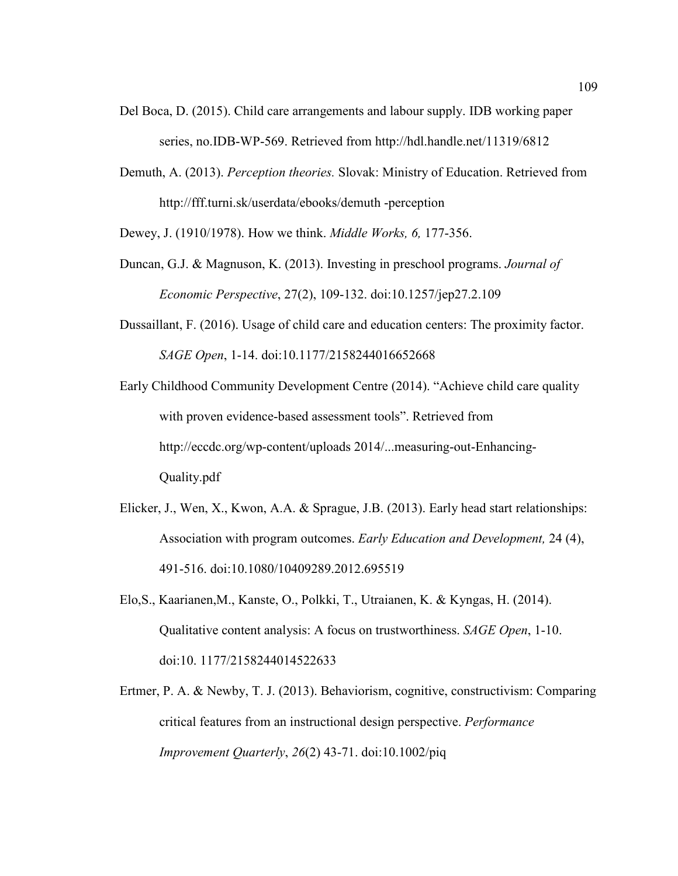- Del Boca, D. (2015). Child care arrangements and labour supply. IDB working paper series, no.IDB-WP-569. Retrieved from http://hdl.handle.net/11319/6812
- Demuth, A. (2013). *Perception theories.* Slovak: Ministry of Education. Retrieved from http://fff.turni.sk/userdata/ebooks/demuth -perception

Dewey, J. (1910/1978). How we think. *Middle Works, 6,* 177-356.

- Duncan, G.J. & Magnuson, K. (2013). Investing in preschool programs. *Journal of Economic Perspective*, 27(2), 109-132. doi:10.1257/jep27.2.109
- Dussaillant, F. (2016). Usage of child care and education centers: The proximity factor. *SAGE Open*, 1-14. doi:10.1177/2158244016652668

Early Childhood Community Development Centre (2014). "Achieve child care quality with proven evidence-based assessment tools". Retrieved from http://eccdc.org/wp-content/uploads 2014/...measuring-out-Enhancing-Quality.pdf

- Elicker, J., Wen, X., Kwon, A.A. & Sprague, J.B. (2013). Early head start relationships: Association with program outcomes. *Early Education and Development,* 24 (4), 491-516. doi:10.1080/10409289.2012.695519
- Elo,S., Kaarianen,M., Kanste, O., Polkki, T., Utraianen, K. & Kyngas, H. (2014). Qualitative content analysis: A focus on trustworthiness. *SAGE Open*, 1-10. doi:10. 1177/2158244014522633
- Ertmer, P. A. & Newby, T. J. (2013). Behaviorism, cognitive, constructivism: Comparing critical features from an instructional design perspective. *Performance Improvement Quarterly*, *26*(2) 43-71. doi:10.1002/piq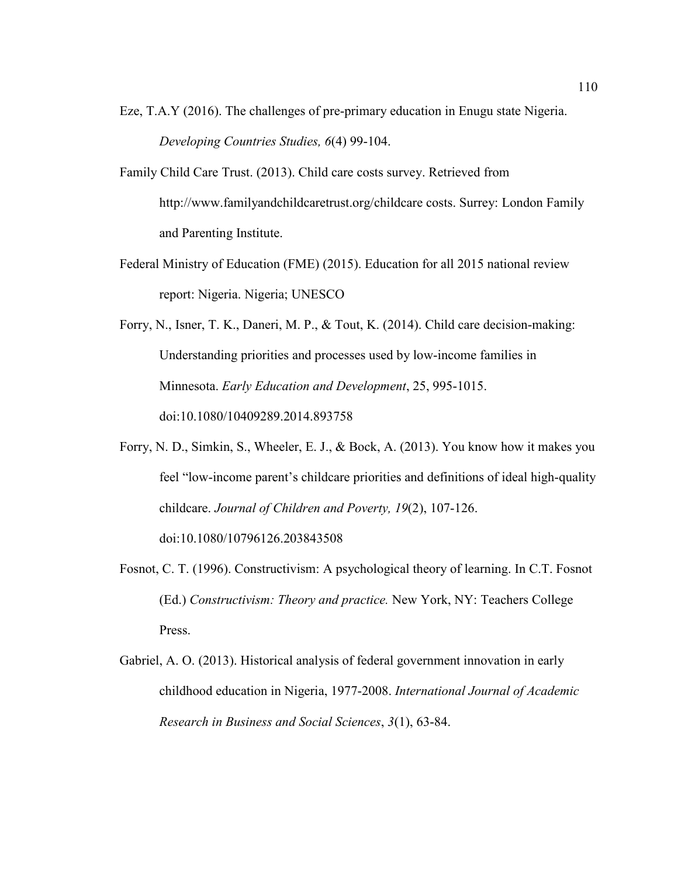- Eze, T.A.Y (2016). The challenges of pre-primary education in Enugu state Nigeria. *Developing Countries Studies, 6*(4) 99-104.
- Family Child Care Trust. (2013). Child care costs survey. Retrieved from http://www.familyandchildcaretrust.org/childcare costs. Surrey: London Family and Parenting Institute.
- Federal Ministry of Education (FME) (2015). Education for all 2015 national review report: Nigeria. Nigeria; UNESCO
- Forry, N., Isner, T. K., Daneri, M. P., & Tout, K. (2014). Child care decision-making: Understanding priorities and processes used by low-income families in Minnesota. *Early Education and Development*, 25, 995-1015. doi:10.1080/10409289.2014.893758
- Forry, N. D., Simkin, S., Wheeler, E. J., & Bock, A. (2013). You know how it makes you feel "low-income parent's childcare priorities and definitions of ideal high-quality childcare. *Journal of Children and Poverty, 19*(2), 107-126. doi:10.1080/10796126.203843508
- Fosnot, C. T. (1996). Constructivism: A psychological theory of learning. In C.T. Fosnot (Ed.) *Constructivism: Theory and practice.* New York, NY: Teachers College Press.
- Gabriel, A. O. (2013). Historical analysis of federal government innovation in early childhood education in Nigeria, 1977-2008. *International Journal of Academic Research in Business and Social Sciences*, *3*(1), 63-84.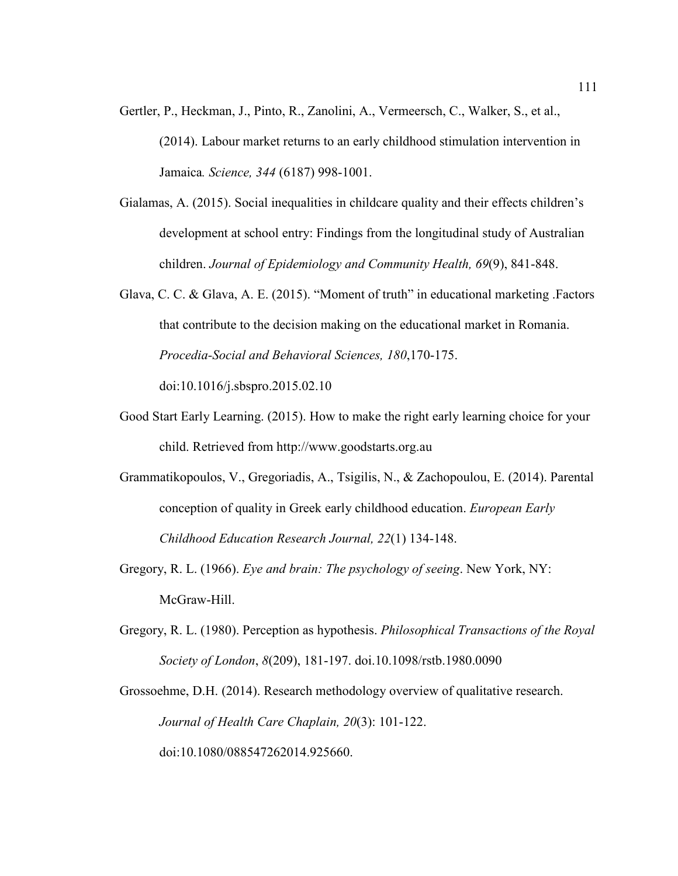- Gertler, P., Heckman, J., Pinto, R., Zanolini, A., Vermeersch, C., Walker, S., et al., (2014). Labour market returns to an early childhood stimulation intervention in Jamaica*. Science, 344* (6187) 998-1001.
- Gialamas, A. (2015). Social inequalities in childcare quality and their effects children's development at school entry: Findings from the longitudinal study of Australian children. *Journal of Epidemiology and Community Health, 69*(9), 841-848.
- Glava, C. C. & Glava, A. E. (2015). "Moment of truth" in educational marketing Factors that contribute to the decision making on the educational market in Romania. *Procedia-Social and Behavioral Sciences, 180*,170-175. doi:10.1016/j.sbspro.2015.02.10
- Good Start Early Learning. (2015). How to make the right early learning choice for your child. Retrieved from http://www.goodstarts.org.au
- Grammatikopoulos, V., Gregoriadis, A., Tsigilis, N., & Zachopoulou, E. (2014). Parental conception of quality in Greek early childhood education. *European Early Childhood Education Research Journal, 22*(1) 134-148.
- Gregory, R. L. (1966). *Eye and brain: The psychology of seeing*. New York, NY: McGraw-Hill.
- Gregory, R. L. (1980). Perception as hypothesis. *Philosophical Transactions of the Royal Society of London*, *8*(209), 181-197. doi.10.1098/rstb.1980.0090

Grossoehme, D.H. (2014). Research methodology overview of qualitative research. *Journal of Health Care Chaplain, 20*(3): 101-122. doi:10.1080/088547262014.925660.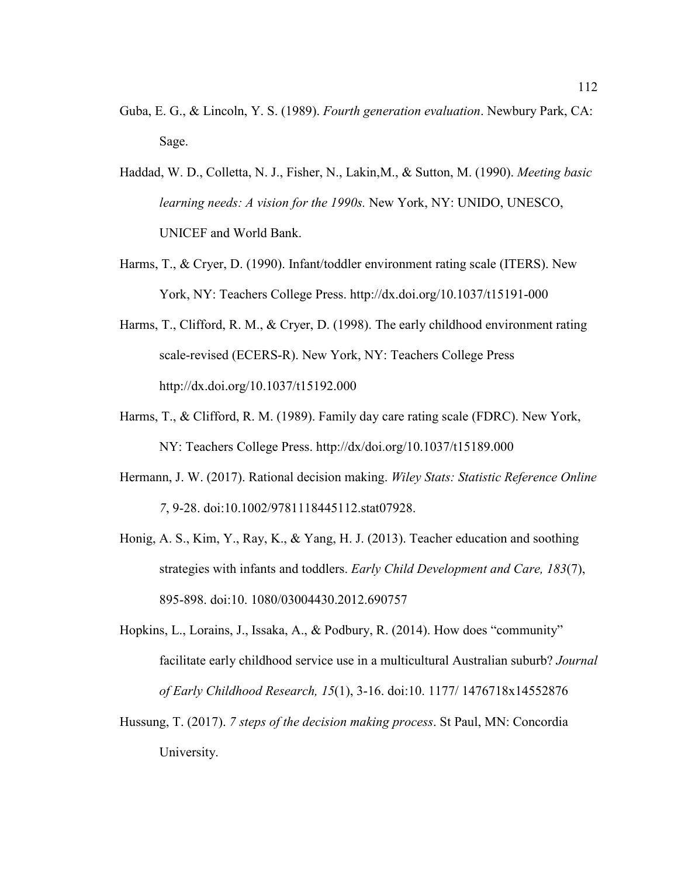- Guba, E. G., & Lincoln, Y. S. (1989). *Fourth generation evaluation*. Newbury Park, CA: Sage.
- Haddad, W. D., Colletta, N. J., Fisher, N., Lakin,M., & Sutton, M. (1990). *Meeting basic learning needs: A vision for the 1990s.* New York, NY: UNIDO, UNESCO, UNICEF and World Bank.
- Harms, T., & Cryer, D. (1990). Infant/toddler environment rating scale (ITERS). New York, NY: Teachers College Press. http://dx.doi.org/10.1037/t15191-000
- Harms, T., Clifford, R. M., & Cryer, D. (1998). The early childhood environment rating scale-revised (ECERS-R). New York, NY: Teachers College Press http://dx.doi.org/10.1037/t15192.000
- Harms, T., & Clifford, R. M. (1989). Family day care rating scale (FDRC). New York, NY: Teachers College Press. http://dx/doi.org/10.1037/t15189.000
- Hermann, J. W. (2017). Rational decision making. *Wiley Stats: Statistic Reference Online 7*, 9-28. doi:10.1002/9781118445112.stat07928.
- Honig, A. S., Kim, Y., Ray, K., & Yang, H. J. (2013). Teacher education and soothing strategies with infants and toddlers. *Early Child Development and Care, 183*(7), 895-898. doi:10. 1080/03004430.2012.690757
- Hopkins, L., Lorains, J., Issaka, A., & Podbury, R. (2014). How does "community" facilitate early childhood service use in a multicultural Australian suburb? *Journal of Early Childhood Research, 15*(1), 3-16. doi:10. 1177/ 1476718x14552876
- Hussung, T. (2017). *7 steps of the decision making process*. St Paul, MN: Concordia University.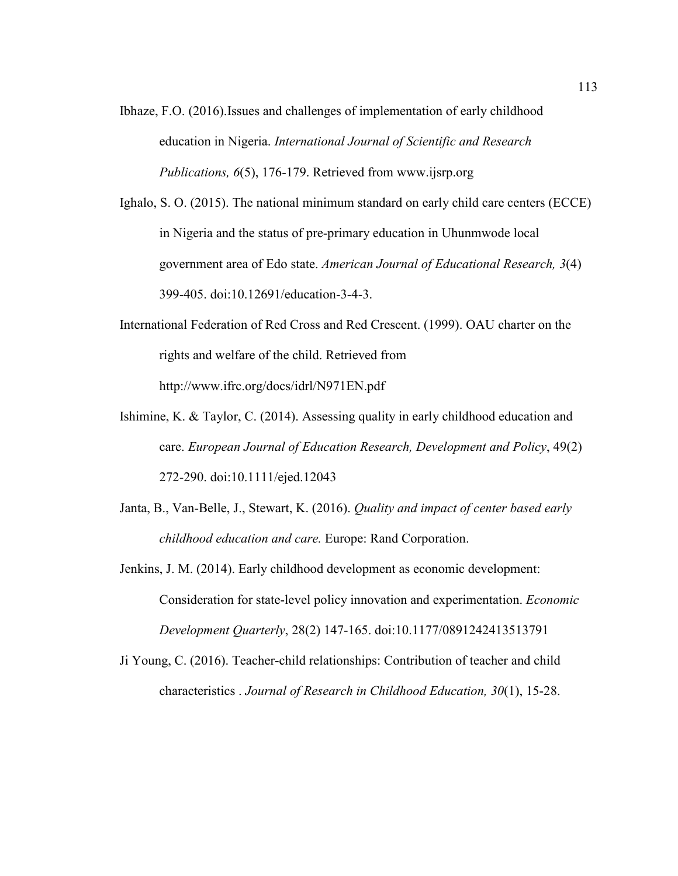Ibhaze, F.O. (2016).Issues and challenges of implementation of early childhood education in Nigeria. *International Journal of Scientific and Research Publications, 6*(5), 176-179. Retrieved from www.ijsrp.org

Ighalo, S. O. (2015). The national minimum standard on early child care centers (ECCE) in Nigeria and the status of pre-primary education in Uhunmwode local government area of Edo state. *American Journal of Educational Research, 3*(4) 399-405. doi:10.12691/education-3-4-3.

- International Federation of Red Cross and Red Crescent. (1999). OAU charter on the rights and welfare of the child. Retrieved from http://www.ifrc.org/docs/idrl/N971EN.pdf
- Ishimine, K. & Taylor, C. (2014). Assessing quality in early childhood education and care. *European Journal of Education Research, Development and Policy*, 49(2) 272-290. doi:10.1111/ejed.12043
- Janta, B., Van-Belle, J., Stewart, K. (2016). *Quality and impact of center based early childhood education and care.* Europe: Rand Corporation.
- Jenkins, J. M. (2014). Early childhood development as economic development: Consideration for state-level policy innovation and experimentation. *Economic Development Quarterly*, 28(2) 147-165. doi:10.1177/0891242413513791
- Ji Young, C. (2016). Teacher-child relationships: Contribution of teacher and child characteristics . *Journal of Research in Childhood Education, 30*(1), 15-28.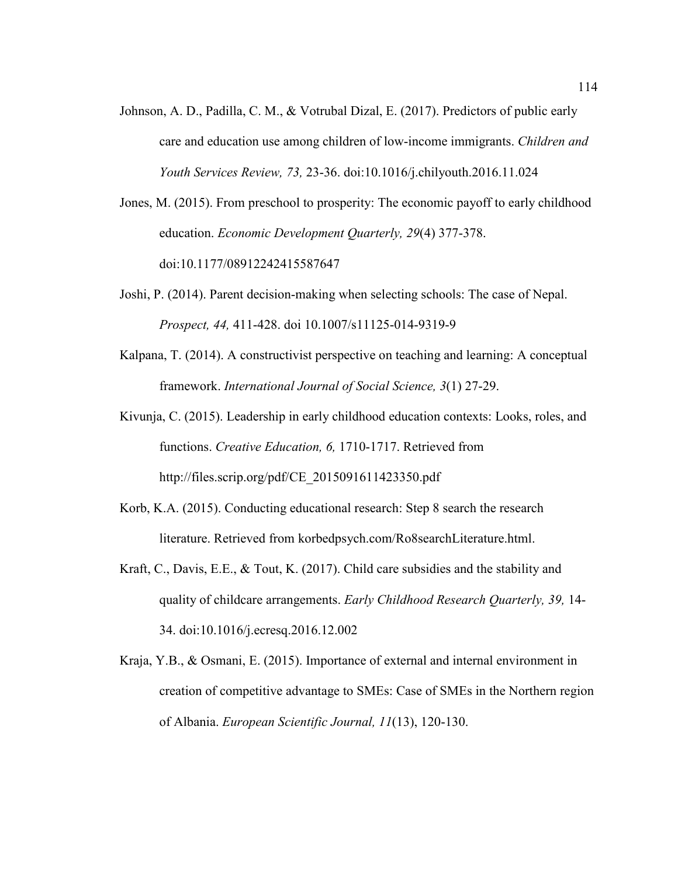Johnson, A. D., Padilla, C. M., & Votrubal Dizal, E. (2017). Predictors of public early care and education use among children of low-income immigrants. *Children and Youth Services Review, 73,* 23-36. doi:10.1016/j.chilyouth.2016.11.024

Jones, M. (2015). From preschool to prosperity: The economic payoff to early childhood education. *Economic Development Quarterly, 29*(4) 377-378. doi:10.1177/08912242415587647

- Joshi, P. (2014). Parent decision-making when selecting schools: The case of Nepal. *Prospect, 44,* 411-428. doi 10.1007/s11125-014-9319-9
- Kalpana, T. (2014). A constructivist perspective on teaching and learning: A conceptual framework. *International Journal of Social Science, 3*(1) 27-29.
- Kivunja, C. (2015). Leadership in early childhood education contexts: Looks, roles, and functions. *Creative Education, 6,* 1710-1717. Retrieved from http://files.scrip.org/pdf/CE\_2015091611423350.pdf
- Korb, K.A. (2015). Conducting educational research: Step 8 search the research literature. Retrieved from korbedpsych.com/Ro8searchLiterature.html.
- Kraft, C., Davis, E.E., & Tout, K. (2017). Child care subsidies and the stability and quality of childcare arrangements. *Early Childhood Research Quarterly, 39,* 14- 34. doi:10.1016/j.ecresq.2016.12.002
- Kraja, Y.B., & Osmani, E. (2015). Importance of external and internal environment in creation of competitive advantage to SMEs: Case of SMEs in the Northern region of Albania. *European Scientific Journal, 11*(13), 120-130.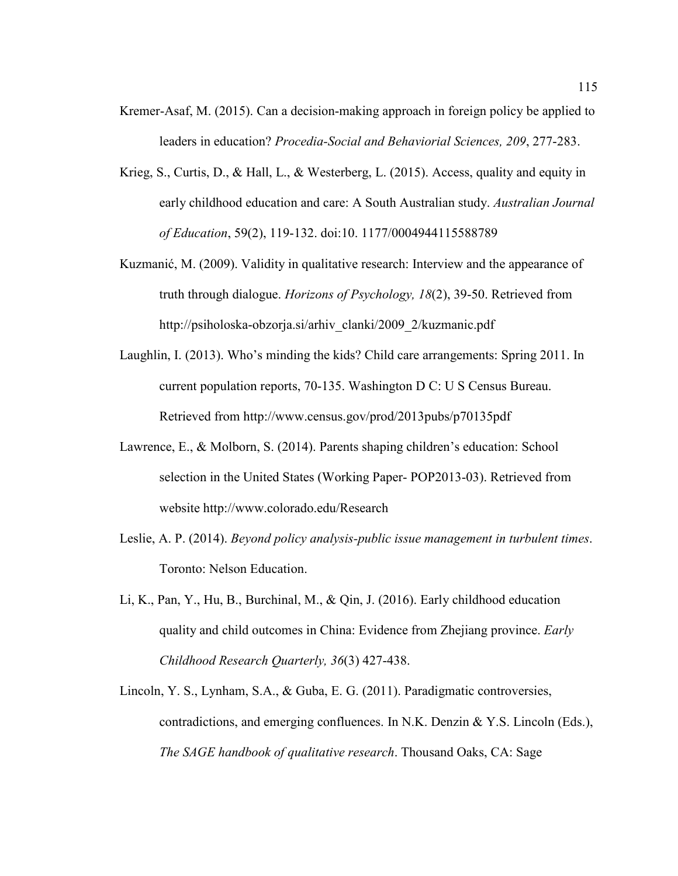- Kremer-Asaf, M. (2015). Can a decision-making approach in foreign policy be applied to leaders in education? *Procedia-Social and Behaviorial Sciences, 209*, 277-283.
- Krieg, S., Curtis, D., & Hall, L., & Westerberg, L. (2015). Access, quality and equity in early childhood education and care: A South Australian study. *Australian Journal of Education*, 59(2), 119-132. doi:10. 1177/0004944115588789
- Kuzmanić, M. (2009). Validity in qualitative research: Interview and the appearance of truth through dialogue. *Horizons of Psychology, 18*(2), 39-50. Retrieved from http://psiholoska-obzorja.si/arhiv\_clanki/2009\_2/kuzmanic.pdf
- Laughlin, I. (2013). Who's minding the kids? Child care arrangements: Spring 2011. In current population reports, 70-135. Washington D C: U S Census Bureau. Retrieved from http://www.census.gov/prod/2013pubs/p70135pdf
- Lawrence, E., & Molborn, S. (2014). Parents shaping children's education: School selection in the United States (Working Paper- POP2013-03). Retrieved from website http://www.colorado.edu/Research
- Leslie, A. P. (2014). *Beyond policy analysis-public issue management in turbulent times*. Toronto: Nelson Education.
- Li, K., Pan, Y., Hu, B., Burchinal, M., & Qin, J. (2016). Early childhood education quality and child outcomes in China: Evidence from Zhejiang province. *Early Childhood Research Quarterly, 36*(3) 427-438.
- Lincoln, Y. S., Lynham, S.A., & Guba, E. G. (2011). Paradigmatic controversies, contradictions, and emerging confluences. In N.K. Denzin & Y.S. Lincoln (Eds.), *The SAGE handbook of qualitative research*. Thousand Oaks, CA: Sage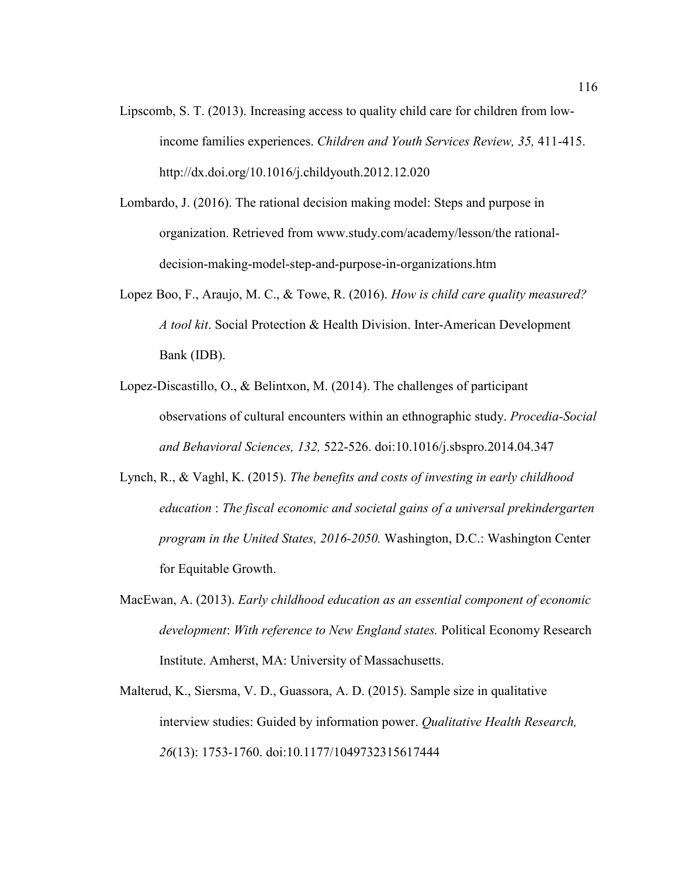- Lipscomb, S. T. (2013). Increasing access to quality child care for children from lowincome families experiences. *Children and Youth Services Review, 35,* 411-415. http://dx.doi.org/10.1016/j.childyouth.2012.12.020
- Lombardo, J. (2016). The rational decision making model: Steps and purpose in organization. Retrieved from www.study.com/academy/lesson/the rationaldecision-making-model-step-and-purpose-in-organizations.htm
- Lopez Boo, F., Araujo, M. C., & Towe, R. (2016). *How is child care quality measured? A tool kit*. Social Protection & Health Division. Inter-American Development Bank (IDB).
- Lopez-Discastillo, O., & Belintxon, M. (2014). The challenges of participant observations of cultural encounters within an ethnographic study. *Procedia-Social and Behavioral Sciences, 132,* 522-526. doi:10.1016/j.sbspro.2014.04.347
- Lynch, R., & Vaghl, K. (2015). *The benefits and costs of investing in early childhood education* : *The fiscal economic and societal gains of a universal prekindergarten program in the United States, 2016-2050.* Washington, D.C.: Washington Center for Equitable Growth.
- MacEwan, A. (2013). *Early childhood education as an essential component of economic development*: *With reference to New England states.* Political Economy Research Institute. Amherst, MA: University of Massachusetts.
- Malterud, K., Siersma, V. D., Guassora, A. D. (2015). Sample size in qualitative interview studies: Guided by information power. *Qualitative Health Research, 26*(13): 1753-1760. doi:10.1177/1049732315617444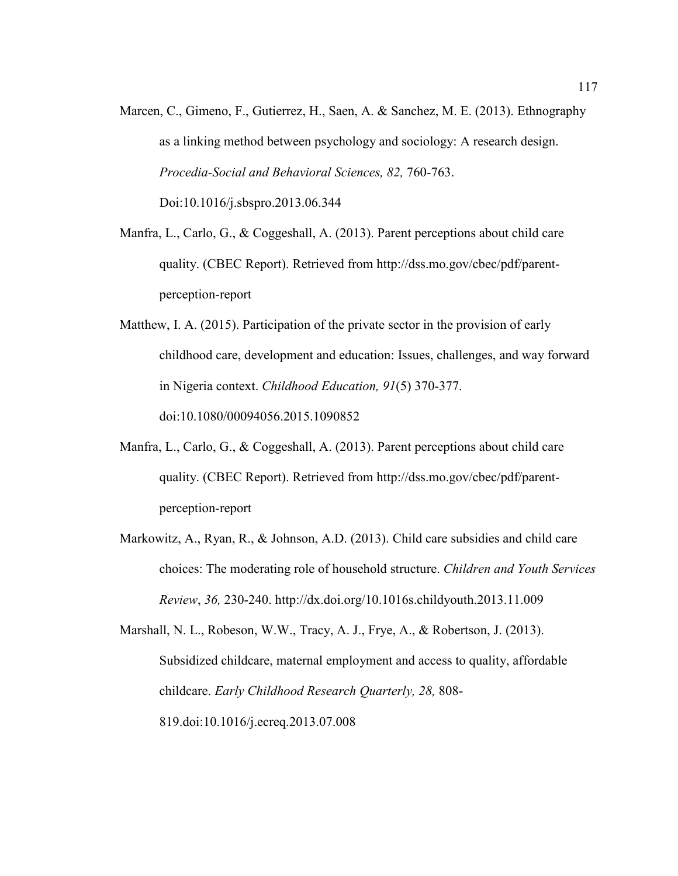Marcen, C., Gimeno, F., Gutierrez, H., Saen, A. & Sanchez, M. E. (2013). Ethnography as a linking method between psychology and sociology: A research design. *Procedia-Social and Behavioral Sciences, 82,* 760-763. Doi:10.1016/j.sbspro.2013.06.344

Manfra, L., Carlo, G., & Coggeshall, A. (2013). Parent perceptions about child care quality. (CBEC Report). Retrieved from http://dss.mo.gov/cbec/pdf/parentperception-report

- Matthew, I. A. (2015). Participation of the private sector in the provision of early childhood care, development and education: Issues, challenges, and way forward in Nigeria context. *Childhood Education, 91*(5) 370-377. doi:10.1080/00094056.2015.1090852
- Manfra, L., Carlo, G., & Coggeshall, A. (2013). Parent perceptions about child care quality. (CBEC Report). Retrieved from http://dss.mo.gov/cbec/pdf/parentperception-report
- Markowitz, A., Ryan, R., & Johnson, A.D. (2013). Child care subsidies and child care choices: The moderating role of household structure. *Children and Youth Services Review*, *36,* 230-240. http://dx.doi.org/10.1016s.childyouth.2013.11.009

Marshall, N. L., Robeson, W.W., Tracy, A. J., Frye, A., & Robertson, J. (2013). Subsidized childcare, maternal employment and access to quality, affordable childcare. *Early Childhood Research Quarterly, 28,* 808- 819.doi:10.1016/j.ecreq.2013.07.008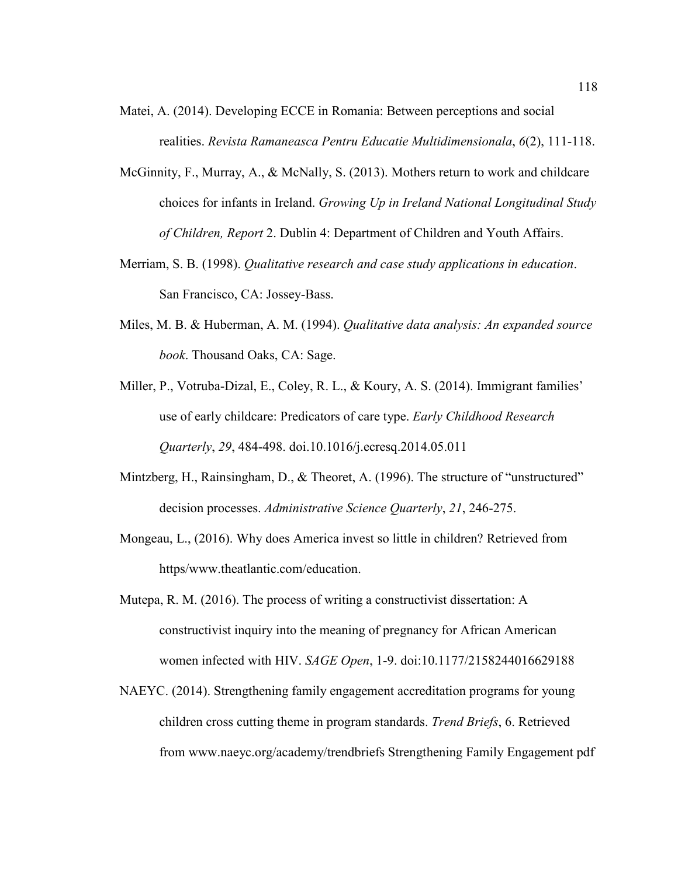- Matei, A. (2014). Developing ECCE in Romania: Between perceptions and social realities. *Revista Ramaneasca Pentru Educatie Multidimensionala*, *6*(2), 111-118.
- McGinnity, F., Murray, A., & McNally, S. (2013). Mothers return to work and childcare choices for infants in Ireland. *Growing Up in Ireland National Longitudinal Study of Children, Report* 2. Dublin 4: Department of Children and Youth Affairs.
- Merriam, S. B. (1998). *Qualitative research and case study applications in education*. San Francisco, CA: Jossey-Bass.
- Miles, M. B. & Huberman, A. M. (1994). *Qualitative data analysis: An expanded source book*. Thousand Oaks, CA: Sage.
- Miller, P., Votruba-Dizal, E., Coley, R. L., & Koury, A. S. (2014). Immigrant families' use of early childcare: Predicators of care type. *Early Childhood Research Quarterly*, *29*, 484-498. doi.10.1016/j.ecresq.2014.05.011
- Mintzberg, H., Rainsingham, D., & Theoret, A. (1996). The structure of "unstructured" decision processes. *Administrative Science Quarterly*, *21*, 246-275.
- Mongeau, L., (2016). Why does America invest so little in children? Retrieved from https/www.theatlantic.com/education.
- Mutepa, R. M. (2016). The process of writing a constructivist dissertation: A constructivist inquiry into the meaning of pregnancy for African American women infected with HIV. *SAGE Open*, 1-9. doi:10.1177/2158244016629188
- NAEYC. (2014). Strengthening family engagement accreditation programs for young children cross cutting theme in program standards. *Trend Briefs*, 6. Retrieved from www.naeyc.org/academy/trendbriefs Strengthening Family Engagement pdf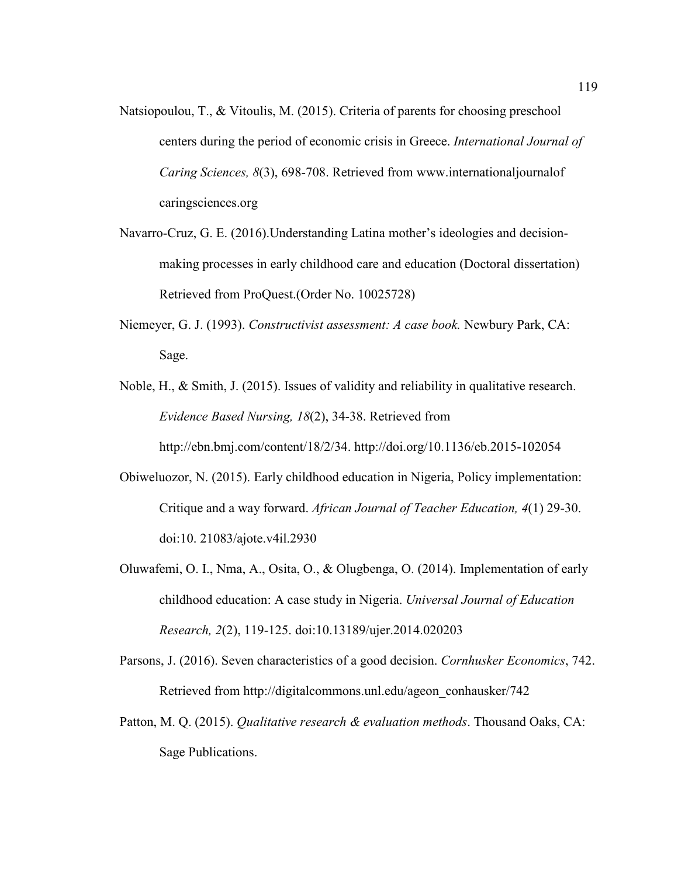- Natsiopoulou, T., & Vitoulis, M. (2015). Criteria of parents for choosing preschool centers during the period of economic crisis in Greece. *International Journal of Caring Sciences, 8*(3), 698-708. Retrieved from www.internationaljournalof caringsciences.org
- Navarro-Cruz, G. E. (2016).Understanding Latina mother's ideologies and decisionmaking processes in early childhood care and education (Doctoral dissertation) Retrieved from ProQuest.(Order No. 10025728)
- Niemeyer, G. J. (1993). *Constructivist assessment: A case book.* Newbury Park, CA: Sage.
- Noble, H., & Smith, J. (2015). Issues of validity and reliability in qualitative research. *Evidence Based Nursing, 18*(2), 34-38. Retrieved from http://ebn.bmj.com/content/18/2/34. http://doi.org/10.1136/eb.2015-102054
- Obiweluozor, N. (2015). Early childhood education in Nigeria, Policy implementation: Critique and a way forward. *African Journal of Teacher Education, 4*(1) 29-30. doi:10. 21083/ajote.v4il.2930
- Oluwafemi, O. I., Nma, A., Osita, O., & Olugbenga, O. (2014). Implementation of early childhood education: A case study in Nigeria. *Universal Journal of Education Research, 2*(2), 119-125. doi:10.13189/ujer.2014.020203
- Parsons, J. (2016). Seven characteristics of a good decision. *Cornhusker Economics*, 742. Retrieved from http://digitalcommons.unl.edu/ageon\_conhausker/742
- Patton, M. Q. (2015). *Qualitative research & evaluation methods*. Thousand Oaks, CA: Sage Publications.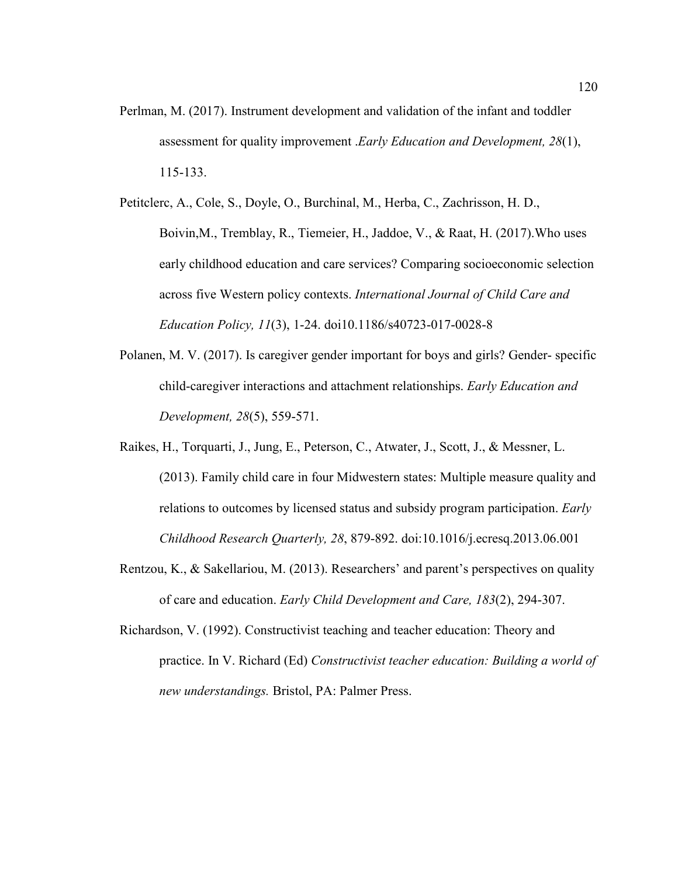- Perlman, M. (2017). Instrument development and validation of the infant and toddler assessment for quality improvement .*Early Education and Development, 28*(1), 115-133.
- Petitclerc, A., Cole, S., Doyle, O., Burchinal, M., Herba, C., Zachrisson, H. D., Boivin,M., Tremblay, R., Tiemeier, H., Jaddoe, V., & Raat, H. (2017).Who uses early childhood education and care services? Comparing socioeconomic selection across five Western policy contexts. *International Journal of Child Care and Education Policy, 11*(3), 1-24. doi10.1186/s40723-017-0028-8
- Polanen, M. V. (2017). Is caregiver gender important for boys and girls? Gender- specific child-caregiver interactions and attachment relationships. *Early Education and Development, 28*(5), 559-571.
- Raikes, H., Torquarti, J., Jung, E., Peterson, C., Atwater, J., Scott, J., & Messner, L. (2013). Family child care in four Midwestern states: Multiple measure quality and relations to outcomes by licensed status and subsidy program participation. *Early Childhood Research Quarterly, 28*, 879-892. doi:10.1016/j.ecresq.2013.06.001
- Rentzou, K., & Sakellariou, M. (2013). Researchers' and parent's perspectives on quality of care and education. *Early Child Development and Care, 183*(2), 294-307.
- Richardson, V. (1992). Constructivist teaching and teacher education: Theory and practice. In V. Richard (Ed) *Constructivist teacher education: Building a world of new understandings.* Bristol, PA: Palmer Press.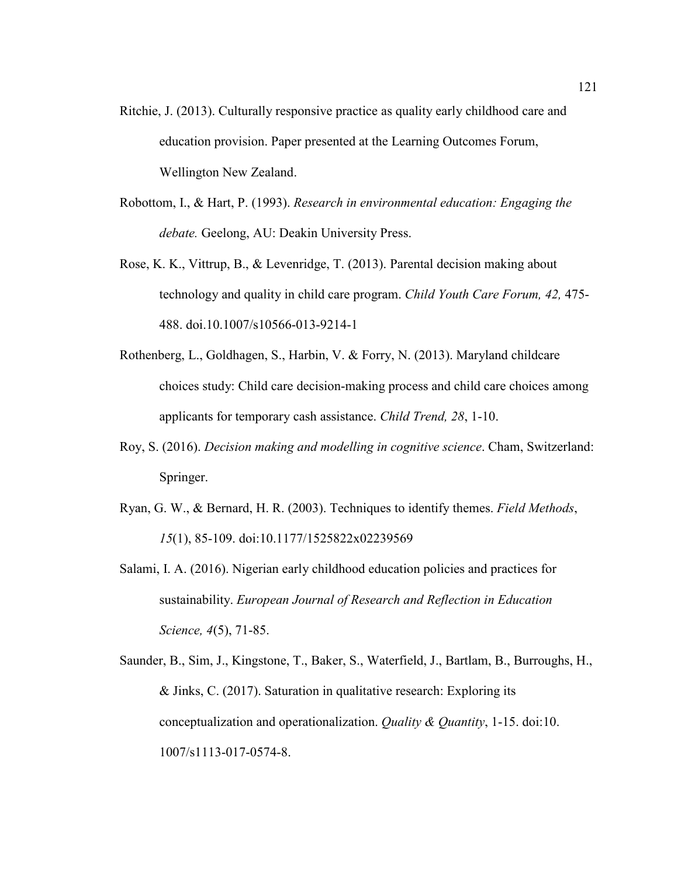- Ritchie, J. (2013). Culturally responsive practice as quality early childhood care and education provision. Paper presented at the Learning Outcomes Forum, Wellington New Zealand.
- Robottom, I., & Hart, P. (1993). *Research in environmental education: Engaging the debate.* Geelong, AU: Deakin University Press.
- Rose, K. K., Vittrup, B., & Levenridge, T. (2013). Parental decision making about technology and quality in child care program. *Child Youth Care Forum, 42,* 475- 488. doi.10.1007/s10566-013-9214-1
- Rothenberg, L., Goldhagen, S., Harbin, V. & Forry, N. (2013). Maryland childcare choices study: Child care decision-making process and child care choices among applicants for temporary cash assistance. *Child Trend, 28*, 1-10.
- Roy, S. (2016). *Decision making and modelling in cognitive science*. Cham, Switzerland: Springer.
- Ryan, G. W., & Bernard, H. R. (2003). Techniques to identify themes. *Field Methods*, *15*(1), 85-109. doi:10.1177/1525822x02239569
- Salami, I. A. (2016). Nigerian early childhood education policies and practices for sustainability. *European Journal of Research and Reflection in Education Science, 4*(5), 71-85.
- Saunder, B., Sim, J., Kingstone, T., Baker, S., Waterfield, J., Bartlam, B., Burroughs, H., & Jinks, C. (2017). Saturation in qualitative research: Exploring its conceptualization and operationalization. *Quality & Quantity*, 1-15. doi:10. 1007/s1113-017-0574-8.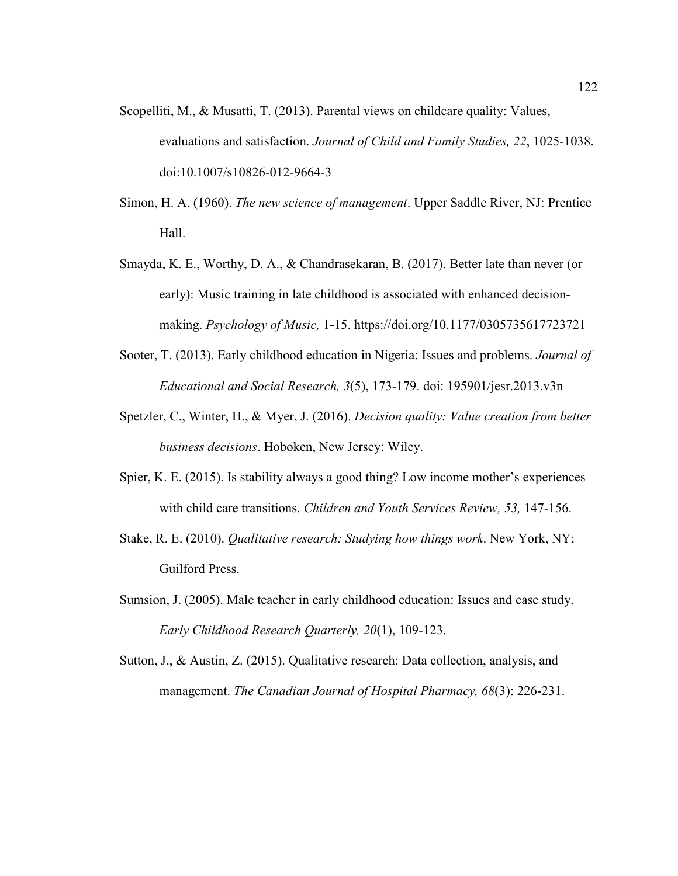- Scopelliti, M., & Musatti, T. (2013). Parental views on childcare quality: Values, evaluations and satisfaction. *Journal of Child and Family Studies, 22*, 1025-1038. doi:10.1007/s10826-012-9664-3
- Simon, H. A. (1960). *The new science of management*. Upper Saddle River, NJ: Prentice Hall.
- Smayda, K. E., Worthy, D. A., & Chandrasekaran, B. (2017). Better late than never (or early): Music training in late childhood is associated with enhanced decisionmaking. *Psychology of Music,* 1-15. https://doi.org/10.1177/0305735617723721
- Sooter, T. (2013). Early childhood education in Nigeria: Issues and problems. *Journal of Educational and Social Research, 3*(5), 173-179. doi: 195901/jesr.2013.v3n
- Spetzler, C., Winter, H., & Myer, J. (2016). *Decision quality: Value creation from better business decisions*. Hoboken, New Jersey: Wiley.
- Spier, K. E. (2015). Is stability always a good thing? Low income mother's experiences with child care transitions. *Children and Youth Services Review, 53,* 147-156.
- Stake, R. E. (2010). *Qualitative research: Studying how things work*. New York, NY: Guilford Press.
- Sumsion, J. (2005). Male teacher in early childhood education: Issues and case study. *Early Childhood Research Quarterly, 20*(1), 109-123.
- Sutton, J., & Austin, Z. (2015). Qualitative research: Data collection, analysis, and management. *The Canadian Journal of Hospital Pharmacy, 68*(3): 226-231.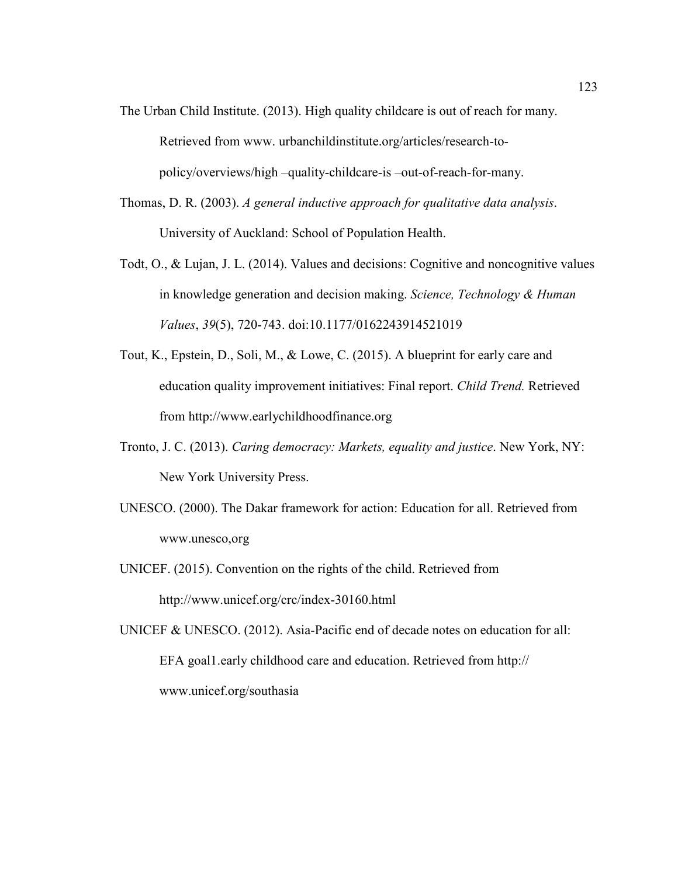- The Urban Child Institute. (2013). High quality childcare is out of reach for many. Retrieved from www. urbanchildinstitute.org/articles/research-topolicy/overviews/high –quality-childcare-is –out-of-reach-for-many.
- Thomas, D. R. (2003). *A general inductive approach for qualitative data analysis*. University of Auckland: School of Population Health.
- Todt, O., & Lujan, J. L. (2014). Values and decisions: Cognitive and noncognitive values in knowledge generation and decision making. *Science, Technology & Human Values*, *39*(5), 720-743. doi:10.1177/0162243914521019
- Tout, K., Epstein, D., Soli, M., & Lowe, C. (2015). A blueprint for early care and education quality improvement initiatives: Final report. *Child Trend.* Retrieved from http://www.earlychildhoodfinance.org
- Tronto, J. C. (2013). *Caring democracy: Markets, equality and justice*. New York, NY: New York University Press.
- UNESCO. (2000). The Dakar framework for action: Education for all. Retrieved from www.unesco,org
- UNICEF. (2015). Convention on the rights of the child. Retrieved from http://www.unicef.org/crc/index-30160.html
- UNICEF & UNESCO. (2012). Asia-Pacific end of decade notes on education for all: EFA goal1.early childhood care and education. Retrieved from http:// www.unicef.org/southasia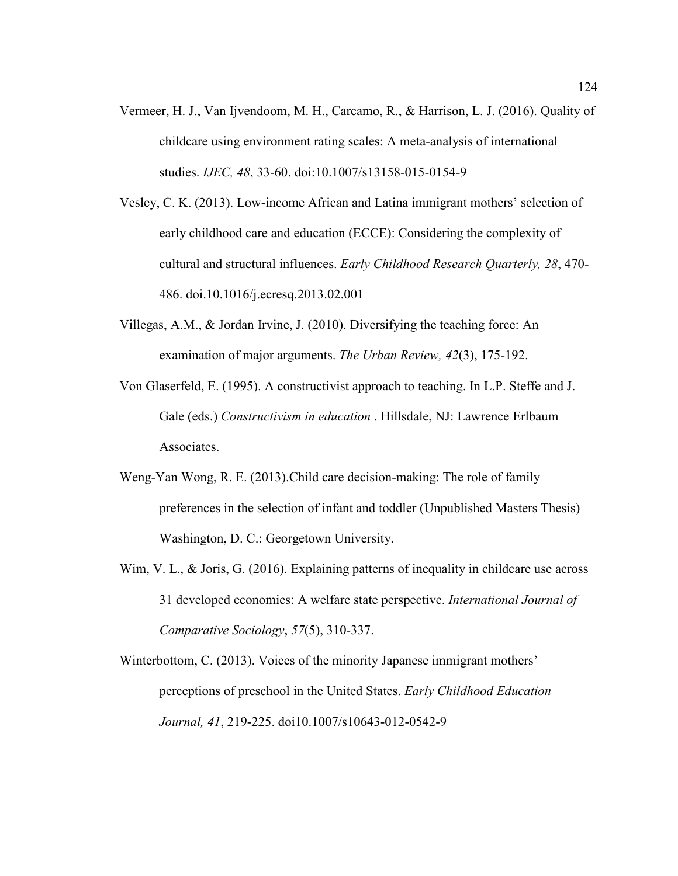- Vermeer, H. J., Van Ijvendoom, M. H., Carcamo, R., & Harrison, L. J. (2016). Quality of childcare using environment rating scales: A meta-analysis of international studies. *IJEC, 48*, 33-60. doi:10.1007/s13158-015-0154-9
- Vesley, C. K. (2013). Low-income African and Latina immigrant mothers' selection of early childhood care and education (ECCE): Considering the complexity of cultural and structural influences. *Early Childhood Research Quarterly, 28*, 470- 486. doi.10.1016/j.ecresq.2013.02.001
- Villegas, A.M., & Jordan Irvine, J. (2010). Diversifying the teaching force: An examination of major arguments. *The Urban Review, 42*(3), 175-192.
- Von Glaserfeld, E. (1995). A constructivist approach to teaching. In L.P. Steffe and J. Gale (eds.) *Constructivism in education* . Hillsdale, NJ: Lawrence Erlbaum Associates.
- Weng-Yan Wong, R. E. (2013).Child care decision-making: The role of family preferences in the selection of infant and toddler (Unpublished Masters Thesis) Washington, D. C.: Georgetown University.
- Wim, V. L., & Joris, G. (2016). Explaining patterns of inequality in childcare use across 31 developed economies: A welfare state perspective. *International Journal of Comparative Sociology*, *57*(5), 310-337.

Winterbottom, C. (2013). Voices of the minority Japanese immigrant mothers' perceptions of preschool in the United States. *Early Childhood Education Journal, 41*, 219-225. doi10.1007/s10643-012-0542-9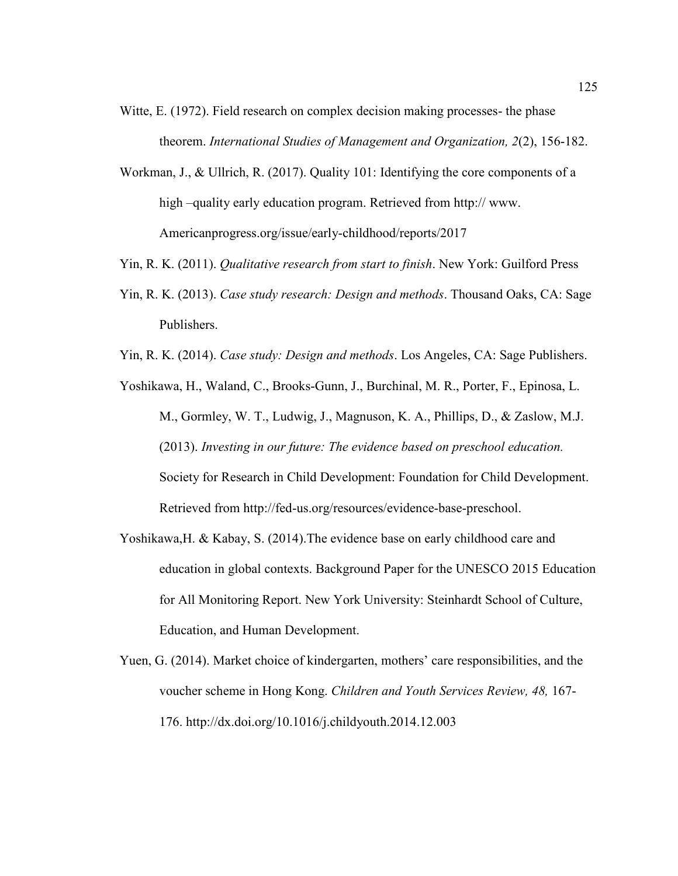- Witte, E. (1972). Field research on complex decision making processes- the phase theorem. *International Studies of Management and Organization, 2*(2), 156-182.
- Workman, J., & Ullrich, R. (2017). Quality 101: Identifying the core components of a high –quality early education program. Retrieved from http:// www. Americanprogress.org/issue/early-childhood/reports/2017
- Yin, R. K. (2011). *Qualitative research from start to finish*. New York: Guilford Press
- Yin, R. K. (2013). *Case study research: Design and methods*. Thousand Oaks, CA: Sage Publishers.
- Yin, R. K. (2014). *Case study: Design and methods*. Los Angeles, CA: Sage Publishers.
- Yoshikawa, H., Waland, C., Brooks-Gunn, J., Burchinal, M. R., Porter, F., Epinosa, L. M., Gormley, W. T., Ludwig, J., Magnuson, K. A., Phillips, D., & Zaslow, M.J. (2013). *Investing in our future: The evidence based on preschool education.* Society for Research in Child Development: Foundation for Child Development. Retrieved from http://fed-us.org/resources/evidence-base-preschool.
- Yoshikawa,H. & Kabay, S. (2014).The evidence base on early childhood care and education in global contexts. Background Paper for the UNESCO 2015 Education for All Monitoring Report. New York University: Steinhardt School of Culture, Education, and Human Development.
- Yuen, G. (2014). Market choice of kindergarten, mothers' care responsibilities, and the voucher scheme in Hong Kong. *Children and Youth Services Review, 48,* 167- 176. http://dx.doi.org/10.1016/j.childyouth.2014.12.003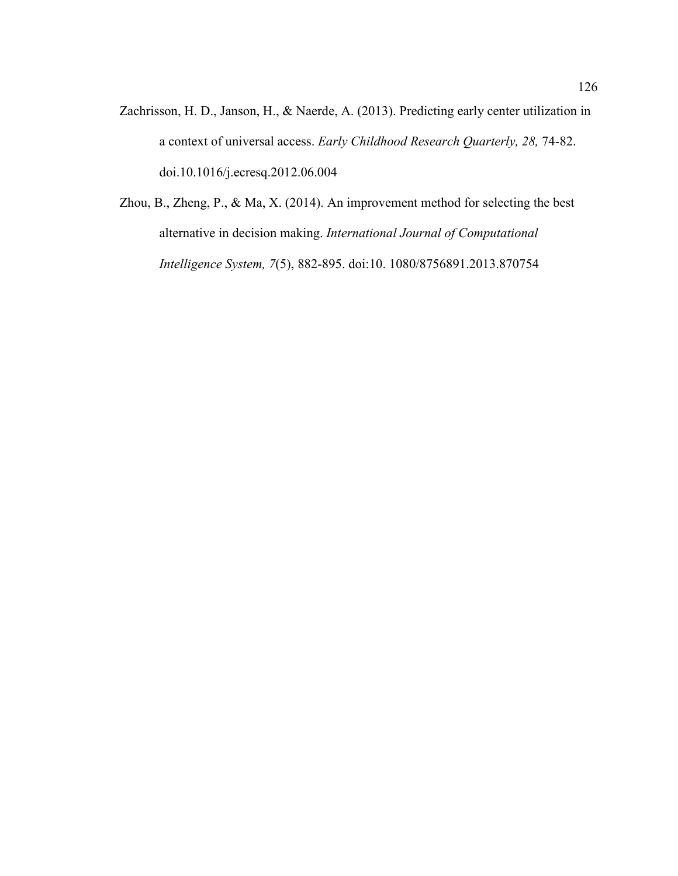- Zachrisson, H. D., Janson, H., & Naerde, A. (2013). Predicting early center utilization in a context of universal access. *Early Childhood Research Quarterly, 28,* 74-82. doi.10.1016/j.ecresq.2012.06.004
- Zhou, B., Zheng, P., & Ma, X. (2014). An improvement method for selecting the best alternative in decision making. *International Journal of Computational Intelligence System, 7*(5), 882-895. doi:10. 1080/8756891.2013.870754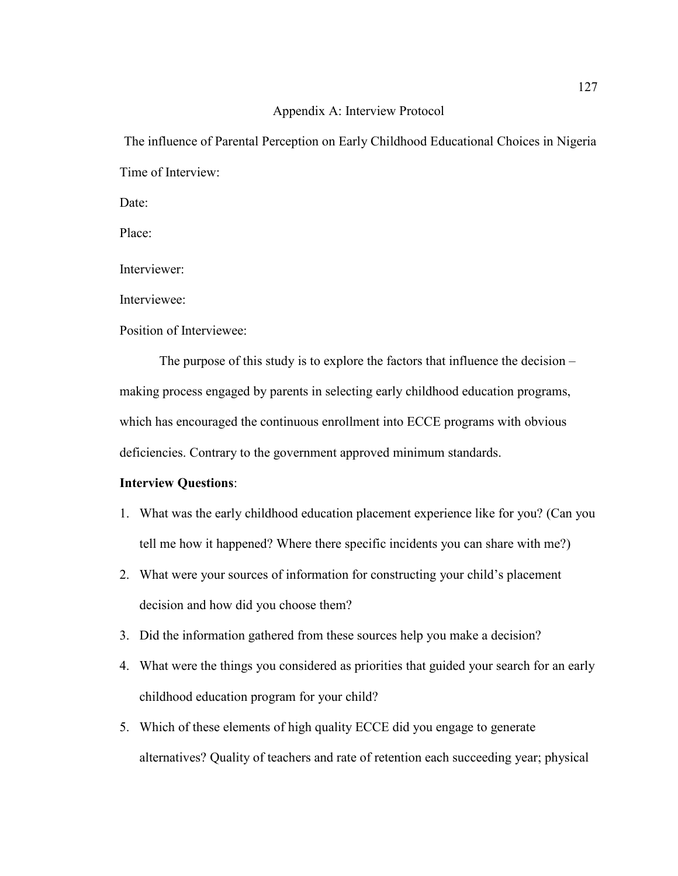### Appendix A: Interview Protocol

 The influence of Parental Perception on Early Childhood Educational Choices in Nigeria Time of Interview:

Date:

Place:

Interviewer:

Interviewee:

Position of Interviewee:

The purpose of this study is to explore the factors that influence the decision – making process engaged by parents in selecting early childhood education programs, which has encouraged the continuous enrollment into ECCE programs with obvious deficiencies. Contrary to the government approved minimum standards.

## **Interview Questions**:

- 1. What was the early childhood education placement experience like for you? (Can you tell me how it happened? Where there specific incidents you can share with me?)
- 2. What were your sources of information for constructing your child's placement decision and how did you choose them?
- 3. Did the information gathered from these sources help you make a decision?
- 4. What were the things you considered as priorities that guided your search for an early childhood education program for your child?
- 5. Which of these elements of high quality ECCE did you engage to generate alternatives? Quality of teachers and rate of retention each succeeding year; physical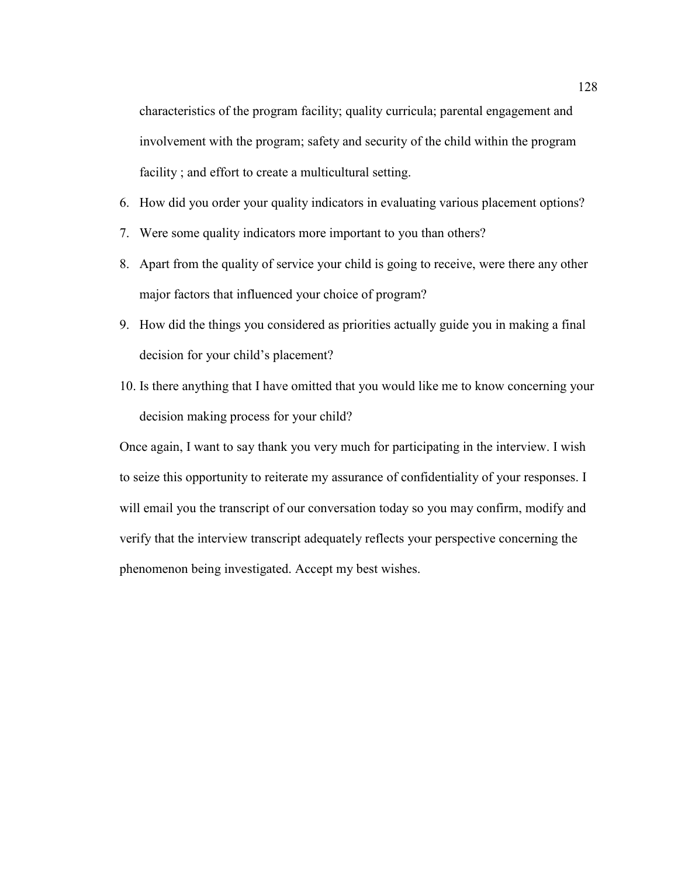characteristics of the program facility; quality curricula; parental engagement and involvement with the program; safety and security of the child within the program facility; and effort to create a multicultural setting.

- 6. How did you order your quality indicators in evaluating various placement options?
- 7. Were some quality indicators more important to you than others?
- 8. Apart from the quality of service your child is going to receive, were there any other major factors that influenced your choice of program?
- 9. How did the things you considered as priorities actually guide you in making a final decision for your child's placement?
- 10. Is there anything that I have omitted that you would like me to know concerning your decision making process for your child?

Once again, I want to say thank you very much for participating in the interview. I wish to seize this opportunity to reiterate my assurance of confidentiality of your responses. I will email you the transcript of our conversation today so you may confirm, modify and verify that the interview transcript adequately reflects your perspective concerning the phenomenon being investigated. Accept my best wishes.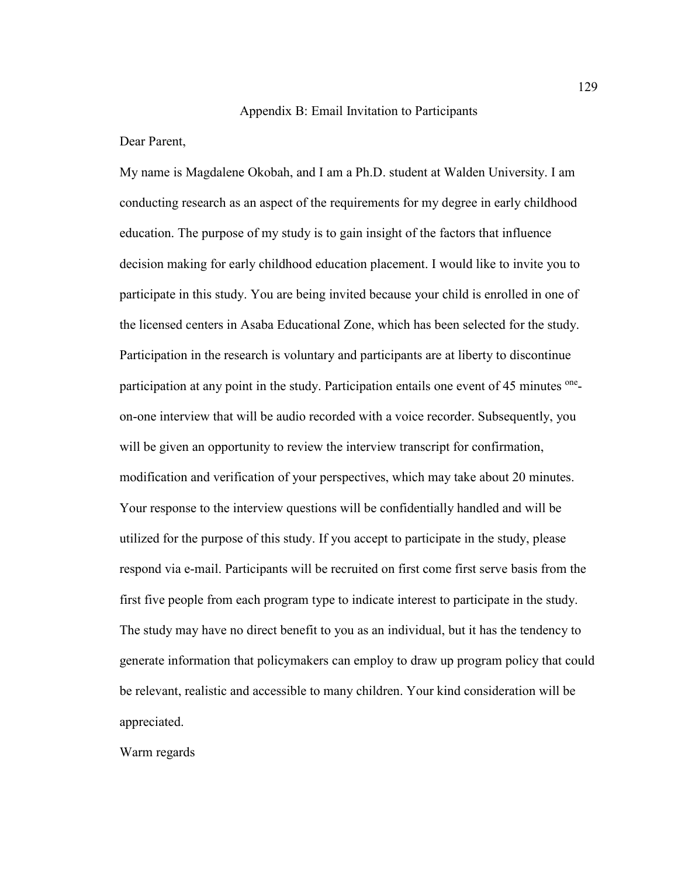#### Appendix B: Email Invitation to Participants

Dear Parent,

My name is Magdalene Okobah, and I am a Ph.D. student at Walden University. I am conducting research as an aspect of the requirements for my degree in early childhood education. The purpose of my study is to gain insight of the factors that influence decision making for early childhood education placement. I would like to invite you to participate in this study. You are being invited because your child is enrolled in one of the licensed centers in Asaba Educational Zone, which has been selected for the study. Participation in the research is voluntary and participants are at liberty to discontinue participation at any point in the study. Participation entails one event of 45 minutes oneon-one interview that will be audio recorded with a voice recorder. Subsequently, you will be given an opportunity to review the interview transcript for confirmation, modification and verification of your perspectives, which may take about 20 minutes. Your response to the interview questions will be confidentially handled and will be utilized for the purpose of this study. If you accept to participate in the study, please respond via e-mail. Participants will be recruited on first come first serve basis from the first five people from each program type to indicate interest to participate in the study. The study may have no direct benefit to you as an individual, but it has the tendency to generate information that policymakers can employ to draw up program policy that could be relevant, realistic and accessible to many children. Your kind consideration will be appreciated.

Warm regards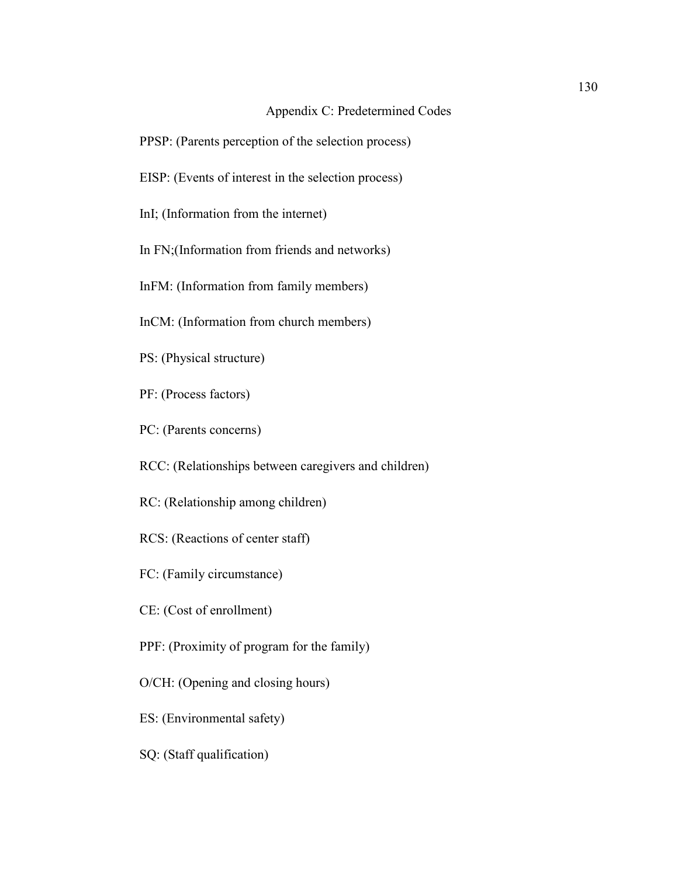# Appendix C: Predetermined Codes

- PPSP: (Parents perception of the selection process)
- EISP: (Events of interest in the selection process)
- InI; (Information from the internet)
- In FN;(Information from friends and networks)
- InFM: (Information from family members)
- InCM: (Information from church members)
- PS: (Physical structure)
- PF: (Process factors)
- PC: (Parents concerns)
- RCC: (Relationships between caregivers and children)
- RC: (Relationship among children)
- RCS: (Reactions of center staff)
- FC: (Family circumstance)
- CE: (Cost of enrollment)
- PPF: (Proximity of program for the family)
- O/CH: (Opening and closing hours)
- ES: (Environmental safety)
- SQ: (Staff qualification)